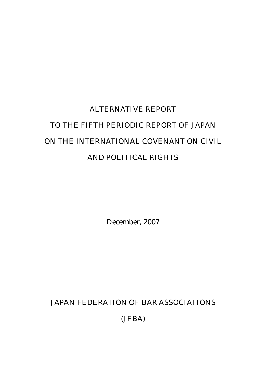# ALTERNATIVE REPORT TO THE FIFTH PERIODIC REPORT OF JAPAN ON THE INTERNATIONAL COVENANT ON CIVIL AND POLITICAL RIGHTS

December, 2007

JAPAN FEDERATION OF BAR ASSOCIATIONS

(JFBA)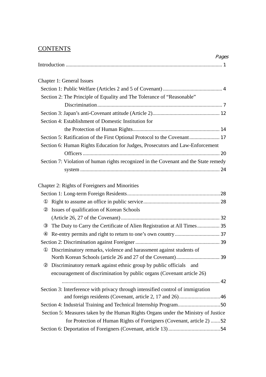## **CONTENTS**

|                                                                                      | Pages |
|--------------------------------------------------------------------------------------|-------|
| <b>Chapter 1: General Issues</b>                                                     |       |
|                                                                                      |       |
| Section 2: The Principle of Equality and The Tolerance of "Reasonable"               |       |
|                                                                                      |       |
|                                                                                      |       |
| Section 4: Establishment of Domestic Institution for                                 |       |
|                                                                                      |       |
| Section 5: Ratification of the First Optional Protocol to the Covenant 17            |       |
| Section 6: Human Rights Education for Judges, Prosecutors and Law-Enforcement        |       |
|                                                                                      |       |
| Section 7: Violation of human rights recognized in the Covenant and the State remedy |       |
|                                                                                      |       |
|                                                                                      |       |
| Chapter 2: Rights of Foreigners and Minorities                                       |       |
|                                                                                      |       |
|                                                                                      |       |
| Issues of qualification of Korean Schools                                            |       |
|                                                                                      |       |
| The Duty to Carry the Certificate of Alien Registration at All Times 35              |       |
|                                                                                      |       |
|                                                                                      |       |
| Discriminatory remarks, violence and harassment against students of                  |       |
|                                                                                      |       |
| Discriminatory remark against ethnic group by public officials and                   |       |
| encouragement of discrimination by public organs (Covenant article 26)               |       |
| Section 3: Interference with privacy through intensified control of immigration      |       |
| and foreign residents (Covenant, article 2, 17 and 26) 46                            |       |
|                                                                                      |       |
| Section 5: Measures taken by the Human Rights Organs under the Ministry of Justice   |       |
| for Protection of Human Rights of Foreigners (Covenant, article 2) 52                |       |
|                                                                                      |       |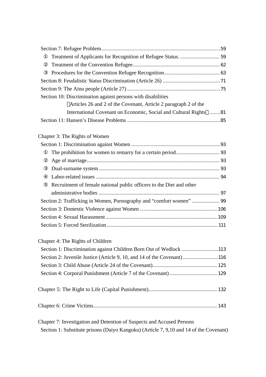| Section 10: Discrimination against persons with disabilities                           |  |
|----------------------------------------------------------------------------------------|--|
| Articles 26 and 2 of the Covenant, Article 2 paragraph 2 of the                        |  |
| International Covenant on Economic, Social and Cultural Rights 81                      |  |
|                                                                                        |  |
| Chapter 3: The Rights of Women                                                         |  |
|                                                                                        |  |
|                                                                                        |  |
|                                                                                        |  |
|                                                                                        |  |
|                                                                                        |  |
| Recruitment of female national public officers to the Diet and other                   |  |
|                                                                                        |  |
|                                                                                        |  |
|                                                                                        |  |
|                                                                                        |  |
|                                                                                        |  |
| Chapter 4: The Rights of Children                                                      |  |
| Section 1: Discrimination against Children Born Out of Wedlock113                      |  |
| Section 2: Juvenile Justice (Article 9, 10, and 14 of the Covenant)116                 |  |
|                                                                                        |  |
|                                                                                        |  |
|                                                                                        |  |
|                                                                                        |  |
| Chapter 7: Investigation and Detention of Suspects and Accused Persons                 |  |
| Section 1: Substitute prisons (Daiyo Kangoku) (Article 7, 9,10 and 14 of the Covenant) |  |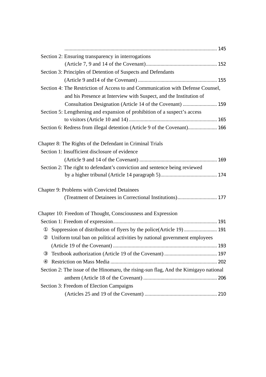| Section 2: Ensuring transparency in interrogations                                   |
|--------------------------------------------------------------------------------------|
|                                                                                      |
| Section 3: Principles of Detention of Suspects and Defendants                        |
|                                                                                      |
| Section 4: The Restriction of Access to and Communication with Defense Counsel,      |
| and his Presence at Interview with Suspect, and the Institution of                   |
| Consultation Designation (Article 14 of the Covenant)  159                           |
| Section 5: Lengthening and expansion of prohibition of a suspect's access            |
|                                                                                      |
| Section 6: Redress from illegal detention (Article 9 of the Covenant) 166            |
| Chapter 8: The Rights of the Defendant in Criminal Trials                            |
| Section 1: Insufficient disclosure of evidence                                       |
|                                                                                      |
| Section 2: The right to defendant's conviction and sentence being reviewed           |
|                                                                                      |
| Chapter 9: Problems with Convicted Detainees                                         |
| (Treatment of Detainees in Correctional Institutions) 177                            |
| Chapter 10: Freedom of Thought, Consciousness and Expression                         |
|                                                                                      |
| Suppression of distribution of flyers by the police(Article 19) 191                  |
| Uniform total ban on political activities by national government employees           |
| 193                                                                                  |
|                                                                                      |
|                                                                                      |
| Section 2: The issue of the Hinomaru, the rising-sun flag, And the Kimigayo national |
|                                                                                      |
| Section 3: Freedom of Election Campaigns                                             |
|                                                                                      |
|                                                                                      |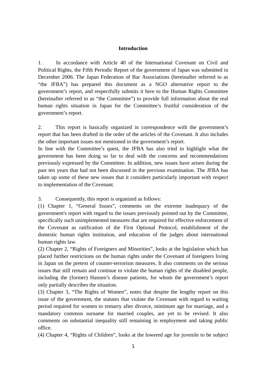#### **Introduction**

1. In accordance with Article 40 of the International Covenant on Civil and Political Rights, the Fifth Periodic Report of the government of Japan was submitted in December 2006. The Japan Federation of Bar Associations (hereinafter referred to as "the JFBA") has prepared this document as a NGO alternative report to the government's report, and respectfully submits it here to the Human Rights Committee (hereinafter referred to as "the Committee") to provide full information about the real human rights situation in Japan for the Committee's fruitful consideration of the government's report.

2. This report is basically organized in correspondence with the government's report that has been drafted in the order of the articles of the Covenant. It also includes the other important issues not mentioned in the government's report.

In line with the Committee's quest, the JFBA has also tried to highlight what the government has been doing so far to deal with the concerns and recommendations previously expressed by the Committee. In addition, new issues have arisen during the past ten years that had not been discussed in the previous examination. The JFBA has taken up some of these new issues that it considers particularly important with respect to implementation of the Covenant.

3. Consequently, this report is organized as follows:

(1) Chapter 1, "General Issues", comments on the extreme inadequacy of the government's report with regard to the issues previously pointed out by the Committee, specifically such unimplemented measures that are required for effective enforcement of the Covenant as ratification of the First Optional Protocol, establishment of the domestic human rights institution, and education of the judges about international human rights law.

(2) Chapter 2, "Rights of Foreigners and Minorities", looks at the legislation which has placed further restrictions on the human rights under the Covenant of foreigners living in Japan on the pretext of counter-terrorism measures. It also comments on the serious issues that still remain and continue to violate the human rights of the disabled people, including the (former) Hansen's disease patients, for whom the government's report only partially describes the situation.

(3) Chapter 3, "The Rights of Women", notes that despite the lengthy report on this issue of the government, the statutes that violate the Covenant with regard to waiting period required for women to remarry after divorce, minimum age for marriage, and a mandatory common surname for married couples, are yet to be revised. It also comments on substantial inequality still remaining in employment and taking public office.

(4) Chapter 4, "Rights of Children", looks at the lowered age for juvenile to be subject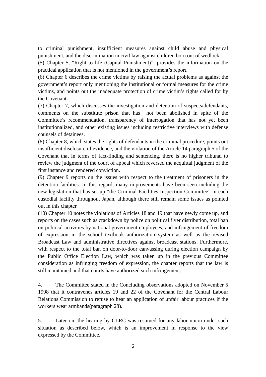to criminal punishment, insufficient measures against child abuse and physical punishment, and the discrimination in civil law against children born out of wedlock.

(5) Chapter 5, "Right to life (Capital Punishment)", provides the information on the practical application that is not mentioned in the government's report.

(6) Chapter 6 describes the crime victims by raising the actual problems as against the government's report only mentioning the institutional or formal measures for the crime victims, and points out the inadequate protection of crime victim's rights called for by the Covenant.

(7) Chapter 7, which discusses the investigation and detention of suspects/defendants, comments on the substitute prison that has not been abolished in spite of the Committee's recommendation, transparency of interrogation that has not yet been institutionalized, and other existing issues including restrictive interviews with defense counsels of detainees.

(8) Chapter 8, which states the rights of defendants in the criminal procedure, points out insufficient disclosure of evidence, and the violation of the Article 14 paragraph 5 of the Covenant that in terms of fact-finding and sentencing, there is no higher tribunal to review the judgment of the court of appeal which reversed the acquittal judgment of the first instance and rendered conviction.

(9) Chapter 9 reports on the issues with respect to the treatment of prisoners in the detention facilities. In this regard, many improvements have been seen including the new legislation that has set up "the Criminal Facilities Inspection Committee" in each custodial facility throughout Japan, although there still remain some issues as pointed out in this chapter.

(10) Chapter 10 notes the violations of Articles 18 and 19 that have newly come up, and reports on the cases such as crackdown by police on political flyer distribution, total ban on political activities by national government employees, and infringement of freedom of expression in the school textbook authorization system as well as the revised Broadcast Law and administrative directives against broadcast stations. Furthermore, with respect to the total ban on door-to-door canvassing during election campaign by the Public Office Election Law, which was taken up in the previous Committee consideration as infringing freedom of expression, the chapter reports that the law is still maintained and that courts have authorized such infringement.

4. The Committee stated in the Concluding observations adopted on November 5 1998 that it contravenes articles 19 and 22 of the Covenant for the Central Labour Relations Commission to refuse to hear an application of unfair labour practices if the workers wear armbands(paragraph 28).

5. Later on, the hearing by CLRC was resumed for any labor union under such situation as described below, which is an improvement in response to the view expressed by the Committee.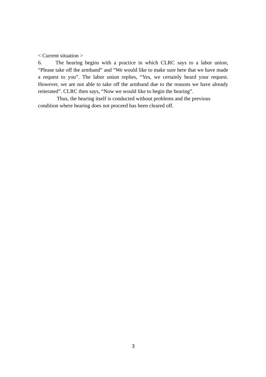< Current situation >

6. The hearing begins with a practice in which CLRC says to a labor union, "Please take off the armband" and "We would like to make sure here that we have made a request to you". The labor union replies, "Yes, we certainly heard your request. However, we are not able to take off the armband due to the reasons we have already reiterated". CLRC then says, "Now we would like to begin the hearing".

Thus, the hearing itself is conducted without problems and the previous condition where hearing does not proceed has been cleared off.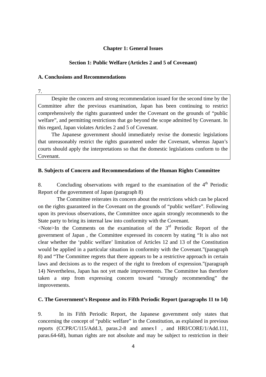#### **Chapter 1: General Issues**

#### **Section 1: Public Welfare (Articles 2 and 5 of Covenant)**

#### **A. Conclusions and Recommendations**

7.

Despite the concern and strong recommendation issued for the second time by the Committee after the previous examination, Japan has been continuing to restrict comprehensively the rights guaranteed under the Covenant on the grounds of "public welfare", and permitting restrictions that go beyond the scope admitted by Covenant. In this regard, Japan violates Articles 2 and 5 of Covenant.

The Japanese government should immediately revise the domestic legislations that unreasonably restrict the rights guaranteed under the Covenant, whereas Japan's courts should apply the interpretations so that the domestic legislations conform to the Covenant.

#### **B. Subjects of Concern and Recommendations of the Human Rights Committee**

8. Concluding observations with regard to the examination of the  $4<sup>th</sup>$  Periodic Report of the government of Japan (paragraph 8)

The Committee reiterates its concern about the restrictions which can be placed on the rights guaranteed in the Covenant on the grounds of "public welfare". Following upon its previous observations, the Committee once again strongly recommends to the State party to bring its internal law into conformity with the Covenant.

 $\leq$ Note>In the Comments on the examination of the  $3<sup>rd</sup>$  Periodic Report of the government of Japan , the Committee expressed its concern by stating "It is also not clear whether the 'public welfare' limitation of Articles 12 and 13 of the Constitution would be applied in a particular situation in conformity with the Covenant."(paragraph 8) and "The Committee regrets that there appears to be a restrictive approach in certain laws and decisions as to the respect of the right to freedom of expression."(paragraph 14) Nevertheless, Japan has not yet made improvements. The Committee has therefore taken a step from expressing concern toward "strongly recommending" the improvements.

#### **C. The Government's Response and its Fifth Periodic Report (paragraphs 11 to 14)**

9. In its Fifth Periodic Report, the Japanese government only states that concerning the concept of "public welfare" in the Constitution, as explained in previous reports (CCPR/C/115/Add.3, paras.2-8 and annex , and HRI/CORE/1/Add.111, paras.64-68), human rights are not absolute and may be subject to restriction in their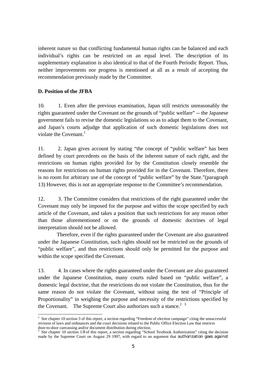inherent nature so that conflicting fundamental human rights can be balanced and each individual's rights can be restricted on an equal level. The description of its supplementary explanation is also identical to that of the Fourth Periodic Report. Thus, neither improvements nor progress is mentioned at all as a result of accepting the recommendation previously made by the Committee.

#### **D. Position of the JFBA**

10. 1. Even after the previous examination, Japan still restricts unreasonably the rights guaranteed under the Covenant on the grounds of "public welfare" -- the Japanese government fails to revise the domestic legislations so as to adapt them to the Covenant, and Japan's courts adjudge that application of such domestic legislations does not violate the Covenant. $<sup>1</sup>$ </sup>

11. 2. Japan gives account by stating "the concept of "public welfare" has been defined by court precedents on the basis of the inherent nature of each right, and the restrictions on human rights provided for by the Constitution closely resemble the reasons for restrictions on human rights provided for in the Covenant. Therefore, there is no room for arbitrary use of the concept of "public welfare" by the State."(paragraph 13) However, this is not an appropriate response to the Committee's recommendation.

12. 3. The Committee considers that restrictions of the right guaranteed under the Covenant may only be imposed for the purpose and within the scope specified by each article of the Covenant, and takes a position that such restrictions for any reason other than those aforementioned or on the grounds of domestic doctrines of legal interpretation should not be allowed.

Therefore, even if the rights guaranteed under the Covenant are also guaranteed under the Japanese Constitution, such rights should not be restricted on the grounds of "public welfare", and thus restrictions should only be permitted for the purpose and within the scope specified the Covenant.

13. 4. In cases where the rights guaranteed under the Covenant are also guaranteed under the Japanese Constitution, many courts ruled based on "public welfare", a domestic legal doctrine, that the restrictions do not violate the Constitution, thus for the same reason do not violate the Covenant, without using the test of "Principle of Proportionality" in weighing the purpose and necessity of the restrictions specified by the Covenant. The Supreme Court also authorizes such a stance.<sup>2 3</sup>

 $\overline{a}$ <sup>1</sup> See chapter 10 section 3 of this report, a section regarding "Freedom of election campaign" citing the unsuccessful revision of laws and ordinances and the court decisions related to the Public Office Election Law that restricts

door-to-door canvassing and/or document distribution during election.<br><sup>2</sup> See chapter 10 section 1 of this report, a section regarding "School Textbook Authorization" citing the decision made by the Supreme Court on August 29 1997, with regard to an argument that authorization goes against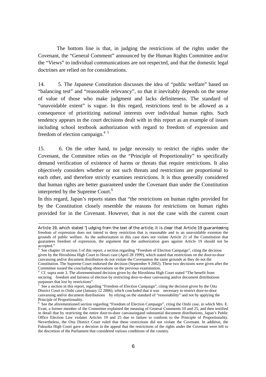The bottom line is that, in judging the restrictions of the rights under the Covenant, the "General Comment" announced by the Human Rights Committee and/or the "Views" to individual communications are not respected, and that the domestic legal doctrines are relied on for considerations.

14. 5. The Japanese Constitution discusses the idea of "public welfare" based on "balancing test" and "reasonable relevancy", so that it inevitably depends on the sense of value of those who make judgment and lacks definiteness. The standard of "unavoidable extent" is vague. In this regard, restrictions tend to be allowed as a consequence of prioritizing national interests over individual human rights. Such tendency appears in the court decisions dealt with in this report as an example of issues including school textbook authorization with regard to freedom of expression and freedom of election campaign.<sup>4 5</sup>

15. 6. On the other hand, to judge necessity to restrict the rights under the Covenant, the Committee relies on the "Principle of Proportionality" to specifically demand verification of existence of harms or threats that require restrictions. It also objectively considers whether or not such threats and restrictions are proportional to each other, and therefore strictly examines restrictions. It is thus generally considered that human rights are better guaranteed under the Covenant than under the Constitution interpreted by the Supreme Court.<sup>6</sup>

In this regard, Japan's reports states that "the restrictions on human rights provided for by the Constitution closely resemble the reasons for restrictions on human rights provided for in the Covenant. However, that is not the case with the current court

Article 19, which stated "Judging from the text of the article, it is clear that Article 19 guaranteeing freedom of expression does not intend to deny restriction that is reasonable and to an unavoidable extenton the grounds of public welfare. As the authorization in this case does not violate Article 21 of the Constitution that guarantees freedom of expression, the argument that the authorization goes against Article 19 should not be accepted."<br><sup>3</sup> See chapter 10 section 3 of this report, a section regarding "Freedom of Election Campaign", citing the decision

given by the Hiroshima High Court to Houri case (April 28 1999), which stated that restrictions on the door-to-door canvassing and/or document distribution do not violate the Covenanton the same grounds as they do not the Constitution. The Supreme Court endorsed the decision (September 9 2002). These two decisions were given after the Committee issued the concluding observations on the previous examination.

<sup>&</sup>lt;sup>4</sup> Cf. supra note 3. The aforementioned decision given by the Hiroshima High Court stated "The benefit from securing freedom and fairness of election by restricting door-to-door canvassing and/or document distributions surpasses that lost by restrictions".<br><sup>5</sup> See a section in this report, regarding "Freedom of Election Campaign", citing the decision given by the Oita

District Court to Oishi case (January 12 2006), which concluded that it was necessary to restrict door-to-door canvassing and/or document distributions by relying on the standard of "reasonability" and not by applying the Principle of Proportionality.<br><sup>6</sup> See the aforementioned section regarding "Freedom of Election Campaign", citing the Oishi case, in which Mrs. E.

Evatt, a former member of the Committee explained the meaning of General Comments 10 and 25, and then testified in detail that by restricting the entire door-to-door canvassingand substantial document distributions, Japan's Public Office Election Law violates Articles 19 and 25 due to failure to conform to the Principle of Proportionality. Nevertheless, the Oita District Court ruled that these restrictions did not violate the Covenant. In addition, the Fukuoka High Court gave a decision in the appeal that the restrictions of the rights under the Covenant were left to the discretion of the Parliament that considered various conditions of the country.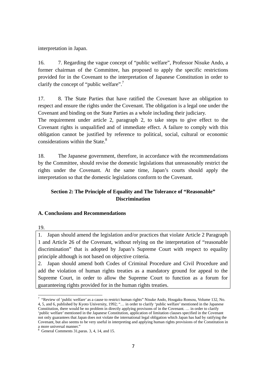interpretation in Japan.

16. 7. Regarding the vague concept of "public welfare", Professor Nisuke Ando, a former chairman of the Committee, has proposed to apply the specific restrictions provided for in the Covenant to the interpretation of Japanese Constitution in order to clarify the concept of "public welfare".7

17. 8. The State Parties that have ratified the Covenant have an obligation to respect and ensure the rights under the Covenant. The obligation is a legal one under the Covenant and binding on the State Parties as a whole including their judiciary.

The requirement under article 2, paragraph 2, to take steps to give effect to the Covenant rights is unqualified and of immediate effect. A failure to comply with this obligation cannot be justified by reference to political, social, cultural or economic considerations within the State. $8<sup>8</sup>$ 

18. The Japanese government, therefore, in accordance with the recommendations by the Committee, should revise the domestic legislations that unreasonably restrict the rights under the Covenant. At the same time, Japan's courts should apply the interpretation so that the domestic legislations conform to the Covenant.

## **Section 2: The Principle of Equality and The Tolerance of "Reasonable" Discrimination**

## **A. Conclusions and Recommendations**

19.

 $\overline{a}$ 

1. Japan should amend the legislation and/or practices that violate Article 2 Paragraph 1 and Article 26 of the Covenant, without relying on the interpretation of "reasonable discrimination" that is adopted by Japan's Supreme Court with respect to equality principle although is not based on objective criteria.

2. Japan should amend both Codes of Criminal Procedure and Civil Procedure and add the violation of human rights treaties as a mandatory ground for appeal to the Supreme Court, in order to allow the Supreme Court to function as a forum for guaranteeing rights provided for in the human rights treaties.

<sup>&</sup>lt;sup>7</sup> "Review of 'public welfare' as a cause to restrict human rights" Nisuke Ando, Hougaku Ronsou, Volume 132, No. 4, 5, and 6, published by Kyoto University, 1992; "… in order to clarify 'public welfare' mentioned in the Japanese Constitution, there would be no problem in directly applying provisons of in the Covenant. … in order to clarify 'public welfare' mentioned in the Japanese Constitution, application of limitation clauses specified in the Covenant not only guarantees that Japan does not violate the international legal obligation which Japan has had by ratifying the Covenant, but also seems to be very useful in interpreting and applying human rights provisions of the Constitution in a more universal manner."

<sup>8</sup> General Comments 31,paras. 3, 4, 14, and 15.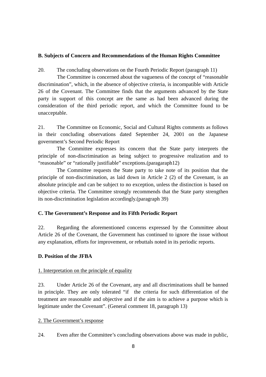#### **B. Subjects of Concern and Recommendations of the Human Rights Committee**

20. The concluding observations on the Fourth Periodic Report (paragraph 11)

 The Committee is concerned about the vagueness of the concept of "reasonable discrimination", which, in the absence of objective criteria, is incompatible with Article 26 of the Covenant. The Committee finds that the arguments advanced by the State party in support of this concept are the same as had been advanced during the consideration of the third periodic report, and which the Committee found to be unacceptable.

21. The Committee on Economic, Social and Cultural Rights comments as follows in their concluding observations dated September 24, 2001 on the Japanese government's Second Periodic Report

The Committee expresses its concern that the State party interprets the principle of non-discrimination as being subject to progressive realization and to "reasonable" or "rationally justifiable" exceptions.(paragaraph12)

The Committee requests the State party to take note of its position that the principle of non-discrimination, as laid down in Article 2 (2) of the Covenant, is an absolute principle and can be subject to no exception, unless the distinction is based on objective criteria. The Committee strongly recommends that the State party strengthen its non-discrimination legislation accordingly.(paragraph 39)

## **C. The Government's Response and its Fifth Periodic Report**

22. Regarding the aforementioned concerns expressed by the Committee about Article 26 of the Covenant, the Government has continued to ignore the issue without any explanation, efforts for improvement, or rebuttals noted in its periodic reports.

#### **D. Position of the JFBA**

## 1. Interpretation on the principle of equality

23. Under Article 26 of the Covenant, any and all discriminations shall be banned in principle. They are only tolerated "if the criteria for such differentiation of the treatment are reasonable and objective and if the aim is to achieve a purpose which is legitimate under the Covenant". (General comment 18, paragraph 13)

#### 2. The Government's response

24. Even after the Committee's concluding observations above was made in public,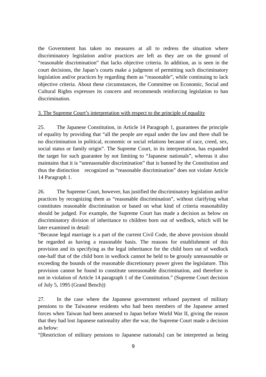the Government has taken no measures at all to redress the situation where discriminatory legislation and/or practices are left as they are on the ground of "reasonable discrimination" that lacks objective criteria. In addition, as is seen in the court decisions, the Japan's courts make a judgment of permitting such discriminatory legislation and/or practices by regarding them as "reasonable", while continuing to lack objective criteria. About these circumstances, the Committee on Economic, Social and Cultural Rights expresses its concern and recommends reinforcing legislation to ban discrimination.

## 3. The Supreme Court's interpretation with respect to the principle of equality

25. The Japanese Constitution, in Article 14 Paragraph 1, guarantees the principle of equality by providing that "all the people are equal under the law and there shall be no discrimination in political, economic or social relations because of race, creed, sex, social status or family origin". The Supreme Court, in its interpretation, has expanded the target for such guarantee by not limiting to "Japanese nationals", whereas it also maintains that it is "unreasonable discrimination" that is banned by the Constitution and thus the distinction recognized as "reasonable discrimination" does not violate Article 14 Paragraph 1.

26. The Supreme Court, however, has justified the discriminatory legislation and/or practices by recognizing them as "reasonable discrimination", without clarifying what constitutes reasonable discrimination or based on what kind of criteria reasonability should be judged. For example, the Supreme Court has made a decision as below on discriminatory division of inheritance to children born out of wedlock, which will be later examined in detail:

"Because legal marriage is a part of the current Civil Code, the above provision should be regarded as having a reasonable basis. The reasons for establishment of this provision and its specifying as the legal inheritance for the child born out of wedlock one-half that of the child born in wedlock cannot be held to be grossly unreasonable or exceeding the bounds of the reasonable discretionary power given the legislature. This provision cannot be found to constitute unreasonable discrimination, and therefore is not in violation of Article 14 paragraph 1 of the Constitution." (Supreme Court decision of July 5, 1995 (Grand Bench))

27. In the case where the Japanese government refused payment of military pensions to the Taiwanese residents who had been members of the Japanese armed forces when Taiwan had been annexed to Japan before World War II, giving the reason that they had lost Japanese nationality after the war, the Supreme Court made a decision as below:

"[Restriction of military pensions to Japanese nationals] can be interpreted as being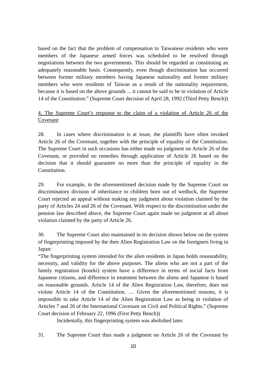based on the fact that the problem of compensation to Taiwanese residents who were members of the Japanese armed forces was scheduled to be resolved through negotiations between the two governments. This should be regarded as constituting an adequately reasonable basis. Consequently, even though discrimination has occurred between former military members having Japanese nationality and former military members who were residents of Taiwan as a result of the nationality requirement, because it is based on the above grounds ... it cannot be said to be in violation of Article 14 of the Constitution." (Supreme Court decision of April 28, 1992 (Third Petty Bench))

## 4. The Supreme Court's response to the claim of a violation of Article 26 of the Covenant

28. In cases where discrimination is at issue, the plaintiffs have often invoked Article 26 of the Covenant, together with the principle of equality of the Constitution. The Supreme Court in such occasions has either made no judgment on Article 26 of the Covenant, or provided no remedies through application of Article 26 based on the decision that it should guarantee no more than the principle of equality in the Constitution.

29. For example, in the aforementioned decision made by the Supreme Court on discriminatory division of inheritance to children born out of wedlock, the Supreme Court rejected an appeal without making any judgment about violation claimed by the party of Articles 24 and 26 of the Covenant. With respect to the discrimination under the pension law described above, the Supreme Court again made no judgment at all about violation claimed by the party of Article 26.

30. The Supreme Court also maintained in its decision shown below on the system of fingerprinting imposed by the then Alien Registration Law on the foreigners living in Japan:

"The fingerprinting system intended for the alien residents in Japan holds reasonability, necessity, and validity for the above purposes. The aliens who are not a part of the family registration (koseki) system have a difference in terms of social facts from Japanese citizens, and difference in treatment between the aliens and Japanese is based on reasonable grounds. Article 14 of the Alien Registration Law, therefore, does not violate Article 14 of the Constitution. … Given the aforementioned reasons, it is impossible to take Article 14 of the Alien Registration Law as being in violation of Articles 7 and 26 of the International Covenant on Civil and Political Rights." (Supreme Court decision of February 22, 1996 (First Petty Bench))

Incidentally, this fingerprinting system was abolished later.

31. The Supreme Court thus made a judgment on Article 26 of the Covenant by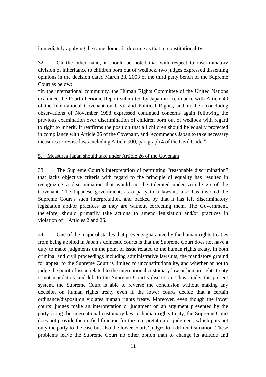immediately applying the same domestic doctrine as that of constitutionality.

32. On the other hand, it should be noted that with respect to discriminatory division of inheritance to children born out of wedlock, two judges expressed dissenting opinions in the decision dated March 28, 2003 of the third petty bench of the Supreme Court as below:

"In the international community, the Human Rights Committee of the United Nations examined the Fourth Periodic Report submitted by Japan in accordance with Article 40 of the International Covenant on Civil and Political Rights, and in their concludng observations of November 1998 expressed continued concerns again following the previous examination over discrimination of children born out of wedlock with regard to right to inherit. It reaffirms the position that all children should be equally protected in compliance with Article 26 of the Covenant, and recommends Japan to take necessary measures to revise laws including Article 900, paragraph 4 of the Civil Code."

#### 5. Measures Japan should take under Article 26 of the Covenant

33. The Supreme Court's interpretation of permitting "reasonable discrimination" that lacks objective criteria with regard to the principle of equality has resulted in recognizing a discrimination that would not be tolerated under Article 26 of the Covenant. The Japanese government, as a party to a lawsuit, also has invoked the Supreme Court's such interpretation, and backed by that it has left discriminatory legislation and/or practices as they are without correcting them. The Government, therefore, should primarily take actions to amend legislation and/or practices in violation of Articles 2 and 26.

34. One of the major obstacles that prevents guarantee by the human rights treaties from being applied in Japan's domestic courts is that the Supreme Court does not have a duty to make judgments on the point of issue related to the human rights treaty. In both criminal and civil proceedings including administrative lawsuits, the mandatory ground for appeal to the Supreme Court is limited to unconstitutionality, and whether or not to judge the point of issue related to the international customary law or human rights treaty is not mandatory and left to the Supreme Court's discretion. Thus, under the present system, the Supreme Court is able to reverse the conclusion without making any decision on human rights treaty even if the lower courts decide that a certain ordinance/disposition violates human rights treaty. Moreover, even though the lower courts' judges make an interpretation or judgment on an argument presented by the party citing the international customary law or human rights treaty, the Supreme Court does not provide the unified function for the interpretation or judgment, which puts not only the party to the case but also the lower courts' judges to a difficult situation. These problems leave the Supreme Court no other option than to change its attitude and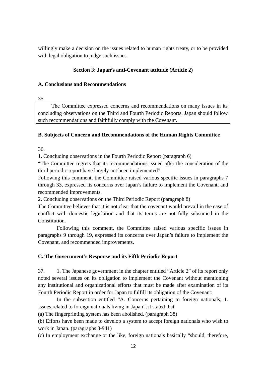willingly make a decision on the issues related to human rights treaty, or to be provided with legal obligation to judge such issues.

## **Section 3: Japan's anti-Covenant attitude (Article 2)**

#### **A. Conclusions and Recommendations**

35.

The Committee expressed concerns and recommendations on many issues in its concluding observations on the Third and Fourth Periodic Reports. Japan should follow such recommendations and faithfully comply with the Covenant.

## **B. Subjects of Concern and Recommendations of the Human Rights Committee**

36.

1. Concluding observations in the Fourth Periodic Report (paragraph 6)

"The Committee regrets that its recommendations issued after the consideration of the third periodic report have largely not been implemented".

Following this comment, the Committee raised various specific issues in paragraphs 7 through 33, expressed its concerns over Japan's failure to implement the Covenant, and recommended improvements.

2. Concluding observations on the Third Periodic Report (paragraph 8)

The Committee believes that it is not clear that the covenant would prevail in the case of conflict with domestic legislation and that its terms are not fully subsumed in the Constitution.

Following this comment, the Committee raised various specific issues in paragraphs 9 through 19, expressed its concerns over Japan's failure to implement the Covenant, and recommended improvements.

## **C. The Government's Response and its Fifth Periodic Report**

37. 1. The Japanese government in the chapter entitled "Article 2" of its report only noted several issues on its obligation to implement the Covenant without mentioning any institutional and organizational efforts that must be made after examination of its Fourth Periodic Report in order for Japan to fulfill its obligation of the Covenant:

In the subsection entitled "A. Concerns pertaining to foreign nationals, 1. Issues related to foreign nationals living in Japan", it stated that

(a) The fingerprinting system has been abolished. (paragraph 38)

(b) Efforts have been made to develop a system to accept foreign nationals who wish to work in Japan. (paragraphs 3-941)

(c) In employment exchange or the like, foreign nationals basically "should, therefore,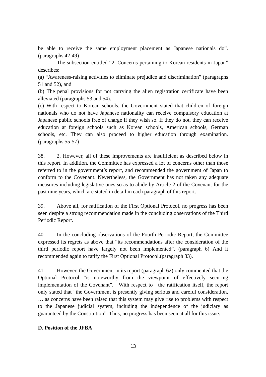be able to receive the same employment placement as Japanese nationals do". (paragraphs 42-49)

The subsection entitled "2. Concerns pertaining to Korean residents in Japan" describes:

(a) "Awareness-raising activities to eliminate prejudice and discrimination" (paragraphs 51 and 52), and

(b) The penal provisions for not carrying the alien registration certificate have been alleviated (paragraphs 53 and 54).

(c) With respect to Korean schools, the Government stated that children of foreign nationals who do not have Japanese nationality can receive compulsory education at Japanese public schools free of charge if they wish so. If they do not, they can receive education at foreign schools such as Korean schools, American schools, German schools, etc. They can also proceed to higher education through examination. (paragraphs 55-57)

38. 2. However, all of these improvements are insufficient as described below in this report. In addition, the Committee has expressed a lot of concerns other than those referred to in the government's report, and recommended the government of Japan to conform to the Covenant. Nevertheless, the Government has not taken any adequate measures including legislative ones so as to abide by Article 2 of the Covenant for the past nine years, which are stated in detail in each paragraph of this report.

39. Above all, for ratification of the First Optional Protocol, no progress has been seen despite a strong recommendation made in the concluding observations of the Third Periodic Report.

40. In the concluding observations of the Fourth Periodic Report, the Committee expressed its regrets as above that "its recommendations after the consideration of the third periodic report have largely not been implemented". (paragraph 6) And it recommended again to ratify the First Optional Protocol.(paragraph 33).

41. However, the Government in its report (paragraph 62) only commented that the Optional Protocol "is noteworthy from the viewpoint of effectively securing implementation of the Covenant". With respect to the ratification itself, the report only stated that "the Government is presently giving serious and careful consideration, … as concerns have been raised that this system may give rise to problems with respect to the Japanese judicial system, including the independence of the judiciary as guaranteed by the Constitution". Thus, no progress has been seen at all for this issue.

## **D. Position of the JFBA**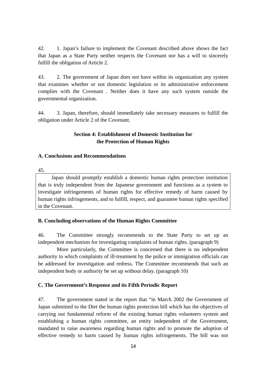42. 1. Japan's failure to implement the Covenant described above shows the fact that Japan as a State Party neither respects the Covenant nor has a will to sincerely fulfill the obligation of Article 2.

43. 2. The government of Japan does not have within its organization any system that examines whether or not domestic legislation or its administrative enforcement complies with the Covenant . Neither does it have any such system outside the governmental organization.

44. 3. Japan, therefore, should immediately take necessary measures to fulfill the obligation under Article 2 of the Covenant.

## **Section 4: Establishment of Domestic Institution for the Protection of Human Rights**

#### **A. Conclusions and Recommendations**

45.

Japan should promptly establish a domestic human rights protection institution that is truly independent from the Japanese government and functions as a system to investigate infringements of human rights for effective remedy of harm caused by human rights infringements, and to fulfill, respect, and guarantee human rights specified in the Covenant.

## **B. Concluding observations of the Human Rights Committee**

46. The Committee strongly recommends to the State Party to set up an independent mechanism for investigating complaints of human rights. (paragraph 9)

More particularly, the Committee is concerned that there is no independent authority to which complaints of ill-treatment by the police or immigration officials can be addressed for investigation and redress. The Committee recommends that such an independent body or authority be set up without delay. (paragraph 10)

## **C. The Government's Response and its Fifth Periodic Report**

47. The government stated in the report that "in March 2002 the Government of Japan submitted to the Diet the human rights protection bill which has the objectives of carrying out fundamental reform of the existing human rights volunteers system and establishing a human rights committee, an entity independent of the Government, mandated to raise awareness regarding human rights and to promote the adoption of effective remedy to harm caused by human rights infringements. The bill was not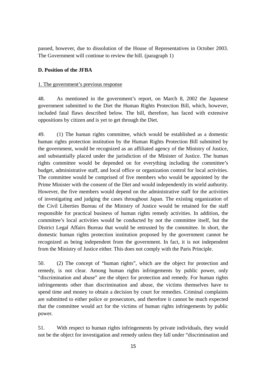passed, however, due to dissolution of the House of Representatives in October 2003. The Government will continue to review the bill. (paragraph 1)

#### **D. Position of the JFBA**

#### 1. The government's previous response

48. As mentioned in the government's report, on March 8, 2002 the Japanese government submitted to the Diet the Human Rights Protection Bill, which, however, included fatal flaws described below. The bill, therefore, has faced with extensive oppositions by citizen and is yet to get through the Diet.

49. (1) The human rights committee, which would be established as a domestic human rights protection institution by the Human Rights Protection Bill submitted by the government, would be recognized as an affiliated agency of the Ministry of Justice, and substantially placed under the jurisdiction of the Minister of Justice. The human rights committee would be depended on for everything including the committee's budget, administrative staff, and local office or organization control for local activities. The committee would be comprised of five members who would be appointed by the Prime Minister with the consent of the Diet and would independently its wield authority. However, the five members would depend on the administrative staff for the activities of investigating and judging the cases throughout Japan. The existing organization of the Civil Liberties Bureau of the Ministry of Justice would be retained for the staff responsible for practical business of human rights remedy activities. In addition, the committee's local activities would be conducted by not the committee itself, but the District Legal Affairs Bureau that would be entrusted by the committee. In short, the domestic human rights protection institution proposed by the government cannot be recognized as being independent from the government. In fact, it is not independent from the Ministry of Justice either. This does not comply with the Paris Principle.

50. (2) The concept of "human rights", which are the object for protection and remedy, is not clear. Among human rights infringements by public power, only "discrimination and abuse" are the object for protection and remedy. For human rights infringements other than discrimination and abuse, the victims themselves have to spend time and money to obtain a decision by court for remedies. Criminal complaints are submitted to either police or prosecutors, and therefore it cannot be much expected that the committee would act for the victims of human rights infringements by public power.

51. With respect to human rights infringements by private individuals, they would not be the object for investigation and remedy unless they fall under "discrimination and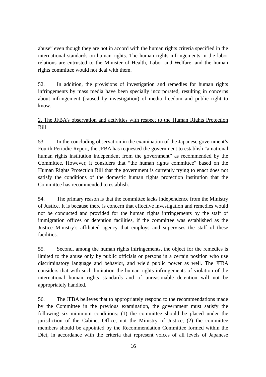abuse" even though they are not in accord with the human rights criteria specified in the international standards on human rights. The human rights infringements in the labor relations are entrusted to the Minister of Health, Labor and Welfare, and the human rights committee would not deal with them.

52. In addition, the provisions of investigation and remedies for human rights infringements by mass media have been specially incorporated, resulting in concerns about infringement (caused by investigation) of media freedom and public right to know.

## 2. The JFBA's observation and activities with respect to the Human Rights Protection Bill

53. In the concluding observation in the examination of the Japanese government's Fourth Periodic Report, the JFBA has requested the government to establish "a national human rights institution independent from the government" as recommended by the Committee. However, it considers that "the human rights committee" based on the Human Rights Protection Bill that the government is currently trying to enact does not satisfy the conditions of the domestic human rights protection institution that the Committee has recommended to establish.

54. The primary reason is that the committee lacks independence from the Ministry of Justice. It is because there is concern that effective investigation and remedies would not be conducted and provided for the human rights infringements by the staff of immigration offices or detention facilities, if the committee was established as the Justice Ministry's affiliated agency that employs and supervises the staff of these facilities.

55. Second, among the human rights infringements, the object for the remedies is limited to the abuse only by public officials or persons in a certain position who use discriminatory language and behavior, and wield public power as well. The JFBA considers that with such limitation the human rights infringements of violation of the international human rights standards and of unreasonable detention will not be appropriately handled.

56. The JFBA believes that to appropriately respond to the recommendations made by the Committee in the previous examination, the government must satisfy the following six minimum conditions: (1) the committee should be placed under the jurisdiction of the Cabinet Office, not the Ministry of Justice, (2) the committee members should be appointed by the Recommendation Committee formed within the Diet, in accordance with the criteria that represent voices of all levels of Japanese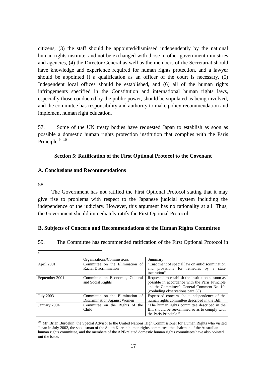citizens, (3) the staff should be appointed/dismissed independently by the national human rights institute, and not be exchanged with those in other government ministries and agencies, (4) the Director-General as well as the members of the Secretariat should have knowledge and experience required for human rights protection, and a lawyer should be appointed if a qualification as an officer of the court is necessary, (5) Independent local offices should be established, and (6) all of the human rights infringements specified in the Constitution and international human rights laws, especially those conducted by the public power, should be stipulated as being involved, and the committee has responsibility and authority to make policy recommendation and implement human right education.

57. Some of the UN treaty bodies have requested Japan to establish as soon as possible a domestic human rights protection institution that complies with the Paris Principle.<sup>9</sup> <sup>10</sup>

#### **Section 5: Ratification of the First Optional Protocol to the Covenant**

## **A. Conclusions and Recommendations**

#### 58.

The Government has not ratified the First Optional Protocol stating that it may give rise to problems with respect to the Japanese judicial system including the independence of the judiciary. However, this argument has no rationality at all. Thus, the Government should immediately ratify the First Optional Protocol.

#### **B. Subjects of Concern and Recommendations of the Human Rights Committee**

#### 59. The Committee has recommended ratification of the First Optional Protocol in

 $\overline{a}$ 9

|                  | Organizations/Commissions                                       | Summary                                                                                                                                                                                 |
|------------------|-----------------------------------------------------------------|-----------------------------------------------------------------------------------------------------------------------------------------------------------------------------------------|
| April 2001       | Committee on the Elimination of<br>Racial Discrimination        | "Enactment of special law on antidiscrimination"<br>and provisions for remedies by a state<br>institution"                                                                              |
| September 2001   | Committee on Economic, Cultural<br>and Social Rights            | Requested to establish the institution as soon as<br>possible in accordance with the Paris Principle<br>and the Committee's General Comment No. 10.<br>(conluding observations para 38) |
| <b>July 2003</b> | Committee on the Elimination of<br>Discrimination Against Women | Expressed concern about independence of the<br>human rights committee described in the Bill.                                                                                            |
| January 2004     | Committee on the Rights of the<br>Child                         | "The human rights committee described in the<br>Bill should be reexamined so as to comply with<br>the Paris Principle."                                                                 |

 $10$  Mr. Brian Burdekin, the Special Advisor to the United Nations High Commissioner for Human Rights who visited Japan in July 2002, the spokesman of the South Korean human rights committee, the chairman of the Australian human rights committee, and the members of the APF-related domestic human rights committees have also pointed out the issue.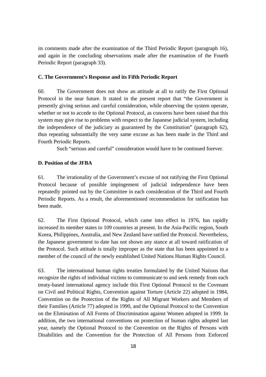its comments made after the examination of the Third Periodic Report (paragraph 16), and again in the concluding observations made after the examination of the Fourth Periodic Report (paragraph 33).

#### **C. The Government's Response and its Fifth Periodic Report**

60. The Government does not show an attitude at all to ratify the First Optional Protocol in the near future. It stated in the present report that "the Government is presently giving serious and careful consideration, while observing the system operate, whether or not to accede to the Optional Protocol, as concerns have been raised that this system may give rise to problems with respect to the Japanese judicial system, including the independence of the judiciary as guaranteed by the Constitution" (paragraph 62), thus repeating substantially the very same excuse as has been made in the Third and Fourth Periodic Reports.

Such "serious and careful" consideration would have to be continued forever.

#### **D. Position of the JFBA**

61. The irrationality of the Government's excuse of not ratifying the First Optional Protocol because of possible impingement of judicial independence have been repeatedly pointed out by the Committee in each consideration of the Third and Fourth Periodic Reports. As a result, the aforementioned recommendation for ratification has been made.

62. The First Optional Protocol, which came into effect in 1976, has rapidly increased its member states to 109 countries at present. In the Asia-Pacific region, South Korea, Philippines, Australia, and New Zealand have ratified the Protocol. Nevertheless, the Japanese government to date has not shown any stance at all toward ratification of the Protocol. Such attitude is totally improper as the state that has been appointed to a member of the council of the newly established United Nations Human Rights Council.

63. The international human rights treaties formulated by the United Nations that recognize the rights of individual victims to communicate to and seek remedy from each treaty-based international agency include this First Optional Protocol to the Covenant on Civil and Political Rights, Convention against Torture (Article 22) adopted in 1984, Convention on the Protection of the Rights of All Migrant Workers and Members of their Families (Article 77) adopted in 1990, and the Optional Protocol to the Convention on the Elimination of All Forms of Discrimination against Women adopted in 1999. In addition, the two international conventions on protection of human rights adopted last year, namely the Optional Protocol to the Convention on the Rights of Persons with Disabilities and the Convention for the Protection of All Persons from Enforced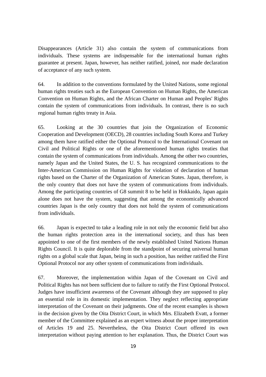Disappearances (Article 31) also contain the system of communications from individuals. These systems are indispensable for the international human rights guarantee at present. Japan, however, has neither ratified, joined, nor made declaration of acceptance of any such system.

64. In addition to the conventions formulated by the United Nations, some regional human rights treaties such as the European Convention on Human Rights, the American Convention on Human Rights, and the African Charter on Human and Peoples' Rights contain the system of communications from individuals. In contrast, there is no such regional human rights treaty in Asia.

65. Looking at the 30 countries that join the Organization of Economic Cooperation and Development (OECD), 28 countries including South Korea and Turkey among them have ratified either the Optional Protocol to the International Covenant on Civil and Political Rights or one of the aforementioned human rights treaties that contain the system of communications from individuals. Among the other two countries, namely Japan and the United States, the U. S. has recognized communications to the Inter-American Commission on Human Rights for violation of declaration of human rights based on the Charter of the Organization of American States. Japan, therefore, is the only country that does not have the system of communications from individuals. Among the participating countries of G8 summit 8 to be held in Hokkaido, Japan again alone does not have the system, suggesting that among the economically advanced countries Japan is the only country that does not hold the system of communications from individuals.

66. Japan is expected to take a leading role in not only the economic field but also the human rights protection area in the international society, and thus has been appointed to one of the first members of the newly established United Nations Human Rights Council. It is quite deplorable from the standpoint of securing universal human rights on a global scale that Japan, being in such a position, has neither ratified the First Optional Protocol nor any other system of communications from individuals.

67. Moreover, the implementation within Japan of the Covenant on Civil and Political Rights has not been sufficient due to failure to ratify the First Optional Protocol. Judges have insufficient awareness of the Covenant although they are supposed to play an essential role in its domestic implementation. They neglect reflecting appropriate interpretation of the Covenant on their judgments. One of the recent examples is shown in the decision given by the Oita District Court, in which Mrs. Elizabeth Evatt, a former member of the Committee explained as an expert witness about the proper interpretation of Articles 19 and 25. Nevertheless, the Oita District Court offered its own interpretation without paying attention to her explanation. Thus, the District Court was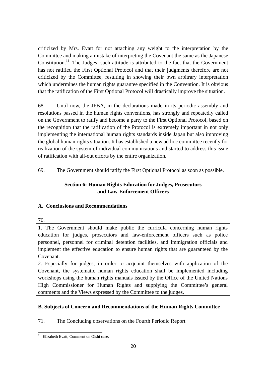criticized by Mrs. Evatt for not attaching any weight to the interpretation by the Committee and making a mistake of interpreting the Covenant the same as the Japanese Constitution.<sup>11</sup> The Judges' such attitude is attributed to the fact that the Government has not ratified the First Optional Protocol and that their judgments therefore are not criticized by the Committee, resulting in showing their own arbitrary interpretation which undermines the human rights guarantee specified in the Convention. It is obvious that the ratification of the First Optional Protocol will drastically improve the situation.

68. Until now, the JFBA, in the declarations made in its periodic assembly and resolutions passed in the human rights conventions, has strongly and repeatedly called on the Government to ratify and become a party to the First Optional Protocol, based on the recognition that the ratification of the Protocol is extremely important in not only implementing the international human rights standards inside Japan but also improving the global human rights situation. It has established a new ad hoc committee recently for realization of the system of individual communications and started to address this issue of ratification with all-out efforts by the entire organization.

69. The Government should ratify the First Optional Protocol as soon as possible.

## **Section 6: Human Rights Education for Judges, Prosecutors and Law-Enforcement Officers**

## **A. Conclusions and Recommendations**

70.

1. The Government should make public the curricula concerning human rights education for judges, prosecutors and law-enforcement officers such as police personnel, personnel for criminal detention facilities, and immigration officials and implement the effective education to ensure human rights that are guaranteed by the Covenant.

2. Especially for judges, in order to acquaint themselves with application of the Covenant, the systematic human rights education shall be implemented including workshops using the human rights manuals issued by the Office of the United Nations High Commissioner for Human Rights and supplying the Committee's general comments and the Views expressed by the Committee to the judges.

## **B. Subjects of Concern and Recommendations of the Human Rights Committee**

71. The Concluding observations on the Fourth Periodic Report

 $\overline{a}$ <sup>11</sup> Elizabeth Evatt, Comment on Oishi case.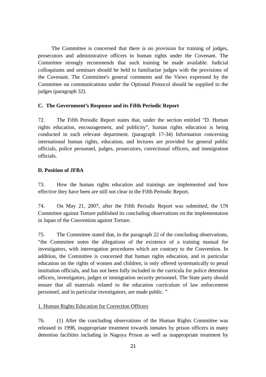The Committee is concerned that there is no provision for training of judges, prosecutors and administrative officers in human rights under the Covenant. The Committee strongly recommends that such training be made available. Judicial colloquiums and seminars should be held to familiarize judges with the provisions of the Covenant. The Committee's general comments and the Views expressed by the Committee on communications under the Optional Protocol should be supplied to the judges (paragraph 32).

#### **C. The Government's Response and its Fifth Periodic Report**

72. The Fifth Periodic Report states that, under the section entitled "D. Human rights education, encouragement, and publicity", human rights education is being conducted in each relevant department. (paragraph 17-34) Information concerning international human rights, education, and lectures are provided for general public officials, police personnel, judges, prosecutors, correctional officers, and immigration officials.

#### **D. Position of JFBA**

73. How the human rights education and trainings are implemented and how effective they have been are still not clear in the Fifth Periodic Report.

74. On May 21, 2007, after the Fifth Periodic Report was submitted, the UN Committee against Torture published its concluding observations on the implementation in Japan of the Convention against Torture.

75. The Committee stated that, in the paragraph 22 of the concluding observations, "the Committee notes the allegations of the existence of a training manual for investigators, with interrogation procedures which are contrary to the Convention. In addition, the Committee is concerned that human rights education, and in particular education on the rights of women and children, is only offered systematically to penal institution officials, and has not been fully included in the curricula for police detention officers, investigators, judges or immigration security personnel. The State party should ensure that all materials related to the education curriculum of law enforcement personnel, and in particular investigators, are made public. "

#### 1. Human Rights Education for Correction Officers

76. (1) After the concluding observations of the Human Rights Committee was released in 1998, inappropriate treatment towards inmates by prison officers in many detention facilities including in Nagoya Prison as well as inappropriate treatment by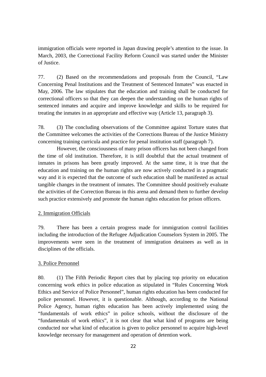immigration officials were reported in Japan drawing people's attention to the issue. In March, 2003, the Correctional Facility Reform Council was started under the Minister of Justice.

77. (2) Based on the recommendations and proposals from the Council, "Law Concerning Penal Institutions and the Treatment of Sentenced Inmates" was enacted in May, 2006. The law stipulates that the education and training shall be conducted for correctional officers so that they can deepen the understanding on the human rights of sentenced inmates and acquire and improve knowledge and skills to be required for treating the inmates in an appropriate and effective way (Article 13, paragraph 3).

78. (3) The concluding observations of the Committee against Torture states that the Committee welcomes the activities of the Corrections Bureau of the Justice Ministry concerning training curricula and practice for penal institution staff (paragraph 7).

However, the consciousness of many prison officers has not been changed from the time of old institution. Therefore, it is still doubtful that the actual treatment of inmates in prisons has been greatly improved. At the same time, it is true that the education and training on the human rights are now actively conducted in a pragmatic way and it is expected that the outcome of such education shall be manifested as actual tangible changes in the treatment of inmates. The Committee should positively evaluate the activities of the Correction Bureau in this arena and demand them to further develop such practice extensively and promote the human rights education for prison officers.

#### 2. Immigration Officials

79. There has been a certain progress made for immigration control facilities including the introduction of the Refugee Adjudication Counselors System in 2005. The improvements were seen in the treatment of immigration detainees as well as in disciplines of the officials.

#### 3. Police Personnel

80. (1) The Fifth Periodic Report cites that by placing top priority on education concerning work ethics in police education as stipulated in "Rules Concerning Work Ethics and Service of Police Personnel", human rights education has been conducted for police personnel. However, it is questionable. Although, according to the National Police Agency, human rights education has been actively implemented using the "fundamentals of work ethics" in police schools, without the disclosure of the "fundamentals of work ethics", it is not clear that what kind of programs are being conducted nor what kind of education is given to police personnel to acquire high-level knowledge necessary for management and operation of detention work.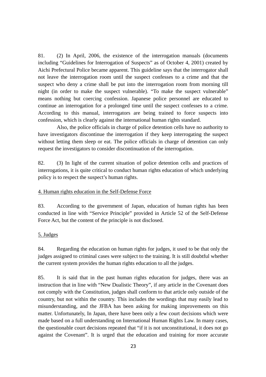81. (2) In April, 2006, the existence of the interrogation manuals (documents including "Guidelines for Interrogation of Suspects" as of October 4, 2001) created by Aichi Prefectural Police became apparent. This guideline says that the interrogator shall not leave the interrogation room until the suspect confesses to a crime and that the suspect who deny a crime shall be put into the interrogation room from morning till night (in order to make the suspect vulnerable). "To make the suspect vulnerable" means nothing but coercing confession. Japanese police personnel are educated to continue an interrogation for a prolonged time until the suspect confesses to a crime. According to this manual, interrogators are being trained to force suspects into confession, which is clearly against the international human rights standard.

Also, the police officials in charge of police detention cells have no authority to have investigators discontinue the interrogation if they keep interrogating the suspect without letting them sleep or eat. The police officials in charge of detention can only request the investigators to consider discontinuation of the interrogation.

82. (3) In light of the current situation of police detention cells and practices of interrogations, it is quite critical to conduct human rights education of which underlying policy is to respect the suspect's human rights.

## 4. Human rights education in the Self-Defense Force

83. According to the government of Japan, education of human rights has been conducted in line with "Service Principle" provided in Article 52 of the Self-Defense Force Act, but the content of the principle is not disclosed.

## 5. Judges

84. Regarding the education on human rights for judges, it used to be that only the judges assigned to criminal cases were subject to the training. It is still doubtful whether the current system provides the human rights education to all the judges.

85. It is said that in the past human rights education for judges, there was an instruction that in line with "New Dualistic Theory", if any article in the Covenant does not comply with the Constitution, judges shall conform to that article only outside of the country, but not within the country. This includes the wordings that may easily lead to misunderstanding, and the JFBA has been asking for making improvements on this matter. Unfortunately, In Japan, there have been only a few court decisions which were made based on a full understanding on International Human Rights Law. In many cases, the questionable court decisions repeated that "if it is not unconstitutional, it does not go against the Covenant". It is urged that the education and training for more accurate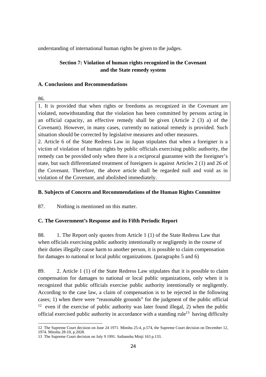understanding of international human rights be given to the judges.

## **Section 7: Violation of human rights recognized in the Covenant and the State remedy system**

#### **A. Conclusions and Recommendations**

86.

 $\overline{a}$ 

1. It is provided that when rights or freedoms as recognized in the Covenant are violated, notwithstanding that the violation has been committed by persons acting in an official capacity, an effective remedy shall be given (Article 2 (3) a) of the Covenant). However, in many cases, currently no national remedy is provided. Such situation should be corrected by legislative measures and other measures.

2. Article 6 of the State Redress Law in Japan stipulates that when a foreigner is a victim of violation of human rights by public officials exercising public authority, the remedy can be provided only when there is a reciprocal guarantee with the foreigner's state, but such differentiated treatment of foreigners is against Articles 2 (1) and 26 of the Covenant. Therefore, the above article shall be regarded null and void as in violation of the Covenant, and abolished immediately.

## **B. Subjects of Concern and Recommendations of the Human Rights Committee**

87. Nothing is mentioned on this matter.

## **C. The Government's Response and its Fifth Periodic Report**

88. 1. The Report only quotes from Article 1 (1) of the State Redress Law that when officials exercising public authority intentionally or negligently in the course of their duties illegally cause harm to another person, it is possible to claim compensation for damages to national or local public organizations. (paragraphs 5 and 6)

89. 2. Article 1 (1) of the State Redress Law stipulates that it is possible to claim compensation for damages to national or local public organizations, only when it is recognized that public officials exercise public authority intentionally or negligently. According to the case law, a claim of compensation is to be rejected in the following cases; 1) when there were "reasonable grounds" for the judgment of the public official <sup>12</sup> even if the exercise of public authority was later found illegal, 2) when the public official exercised public authority in accordance with a standing rule<sup>13</sup> having difficulty

<sup>12</sup> The Supreme Court decision on June 24 1971. Minshu 25-4, p.574, the Supreme Court decision on December 12, 1974. Minshu 28-10, p.2028.

<sup>13</sup> The Supreme Court decision on July 9 1991. Saibanshu Minji 163 p.133.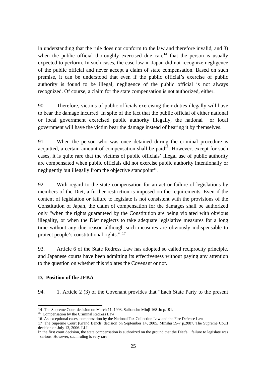in understanding that the rule does not conform to the law and therefore invalid, and 3) when the public official thoroughly exercised due care<sup>14</sup> that the person is usually expected to perform. In such cases, the case law in Japan did not recognize negligence of the public official and never accept a claim of state compensation. Based on such premise, it can be understood that even if the public official's exercise of public authority is found to be illegal, negligence of the public official is not always recognized. Of course, a claim for the state compensation is not authorized, either.

90. Therefore, victims of public officials exercising their duties illegally will have to bear the damage incurred. In spite of the fact that the public official of either national or local government exercised public authority illegally, the national or local government will have the victim bear the damage instead of bearing it by themselves.

91. When the person who was once detained during the criminal procedure is acquitted, a certain amount of compensation shall be paid $1<sup>5</sup>$ . However, except for such cases, it is quite rare that the victims of public officials' illegal use of public authority are compensated when public officials did not exercise public authority intentionally or negligently but illegally from the objective standpoint<sup>16</sup>.

92. With regard to the state compensation for an act or failure of legislations by members of the Diet, a further restriction is imposed on the requirements. Even if the content of legislation or failure to legislate is not consistent with the provisions of the Constitution of Japan, the claim of compensation for the damages shall be authorized only "when the rights guaranteed by the Constitution are being violated with obvious illegality, or when the Diet neglects to take adequate legislative measures for a long time without any due reason although such measures are obviously indispensable to protect people's constitutional rights." 17

93. Article 6 of the State Redress Law has adopted so called reciprocity principle, and Japanese courts have been admitting its effectiveness without paying any attention to the question on whether this violates the Covenant or not.

#### **D. Position of the JFBA**

 $\overline{a}$ 

94. 1. Article 2 (3) of the Covenant provides that "Each State Party to the present

<sup>14</sup> The Supreme Court decision on March 11, 1993. Saibanshu Minji 168-Jo p.191. 15 Compensation by the Criminal Redress Law

<sup>16</sup> As exceptional cases, compensation by the National Tax Collection Law and the Fire Defense Law

<sup>17</sup> The Supreme Court (Grand Bench) decision on September 14, 2005. Minshu 59-7 p.2087. The Supreme Court decision on July 13, 2006. LLI.

In the first court decision, the state compensation is authorized on the ground that the Diet's failure to legislate was serious. However, such ruling is very rare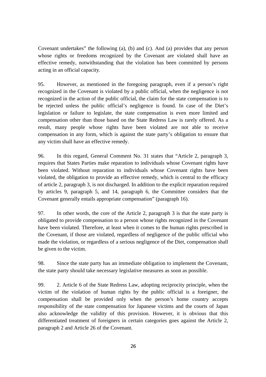Covenant undertakes" the following (a), (b) and (c). And (a) provides that any person whose rights or freedoms recognized by the Covenant are violated shall have an effective remedy, notwithstanding that the violation has been committed by persons acting in an official capacity.

95. However, as mentioned in the foregoing paragraph, even if a person's right recognized in the Covenant is violated by a public official, when the negligence is not recognized in the action of the public official, the claim for the state compensation is to be rejected unless the public official's negligence is found. In case of the Diet's legislation or failure to legislate, the state compensation is even more limited and compensation other than those based on the State Redress Law is rarely offered. As a result, many people whose rights have been violated are not able to receive compensation in any form, which is against the state party's obligation to ensure that any victim shall have an effective remedy.

96. In this regard, General Comment No. 31 states that "Article 2, paragraph 3, requires that States Parties make reparation to individuals whose Covenant rights have been violated. Without reparation to individuals whose Covenant rights have been violated, the obligation to provide an effective remedy, which is central to the efficacy of article 2, paragraph 3, is not discharged. In addition to the explicit reparation required by articles 9, paragraph 5, and 14, paragraph 6, the Committee considers that the Covenant generally entails appropriate compensation" (paragraph 16).

97. In other words, the core of the Article 2, paragraph 3 is that the state party is obligated to provide compensation to a person whose rights recognized in the Covenant have been violated. Therefore, at least when it comes to the human rights prescribed in the Covenant, if those are violated, regardless of negligence of the public official who made the violation, or regardless of a serious negligence of the Diet, compensation shall be given to the victim.

98. Since the state party has an immediate obligation to implement the Covenant, the state party should take necessary legislative measures as soon as possible.

99. 2. Article 6 of the State Redress Law, adopting reciprocity principle, when the victim of the violation of human rights by the public official is a foreigner, the compensation shall be provided only when the person's home country accepts responsibility of the state compensation for Japanese victims and the courts of Japan also acknowledge the validity of this provision. However, it is obvious that this differentiated treatment of foreigners in certain categories goes against the Article 2, paragraph 2 and Article 26 of the Covenant.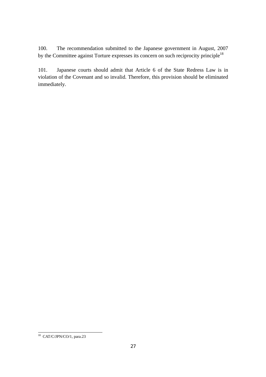100. The recommendation submitted to the Japanese government in August, 2007 by the Committee against Torture expresses its concern on such reciprocity principle<sup>18</sup>

101. Japanese courts should admit that Article 6 of the State Redress Law is in violation of the Covenant and so invalid. Therefore, this provision should be eliminated immediately.

 $\overline{a}$ <sup>18</sup> CAT/C/JPN/CO/1, para.23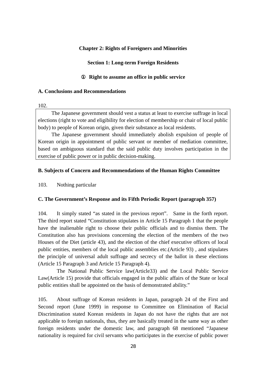#### **Chapter 2: Rights of Foreigners and Minorities**

#### **Section 1: Long-term Foreign Residents**

#### **Right to assume an office in public service**

#### **A. Conclusions and Recommendations**

#### 102.

The Japanese government should vest a status at least to exercise suffrage in local elections (right to vote and eligibility for election of membership or chair of local public body) to people of Korean origin, given their substance as local residents.

The Japanese government should immediately abolish expulsion of people of Korean origin in appointment of public servant or member of mediation committee, based on ambiguous standard that the said public duty involves participation in the exercise of public power or in public decision-making.

#### **B. Subjects of Concern and Recommendations of the Human Rights Committee**

103. Nothing particular

#### **C. The Government's Response and its Fifth Periodic Report (paragraph 357)**

104. It simply stated "as stated in the previous report". Same in the forth report. The third report stated "Constitution stipulates in Article 15 Paragraph 1 that the people have the inalienable right to choose their public officials and to dismiss them. The Constitution also has provisions concerning the election of the members of the two Houses of the Diet (article 43), and the election of the chief executive officers of local public entities, members of the local public assemblies etc.(Article 93) , and stipulates the principle of universal adult suffrage and secrecy of the ballot in these elections (Article 15 Paragraph 3 and Article 15 Paragraph 4).

The National Public Service law(Article33) and the Local Public Service Law(Article 15) provide that officials engaged in the public affairs of the State or local public entities shall be appointed on the basis of demonstrated ability."

105. About suffrage of Korean residents in Japan, paragraph 24 of the First and Second report (June 1999) in response to Committee on Elimination of Racial Discrimination stated Korean residents in Japan do not have the rights that are not applicable to foreign nationals, thus, they are basically treated in the same way as other foreign residents under the domestic law, and paragraph 68 mentioned "Japanese nationality is required for civil servants who participates in the exercise of public power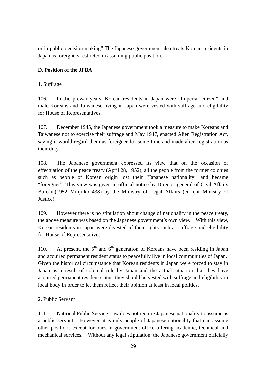or in public decision-making" The Japanese government also treats Korean residents in Japan as foreigners restricted in assuming public position.

## **D. Position of the JFBA**

## 1. Suffrage

106. In the prewar years, Korean residents in Japan were "Imperial citizen" and male Koreans and Taiwanese living in Japan were vested with suffrage and eligibility for House of Representatives.

107. December 1945, the Japanese government took a measure to make Koreans and Taiwanese not to exercise their suffrage and May 1947, enacted Alien Registration Act, saying it would regard them as foreigner for some time and made alien registration as their duty.

108. The Japanese government expressed its view that on the occasion of effectuation of the peace treaty (April 28, 1952), all the people from the former colonies such as people of Korean origin lost their "Japanese nationality" and became "foreigner". This view was given in official notice by Director-general of Civil Affairs Bureau,(1952 Minji-ko 438) by the Ministry of Legal Affairs (current Ministry of Justice).

109. However there is no stipulation about change of nationality in the peace treaty, the above measure was based on the Japanese government's own view. With this view, Korean residents in Japan were divested of their rights such as suffrage and eligibility for House of Representatives.

110. At present, the  $5<sup>th</sup>$  and  $6<sup>th</sup>$  generation of Koreans have been residing in Japan and acquired permanent resident status to peacefully live in local communities of Japan. Given the historical circumstance that Korean residents in Japan were forced to stay in Japan as a result of colonial rule by Japan and the actual situation that they have acquired permanent resident status, they should be vested with suffrage and eligibility in local body in order to let them reflect their opinion at least in local politics.

## 2. Public Servant

111. National Public Service Law does not require Japanese nationality to assume as a public servant. However, it is only people of Japanese nationality that can assume other positions except for ones in government office offering academic, technical and mechanical services. Without any legal stipulation, the Japanese government officially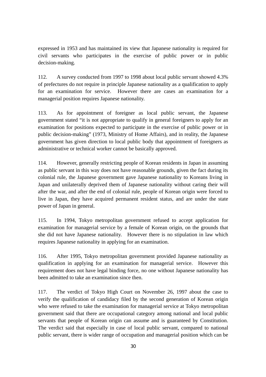expressed in 1953 and has maintained its view that Japanese nationality is required for civil servants who participates in the exercise of public power or in public decision-making.

112. A survey conducted from 1997 to 1998 about local public servant showed 4.3% of prefectures do not require in principle Japanese nationality as a qualification to apply for an examination for service. However there are cases an examination for a managerial position requires Japanese nationality.

113. As for appointment of foreigner as local public servant, the Japanese government stated "it is not appropriate to qualify in general foreigners to apply for an examination for positions expected to participate in the exercise of public power or in public decision-making" (1973, Ministry of Home Affairs), and in reality, the Japanese government has given direction to local public body that appointment of foreigners as administrative or technical worker cannot be basically approved.

114. However, generally restricting people of Korean residents in Japan in assuming as public servant in this way does not have reasonable grounds, given the fact during its colonial rule, the Japanese government gave Japanese nationality to Koreans living in Japan and unilaterally deprived them of Japanese nationality without caring their will after the war, and after the end of colonial rule, people of Korean origin were forced to live in Japan, they have acquired permanent resident status, and are under the state power of Japan in general.

115. In 1994, Tokyo metropolitan government refused to accept application for examination for managerial service by a female of Korean origin, on the grounds that she did not have Japanese nationality. However there is no stipulation in law which requires Japanese nationality in applying for an examination.

116. After 1995, Tokyo metropolitan government provided Japanese nationality as qualification in applying for an examination for managerial service. However this requirement does not have legal binding force, no one without Japanese nationality has been admitted to take an examination since then.

117. The verdict of Tokyo High Court on November 26, 1997 about the case to verify the qualification of candidacy filed by the second generation of Korean origin who were refused to take the examination for managerial service at Tokyo metropolitan government said that there are occupational category among national and local public servants that people of Korean origin can assume and is guaranteed by Constitution. The verdict said that especially in case of local public servant, compared to national public servant, there is wider range of occupation and managerial position which can be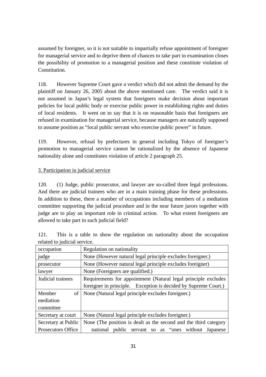assumed by foreigner, so it is not suitable to impartially refuse appointment of foreigner for managerial service and to deprive them of chances to take part in examination closes the possibility of promotion to a managerial position and these constitute violation of **Constitution** 

118. However Supreme Court gave a verdict which did not admit the demand by the plaintiff on January 26, 2005 about the above mentioned case. The verdict said it is not assumed in Japan's legal system that foreigners make decision about important policies for local public body or exercise public power in establishing rights and duties of local residents. It went on to say that it is on reasonable basis that foreigners are refused in examination for managerial service, because managers are naturally supposed to assume position as "local public servant who exercise public power" in future.

119. However, refusal by prefectures in general including Tokyo of foreigner's promotion to managerial service cannot be rationalized by the absence of Japanese nationality alone and constitutes violation of article 2 paragraph 25.

## 3. Participation in judicial service

120. (1) Judge, public prosecutor, and lawyer are so-called three legal professions. And there are judicial trainees who are in a main training phase for these professions. In addition to these, there a number of occupations including members of a mediation committee supporting the judicial procedure and in the near future jurors together with judge are to play an important role in criminal action. To what extent foreigners are allowed to take part in such judicial field?

| occupation          | Regulation on nationality                                        |  |  |
|---------------------|------------------------------------------------------------------|--|--|
| judge               | None (However natural legal principle excludes foreigner.)       |  |  |
| prosecutor          | None (However natural legal principle excludes foreigner)        |  |  |
| lawyer              | None (Foreigners are qualified.)                                 |  |  |
| Judicial trainees   | Requirements for appointment (Natural legal principle excludes   |  |  |
|                     | foreigner in principle. Exception is decided by Supreme Court.)  |  |  |
| Member<br>οf        | None (Natural legal principle excludes foreigner.)               |  |  |
| mediation           |                                                                  |  |  |
| committee           |                                                                  |  |  |
| Secretary at court  | None (Natural legal principle excludes foreigner.)               |  |  |
| Secretary at Public | None (The position is dealt as the second and the third category |  |  |
| Prosecutors Office  | national public servant so as "ones without Japanese             |  |  |

121. This is a table to show the regulation on nationality about the occupation related to judicial service.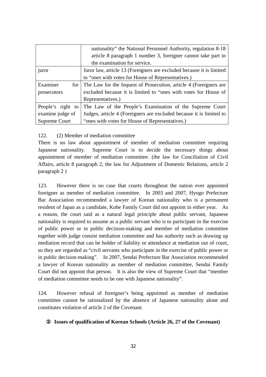|                   | nationality" the National Personnel Authority, regulation 8-18        |  |  |
|-------------------|-----------------------------------------------------------------------|--|--|
|                   | article 8 paragraph 1 number 3, foreigner cannot take part in         |  |  |
|                   | the examination for service.                                          |  |  |
| juror             | Juror law, article 13 (Foreigners are excluded because it is limited  |  |  |
|                   | to "ones with votes for House of Representatives.)                    |  |  |
| Examiner          | for The Law for the Inquest of Prosecution, article 4 (Foreigners are |  |  |
| prosecutors       | excluded because it is limited to "ones with votes for House of       |  |  |
|                   | Representatives.)                                                     |  |  |
| People's right to | The Law of the People's Examination of the Supreme Court              |  |  |
| examine judge of  | Judges, article 4 (Foreigners are excluded because it is limited to   |  |  |
| Supreme Court     | "ones with votes for House of Representatives.)                       |  |  |

#### 122. (2) Member of mediation committee

There is no law about appointment of member of mediation committee requiring Japanese nationality. Supreme Court is to decide the necessary things about appointment of member of mediation committee. (the law for Conciliation of Civil Affairs, article 8 paragraph 2, the law for Adjustment of Domestic Relations, article 2 paragraph 2 )

123. However there is no case that courts throughout the nation ever appointed foreigner as member of mediation committee. In 2003 and 2007, Hyogo Prefecture Bar Association recommended a lawyer of Korean nationality who is a permanent resident of Japan as a candidate, Kobe Family Court did not appoint in either year. As a reason, the court said as a natural legal principle about public servant, Japanese nationality is required to assume as a public servant who is to participate in the exercise of public power or in public decision-making and member of mediation committee together with judge consist mediation committee and has authority such as drawing up mediation record that can be holder of liability or attendance at mediation out of court, so they are regarded as "civil servants who participate in the exercise of public power or in public decision-making". In 2007, Sendai Prefecture Bar Association recommended a lawyer of Korean nationality as member of mediation committee, Sendai Family Court did not appoint that person. It is also the view of Supreme Court that "member of mediation committee needs to be one with Japanese nationality".

124. However refusal of foreigner's being appointed as member of mediation committee cannot be rationalized by the absence of Japanese nationality alone and constitutes violation of article 2 of the Covenant.

#### **Issues of qualification of Korean Schools (Article 26, 27 of the Covenant)**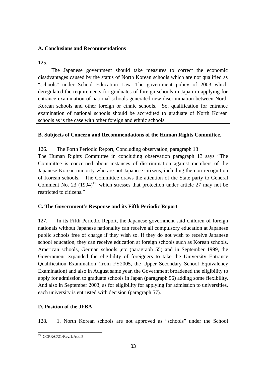## **A. Conclusions and Recommendations**

#### 125.

The Japanese government should take measures to correct the economic disadvantages caused by the status of North Korean schools which are not qualified as "schools" under School Education Law. The government policy of 2003 which deregulated the requirements for graduates of foreign schools in Japan in applying for entrance examination of national schools generated new discrimination between North Korean schools and other foreign or ethnic schools. So, qualification for entrance examination of national schools should be accredited to graduate of North Korean schools as is the case with other foreign and ethnic schools.

## **B. Subjects of Concern and Recommendations of the Human Rights Committee.**

126. The Forth Periodic Report, Concluding observation, paragraph 13

The Human Rights Committee in concluding observation paragraph 13 says "The Committee is concerned about instances of discrimination against members of the Japanese-Korean minority who are not Japanese citizens, including the non-recognition of Korean schools. The Committee draws the attention of the State party to General Comment No. 23  $(1994)^{19}$  which stresses that protection under article 27 may not be restricted to citizens."

## **C. The Government's Response and its Fifth Periodic Report**

127. In its Fifth Periodic Report, the Japanese government said children of foreign nationals without Japanese nationality can receive all compulsory education at Japanese public schools free of charge if they wish so. If they do not wish to receive Japanese school education, they can receive education at foreign schools such as Korean schools, American schools, German schools ,etc (paragraph 55) and in September 1999, the Government expanded the eligibility of foreigners to take the University Entrance Qualification Examination (from FY2005, the Upper Secondary School Equivalency Examination) and also in August same year, the Government broadened the eligibility to apply for admission to graduate schools in Japan (paragraph 56) adding some flexibility. And also in September 2003, as for eligibility for applying for admission to universities, each university is entrusted with decision (paragraph 57).

## **D. Position of the JFBA**

128. 1. North Korean schools are not approved as "schools" under the School

 $\overline{a}$ 19 CCPR/C/21/Rev.1/Add.5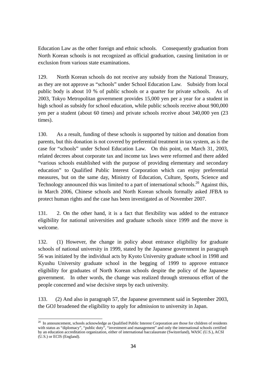Education Law as the other foreign and ethnic schools. Consequently graduation from North Korean schools is not recognized as official graduation, causing limitation in or exclusion from various state examinations.

129. North Korean schools do not receive any subsidy from the National Treasury, as they are not approve as "schools" under School Education Law. Subsidy from local public body is about 10 % of public schools or a quarter for private schools. As of 2003, Tokyo Metropolitan government provides 15,000 yen per a year for a student in high school as subsidy for school education, while public schools receive about 900,000 yen per a student (about 60 times) and private schools receive about 340,000 yen (23 times).

130. As a result, funding of these schools is supported by tuition and donation from parents, but this donation is not covered by preferential treatment in tax system, as is the case for "schools" under School Education Law. On this point, on March 31, 2003, related decrees about corporate tax and income tax laws were reformed and there added "various schools established with the purpose of providing elementary and secondary education" to Qualified Public Interest Corporation which can enjoy preferential measures, but on the same day, Ministry of Education, Culture, Sports, Science and Technology announced this was limited to a part of international schools.<sup>20</sup> Against this, in March 2006, Chinese schools and North Korean schools formally asked JFBA to protect human rights and the case has been investigated as of November 2007.

131. 2. On the other hand, it is a fact that flexibility was added to the entrance eligibility for national universities and graduate schools since 1999 and the move is welcome.

132. (1) However, the change in policy about entrance eligibility for graduate schools of national university in 1999, stated by the Japanese government in paragraph 56 was initiated by the individual acts by Kyoto University graduate school in 1998 and Kyushu University graduate school in the begging of 1999 to approve entrance eligibility for graduates of North Korean schools despite the policy of the Japanese government. In other words, the change was realized through strenuous effort of the people concerned and wise decisive steps by each university.

133. (2) And also in paragraph 57, the Japanese government said in September 2003, the GOJ broadened the eligibility to apply for admission to university in Japan.

 $\overline{a}$  $20$  In announcement, schools acknowledge as Qualified Public Interest Corporation are those for children of residents with status as "diplomacy", "public duty", "investment and management" and only the international schools certified by an education accreditation organization, either of international baccalaureate (Switzerland), WASC (U.S.), ACSI (U.S.) or ECIS (England).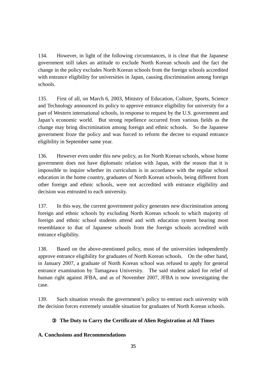134. However, in light of the following circumstances, it is clear that the Japanese government still takes an attitude to exclude North Korean schools and the fact the change in the policy excludes North Korean schools from the foreign schools accredited with entrance eligibility for universities in Japan, causing discrimination among foreign schools.

135. First of all, on March 6, 2003, Ministry of Education, Culture, Sports, Science and Technology announced its policy to approve entrance eligibility for university for a part of Western international schools, in response to request by the U.S. government and Japan's economic world. But strong repellence occurred from various fields as the change may bring discrimination among foreign and ethnic schools. So the Japanese government froze the policy and was forced to reform the decree to expand entrance eligibility in September same year.

136. However even under this new policy, as for North Korean schools, whose home government does not have diplomatic relation with Japan, with the reason that it is impossible to inquire whether its curriculum is in accordance with the regular school education in the home country, graduates of North Korean schools, being different from other foreign and ethnic schools, were not accredited with entrance eligibility and decision was entrusted to each university.

137. In this way, the current government policy generates new discrimination among foreign and ethnic schools by excluding North Korean schools to which majority of foreign and ethnic school students attend and with education system bearing most resemblance to that of Japanese schools from the foreign schools accredited with entrance eligibility.

138. Based on the above-mentioned policy, most of the universities independently approve entrance eligibility for graduates of North Korean schools. On the other hand, in January 2007, a graduate of North Korean school was refused to apply for general entrance examination by Tamagawa University. The said student asked for relief of human right against JFBA, and as of November 2007, JFBA is now investigating the case.

139. Such situation reveals the government's policy to entrust each university with the decision forces extremely unstable situation for graduates of North Korean schools.

# ③ **The Duty to Carry the Certificate of Alien Registration at All Times**

# **A. Conclusions and Recommendations**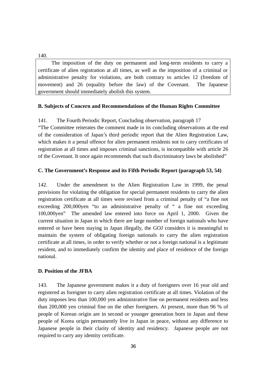#### 140.

The imposition of the duty on permanent and long-term residents to carry a certificate of alien registration at all times, as well as the imposition of a criminal or administrative penalty for violations, are both contrary to articles 12 (freedom of movement) and 26 (equality before the law) of the Covenant. The Japanese government should immediately abolish this system.

#### **B. Subjects of Concern and Recommendations of the Human Rights Committee**

141. The Fourth Periodic Report, Concluding observation, paragraph 17 "The Committee reiterates the comment made in its concluding observations at the end of the consideration of Japan's third periodic report that the Alien Registration Law, which makes it a penal offence for alien permanent residents not to carry certificates of registration at all times and imposes criminal sanctions, is incompatible with article 26 of the Covenant. It once again recommends that such discriminatory laws be abolished"

#### **C. The Government's Response and its Fifth Periodic Report (paragraph 53, 54)**

142. Under the amendment to the Alien Registration Law in 1999, the penal provisions for violating the obligation for special permanent residents to carry the alien registration certificate at all times were revised from a criminal penalty of "a fine not exceeding 200,000yen "to an administrative penalty of " a fine not exceeding 100,000yen" The amended law entered into force on April 1, 2000. Given the current situation in Japan in which there are large number of foreign nationals who have entered or have been staying in Japan illegally, the GOJ considers it is meaningful to maintain the system of obligating foreign nationals to carry the alien registration certificate at all times, in order to verify whether or not a foreign national is a legitimate resident, and to immediately confirm the identity and place of residence of the foreign national.

#### **D. Position of the JFBA**

143. The Japanese government makes it a duty of foreigners over 16 year old and registered as foreigner to carry alien registration certificate at all times. Violation of the duty imposes less than 100,000 yen administrative fine on permanent residents and less than 200,000 yen criminal fine on the other foreigners. At present, more than 96 % of people of Korean origin are in second or younger generation born in Japan and these people of Korea origin permanently live in Japan in peace, without any difference to Japanese people in their clarity of identity and residency. Japanese people are not required to carry any identity certificate.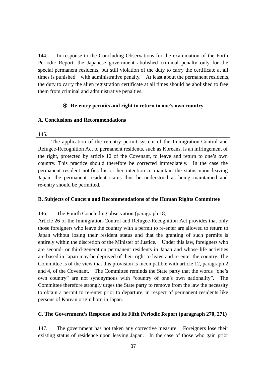144. In response to the Concluding Observations for the examination of the Forth Periodic Report, the Japanese government abolished criminal penalty only for the special permanent residents, but still violation of the duty to carry the certificate at all times is punished with administrative penalty. At least about the permanent residents, the duty to carry the alien registration certificate at all times should be abolished to free them from criminal and administrative penalties.

#### ④ **Re-entry permits and right to return to one's own country**

#### **A. Conclusions and Recommendations**

#### 145.

The application of the re-entry permit system of the Immigration-Control and Refugee-Recognition Act to permanent residents, such as Koreans, is an infringement of the right, protected by article 12 of the Covenant, to leave and return to one's own country. This practice should therefore be corrected immediately. In the case the permanent resident notifies his or her intention to maintain the status upon leaving Japan, the permanent resident status thus be understood as being maintained and re-entry should be permitted.

## **B. Subjects of Concern and Recommendations of the Human Rights Committee**

146. The Fourth Concluding observation (paragraph 18)

Article 26 of the Immigration-Control and Refugee-Recognition Act provides that only those foreigners who leave the country with a permit to re-enter are allowed to return to Japan without losing their resident status and that the granting of such permits is entirely within the discretion of the Minister of Justice. Under this law, foreigners who are second- or third-generation permanent residents in Japan and whose life activities are based in Japan may be deprived of their right to leave and re-enter the country. The Committee is of the view that this provision is incompatible with article 12, paragraph 2 and 4, of the Covenant. The Committee reminds the State party that the words "one's own country" are not synonymous with "country of one's own nationality". The Committee therefore strongly urges the State party to remove from the law the necessity to obtain a permit to re-enter prior to departure, in respect of permanent residents like persons of Korean origin born in Japan.

## **C. The Government's Response and its Fifth Periodic Report (paragraph 270, 271)**

147. The government has not taken any corrective measure. Foreigners lose their existing status of residence upon leaving Japan. In the case of those who gain prior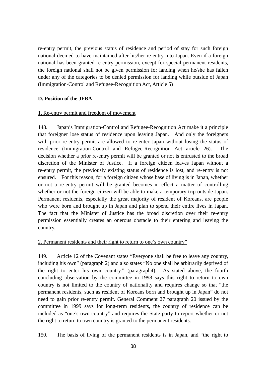re-entry permit, the previous status of residence and period of stay for such foreign national deemed to have maintained after his/her re-entry into Japan. Even if a foreign national has been granted re-entry permission, except for special permanent residents, the foreign national shall not be given permission for landing when he/she has fallen under any of the categories to be denied permission for landing while outside of Japan (Immigration-Control and Refugee-Recognition Act, Article 5)

#### **D. Position of the JFBA**

#### 1. Re-entry permit and freedom of movement

148. Japan's Immigration-Control and Refugee-Recognition Act make it a principle that foreigner lose status of residence upon leaving Japan. And only the foreigners with prior re-entry permit are allowed to re-enter Japan without losing the status of residence (Immigration-Control and Refugee-Recognition Act article 26). The decision whether a prior re-entry permit will be granted or not is entrusted to the broad discretion of the Minister of Justice. If a foreign citizen leaves Japan without a re-entry permit, the previously existing status of residence is lost, and re-entry is not ensured. For this reason, for a foreign citizen whose base of living is in Japan, whether or not a re-entry permit will be granted becomes in effect a matter of controlling whether or not the foreign citizen will be able to make a temporary trip outside Japan. Permanent residents, especially the great majority of resident of Koreans, are people who were born and brought up in Japan and plan to spend their entire lives in Japan. The fact that the Minister of Justice has the broad discretion over their re-entry permission essentially creates an onerous obstacle to their entering and leaving the country.

#### 2. Permanent residents and their right to return to one's own country"

149. Article 12 of the Covenant states "Everyone shall be free to leave any country, including his own" (paragraph 2) and also states "No one shall be arbitrarily deprived of the right to enter his own country." (paragraph4). As stated above, the fourth concluding observation by the committee in 1998 says this right to return to own country is not limited to the country of nationality and requires change so that "the permanent residents, such as resident of Koreans born and brought up in Japan" do not need to gain prior re-entry permit. General Comment 27 paragraph 20 issued by the committee in 1999 says for long-term residents, the country of residence can be included as "one's own country" and requires the State party to report whether or not the right to return to own country is granted to the permanent residents.

150. The basis of living of the permanent residents is in Japan, and "the right to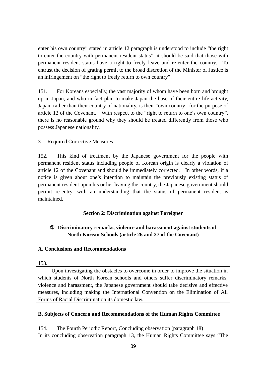enter his own country" stated in article 12 paragraph is understood to include "the right to enter the country with permanent resident status", it should be said that those with permanent resident status have a right to freely leave and re-enter the country. To entrust the decision of grating permit to the broad discretion of the Minister of Justice is an infringement on "the right to freely return to own country".

151. For Koreans especially, the vast majority of whom have been born and brought up in Japan, and who in fact plan to make Japan the base of their entire life activity, Japan, rather than their country of nationality, is their "own country" for the purpose of article 12 of the Covenant. With respect to the "right to return to one's own country", there is no reasonable ground why they should be treated differently from those who possess Japanese nationality.

#### 3. Required Corrective Measures

152. This kind of treatment by the Japanese government for the people with permanent resident status including people of Korean origin is clearly a violation of article 12 of the Covenant and should be immediately corrected. In other words, if a notice is given about one's intention to maintain the previously existing status of permanent resident upon his or her leaving the country, the Japanese government should permit re-entry, with an understanding that the status of permanent resident is maintained.

#### **Section 2: Discrimination against Foreigner**

# ① **Discriminatory remarks, violence and harassment against students of North Korean Schools (article 26 and 27 of the Covenant)**

#### **A. Conclusions and Recommendations**

#### 153.

Upon investigating the obstacles to overcome in order to improve the situation in which students of North Korean schools and others suffer discriminatory remarks, violence and harassment, the Japanese government should take decisive and effective measures, including making the International Convention on the Elimination of All Forms of Racial Discrimination its domestic law.

#### **B. Subjects of Concern and Recommendations of the Human Rights Committee**

154. The Fourth Periodic Report, Concluding observation (paragraph 18) In its concluding observation paragraph 13, the Human Rights Committee says "The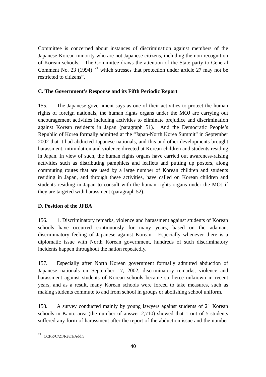Committee is concerned about instances of discrimination against members of the Japanese-Korean minority who are not Japanese citizens, including the non-recognition of Korean schools. The Committee draws the attention of the State party to General Comment No. 23 (1994)  $^{21}$  which stresses that protection under article 27 may not be restricted to citizens".

## **C. The Government's Response and its Fifth Periodic Report**

155. The Japanese government says as one of their activities to protect the human rights of foreign nationals, the human rights organs under the MOJ are carrying out encouragement activities including activities to eliminate prejudice and discrimination against Korean residents in Japan (paragraph 51). And the Democratic People's Republic of Korea formally admitted at the "Japan-North Korea Summit" in September 2002 that it had abducted Japanese nationals, and this and other developments brought harassment, intimidation and violence directed at Korean children and students residing in Japan. In view of such, the human rights organs have carried out awareness-raising activities such as distributing pamphlets and leaflets and putting up posters, along commuting routes that are used by a large number of Korean children and students residing in Japan, and through these activities, have called on Korean children and students residing in Japan to consult with the human rights organs under the MOJ if they are targeted with harassment (paragraph 52).

## **D. Position of the JFBA**

156. 1. Discriminatory remarks, violence and harassment against students of Korean schools have occurred continuously for many years, based on the adamant discriminatory feeling of Japanese against Korean. Especially whenever there is a diplomatic issue with North Korean government, hundreds of such discriminatory incidents happen throughout the nation repeatedly.

157. Especially after North Korean government formally admitted abduction of Japanese nationals on September 17, 2002, discriminatory remarks, violence and harassment against students of Korean schools became so fierce unknown in recent years, and as a result, many Korean schools were forced to take measures, such as making students commute to and from school in groups or abolishing school uniform.

158. A survey conducted mainly by young lawyers against students of 21 Korean schools in Kanto area (the number of answer 2,710) showed that 1 out of 5 students suffered any form of harassment after the report of the abduction issue and the number

 $\overline{a}$ 

 $^{21}$  CCPR/C/21/Rev.1/Add.5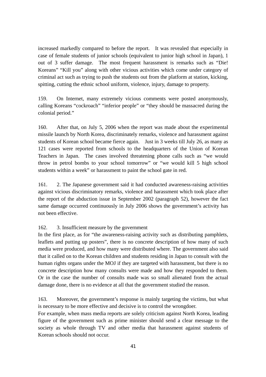increased markedly compared to before the report. It was revealed that especially in case of female students of junior schools (equivalent to junior high school in Japan), 1 out of 3 suffer damage. The most frequent harassment is remarks such as "Die! Koreans" "Kill you" along with other vicious activities which come under category of criminal act such as trying to push the students out from the platform at station, kicking, spitting, cutting the ethnic school uniform, violence, injury, damage to property.

159. On Internet, many extremely vicious comments were posted anonymously, calling Koreans "cockroach" "inferior people" or "they should be massacred during the colonial period."

160. After that, on July 5, 2006 when the report was made about the experimental missile launch by North Korea, discriminately remarks, violence and harassment against students of Korean school became fierce again. Just in 3 weeks till July 26, as many as 121 cases were reported from schools to the headquarters of the Union of Korean Teachers in Japan. The cases involved threatening phone calls such as "we would throw in petrol bombs to your school tomorrow" or "we would kill 5 high school students within a week" or harassment to paint the school gate in red.

161. 2. The Japanese government said it had conducted awareness-raising activities against vicious discriminatory remarks, violence and harassment which took place after the report of the abduction issue in September 2002 (paragraph 52), however the fact same damage occurred continuously in July 2006 shows the government's activity has not been effective.

## 162. 3. Insufficient measure by the government

In the first place, as for "the awareness-raising activity such as distributing pamphlets, leaflets and putting up posters", there is no concrete description of how many of such media were produced, and how many were distributed where. The government also said that it called on to the Korean children and students residing in Japan to consult with the human rights organs under the MOJ if they are targeted with harassment, but there is no concrete description how many consults were made and how they responded to them. Or in the case the number of consults made was so small alienated from the actual damage done, there is no evidence at all that the government studied the reason.

163. Moreover, the government's response is mainly targeting the victims, but what is necessary to be more effective and decisive is to control the wrongdoer.

For example, when mass media reports are solely criticism against North Korea, leading figure of the government such as prime minister should send a clear message to the society as whole through TV and other media that harassment against students of Korean schools should not occur.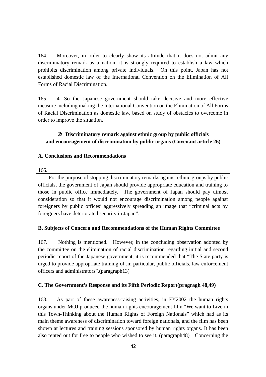164. Moreover, in order to clearly show its attitude that it does not admit any discriminatory remark as a nation, it is strongly required to establish a law which prohibits discrimination among private individuals. On this point, Japan has not established domestic law of the International Convention on the Elimination of All Forms of Racial Discrimination.

165. 4. So the Japanese government should take decisive and more effective measure including making the International Convention on the Elimination of All Forms of Racial Discrimination as domestic law, based on study of obstacles to overcome in order to improve the situation.

## Discriminatory remark against ethnic group by public officials **and encouragement of discrimination by public organs (Covenant article 26)**

#### **A. Conclusions and Recommendations**

#### 166.

For the purpose of stopping discriminatory remarks against ethnic groups by public officials, the government of Japan should provide appropriate education and training to those in public office immediately. The government of Japan should pay utmost consideration so that it would not encourage discrimination among people against foreigners by public offices' aggressively spreading an image that "criminal acts by foreigners have deteriorated security in Japan".

## **B. Subjects of Concern and Recommendations of the Human Rights Committee**

167. Nothing is mentioned. However, in the concluding observation adopted by the committee on the elimination of racial discrimination regarding initial and second periodic report of the Japanese government, it is recommended that "The State party is urged to provide appropriate training of ,in particular, public officials, law enforcement officers and administrators".(paragraph13)

## **C. The Government's Response and its Fifth Periodic Report(pragragh 48,49)**

168. As part of these awareness-raising activities, in FY2002 the human rights organs under MOJ produced the human rights encouragement film "We want to Live in this Town-Thinking about the Human Rights of Foreign Nationals" which had as its main theme awareness of discrimination toward foreign nationals, and the film has been shown at lectures and training sessions sponsored by human rights organs. It has been also rented out for free to people who wished to see it. (paragraph48) Concerning the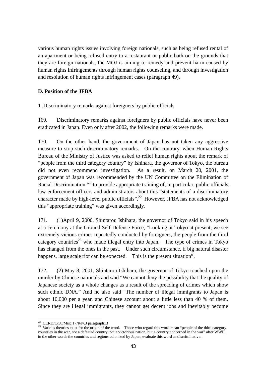various human rights issues involving foreign nationals, such as being refused rental of an apartment or being refused entry to a restaurant or public bath on the grounds that they are foreign nationals, the MOJ is aiming to remedy and prevent harm caused by human rights infringements through human rights counseling, and through investigation and resolution of human rights infringement cases (paragraph 49).

## **D. Position of the JFBA**

#### 1 .Discriminatory remarks against foreigners by public officials

169. Discriminatory remarks against foreigners by public officials have never been eradicated in Japan. Even only after 2002, the following remarks were made.

170. On the other hand, the government of Japan has not taken any aggressive measure to stop such discriminatory remarks. On the contrary, when Human Rights Bureau of the Ministry of Justice was asked to relief human rights about the remark of "people from the third category country" by Ishihara, the governor of Tokyo, the bureau did not even recommend investigation. As a result, on March 20, 2001, the government of Japan was recommended by the UN Committee on the Elimination of Racial Discrimination "" to provide appropriate training of, in particular, public officials, law enforcement officers and administrators about this "statements of a discriminatory character made by high-level public officials".22 However, JFBA has not acknowledged this "appropriate training" was given accordingly.

171. (1)April 9, 2000, Shintarou Ishihara, the governor of Tokyo said in his speech at a ceremony at the Ground Self-Defense Force, "Looking at Tokyo at present, we see extremely vicious crimes repeatedly conducted by foreigners, the people from the third category countries<sup>23</sup> who made illegal entry into Japan. The type of crimes in Tokyo has changed from the ones in the past. Under such circumstance, if big natural disaster happens, large scale riot can be expected. This is the present situation".

172. (2) May 8, 2001, Shintarou Ishihara, the governor of Tokyo touched upon the murder by Chinese nationals and said "We cannot deny the possibility that the quality of Japanese society as a whole changes as a result of the spreading of crimes which show such ethnic DNA." And he also said "The number of illegal immigrants to Japan is about 10,000 per a year, and Chinese account about a little less than 40 % of them. Since they are illegal immigrants, they cannot get decent jobs and inevitably become

<sup>&</sup>lt;sup>22</sup> CERD/C/58/Misc.17/Rev.3 paragraph13

 $23$  Various theories exist for the origin of the word. Those who regard this word mean "people of the third category countries in the war, not a defeated country, not a victorious nation, but a country concerned in the war" after WWII, in the other words the countries and regions colonized by Japan, evaluate this word as discriminative.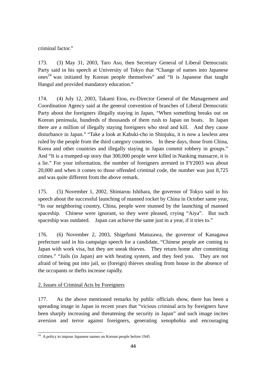criminal factor."

173. (3) May 31, 2003, Taro Aso, then Secretary General of Liberal Democratic Party said in his speech at University of Tokyo that "Change of names into Japanese  $ones<sup>24</sup>$  was initiated by Korean people themselves" and "It is Japanese that taught Hangul and provided mandatory education."

174. (4) July 12, 2003, Takami Etou, ex-Director General of the Management and Coordination Agency said at the general convention of branches of Liberal Democratic Party about the foreigners illegally staying in Japan, "When something breaks out on Korean peninsula, hundreds of thousands of them rush to Japan on boats. In Japan there are a million of illegally staying foreigners who steal and kill. And they cause disturbance in Japan." "Take a look at Kabuki-cho in Shinjuku, it is now a lawless area ruled by the people from the third category countries. In these days, those from China, Korea and other countries and illegally staying in Japan commit robbery in groups." And "It is a trumped-up story that 300,000 people were killed in Nanking massacre, it is a lie." For your information, the number of foreigners arrested in FY2003 was about 20,000 and when it comes to those offended criminal code, the number was just 8,725 and was quite different from the above remark.

175. (5) November 1, 2002, Shintarou Ishihara, the governor of Tokyo said in his speech about the successful launching of manned rocket by China in October same year, "In our neighboring country, China, people were stunned by the launching of manned spaceship. Chinese were ignorant, so they were pleased, crying "Aiya". But such spaceship was outdated. Japan can achieve the same just in a year, if it tries to."

176. (6) November 2, 2003, Shigefumi Matuzawa, the governor of Kanagawa prefecture said in his campaign speech for a candidate, "Chinese people are coming to Japan with work visa, but they are sneak thieves. They return home after committing crimes." "Jails (in Japan) are with heating system, and they feed you. They are not afraid of being put into jail, so (foreign) thieves stealing from house in the absence of the occupants or thefts increase rapidly.

# 2. Issues of Criminal Acts by Foreigners

177. As the above mentioned remarks by public officials show, there has been a spreading image in Japan in recent years that "vicious criminal acts by foreigners have been sharply increasing and threatening the security in Japan" and such image incites aversion and terror against foreigners, generating xenophobia and encouraging

 $\overline{a}$  $24$  A policy to impose Japanese names on Korean people before 1945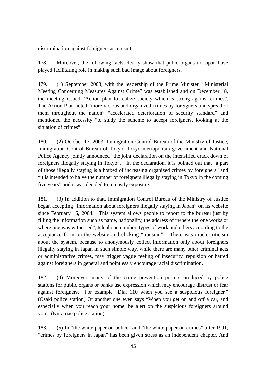discrimination against foreigners as a result.

178. Moreover, the following facts clearly show that pubic organs in Japan have played facilitating role in making such bad image about foreigners.

179. (1) September 2003, with the leadership of the Prime Minister, "Ministerial Meeting Concerning Measures Against Crime" was established and on December 18, the meeting issued "Action plan to realize society which is strong against crimes". The Action Plan noted "more vicious and organized crimes by foreigners and spread of them throughout the nation" "accelerated deterioration of security standard" and mentioned the necessity "to study the scheme to accept foreigners, looking at the situation of crimes".

180. (2) October 17, 2003, Immigration Control Bureau of the Ministry of Justice, Immigration Control Bureau of Tokyo, Tokyo metropolitan government and National Police Agency jointly announced "the joint declaration on the intensified crack down of foreigners illegally staying in Tokyo". In the declaration, it is pointed out that "a part of those illegally staying is a hotbed of increasing organized crimes by foreigners" and "it is intended to halve the number of foreigners illegally staying in Tokyo in the coming five years" and it was decided to intensify exposure.

181. (3) In addition to that, Immigration Control Bureau of the Ministry of Justice began accepting "information about foreigners illegally staying in Japan" on its website since February 16, 2004. This system allows people to report to the bureau just by filling the information such as name, nationality, the address of "where the one works or where one was witnessed", telephone number, types of work and others according to the acceptance form on the website and clicking "transmit". There was much criticism about the system, because to anonymously collect information only about foreigners illegally staying in Japan in such simple way, while there are many other criminal acts or administrative crimes, may trigger vague feeling of insecurity, repulsion or hatred against foreigners in general and pointlessly encourage racial discrimination.

182. (4) Moreover, many of the crime prevention posters produced by police stations for public organs or banks use expression which may encourage distrust or fear against foreigners. For example "Dial 110 when you see a suspicious foreigner." (Osaki police station) Or another one even says "When you get on and off a car, and especially when you reach your home, be alert on the suspicious foreigners around you." (Kuramae police station)

183. (5) In "the white paper on police" and "the white paper on crimes" after 1991, "crimes by foreigners in Japan" has been given stress as an independent chapter. And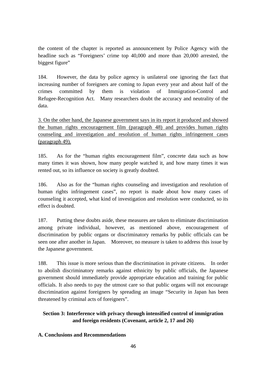the content of the chapter is reported as announcement by Police Agency with the headline such as "Foreigners' crime top 40,000 and more than 20,000 arrested, the biggest figure"

184. However, the data by police agency is unilateral one ignoring the fact that increasing number of foreigners are coming to Japan every year and about half of the crimes committed by them is violation of Immigration-Control and Refugee-Recognition Act. Many researchers doubt the accuracy and neutrality of the data.

3. On the other hand, the Japanese government says in its report it produced and showed the human rights encouragement film (paragraph 48) and provides human rights counseling and investigation and resolution of human rights infringement cases (paragraph 49).

185. As for the "human rights encouragement film", concrete data such as how many times it was shown, how many people watched it, and how many times it was rented out, so its influence on society is greatly doubted.

186. Also as for the "human rights counseling and investigation and resolution of human rights infringement cases", no report is made about how many cases of counseling it accepted, what kind of investigation and resolution were conducted, so its effect is doubted.

187. Putting these doubts aside, these measures are taken to eliminate discrimination among private individual, however, as mentioned above, encouragement of discrimination by public organs or discriminatory remarks by public officials can be seen one after another in Japan. Moreover, no measure is taken to address this issue by the Japanese government.

188. This issue is more serious than the discrimination in private citizens. In order to abolish discriminatory remarks against ethnicity by public officials, the Japanese government should immediately provide appropriate education and training for public officials. It also needs to pay the utmost care so that public organs will not encourage discrimination against foreigners by spreading an image "Security in Japan has been threatened by criminal acts of foreigners".

# **Section 3: Interference with privacy through intensified control of immigration and foreign residents (Covenant, article 2, 17 and 26)**

## **A. Conclusions and Recommendations**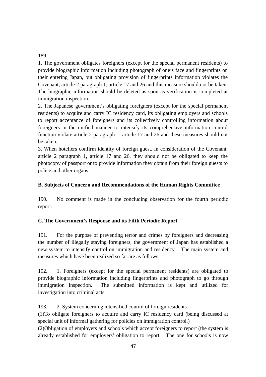189.

1. The government obligates foreigners (except for the special permanent residents) to provide biographic information including photograph of one's face and fingerprints on their entering Japan, but obligating provision of fingerprints information violates the Covenant, article 2 paragraph 1, article 17 and 26 and this measure should not be taken. The biographic information should be deleted as soon as verification is completed at immigration inspection.

2. The Japanese government's obligating foreigners (except for the special permanent residents) to acquire and carry IC residency card, its obligating employers and schools to report acceptance of foreigners and its collectively controlling information about foreigners in the unified manner to intensify its comprehensive information control function violate article 2 paragraph 1, article 17 and 26 and these measures should not be taken.

3. When hoteliers confirm identity of foreign guest, in consideration of the Covenant, article 2 paragraph 1, article 17 and 26, they should not be obligated to keep the photocopy of passport or to provide information they obtain from their foreign guests to police and other organs.

# **B. Subjects of Concern and Recommendations of the Human Rights Committee**

190. No comment is made in the concluding observation for the fourth periodic report.

# **C. The Government's Response and its Fifth Periodic Report**

191. For the purpose of preventing terror and crimes by foreigners and decreasing the number of illegally staying foreigners, the government of Japan has established a new system to intensify control on immigration and residency. The main system and measures which have been realized so far are as follows.

192. 1. Foreigners (except for the special permanent residents) are obligated to provide biographic information including fingerprints and photograph to go through immigration inspection. The submitted information is kept and utilized for investigation into criminal acts.

193. 2. System concerning intensified control of foreign residents

(1)To obligate foreigners to acquire and carry IC residency card (being discussed at special unit of informal gathering for policies on immigration control.)

(2)Obligation of employers and schools which accept foreigners to report (the system is already established for employers' obligation to report. The one for schools is now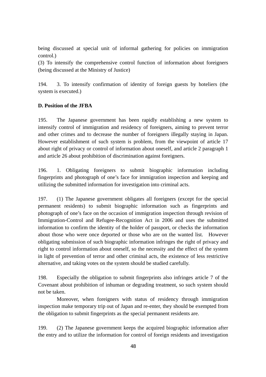being discussed at special unit of informal gathering for policies on immigration control.)

(3) To intensify the comprehensive control function of information about foreigners (being discussed at the Ministry of Justice)

194. 3. To intensify confirmation of identity of foreign guests by hoteliers (the system is executed.)

## **D. Position of the JFBA**

195. The Japanese government has been rapidly establishing a new system to intensify control of immigration and residency of foreigners, aiming to prevent terror and other crimes and to decrease the number of foreigners illegally staying in Japan. However establishment of such system is problem, from the viewpoint of article 17 about right of privacy or control of information about oneself, and article 2 paragraph 1 and article 26 about prohibition of discrimination against foreigners.

196. 1. Obligating foreigners to submit biographic information including fingerprints and photograph of one's face for immigration inspection and keeping and utilizing the submitted information for investigation into criminal acts.

197. (1) The Japanese government obligates all foreigners (except for the special permanent residents) to submit biographic information such as fingerprints and photograph of one's face on the occasion of immigration inspection through revision of Immigration-Control and Refugee-Recognition Act in 2006 and uses the submitted information to confirm the identity of the holder of passport, or checks the information about those who were once deported or those who are on the wanted list. However obligating submission of such biographic information infringes the right of privacy and right to control information about oneself, so the necessity and the effect of the system in light of prevention of terror and other criminal acts, the existence of less restrictive alternative, and taking votes on the system should be studied carefully.

198. Especially the obligation to submit fingerprints also infringes article 7 of the Covenant about prohibition of inhuman or degrading treatment, so such system should not be taken.

Moreover, when foreigners with status of residency through immigration inspection make temporary trip out of Japan and re-enter, they should be exempted from the obligation to submit fingerprints as the special permanent residents are.

199. (2) The Japanese government keeps the acquired biographic information after the entry and to utilize the information for control of foreign residents and investigation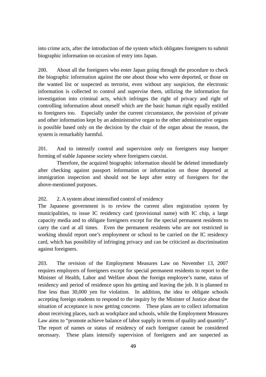into crime acts, after the introduction of the system which obligates foreigners to submit biographic information on occasion of entry into Japan.

200. About all the foreigners who enter Japan going through the procedure to check the biographic information against the one about those who were deported, or those on the wanted list or suspected as terrorist, even without any suspicion, the electronic information is collected to control and supervise them, utilizing the information for investigation into criminal acts, which infringes the right of privacy and right of controlling information about oneself which are the basic human right equally entitled to foreigners too. Especially under the current circumstance, the provision of private and other information kept by an administrative organ to the other administrative organs is possible based only on the decision by the chair of the organ about the reason, the system is remarkably harmful.

201. And to intensify control and supervision only on foreigners may hamper forming of stable Japanese society where foreigners coexist.

Therefore, the acquired biographic information should be deleted immediately after checking against passport information or information on those deported at immigration inspection and should not be kept after entry of foreigners for the above-mentioned purposes.

## 202. 2. A system about intensified control of residency

The Japanese government is to review the current alien registration system by municipalities, to issue IC residency card (provisional name) with IC chip, a large capacity media and to obligate foreigners except for the special permanent residents to carry the card at all times. Even the permanent residents who are not restricted in working should report one's employment or school to be carried on the IC residency card, which has possibility of infringing privacy and can be criticized as discrimination against foreigners.

203. The revision of the Employment Measures Law on November 13, 2007 requires employers of foreigners except for special permanent residents to report to the Minister of Health, Labor and Welfare about the foreign employee's name, status of residency and period of residence upon his getting and leaving the job. It is planned to fine less than 30,000 yen for violation. In addition, the idea to obligate schools accepting foreign students to respond to the inquiry by the Minister of Justice about the situation of acceptance is now getting concrete. These plans are to collect information about receiving places, such as workplace and schools, while the Employment Measures Law aims to "promote achieve balance of labor supply in terms of quality and quantity". The report of names or status of residency of each foreigner cannot be considered necessary. These plans intensify supervision of foreigners and are suspected as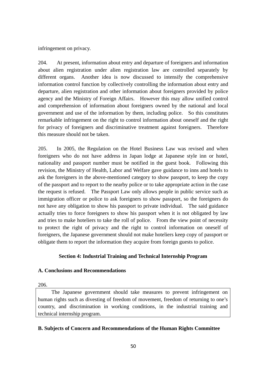infringement on privacy.

204. At present, information about entry and departure of foreigners and information about alien registration under alien registration law are controlled separately by different organs. Another idea is now discussed to intensify the comprehensive information control function by collectively controlling the information about entry and departure, alien registration and other information about foreigners provided by police agency and the Ministry of Foreign Affairs. However this may allow unified control and comprehension of information about foreigners owned by the national and local government and use of the information by them, including police. So this constitutes remarkable infringement on the right to control information about oneself and the right for privacy of foreigners and discriminative treatment against foreigners. Therefore this measure should not be taken.

205. In 2005, the Regulation on the Hotel Business Law was revised and when foreigners who do not have address in Japan lodge at Japanese style inn or hotel, nationality and passport number must be notified in the guest book. Following this revision, the Ministry of Health, Labor and Welfare gave guidance to inns and hotels to ask the foreigners in the above-mentioned category to show passport, to keep the copy of the passport and to report to the nearby police or to take appropriate action in the case the request is refused. The Passport Law only allows people in public service such as immigration officer or police to ask foreigners to show passport, so the foreigners do not have any obligation to show his passport to private individual. The said guidance actually tries to force foreigners to show his passport when it is not obligated by law and tries to make hoteliers to take the roll of police. From the view point of necessity to protect the right of privacy and the right to control information on oneself of foreigners, the Japanese government should not make hoteliers keep copy of passport or obligate them to report the information they acquire from foreign guests to police.

#### **Section 4: Industrial Training and Technical Internship Program**

#### **A. Conclusions and Recommendations**

206.

The Japanese government should take measures to prevent infringement on human rights such as divesting of freedom of movement, freedom of returning to one's country, and discrimination in working conditions, in the industrial training and technical internship program.

#### **B. Subjects of Concern and Recommendations of the Human Rights Committee**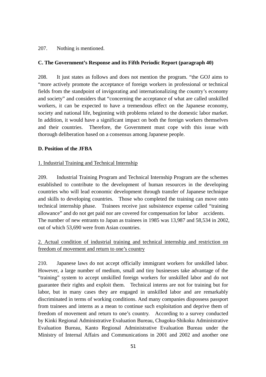#### 207. Nothing is mentioned.

#### **C. The Government's Response and its Fifth Periodic Report (paragraph 40)**

208. It just states as follows and does not mention the program. "the GOJ aims to "more actively promote the acceptance of foreign workers in professional or technical fields from the standpoint of invigorating and internationalizing the country's economy and society" and considers that "concerning the acceptance of what are called unskilled workers, it can be expected to have a tremendous effect on the Japanese economy, society and national life, beginning with problems related to the domestic labor market. In addition, it would have a significant impact on both the foreign workers themselves and their countries. Therefore, the Government must cope with this issue with thorough deliberation based on a consensus among Japanese people.

#### **D. Position of the JFBA**

#### 1. Industrial Training and Technical Internship

209. Industrial Training Program and Technical Internship Program are the schemes established to contribute to the development of human resources in the developing countries who will lead economic development through transfer of Japanese technique and skills to developing countries. Those who completed the training can move onto technical internship phase. Trainees receive just subsistence expense called "training allowance" and do not get paid nor are covered for compensation for labor accidents. The number of new entrants to Japan as trainees in 1985 was 13,987 and 58,534 in 2002, out of which 53,690 were from Asian countries.

## 2. Actual condition of industrial training and technical internship and restriction on freedom of movement and return to one's country

210. Japanese laws do not accept officially immigrant workers for unskilled labor. However, a large number of medium, small and tiny businesses take advantage of the "training" system to accept unskilled foreign workers for unskilled labor and do not guarantee their rights and exploit them. Technical interns are not for training but for labor, but in many cases they are engaged in unskilled labor and are remarkably discriminated in terms of working conditions. And many companies dispossess passport from trainees and interns as a mean to continue such exploitation and deprive them of freedom of movement and return to one's country. According to a survey conducted by Kinki Regional Administrative Evaluation Bureau, Chugoku-Shikoku Administrative Evaluation Bureau, Kanto Regional Administrative Evaluation Bureau under the Ministry of Internal Affairs and Communications in 2001 and 2002 and another one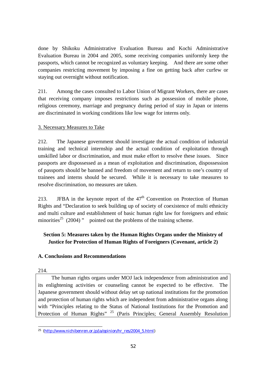done by Shikoku Administrative Evaluation Bureau and Kochi Administrative Evaluation Bureau in 2004 and 2005, some receiving companies uniformly keep the passports, which cannot be recognized as voluntary keeping. And there are some other companies restricting movement by imposing a fine on getting back after curfew or staying out overnight without notification.

211. Among the cases consulted to Labor Union of Migrant Workers, there are cases that receiving company imposes restrictions such as possession of mobile phone, religious ceremony, marriage and pregnancy during period of stay in Japan or interns are discriminated in working conditions like low wage for interns only.

## 3. Necessary Measures to Take

212. The Japanese government should investigate the actual condition of industrial training and technical internship and the actual condition of exploitation through unskilled labor or discrimination, and must make effort to resolve these issues. Since passports are dispossessed as a mean of exploitation and discrimination, dispossession of passports should be banned and freedom of movement and return to one's country of trainees and interns should be secured. While it is necessary to take measures to resolve discrimination, no measures are taken.

213. JFBA in the keynote report of the  $47<sup>th</sup>$  Convention on Protection of Human Rights and "Declaration to seek building up of society of coexistence of multi ethnicity and multi culture and establishment of basic human right law for foreigners and ethnic minorities<sup>25</sup> (2004) " pointed out the problems of the training scheme.

# **Section 5: Measures taken by the Human Rights Organs under the Ministry of Justice for Protection of Human Rights of Foreigners (Covenant, article 2)**

## **A. Conclusions and Recommendations**

214.

The human rights organs under MOJ lack independence from administration and its enlightening activities or counseling cannot be expected to be effective. The Japanese government should without delay set up national institutions for the promotion and protection of human rights which are independent from administrative organs along with "Principles relating to the Status of National Institutions for the Promotion and Protection of Human Rights" <sup>25</sup> (Paris Principles; General Assembly Resolution

 $\overline{a}$ <sup>25</sup> (http://www.nichibenren.or.jp/ja/opinion/hr\_res/2004\_5.html)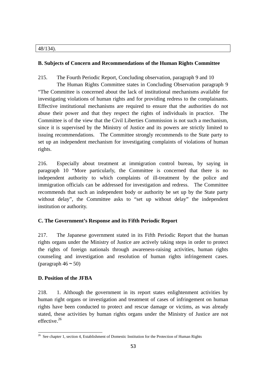#### 48/134).

#### **B. Subjects of Concern and Recommendations of the Human Rights Committee**

215. The Fourth Periodic Report, Concluding observation, paragraph 9 and 10

The Human Rights Committee states in Concluding Observation paragraph 9 "The Committee is concerned about the lack of institutional mechanisms available for investigating violations of human rights and for providing redress to the complainants. Effective institutional mechanisms are required to ensure that the authorities do not abuse their power and that they respect the rights of individuals in practice. The Committee is of the view that the Civil Liberties Commission is not such a mechanism, since it is supervised by the Ministry of Justice and its powers are strictly limited to issuing recommendations. The Committee strongly recommends to the State party to set up an independent mechanism for investigating complaints of violations of human rights.

216. Especially about treatment at immigration control bureau, by saying in paragraph 10 "More particularly, the Committee is concerned that there is no independent authority to which complaints of ill-treatment by the police and immigration officials can be addressed for investigation and redress. The Committee recommends that such an independent body or authority be set up by the State party without delay", the Committee asks to "set up without delay" the independent institution or authority.

## **C. The Government's Response and its Fifth Periodic Report**

217. The Japanese government stated in its Fifth Periodic Report that the human rights organs under the Ministry of Justice are actively taking steps in order to protect the rights of foreign nationals through awareness-raising activities, human rights counseling and investigation and resolution of human rights infringement cases. (paragraph  $46 \approx 50$ )

## **D. Position of the JFBA**

218. 1. Although the government in its report states enlightenment activities by human right organs or investigation and treatment of cases of infringement on human rights have been conducted to protect and rescue damage or victims, as was already stated, these activities by human rights organs under the Ministry of Justice are not effective.26

 $\overline{a}$ <sup>26</sup> See chapter 1, section 4, Establishment of Domestic Institution for the Protection of Human Rights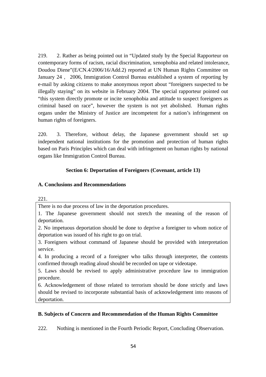219. 2. Rather as being pointed out in "Updated study by the Special Rapporteur on contemporary forms of racism, racial discrimination, xenophobia and related intolerance, Doudou Diene"(E/CN.4/2006/16/Add.2) reported at UN Human Rights Committee on January 24, 2006, Immigration Control Bureau established a system of reporting by e-mail by asking citizens to make anonymous report about "foreigners suspected to be illegally staying" on its website in February 2004. The special rapporteur pointed out "this system directly promote or incite xenophobia and attitude to suspect foreigners as criminal based on race", however the system is not yet abolished. Human rights organs under the Ministry of Justice are incompetent for a nation's infringement on human rights of foreigners.

220. 3. Therefore, without delay, the Japanese government should set up independent national institutions for the promotion and protection of human rights based on Paris Principles which can deal with infringement on human rights by national organs like Immigration Control Bureau.

## **Section 6: Deportation of Foreigners (Covenant, article 13)**

#### **A. Conclusions and Recommendations**

221.

There is no due process of law in the deportation procedures.

1. The Japanese government should not stretch the meaning of the reason of deportation.

2. No impetuous deportation should be done to deprive a foreigner to whom notice of deportation was issued of his right to go on trial.

3. Foreigners without command of Japanese should be provided with interpretation service.

4. In producing a record of a foreigner who talks through interpreter, the contents confirmed through reading aloud should be recorded on tape or videotape.

5. Laws should be revised to apply administrative procedure law to immigration procedure.

6. Acknowledgement of those related to terrorism should be done strictly and laws should be revised to incorporate substantial basis of acknowledgement into reasons of deportation.

## **B. Subjects of Concern and Recommendation of the Human Rights Committee**

222. Nothing is mentioned in the Fourth Periodic Report, Concluding Observation.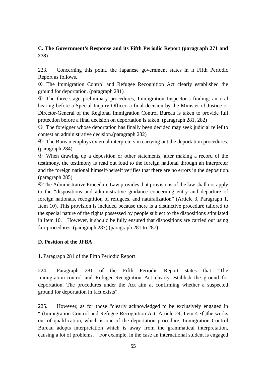## **C. The Government's Response and its Fifth Periodic Report (paragraph 271 and 278)**

223. Concerning this point, the Japanese government states in it Fifth Periodic Report as follows.

The Immigration Control and Refugee Recognition Act clearly established the ground for deportation. (paragraph 281)

The three-stage preliminary procedures, Immigration Inspector's finding, an oral hearing before a Special Inquiry Officer, a final decision by the Minister of Justice or Director-General of the Regional Immigration Control Bureau is taken to provide full protection before a final decision on deportation is taken. (paragraph 281, 282)

The foreigner whose deportation has finally been decided may seek judicial relief to contest an administrative decision.(paragraph 282)

The Bureau employs external interpreters in carrying out the deportation procedures. (paragraph 284)

When drawing up a deposition or other statements, after making a record of the testimony, the testimony is read out loud to the foreign national through an interpreter and the foreign national himself/herself verifies that there are no errors in the deposition. (paragraph 285)

The Administrative Procedure Law provides that provisions of the law shall not apply to the "dispositions and administrative guidance concerning entry and departure of foreign nationals, recognition of refugees, and naturalization" (Article 3, Paragraph 1, Item 10). This provision is included because there is a distinctive procedure tailored to the special nature of the rights possessed by people subject to the dispositions stipulated in Item 10. However, it should be fully ensured that dispositions are carried out using fair procedures. (paragraph 287) (paragraph 281 to 287)

#### **D. Position of the JFBA**

#### 1. Paragraph 281 of the Fifth Periodic Report

224. Paragraph 281 of the Fifth Periodic Report states that "The Immigration-control and Refugee-Recognition Act clearly establish the ground for deportation. The procedures under the Act aim at confirming whether a suspected ground for deportation in fact exists".

225. However, as for those "clearly acknowledged to be exclusively engaged in " (Immigration-Control and Refugee-Recognition Act, Article 24, Item 4-イ)the works out of qualification, which is one of the deportation procedure, Immigration Control Bureau adopts interpretation which is away from the grammatical interpretation, causing a lot of problems. For example, in the case an international student is engaged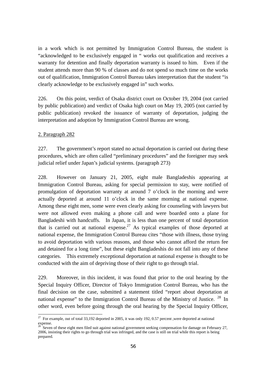in a work which is not permitted by Immigration Control Bureau, the student is "acknowledged to be exclusively engaged in " works out qualification and receives a warranty for detention and finally deportation warranty is issued to him. Even if the student attends more than 90 % of classes and do not spend so much time on the works out of qualification, Immigration Control Bureau takes interpretation that the student "is clearly acknowledge to be exclusively engaged in" such works.

226. On this point, verdict of Osaka district court on October 19, 2004 (not carried by public publication) and verdict of Osaka high court on May 19, 2005 (not carried by public publication) revoked the issuance of warranty of deportation, judging the interpretation and adoption by Immigration Control Bureau are wrong.

#### 2. Paragraph 282

227. The government's report stated no actual deportation is carried out during these procedures, which are often called "preliminary procedures" and the foreigner may seek judicial relief under Japan's judicial systems. (paragraph 273)

228. However on January 21, 2005, eight male Bangladeshis appearing at Immigration Control Bureau, asking for special permission to stay, were notified of promulgation of deportation warranty at around 7 o'clock in the morning and were actually deported at around 11 o'clock in the same morning at national expense. Among these eight men, some were even clearly asking for counseling with lawyers but were not allowed even making a phone call and were boarded onto a plane for Bangladeshi with handcuffs. In Japan, it is less than one percent of total deportation that is carried out at national expense.<sup>27</sup> As typical examples of those deported at national expense, the Immigration Control Bureau cites "those with illness, those trying to avoid deportation with various reasons, and those who cannot afford the return fee and detained for a long time", but these eight Bangladeshis do not fall into any of these categories. This extremely exceptional deportation at national expense is thought to be conducted with the aim of depriving those of their right to go through trial.

229. Moreover, in this incident, it was found that prior to the oral hearing by the Special Inquiry Officer, Director of Tokyo Immigration Control Bureau, who has the final decision on the case, submitted a statement titled "report about deportation at national expense" to the Immigration Control Bureau of the Ministry of Justice.  $^{28}$  In other word, even before going through the oral hearing by the Special Inquiry Officer,

 $\overline{a}$ <sup>27</sup> For example, out of total 33,192 deported in 2005, it was only 192, 0.57 percent ,were deported at national expense.

 $28$  Seven of these eight men filed suit against national government seeking compensation for damage on February 27, 2006, insisting their rights to go through trial was infringed, and the case is still on trial while this report is being prepared.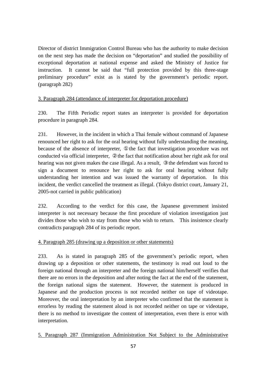Director of district Immigration Control Bureau who has the authority to make decision on the next step has made the decision on "deportation" and studied the possibility of exceptional deportation at national expense and asked the Ministry of Justice for instruction. It cannot be said that "full protection provided by this three-stage preliminary procedure" exist as is stated by the government's periodic report. (paragraph 282)

#### 3. Paragraph 284 (attendance of interpreter for deportation procedure)

230. The Fifth Periodic report states an interpreter is provided for deportation procedure in paragraph 284.

231. However, in the incident in which a Thai female without command of Japanese renounced her right to ask for the oral hearing without fully understanding the meaning, because of the absence of interpreter, the fact that investigation procedure was not conducted via official interpreter, the fact that notification about her right ask for oral hearing was not given makes the case illegal. As a result, the defendant was forced to sign a document to renounce her right to ask for oral hearing without fully understanding her intention and was issued the warranty of deportation. In this incident, the verdict cancelled the treatment as illegal. (Tokyo district court, January 21, 2005-not carried in public publication)

232. According to the verdict for this case, the Japanese government insisted interpreter is not necessary because the first procedure of violation investigation just divides those who wish to stay from those who wish to return. This insistence clearly contradicts paragraph 284 of its periodic report.

## 4. Paragraph 285 (drawing up a deposition or other statements)

233. As is stated in paragraph 285 of the government's periodic report, when drawing up a deposition or other statements, the testimony is read out loud to the foreign national through an interpreter and the foreign national him/herself verifies that there are no errors in the deposition and after noting the fact at the end of the statement, the foreign national signs the statement. However, the statement is produced in Japanese and the production process is not recorded neither on tape of videotape. Moreover, the oral interpretation by an interpreter who confirmed that the statement is errorless by reading the statement aloud is not recorded neither on tape or videotape, there is no method to investigate the content of interpretation, even there is error with interpretation.

5. Paragraph 287 (Immigration Administration Not Subject to the Administrative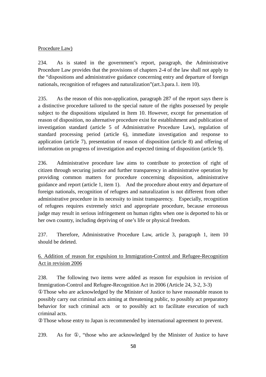#### Procedure Law)

234. As is stated in the government's report, paragraph, the Administrative Procedure Law provides that the provisions of chapters 2-4 of the law shall not apply to the "dispositions and administrative guidance concerning entry and departure of foreign nationals, recognition of refugees and naturalization"(art.3.para.1. item 10).

235. As the reason of this non-application, paragraph 287 of the report says there is a distinctive procedure tailored to the special nature of the rights possessed by people subject to the dispositions stipulated in Item 10. However, except for presentation of reason of disposition, no alternative procedure exist for establishment and publication of investigation standard (article 5 of Administrative Procedure Law), regulation of standard processing period (article 6), immediate investigation and response to application (article 7), presentation of reason of disposition (article 8) and offering of information on progress of investigation and expected timing of disposition (article 9).

236. Administrative procedure law aims to contribute to protection of right of citizen through securing justice and further transparency in administrative operation by providing common matters for procedure concerning disposition, administrative guidance and report (article 1, item 1). And the procedure about entry and departure of foreign nationals, recognition of refugees and naturalization is not different from other administrative procedure in its necessity to insist transparency. Especially, recognition of refugees requires extremely strict and appropriate procedure, because erroneous judge may result in serious infringement on human rights when one is deported to his or her own country, including depriving of one's life or physical freedom.

237. Therefore, Administrative Procedure Law, article 3, paragraph 1, item 10 should be deleted.

6. Addition of reason for expulsion to Immigration-Control and Refugee-Recognition Act in revision 2006

238. The following two items were added as reason for expulsion in revision of Immigration-Control and Refugee-Recognition Act in 2006 (Article 24, 3-2, 3-3)

Those who are acknowledged by the Minister of Justice to have reasonable reason to possibly carry out criminal acts aiming at threatening public, to possibly act preparatory behavior for such criminal acts or to possibly act to facilitate execution of such criminal acts.

Those whose entry to Japan is recommended by international agreement to prevent.

239. As for , "those who are acknowledged by the Minister of Justice to have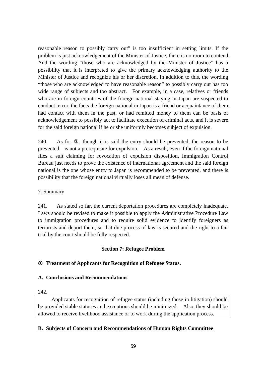reasonable reason to possibly carry out" is too insufficient in setting limits. If the problem is just acknowledgement of the Minister of Justice, there is no room to contend. And the wording "those who are acknowledged by the Minister of Justice" has a possibility that it is interpreted to give the primary acknowledging authority to the Minister of Justice and recognize his or her discretion. In addition to this, the wording "those who are acknowledged to have reasonable reason" to possibly carry out has too wide range of subjects and too abstract. For example, in a case, relatives or friends who are in foreign countries of the foreign national staying in Japan are suspected to conduct terror, the facts the foreign national in Japan is a friend or acquaintance of them, had contact with them in the past, or had remitted money to them can be basis of acknowledgement to possibly act to facilitate execution of criminal acts, and it is severe for the said foreign national if he or she uniformly becomes subject of expulsion.

240. As for , though it is said the entry should be prevented, the reason to be prevented is not a prerequisite for expulsion. As a result, even if the foreign national files a suit claiming for revocation of expulsion disposition, Immigration Control Bureau just needs to prove the existence of international agreement and the said foreign national is the one whose entry to Japan is recommended to be prevented, and there is possibility that the foreign national virtually loses all mean of defense.

## 7. Summary

241. As stated so far, the current deportation procedures are completely inadequate. Laws should be revised to make it possible to apply the Administrative Procedure Law to immigration procedures and to require solid evidence to identify foreigners as terrorists and deport them, so that due process of law is secured and the right to a fair trial by the court should be fully respected.

## **Section 7: Refugee Problem**

## **Treatment of Applicants for Recognition of Refugee Status.**

## **A. Conclusions and Recommendations**

#### 242.

Applicants for recognition of refugee status (including those in litigation) should be provided stable statuses and exceptions should be minimized. Also, they should be allowed to receive livelihood assistance or to work during the application process.

## **B. Subjects of Concern and Recommendations of Human Rights Committee**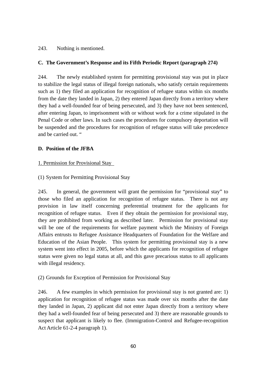## 243. Nothing is mentioned.

## **C. The Government's Response and its Fifth Periodic Report (paragraph 274)**

244. The newly established system for permitting provisional stay was put in place to stabilize the legal status of illegal foreign nationals, who satisfy certain requirements such as 1) they filed an application for recognition of refugee status within six months from the date they landed in Japan, 2) they entered Japan directly from a territory where they had a well-founded fear of being persecuted, and 3) they have not been sentenced, after entering Japan, to imprisonment with or without work for a crime stipulated in the Penal Code or other laws. In such cases the procedures for compulsory deportation will be suspended and the procedures for recognition of refugee status will take precedence and be carried out. "

#### **D. Position of the JFBA**

## 1. Permission for Provisional Stay

## (1) System for Permitting Provisional Stay

245. In general, the government will grant the permission for "provisional stay" to those who filed an application for recognition of refugee status. There is not any provision in law itself concerning preferential treatment for the applicants for recognition of refugee status. Even if they obtain the permission for provisional stay, they are prohibited from working as described later. Permission for provisional stay will be one of the requirements for welfare payment which the Ministry of Foreign Affairs entrusts to Refugee Assistance Headquarters of Foundation for the Welfare and Education of the Asian People. This system for permitting provisional stay is a new system went into effect in 2005, before which the applicants for recognition of refugee status were given no legal status at all, and this gave precarious status to all applicants with illegal residency.

## (2) Grounds for Exception of Permission for Provisional Stay

246. A few examples in which permission for provisional stay is not granted are: 1) application for recognition of refugee status was made over six months after the date they landed in Japan, 2) applicant did not enter Japan directly from a territory where they had a well-founded fear of being persecuted and 3) there are reasonable grounds to suspect that applicant is likely to flee. (Immigration-Control and Refugee-recognition Act Article 61-2-4 paragraph 1).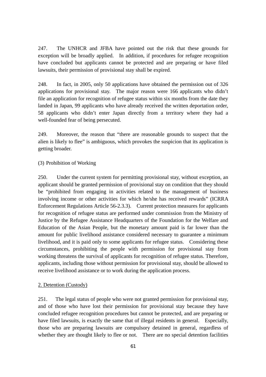247. The UNHCR and JFBA have pointed out the risk that these grounds for exception will be broadly applied. In addition, if procedures for refugee recognition have concluded but applicants cannot be protected and are preparing or have filed lawsuits, their permission of provisional stay shall be expired.

248. In fact, in 2005, only 50 applications have obtained the permission out of 326 applications for provisional stay. The major reason were 166 applicants who didn't file an application for recognition of refugee status within six months from the date they landed in Japan, 99 applicants who have already received the written deportation order, 58 applicants who didn't enter Japan directly from a territory where they had a well-founded fear of being persecuted.

249. Moreover, the reason that "there are reasonable grounds to suspect that the alien is likely to flee" is ambiguous, which provokes the suspicion that its application is getting broader.

#### (3) Prohibition of Working

250. Under the current system for permitting provisional stay, without exception, an applicant should be granted permission of provisional stay on condition that they should be "prohibited from engaging in activities related to the management of business involving income or other activities for which he/she has received rewards" (ICRRA Enforcement Regulations Article 56-2.3.3). Current protection measures for applicants for recognition of refugee status are performed under commission from the Ministry of Justice by the Refugee Assistance Headquarters of the Foundation for the Welfare and Education of the Asian People, but the monetary amount paid is far lower than the amount for public livelihood assistance considered necessary to guarantee a minimum livelihood, and it is paid only to some applicants for refugee status. Considering these circumstances, prohibiting the people with permission for provisional stay from working threatens the survival of applicants for recognition of refugee status. Therefore, applicants, including those without permission for provisional stay, should be allowed to receive livelihood assistance or to work during the application process.

#### 2. Detention (Custody)

251. The legal status of people who were not granted permission for provisional stay, and of those who have lost their permission for provisional stay because they have concluded refugee recognition procedures but cannot be protected, and are preparing or have filed lawsuits, is exactly the same that of illegal residents in general. Especially, those who are preparing lawsuits are compulsory detained in general, regardless of whether they are thought likely to flee or not. There are no special detention facilities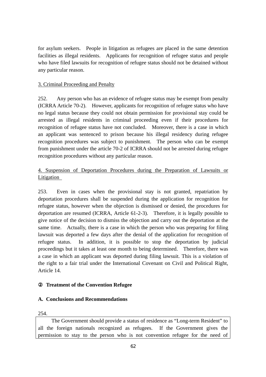for asylum seekers. People in litigation as refugees are placed in the same detention facilities as illegal residents. Applicants for recognition of refugee status and people who have filed lawsuits for recognition of refugee status should not be detained without any particular reason.

#### 3. Criminal Proceeding and Penalty

252. Any person who has an evidence of refugee status may be exempt from penalty (ICRRA Article 70-2). However, applicants for recognition of refugee status who have no legal status because they could not obtain permission for provisional stay could be arrested as illegal residents in criminal proceeding even if their procedures for recognition of refugee status have not concluded. Moreover, there is a case in which an applicant was sentenced to prison because his illegal residency during refugee recognition procedures was subject to punishment. The person who can be exempt from punishment under the article 70-2 of ICRRA should not be arrested during refugee recognition procedures without any particular reason.

# 4. Suspension of Deportation Procedures during the Preparation of Lawsuits or **Litigation**

253. Even in cases when the provisional stay is not granted, repatriation by deportation procedures shall be suspended during the application for recognition for refugee status, however when the objection is dismissed or denied, the procedures for deportation are resumed (ICRRA, Article 61-2-3). Therefore, it is legally possible to give notice of the decision to dismiss the objection and carry out the deportation at the same time. Actually, there is a case in which the person who was preparing for filing lawsuit was deported a few days after the denial of the application for recognition of refugee status. In addition, it is possible to stop the deportation by judicial proceedings but it takes at least one month to being determined. Therefore, there was a case in which an applicant was deported during filing lawsuit. This is a violation of the right to a fair trial under the International Covenant on Civil and Political Right, Article 14.

## **Treatment of the Convention Refugee**

#### **A. Conclusions and Recommendations**

254.

The Government should provide a status of residence as "Long-term Resident" to all the foreign nationals recognized as refugees. If the Government gives the permission to stay to the person who is not convention refugee for the need of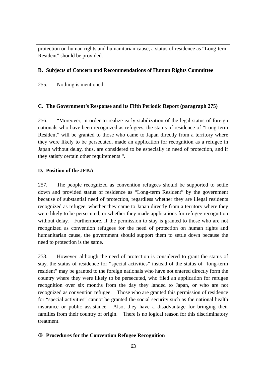protection on human rights and humanitarian cause, a status of residence as "Long-term Resident" should be provided.

#### **B. Subjects of Concern and Recommendations of Human Rights Committee**

255. Nothing is mentioned.

## **C. The Government's Response and its Fifth Periodic Report (paragraph 275)**

256. "Moreover, in order to realize early stabilization of the legal status of foreign nationals who have been recognized as refugees, the status of residence of "Long-term Resident" will be granted to those who came to Japan directly from a territory where they were likely to be persecuted, made an application for recognition as a refugee in Japan without delay, thus, are considered to be especially in need of protection, and if they satisfy certain other requirements ".

#### **D. Position of the JFBA**

257. The people recognized as convention refugees should be supported to settle down and provided status of residence as "Long-term Resident" by the government because of substantial need of protection, regardless whether they are illegal residents recognized as refugee, whether they came to Japan directly from a territory where they were likely to be persecuted, or whether they made applications for refugee recognition without delay. Furthermore, if the permission to stay is granted to those who are not recognized as convention refugees for the need of protection on human rights and humanitarian cause, the government should support them to settle down because the need to protection is the same.

258. However, although the need of protection is considered to grant the status of stay, the status of residence for "special activities" instead of the status of "long-term resident" may be granted to the foreign nationals who have not entered directly form the country where they were likely to be persecuted, who filed an application for refugee recognition over six months from the day they landed to Japan, or who are not recognized as convention refugee. Those who are granted this permission of residence for "special activities" cannot be granted the social security such as the national health insurance or public assistance. Also, they have a disadvantage for bringing their families from their country of origin. There is no logical reason for this discriminatory treatment.

## ③ **Procedures for the Convention Refugee Recognition**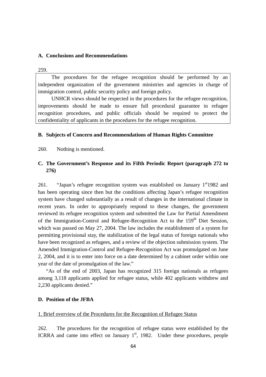#### **A. Conclusions and Recommendations**

259.

The procedures for the refugee recognition should be performed by an independent organization of the government ministries and agencies in charge of immigration control, public security policy and foreign policy.

UNHCR views should be respected in the procedures for the refugee recognition, improvements should be made to ensure full procedural guarantee in refugee recognition procedures, and public officials should be required to protect the confidentiality of applicants in the procedures for the refugee recognition.

#### **B. Subjects of Concern and Recommendations of Human Rights Committee**

260. Nothing is mentioned.

## **C. The Government's Response and its Fifth Periodic Report (paragraph 272 to 276)**

261. "Japan's refugee recognition system was established on January  $1<sup>st</sup>1982$  and has been operating since then but the conditions affecting Japan's refugee recognition system have changed substantially as a result of changes in the international climate in recent years. In order to appropriately respond to these changes, the government reviewed its refugee recognition system and submitted the Law for Partial Amendment of the Immigration-Control and Refugee-Recognition Act to the 159<sup>th</sup> Diet Session. which was passed on May 27, 2004. The law includes the establishment of a system for permitting provisional stay, the stabilization of the legal status of foreign nationals who have been recognized as refugees, and a review of the objection submission system. The Amended Immigration-Control and Refugee-Recognition Act was promulgated on June 2, 2004, and it is to enter into force on a date determined by a cabinet order within one year of the date of promulgation of the law."

"As of the end of 2003, Japan has recognized 315 foreign nationals as refugees among 3,118 applicants applied for refugee status, while 402 applicants withdrew and 2,230 applicants denied."

#### **D. Position of the JFBA**

#### 1. Brief overview of the Procedures for the Recognition of Refugee Status

262. The procedures for the recognition of refugee status were established by the ICRRA and came into effect on January  $1<sup>st</sup>$ , 1982. Under these procedures, people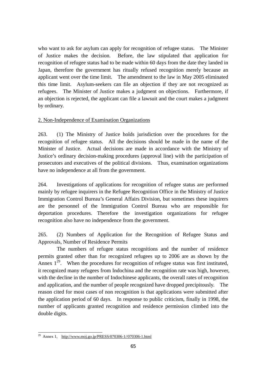who want to ask for asylum can apply for recognition of refugee status. The Minister of Justice makes the decision. Before, the law stipulated that application for recognition of refugee status had to be made within 60 days from the date they landed in Japan, therefore the government has ritually refused recognition merely because an applicant went over the time limit. The amendment to the law in May 2005 eliminated this time limit. Asylum-seekers can file an objection if they are not recognized as refugees. The Minister of Justice makes a judgment on objections. Furthermore, if an objection is rejected, the applicant can file a lawsuit and the court makes a judgment by ordinary.

#### 2. Non-Independence of Examination Organizations

263. (1) The Ministry of Justice holds jurisdiction over the procedures for the recognition of refugee status. All the decisions should be made in the name of the Minister of Justice. Actual decisions are made in accordance with the Ministry of Justice's ordinary decision-making procedures (approval line) with the participation of prosecutors and executives of the political divisions. Thus, examination organizations have no independence at all from the government.

264. Investigations of applications for recognition of refugee status are performed mainly by refugee inquirers in the Refugee Recognition Office in the Ministry of Justice Immigration Control Bureau's General Affairs Division, but sometimes these inquirers are the personnel of the Immigration Control Bureau who are responsible for deportation procedures. Therefore the investigation organizations for refugee recognition also have no independence from the government.

265. (2) Numbers of Application for the Recognition of Refugee Status and Approvals, Number of Residence Permits

The numbers of refugee status recognitions and the number of residence permits granted other than for recognized refugees up to 2006 are as shown by the Annex  $1^{29}$ . When the procedures for recognition of refugee status was first instituted, it recognized many refugees from Indochina and the recognition rate was high, however, with the decline in the number of Indochinese applicants, the overall rates of recognition and application, and the number of people recognized have dropped precipitously. The reason cited for most cases of non recognition is that applications were submitted after the application period of 60 days. In response to public criticism, finally in 1998, the number of applicants granted recognition and residence permission climbed into the double digits.

 $\overline{a}$ <sup>29</sup> Annex 1, http://www.moj.go.jp/PRESS/070306-1//070306-1.html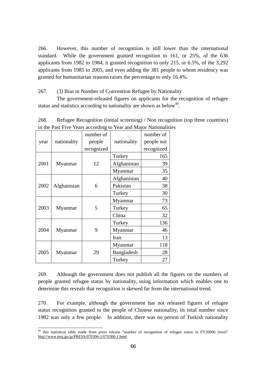266. However, this number of recognition is still lower than the international standard. While the government granted recognition to 161, or 25%, of the 636 applicants from 1982 to 1984, it granted recognition to only 215, or 6.5%, of the 3,292 applicants from 1985 to 2005, and even adding the 381 people to whom residency was granted for humanitarian reasons raises the percentage to only 16.4%.

267. (3) Bias in Number of Convention Refugee by Nationality

The government-released figures on applicants for the recognition of refugee status and statistics according to nationality are shown as below<sup>30</sup>.

| year | nationality | number of  | nationality | number of  |
|------|-------------|------------|-------------|------------|
|      |             | people     |             | people not |
|      |             | recognized |             | recognized |
| 2001 | Myanmar     | 12         | Turkey      | 165        |
|      |             |            | Afghanistan | 39         |
|      |             |            | Myanmar     | 35         |
| 2002 | Afghanistan | 6          | Afghanistan | 40         |
|      |             |            | Pakistan    | 38         |
|      |             |            | Turkey      | 30         |
| 2003 | Myanmar     | 5          | Myanmar     | 73         |
|      |             |            | Turkey      | 65         |
|      |             |            | China       | 32         |
| 2004 | Myanmar     | 9          | Turkey      | 136        |
|      |             |            | Myanmar     | 46         |
|      |             |            | Iran        | 13         |
| 2005 | Myanmar     | 29         | Myanmar     | 118        |
|      |             |            | Bangladesh  | 28         |
|      |             |            | Turkey      | 27         |

 $\overline{a}$ 

268. Refugee Recognition (initial screening) / Non recognition (top three countries) in the Past Five Years according to Year and Major Nationalities

269. Although the government does not publish all the figures on the numbers of people granted refugee status by nationality, using information which enables one to determine this reveals that recognition is skewed far from the international trend.

270. For example, although the government has not released figures of refugee status recognition granted to the people of Chinese nationality, its total number since 1982 was only a few people. In addition, there was no person of Turkish nationality

 $30$  this statistical table made from press release "number of recognition of refugee status in FY20006 (text)" http://www.moj.go.jp/PRESS/070306-1/070306-1.html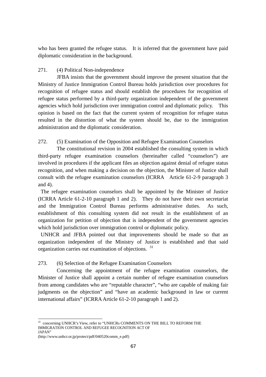who has been granted the refugee status. It is inferred that the government have paid diplomatic consideration in the background.

## 271. (4) Political Non-independence

JFBA insists that the government should improve the present situation that the Ministry of Justice Immigration Control Bureau holds jurisdiction over procedures for recognition of refugee status and should establish the procedures for recognition of refugee status performed by a third-party organization independent of the government agencies which hold jurisdiction over immigration control and diplomatic policy. This opinion is based on the fact that the current system of recognition for refugee status resulted in the distortion of what the system should be, due to the immigration administration and the diplomatic consideration.

## 272. (5) Examination of the Opposition and Refugee Examination Counselors

The constitutional revision in 2004 established the consulting system in which third-party refugee examination counselors (hereinafter called "counselors") are involved in procedures if the applicant files an objection against denial of refugee status recognition, and when making a decision on the objection, the Minister of Justice shall consult with the refugee examination counselors (ICRRA Article 61-2-9 paragraph 3 and 4).

 The refugee examination counselors shall be appointed by the Minister of Justice (ICRRA Article 61-2-10 paragraph 1 and 2). They do not have their own secretariat and the Immigration Control Bureau performs administrative duties. As such, establishment of this consulting system did not result in the establishment of an organization for petition of objection that is independent of the government agencies which hold jurisdiction over immigration control or diplomatic policy.

 UNHCR and JFBA pointed out that improvements should be made so that an organization independent of the Ministry of Justice is established and that said organization carries out examination of objections. <sup>31</sup>

## 273. (6) Selection of the Refugee Examination Counselors

Concerning the appointment of the refugee examination counselors, the Minister of Justice shall appoint a certain number of refugee examination counselors from among candidates who are "reputable character", "who are capable of making fair judgments on the objection" and "have an academic background in law or current international affairs" (ICRRA Article 61-2-10 paragraph 1 and 2).

 $\overline{a}$ 

 $31$  concerning UNHCR's View, refer to "UNHCRs COMMENTS ON THE BILL TO REFORM THE IMMIGRATION CONTROL AND REFUGEE RECOGNITION ACT OF JAPAN"

<sup>(</sup>http://www.unhcr.or.jp/protect/pdf/040520comm\_e.pdf)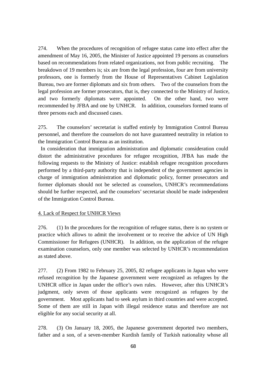274. When the procedures of recognition of refugee status came into effect after the amendment of May 16, 2005, the Minister of Justice appointed 19 persons as counselors based on recommendations from related organizations, not from public recruiting. The breakdown of 19 members is; six are from the legal profession, four are from university professors, one is formerly from the House of Representatives Cabinet Legislation Bureau, two are former diplomats and six from others. Two of the counselors from the legal profession are former prosecutors, that is, they connected to the Ministry of Justice, and two formerly diplomats were appointed. On the other hand, two were recommended by JFBA and one by UNHCR. In addition, counselors formed teams of three persons each and discussed cases.

275. The counselors' secretariat is staffed entirely by Immigration Control Bureau personnel, and therefore the counselors do not have guaranteed neutrality in relation to the Immigration Control Bureau as an institution.

 In consideration that immigration administration and diplomatic consideration could distort the administrative procedures for refugee recognition, JFBA has made the following requests to the Ministry of Justice: establish refugee recognition procedures performed by a third-party authority that is independent of the government agencies in charge of immigration administration and diplomatic policy, former prosecutors and former diplomats should not be selected as counselors, UNHCR's recommendations should be further respected, and the counselors' secretariat should be made independent of the Immigration Control Bureau.

#### 4. Lack of Respect for UNHCR Views

276. (1) In the procedures for the recognition of refugee status, there is no system or practice which allows to admit the involvement or to receive the advice of UN High Commissioner for Refugees (UNHCR). In addition, on the application of the refugee examination counselors, only one member was selected by UNHCR's recommendation as stated above.

277. (2) From 1982 to February 25, 2005, 82 refugee applicants in Japan who were refused recognition by the Japanese government were recognized as refugees by the UNHCR office in Japan under the office's own rules. However, after this UNHCR's judgment, only seven of those applicants were recognized as refugees by the government. Most applicants had to seek asylum in third countries and were accepted. Some of them are still in Japan with illegal residence status and therefore are not eligible for any social security at all.

278. (3) On January 18, 2005, the Japanese government deported two members, father and a son, of a seven-member Kurdish family of Turkish nationality whose all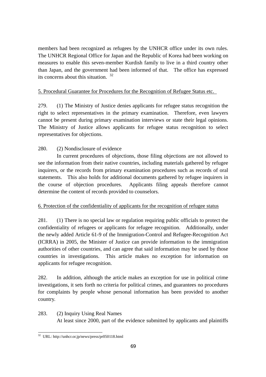members had been recognized as refugees by the UNHCR office under its own rules. The UNHCR Regional Office for Japan and the Republic of Korea had been working on measures to enable this seven-member Kurdish family to live in a third country other than Japan, and the government had been informed of that. The office has expressed its concerns about this situation. <sup>32</sup>

# 5. Procedural Guarantee for Procedures for the Recognition of Refugee Status etc.

279. (1) The Ministry of Justice denies applicants for refugee status recognition the right to select representatives in the primary examination. Therefore, even lawyers cannot be present during primary examination interviews or state their legal opinions. The Ministry of Justice allows applicants for refugee status recognition to select representatives for objections.

# 280. (2) Nondisclosure of evidence

In current procedures of objections, those filing objections are not allowed to see the information from their native countries, including materials gathered by refugee inquirers, or the records from primary examination procedures such as records of oral statements. This also holds for additional documents gathered by refugee inquirers in the course of objection procedures. Applicants filing appeals therefore cannot determine the content of records provided to counselors.

# 6. Protection of the confidentiality of applicants for the recognition of refugee status

281. (1) There is no special law or regulation requiring public officials to protect the confidentiality of refugees or applicants for refugee recognition. Additionally, under the newly added Article 61-9 of the Immigration-Control and Refugee-Recognition Act (ICRRA) in 2005, the Minister of Justice can provide information to the immigration authorities of other countries, and can agree that said information may be used by those countries in investigations. This article makes no exception for information on applicants for refugee recognition.

282. In addition, although the article makes an exception for use in political crime investigations, it sets forth no criteria for political crimes, and guarantees no procedures for complaints by people whose personal information has been provided to another country.

283. (2) Inquiry Using Real Names At least since 2000, part of the evidence submitted by applicants and plaintiffs

 $\overline{a}$ 32 URL: http://unhcr.or.jp/news/press/pr050118.html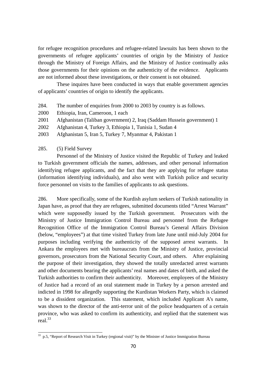for refugee recognition procedures and refugee-related lawsuits has been shown to the governments of refugee applicants' countries of origin by the Ministry of Justice through the Ministry of Foreign Affairs, and the Ministry of Justice continually asks those governments for their opinions on the authenticity of the evidence. Applicants are not informed about these investigations, or their consent is not obtained.

These inquires have been conducted in ways that enable government agencies of applicants' countries of origin to identify the applicants.

- 284. The number of enquiries from 2000 to 2003 by country is as follows.
- 2000 Ethiopia, Iran, Cameroon, 1 each
- 2001 Afghanistan (Taliban government) 2, Iraq (Saddam Hussein government) 1
- 2002 Afghanistan 4, Turkey 3, Ethiopia 1, Tunisia 1, Sudan 4
- 2003 Afghanistan 5, Iran 5, Turkey 7, Myanmar 4, Pakistan 1

285. (5) Field Survey

 $\overline{a}$ 

Personnel of the Ministry of Justice visited the Republic of Turkey and leaked to Turkish government officials the names, addresses, and other personal information identifying refugee applicants, and the fact that they are applying for refugee status (information identifying individuals), and also went with Turkish police and security force personnel on visits to the families of applicants to ask questions.

286. More specifically, some of the Kurdish asylum seekers of Turkish nationality in Japan have, as proof that they are refugees, submitted documents titled "Arrest Warrant" which were supposedly issued by the Turkish government. Prosecutors with the Ministry of Justice Immigration Control Bureau and personnel from the Refugee Recognition Office of the Immigration Control Bureau's General Affairs Division (below, "employees") at that time visited Turkey from late June until mid-July 2004 for purposes including verifying the authenticity of the supposed arrest warrants. In Ankara the employees met with bureaucrats from the Ministry of Justice, provincial governors, prosecutors from the National Security Court, and others. After explaining the purpose of their investigation, they showed the totally unredacted arrest warrants and other documents bearing the applicants' real names and dates of birth, and asked the Turkish authorities to confirm their authenticity. Moreover, employees of the Ministry of Justice had a record of an oral statement made in Turkey by a person arrested and indicted in 1998 for allegedly supporting the Kurdistan Workers Party, which is claimed to be a dissident organization. This statement, which included Applicant A's name, was shown to the director of the anti-terror unit of the police headquarters of a certain province, who was asked to confirm its authenticity, and replied that the statement was real.33

 $33$  p.5, "Report of Research Visit in Turkey (regional visit)" by the Minister of Justice Immigration Bureau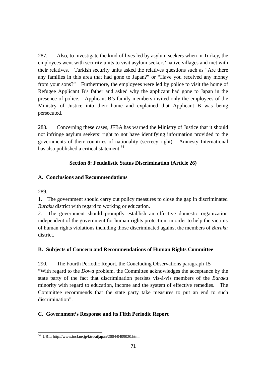287. Also, to investigate the kind of lives led by asylum seekers when in Turkey, the employees went with security units to visit asylum seekers' native villages and met with their relatives. Turkish security units asked the relatives questions such as "Are there any families in this area that had gone to Japan?" or "Have you received any money from your sons?" Furthermore, the employees were led by police to visit the home of Refugee Applicant B's father and asked why the applicant had gone to Japan in the presence of police. Applicant B's family members invited only the employees of the Ministry of Justice into their home and explained that Applicant B was being persecuted.

288. Concerning these cases, JFBA has warned the Ministry of Justice that it should not infringe asylum seekers' right to not have identifying information provided to the governments of their countries of nationality (secrecy right). Amnesty International has also published a critical statement.<sup>34</sup>

# **Section 8: Feudalistic Status Discrimination (Article 26)**

# **A. Conclusions and Recommendations**

289.

1. The government should carry out policy measures to close the gap in discriminated *Buraku* district with regard to working or education.

2. The government should promptly establish an effective domestic organization independent of the government for human-rights protection, in order to help the victims of human rights violations including those discriminated against the members of *Buraku*  district.

# **B. Subjects of Concern and Recommendations of Human Rights Committee**

290. The Fourth Periodic Report. the Concluding Observations paragraph 15 "With regard to the *Dowa* problem, the Committee acknowledges the acceptance by the state party of the fact that discrimination persists vis-à-vis members of the *Buraku* minority with regard to education, income and the system of effective remedies. The Committee recommends that the state party take measures to put an end to such discrimination".

# **C. Government's Response and its Fifth Periodic Report**

 $\overline{a}$ 34 URL: http://www.incl.ne.jp/ktrs/aijapan/2004/0409020.html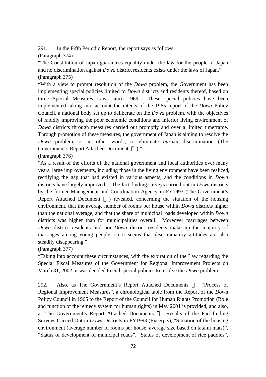291. In the Fifth Periodic Report, the report says as follows.

(Paragraph 374)

"The Constitution of Japan guarantees equality under the law for the people of Japan and no discrimination against *Dowa* district residents exists under the laws of Japan." (Paragraph 375)

"With a view to prompt resolution of the *Dowa* problem, the Government has been implementing special policies limited to *Dowa* districts and residents thereof, based on three Special Measures Laws since 1969. These special policies have been implemented taking into account the intents of the 1965 report of the *Dowa* Policy Council, a national body set up to deliberate on the *Dowa* problem, with the objectives of rapidly improving the poor economic conditions and inferior living environment of *Dowa* districts through measures carried out promptly and over a limited timeframe. Through promotion of these measures, the government of Japan is aiming to resolve the *Dowa* problem, or in other words, to eliminate *buraku* discrimination (The Government's Report Attached Document )."

(Paragraph 376)

"As a result of the efforts of the national government and local authorities over many years, large improvements, including those in the living environment have been realized, rectifying the gap that had existed in various aspects, and the conditions in *Dowa* districts have largely improved. The fact-finding surveys carried out in *Dowa* districts by the former Management and Coordination Agency in FY1993 (The Government's Report Attached Document ) revealed, concerning the situation of the housing environment, that the average number of rooms per house within *Dowa* districts higher than the national average, and that the share of municipal roads developed within *Dowa* districts was higher than for municipalities overall. Moreover marriages between *Dowa* district residents and non-*Dowa* district residents make up the majority of marriages among young people, so it seems that discriminatory attitudes are also steadily disappearing."

(Paragraph 377)

"Taking into account these circumstances, with the expiration of the Law regarding the Special Fiscal Measures of the Government for Regional Improvement Projects on March 31, 2002, it was decided to end special policies to resolve the *Dowa* problem."

292. Also, as The Government's Report Attached Documents , "Process of Regional Improvement Measures", a chronological table from the Report of the *Dowa* Policy Council in 1965 to the Report of the Council for Human Rights Promotion (Role and function of the remedy system for human rights) in May 2001 is provided, and also, as The Government's Report Attached Documents , Results of the Fact-finding Surveys Carried Out in *Dowa* Districts in FY1993 (Excerpts), "Situation of the housing environment (average number of rooms per house, average size based on tatami mats)", "Status of development of municipal roads", "Status of development of rice paddies",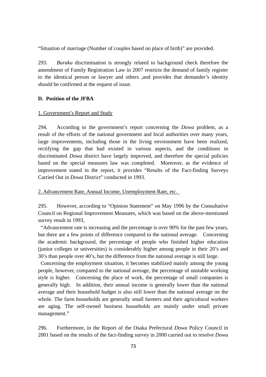"Situation of marriage (Number of couples based on place of birth)" are provided.

293. *Buraku* discrimination is strongly related to background check therefore the amendment of Family Registration Law in 2007 restricts the demand of family register to the identical person or lawyer and others ,and provides that demander's identity should be confirmed at the request of issue.

## **D. Position of the JFBA**

## 1. Government's Report and Study

294. According to the government's report concerning the *Dowa* problem, as a result of the efforts of the national government and local authorities over many years, large improvements, including those in the living environment have been realized, rectifying the gap that had existed in various aspects, and the conditions in discriminated *Dowa* district have largely improved, and therefore the special policies based on the special measures law was completed. Moreover, as the evidence of improvement stated in the report, it provides "Results of the Fact-finding Surveys Carried Out in *Dowa* District" conducted in 1993.

2. Advancement Rate, Annual Income, Unemployment Rate, etc.

295. However, according to "Opinion Statement" on May 1996 by the Consultative Council on Regional Improvement Measures, which was based on the above-mentioned survey result in 1993,

 "Advancement rate is increasing and the percentage is over 90% for the past few years, but there are a few points of difference compared to the national average. Concerning the academic background, the percentage of people who finished higher education (junior colleges or universities) is considerably higher among people in their 20's and 30's than people over 40's, but the difference from the national average is still large.

 Concerning the employment situation, it becomes stabilized mainly among the young people, however, compared to the national average, the percentage of unstable working style is higher. Concerning the place of work, the percentage of small companies is generally high. In addition, their annual income is generally lower than the national average and their household budget is also still lower than the national average on the whole. The farm households are generally small farmers and their agricultural workers are aging. The self-owned business households are mainly under small private management."

296. Furthermore, in the Report of the Osaka Prefectural *Dowa* Policy Council in 2001 based on the results of the fact-finding survey in 2000 carried out to resolve *Dowa*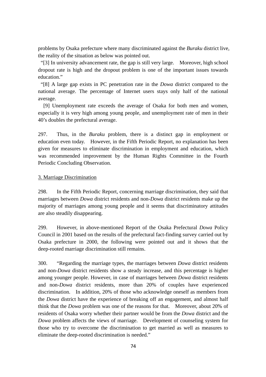problems by Osaka prefecture where many discriminated against the *Buraku* district live, the reality of the situation as below was pointed out.

 "[3] In university advancement rate, the gap is still very large. Moreover, high school dropout rate is high and the dropout problem is one of the important issues towards education."

 "[8] A large gap exists in PC penetration rate in the *Dowa* district compared to the national average. The percentage of Internet users stays only half of the national average.

 [9] Unemployment rate exceeds the average of Osaka for both men and women, especially it is very high among young people, and unemployment rate of men in their 40's doubles the prefectural average.

297. Thus, in the *Buraku* problem, there is a distinct gap in employment or education even today. However, in the Fifth Periodic Report, no explanation has been given for measures to eliminate discrimination in employment and education, which was recommended improvement by the Human Rights Committee in the Fourth Periodic Concluding Observation.

## 3. Marriage Discrimination

298. In the Fifth Periodic Report, concerning marriage discrimination, they said that marriages between *Dowa* district residents and non-*Dowa* district residents make up the majority of marriages among young people and it seems that discriminatory attitudes are also steadily disappearing.

299. However, in above-mentioned Report of the Osaka Prefectural *Dowa* Policy Council in 2001 based on the results of the prefectural fact-finding survey carried out by Osaka prefecture in 2000, the following were pointed out and it shows that the deep-rooted marriage discrimination still remains.

300. "Regarding the marriage types, the marriages between *Dowa* district residents and non-*Dowa* district residents show a steady increase, and this percentage is higher among younger people. However, in case of marriages between *Dowa* district residents and non-*Dowa* district residents, more than 20% of couples have experienced discrimination. In addition, 20% of those who acknowledge oneself as members from the *Dowa* district have the experience of breaking off an engagement, and almost half think that the *Dowa* problem was one of the reasons for that. Moreover, about 20% of residents of Osaka worry whether their partner would be from the *Dowa* district and the *Dowa* problem affects the views of marriage. Development of counseling system for those who try to overcome the discrimination to get married as well as measures to eliminate the deep-rooted discrimination is needed."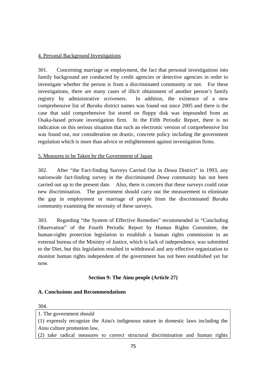# 4. Personal Background Investigations

301. Concerning marriage or employment, the fact that personal investigations into family background are conducted by credit agencies or detective agencies in order to investigate whether the person is from a discriminated community or not. For these investigations, there are many cases of illicit obtainment of another person's family registry by administrative scriveners. In addition, the existence of a new comprehensive list of *Buraku* district names was found out since 2005 and there is the case that said comprehensive list stored on floppy disk was impounded from an Osaka-based private investigation firm. In the Fifth Periodic Report, there is no indication on this serious situation that such an electronic version of comprehensive list was found out, nor consideration on drastic, concrete policy including the government regulation which is more than advice or enlightenment against investigation firms.

# 5. Measures to be Taken by the Government of Japan

302. After "the Fact-finding Surveys Carried Out in *Dowa* District" in 1993, any nationwide fact-finding survey in the discriminated *Dowa* community has not been carried out up to the present date. Also, there is concern that these surveys could raise new discrimination. The government should carry out the measurement to eliminate the gap in employment or marriage of people from the discriminated *Buraku* community examining the necessity of these surveys.

303. Regarding "the System of Effective Remedies" recommended in "Concluding Observation" of the Fourth Periodic Report by Human Rights Committee, the human-rights protection legislation to establish a human rights commission in an external bureau of the Ministry of Justice, which is lack of independence, was submitted to the Diet, but this legislation resulted in withdrawal and any effective organization to monitor human rights independent of the government has not been established yet for now.

# **Section 9: The Ainu people (Article 27)**

## **A. Conclusions and Recommendations**

#### 304.

1. The government should (1) expressly recognize the Ainu's indigenous nature in domestic laws including the Ainu culture promotion law,

(2) take radical measures to correct structural discrimination and human rights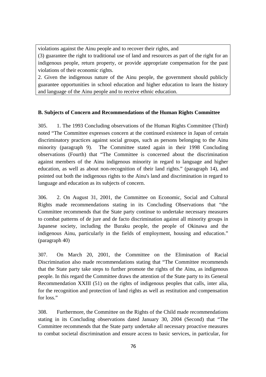violations against the Ainu people and to recover their rights, and

(3) guarantee the right to traditional use of land and resources as part of the right for an indigenous people, return property, or provide appropriate compensation for the past violations of their economic rights.

2. Given the indigenous nature of the Ainu people, the government should publicly guarantee opportunities in school education and higher education to learn the history and language of the Ainu people and to receive ethnic education.

# **B. Subjects of Concern and Recommendations of the Human Rights Committee**

305. 1. The 1993 Concluding observations of the Human Rights Committee (Third) noted "The Committee expresses concern at the continued existence in Japan of certain discriminatory practices against social groups, such as persons belonging to the Ainu minority (paragraph 9). The Committee stated again in their 1998 Concluding observations (Fourth) that "The Committee is concerned about the discrimination against members of the Ainu indigenous minority in regard to language and higher education, as well as about non-recognition of their land rights." (paragraph 14), and pointed out both the indigenous rights to the Ainu's land and discrimination in regard to language and education as its subjects of concern.

306. 2. On August 31, 2001, the Committee on Economic, Social and Cultural Rights made recommendations stating in its Concluding Observations that "the Committee recommends that the State party continue to undertake necessary measures to combat patterns of de jure and de facto discrimination against all minority groups in Japanese society, including the Buraku people, the people of Okinawa and the indigenous Ainu, particularly in the fields of employment, housing and education." (paragraph 40)

307. On March 20, 2001, the Committee on the Elimination of Racial Discrimination also made recommendations stating that "The Committee recommends that the State party take steps to further promote the rights of the Ainu, as indigenous people. In this regard the Committee draws the attention of the State party to its General Recommendation XXIII (51) on the rights of indigenous peoples that calls, inter alia, for the recognition and protection of land rights as well as restitution and compensation for loss."

308. Furthermore, the Committee on the Rights of the Child made recommendations stating in its Concluding observations dated January 30, 2004 (Second) that "The Committee recommends that the State party undertake all necessary proactive measures to combat societal discrimination and ensure access to basic services, in particular, for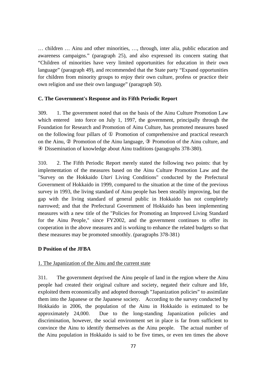… children … Ainu and other minorities, …, through, inter alia, public education and awareness campaigns." (paragraph 25), and also expressed its concern stating that "Children of minorities have very limited opportunities for education in their own language" (paragraph 49), and recommended that the State party "Expand opportunities for children from minority groups to enjoy their own culture, profess or practice their own religion and use their own language" (paragraph 50).

#### **C. The Government's Response and its Fifth Periodic Report**

309. 1. The government noted that on the basis of the Ainu Culture Promotion Law which entered into force on July 1, 1997, the government, principally through the Foundation for Research and Promotion of Ainu Culture, has promoted measures based on the following four pillars of Promotion of comprehensive and practical research on the Ainu, Promotion of the Ainu language, Promotion of the Ainu culture, and Dissemination of knowledge about Ainu traditions (paragraphs 378-380).

310. 2. The Fifth Periodic Report merely stated the following two points: that by implementation of the measures based on the Ainu Culture Promotion Law and the "Survey on the Hokkaido *Utari* Living Conditions" conducted by the Prefectural Government of Hokkaido in 1999, compared to the situation at the time of the previous survey in 1993, the living standard of Ainu people has been steadily improving, but the gap with the living standard of general public in Hokkaido has not completely narrowed; and that the Prefectural Government of Hokkaido has been implementing measures with a new title of the "Policies for Promoting an Improved Living Standard for the Ainu People," since FY2002, and the government continues to offer its cooperation in the above measures and is working to enhance the related budgets so that these measures may be promoted smoothly. (paragraphs 378-381)

## **D Position of the JFBA**

#### 1. The Japanization of the Ainu and the current state

311. The government deprived the Ainu people of land in the region where the Ainu people had created their original culture and society, negated their culture and life, exploited them economically and adopted thorough "Japanization policies" to assimilate them into the Japanese or the Japanese society. According to the survey conducted by Hokkaido in 2006, the population of the Ainu in Hokkaido is estimated to be approximately 24,000. Due to the long-standing Japanization policies and discrimination, however, the social environment set in place is far from sufficient to convince the Ainu to identify themselves as the Ainu people. The actual number of the Ainu population in Hokkaido is said to be five times, or even ten times the above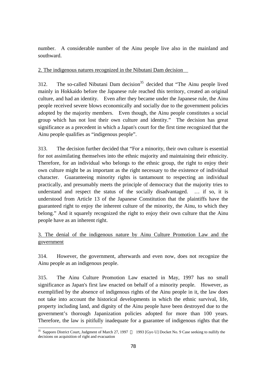number. A considerable number of the Ainu people live also in the mainland and southward.

2. The indigenous natures recognized in the Nibutani Dam decision

312. The so-called Nibutani Dam decision<sup>35</sup> decided that "The Ainu people lived mainly in Hokkaido before the Japanese rule reached this territory, created an original culture, and had an identity. Even after they became under the Japanese rule, the Ainu people received severe blows economically and socially due to the government policies adopted by the majority members. Even though, the Ainu people constitutes a social group which has not lost their own culture and identity." The decision has great significance as a precedent in which a Japan's court for the first time recognized that the Ainu people qualifies as "indigenous people".

313. The decision further decided that "For a minority, their own culture is essential for not assimilating themselves into the ethnic majority and maintaining their ethnicity. Therefore, for an individual who belongs to the ethnic group, the right to enjoy their own culture might be as important as the right necessary to the existence of individual character. Guaranteeing minority rights is tantamount to respecting an individual practically, and presumably meets the principle of democracy that the majority tries to understand and respect the status of the socially disadvantaged. … if so, it is understood from Article 13 of the Japanese Constitution that the plaintiffs have the guaranteed right to enjoy the inherent culture of the minority, the Ainu, to which they belong." And it squarely recognized the right to enjoy their own culture that the Ainu people have as an inherent right.

# 3. The denial of the indigenous nature by Ainu Culture Promotion Law and the government

314. However, the government, afterwards and even now, does not recognize the Ainu people as an indigenous people.

315. The Ainu Culture Promotion Law enacted in May, 1997 has no small significance as Japan's first law enacted on behalf of a minority people. However, as exemplified by the absence of indigenous rights of the Ainu people in it, the law does not take into account the historical developments in which the ethnic survival, life, property including land, and dignity of the Ainu people have been destroyed due to the government's thorough Japanization policies adopted for more than 100 years. Therefore, the law is pitifully inadequate for a guarantee of indigenous rights that the

 $\overline{a}$ <sup>35</sup> Sapporo District Court, Judgment of March 27, 1997 1993 [Gyo U] Docket No. 9 Case seeking to nullify the decisions on acquisition of right and evacuation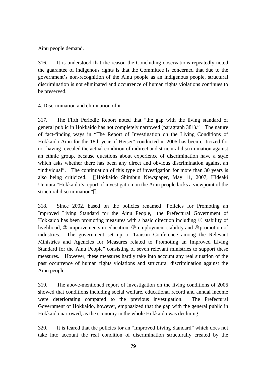Ainu people demand.

316. It is understood that the reason the Concluding observations repeatedly noted the guarantee of indigenous rights is that the Committee is concerned that due to the government's non-recognition of the Ainu people as an indigenous people, structural discrimination is not eliminated and occurrence of human rights violations continues to be preserved.

# 4. Discrimination and elimination of it

317. The Fifth Periodic Report noted that "the gap with the living standard of general public in Hokkaido has not completely narrowed (paragraph 381)." The nature of fact-finding ways in "The Report of Investigation on the Living Conditions of Hokkaido Ainu for the 18th year of Heisei" conducted in 2006 has been criticized for not having revealed the actual condition of indirect and structural discrimination against an ethnic group, because questions about experience of discrimination have a style which asks whether there has been any direct and obvious discrimination against an "individual". The continuation of this type of investigation for more than 30 years is also being criticized. Hokkaido Shimbun Newspaper, May 11, 2007, Hideaki Uemura "Hokkaido's report of investigation on the Ainu people lacks a viewpoint of the structural discrimination" .

318. Since 2002, based on the policies renamed "Policies for Promoting an Improved Living Standard for the Ainu People," the Prefectural Government of Hokkaido has been promoting measures with a basic direction including stability of livelihood, improvements in education, employment stability and promotion of industries. The government set up a "Liaison Conference among the Relevant Ministries and Agencies for Measures related to Promoting an Improved Living Standard for the Ainu People" consisting of seven relevant ministries to support these measures. However, these measures hardly take into account any real situation of the past occurrence of human rights violations and structural discrimination against the Ainu people.

319. The above-mentioned report of investigation on the living conditions of 2006 showed that conditions including social welfare, educational record and annual income were deteriorating compared to the previous investigation. The Prefectural Government of Hokkaido, however, emphasized that the gap with the general public in Hokkaido narrowed, as the economy in the whole Hokkaido was declining.

320. It is feared that the policies for an "Improved Living Standard" which does not take into account the real condition of discrimination structurally created by the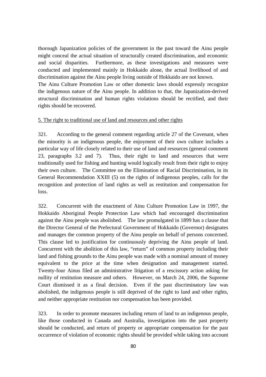thorough Japanization policies of the government in the past toward the Ainu people might conceal the actual situation of structurally created discrimination, and economic and social disparities. Furthermore, as these investigations and measures were conducted and implemented mainly in Hokkaido alone, the actual livelihood of and discrimination against the Ainu people living outside of Hokkaido are not known.

The Ainu Culture Promotion Law or other domestic laws should expressly recognize the indigenous nature of the Ainu people. In addition to that, the Japanization-derived structural discrimination and human rights violations should be rectified, and their rights should be recovered.

## 5. The right to traditional use of land and resources and other rights

321. According to the general comment regarding article 27 of the Covenant, when the minority is an indigenous people, the enjoyment of their own culture includes a particular way of life closely related to their use of land and resources (general comment 23, paragraphs 3.2 and 7). Thus, their right to land and resources that were traditionally used for fishing and hunting would logically result from their right to enjoy their own culture. The Committee on the Elimination of Racial Discrimination, in its General Recommendation XXIII (5) on the rights of indigenous peoples, calls for the recognition and protection of land rights as well as restitution and compensation for loss.

322. Concurrent with the enactment of Ainu Culture Promotion Law in 1997, the Hokkaido Aboriginal People Protection Law which had encouraged discrimination against the Ainu people was abolished. The law promulgated in 1899 has a clause that the Director General of the Prefectural Government of Hokkaido (Governor) designates and manages the common property of the Ainu people on behalf of persons concerned. This clause led to justification for continuously depriving the Ainu people of land. Concurrent with the abolition of this law, "return" of common property including their land and fishing grounds to the Ainu people was made with a nominal amount of money equivalent to the price at the time when designation and management started. Twenty-four Ainus filed an administrative litigation of a rescissory action asking for nullity of restitution measure and others. However, on March 24, 2006, the Supreme Court dismissed it as a final decision. Even if the past discriminatory law was abolished, the indigenous people is still deprived of the right to land and other rights, and neither appropriate restitution nor compensation has been provided.

323. In order to promote measures including return of land to an indigenous people, like those conducted in Canada and Australia, investigation into the past property should be conducted, and return of property or appropriate compensation for the past occurrence of violation of economic rights should be provided while taking into account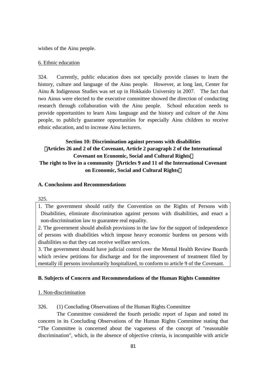wishes of the Ainu people.

#### 6. Ethnic education

324. Currently, public education does not specially provide classes to learn the history, culture and language of the Ainu people. However, at long last, Center for Ainu & Indigenous Studies was set up in Hokkaido University in 2007. The fact that two Ainus were elected to the executive committee showed the direction of conducting research through collaboration with the Ainu people. School education needs to provide opportunities to learn Ainu language and the history and culture of the Ainu people, to publicly guarantee opportunities for especially Ainu children to receive ethnic education, and to increase Ainu lecturers.

# **Section 10: Discrimination against persons with disabilities**  (**Articles 26 and 2 of the Covenant, Article 2 paragraph 2 of the International Covenant on Economic, Social and Cultural Rights**) **The right to live in a community** (**Articles 9 and 11 of the International Covenant**

# **on Economic, Social and Cultural Rights**)

## **A. Conclusions and Recommendations**

#### 325.

1. The government should ratify the Convention on the Rights of Persons with Disabilities, eliminate discrimination against persons with disabilities, and enact a non-discrimination law to guarantee real equality.

2. The government should abolish provisions in the law for the support of independence of persons with disabilities which impose heavy economic burdens on persons with disabilities so that they can receive welfare services.

3. The government should have judicial control over the Mental Health Review Boards which review petitions for discharge and for the improvement of treatment filed by mentally ill persons involuntarily hospitalized, to conform to article 9 of the Covenant.

## **B. Subjects of Concern and Recommendations of the Human Rights Committee**

## 1. Non-discrimination

326. (1) Concluding Observations of the Human Rights Committee

The Committee considered the fourth periodic report of Japan and noted its concern in its Concluding Observations of the Human Rights Committee stating that "The Committee is concerned about the vagueness of the concept of "reasonable discrimination", which, in the absence of objective criteria, is incompatible with article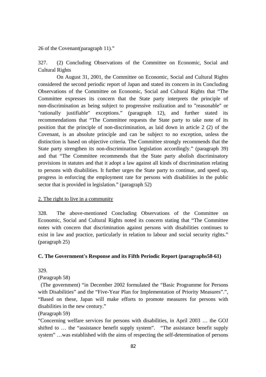26 of the Covenant(paragraph 11)."

327. (2) Concluding Observations of the Committee on Economic, Social and Cultural Rights

On August 31, 2001, the Committee on Economic, Social and Cultural Rights considered the second periodic report of Japan and stated its concern in its Concluding Observations of the Committee on Economic, Social and Cultural Rights that "The Committee expresses its concern that the State party interprets the principle of non-discrimination as being subject to progressive realization and to "reasonable" or "rationally justifiable" exceptions." (paragraph 12), and further stated its recommendations that "The Committee requests the State party to take note of its position that the principle of non-discrimination, as laid down in article 2 (2) of the Covenant, is an absolute principle and can be subject to no exception, unless the distinction is based on objective criteria. The Committee strongly recommends that the State party strengthen its non-discrimination legislation accordingly." (paragraph 39) and that "The Committee recommends that the State party abolish discriminatory provisions in statutes and that it adopt a law against all kinds of discrimination relating to persons with disabilities. It further urges the State party to continue, and speed up, progress in enforcing the employment rate for persons with disabilities in the public sector that is provided in legislation." (paragraph 52)

## 2. The right to live in a community

328. The above-mentioned Concluding Observations of the Committee on Economic, Social and Cultural Rights noted its concern stating that "The Committee notes with concern that discrimination against persons with disabilities continues to exist in law and practice, particularly in relation to labour and social security rights." (paragraph 25)

#### **C. The Government's Response and its Fifth Periodic Report (paragraphs58-61)**

329.

## (Paragraph 58)

 (The government) "in December 2002 formulated the "Basic Programme for Persons with Disabilities" and the "Five-Year Plan for Implementation of Priority Measures".", "Based on these, Japan will make efforts to promote measures for persons with disabilities in the new century."

(Paragraph 59)

"Concerning welfare services for persons with disabilities, in April 2003 … the GOJ shifted to … the "assistance benefit supply system". "The assistance benefit supply system" …was established with the aims of respecting the self-determination of persons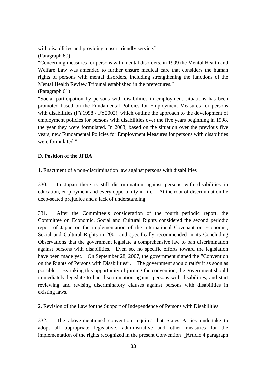with disabilities and providing a user-friendly service."

(Paragraph 60)

"Concerning measures for persons with mental disorders, in 1999 the Mental Health and Welfare Law was amended to further ensure medical care that considers the human rights of persons with mental disorders, including strengthening the functions of the Mental Health Review Tribunal established in the prefectures."

(Paragraph 61)

"Social participation by persons with disabilities in employment situations has been promoted based on the Fundamental Policies for Employment Measures for persons with disabilities (FY1998 - FY2002), which outline the approach to the development of employment policies for persons with disabilities over the five years beginning in 1998, the year they were formulated. In 2003, based on the situation over the previous five years, new Fundamental Policies for Employment Measures for persons with disabilities were formulated."

# **D. Position of the JFBA**

# 1. Enactment of a non-discrimination law against persons with disabilities

330. In Japan there is still discrimination against persons with disabilities in education, employment and every opportunity in life. At the root of discrimination lie deep-seated prejudice and a lack of understanding.

331. After the Committee's consideration of the fourth periodic report, the Committee on Economic, Social and Cultural Rights considered the second periodic report of Japan on the implementation of the International Covenant on Economic, Social and Cultural Rights in 2001 and specifically recommended in its Concluding Observations that the government legislate a comprehensive law to ban discrimination against persons with disabilities. Even so, no specific efforts toward the legislation have been made yet. On September 28, 2007, the government signed the "Convention on the Rights of Persons with Disabilities". The government should ratify it as soon as possible. By taking this opportunity of joining the convention, the government should immediately legislate to ban discrimination against persons with disabilities, and start reviewing and revising discriminatory clauses against persons with disabilities in existing laws.

# 2. Revision of the Law for the Support of Independence of Persons with Disabilities

332. The above-mentioned convention requires that States Parties undertake to adopt all appropriate legislative, administrative and other measures for the implementation of the rights recognized in the present Convention Article 4 paragraph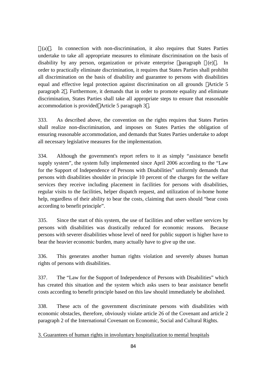(a) . In connection with non-discrimination, it also requires that States Parties undertake to take all appropriate measures to eliminate discrimination on the basis of disability by any person, organization or private enterprise paragraph (e) . In order to practically eliminate discrimination, it requires that States Parties shall prohibit all discrimination on the basis of disability and guarantee to persons with disabilities equal and effective legal protection against discrimination on all grounds Article 5 paragraph 2 . Furthermore, it demands that in order to promote equality and eliminate discrimination, States Parties shall take all appropriate steps to ensure that reasonable accommodation is provided Article 5 paragraph 3 .

333. As described above, the convention on the rights requires that States Parties shall realize non-discrimination, and imposes on States Parties the obligation of ensuring reasonable accommodation, and demands that States Parties undertake to adopt all necessary legislative measures for the implementation.

334. Although the government's report refers to it as simply "assistance benefit supply system", the system fully implemented since April 2006 according to the "Law for the Support of Independence of Persons with Disabilities" uniformly demands that persons with disabilities shoulder in principle 10 percent of the charges for the welfare services they receive including placement in facilities for persons with disabilities, regular visits to the facilities, helper dispatch request, and utilization of in-home home help, regardless of their ability to bear the costs, claiming that users should "bear costs according to benefit principle".

335. Since the start of this system, the use of facilities and other welfare services by persons with disabilities was drastically reduced for economic reasons. Because persons with severer disabilities whose level of need for public support is higher have to bear the heavier economic burden, many actually have to give up the use.

336. This generates another human rights violation and severely abuses human rights of persons with disabilities.

337. The "Law for the Support of Independence of Persons with Disabilities" which has created this situation and the system which asks users to bear assistance benefit costs according to benefit principle based on this law should immediately be abolished.

338. These acts of the government discriminate persons with disabilities with economic obstacles, therefore, obviously violate article 26 of the Covenant and article 2 paragraph 2 of the International Covenant on Economic, Social and Cultural Rights.

3. Guarantees of human rights in involuntary hospitalization to mental hospitals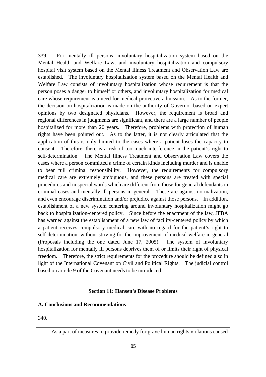339. For mentally ill persons, involuntary hospitalization system based on the Mental Health and Welfare Law, and involuntary hospitalization and compulsory hospital visit system based on the Mental Illness Treatment and Observation Law are established. The involuntary hospitalization system based on the Mental Health and Welfare Law consists of involuntary hospitalization whose requirement is that the person poses a danger to himself or others, and involuntary hospitalization for medical care whose requirement is a need for medical-protective admission. As to the former, the decision on hospitalization is made on the authority of Governor based on expert opinions by two designated physicians. However, the requirement is broad and regional differences in judgments are significant, and there are a large number of people hospitalized for more than 20 years. Therefore, problems with protection of human rights have been pointed out. As to the latter, it is not clearly articulated that the application of this is only limited to the cases where a patient loses the capacity to consent. Therefore, there is a risk of too much interference in the patient's right to self-determination. The Mental Illness Treatment and Observation Law covers the cases where a person committed a crime of certain kinds including murder and is unable to bear full criminal responsibility. However, the requirements for compulsory medical care are extremely ambiguous, and these persons are treated with special procedures and in special wards which are different from those for general defendants in criminal cases and mentally ill persons in general. These are against normalization, and even encourage discrimination and/or prejudice against those persons. In addition, establishment of a new system centering around involuntary hospitalization might go back to hospitalization-centered policy. Since before the enactment of the law, JFBA has warned against the establishment of a new law of facility-centered policy by which a patient receives compulsory medical care with no regard for the patient's right to self-determination, without striving for the improvement of medical welfare in general (Proposals including the one dated June 17, 2005). The system of involuntary hospitalization for mentally ill persons deprives them of or limits their right of physical freedom. Therefore, the strict requirements for the procedure should be defined also in light of the International Covenant on Civil and Political Rights. The judicial control based on article 9 of the Covenant needs to be introduced.

#### **Section 11: Hansen's Disease Problems**

#### **A. Conclusions and Recommendations**

340.

As a part of measures to provide remedy for grave human rights violations caused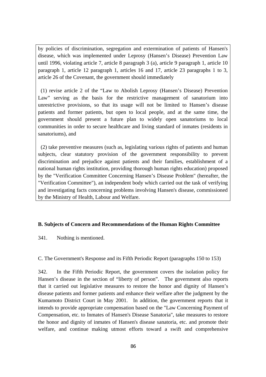by policies of discrimination, segregation and extermination of patients of Hansen's disease, which was implemented under Leprosy (Hansen's Disease) Prevention Law until 1996, violating article 7, article 8 paragraph 3 (a), article 9 paragraph 1, article 10 paragraph 1, article 12 paragraph 1, articles 16 and 17, article 23 paragraphs 1 to 3, article 26 of the Covenant, the government should immediately

 (1) revise article 2 of the "Law to Abolish Leprosy (Hansen's Disease) Prevention Law" serving as the basis for the restrictive management of sanatorium into unrestrictive provisions, so that its usage will not be limited to Hansen's disease patients and former patients, but open to local people, and at the same time, the government should present a future plan to widely open sanatoriums to local communities in order to secure healthcare and living standard of inmates (residents in sanatoriums), and

 (2) take preventive measures (such as, legislating various rights of patients and human subjects, clear statutory provision of the government responsibility to prevent discrimination and prejudice against patients and their families, establishment of a national human rights institution, providing thorough human rights education) proposed by the "Verification Committee Concerning Hansen's Disease Problem" (hereafter, the "Verification Committee"), an independent body which carried out the task of verifying and investigating facts concerning problems involving Hansen's disease, commissioned by the Ministry of Health, Labour and Welfare.

## **B. Subjects of Concern and Recommendations of the Human Rights Committee**

341. Nothing is mentioned.

C. The Government's Response and its Fifth Periodic Report (paragraphs 150 to 153)

342. In the Fifth Periodic Report, the government covers the isolation policy for Hansen's disease in the section of "liberty of person". The government also reports that it carried out legislative measures to restore the honor and dignity of Hansen's disease patients and former patients and enhance their welfare after the judgment by the Kumamoto District Court in May 2001. In addition, the government reports that it intends to provide appropriate compensation based on the "Law Concerning Payment of Compensation, etc. to Inmates of Hansen's Disease Sanatoria", take measures to restore the honor and dignity of inmates of Hansen's disease sanatoria, etc. and promote their welfare, and continue making utmost efforts toward a swift and comprehensive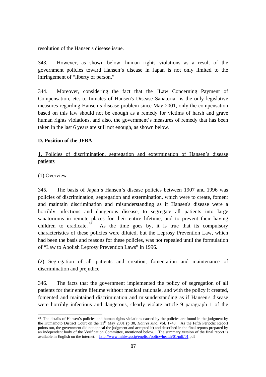resolution of the Hansen's disease issue.

343. However, as shown below, human rights violations as a result of the government policies toward Hansen's disease in Japan is not only limited to the infringement of "liberty of person."

344. Moreover, considering the fact that the "Law Concerning Payment of Compensation, etc. to Inmates of Hansen's Disease Sanatoria" is the only legislative measures regarding Hansen's disease problem since May 2001, only the compensation based on this law should not be enough as a remedy for victims of harsh and grave human rights violations, and also, the government's measures of remedy that has been taken in the last 6 years are still not enough, as shown below.

# **D. Position of the JFBA**

1. Policies of discrimination, segregation and extermination of Hansen's disease patients

(1) Overview

345. The basis of Japan's Hansen's disease policies between 1907 and 1996 was policies of discrimination, segregation and extermination, which were to create, foment and maintain discrimination and misunderstanding as if Hansen's disease were a horribly infectious and dangerous disease, to segregate all patients into large sanatoriums in remote places for their entire lifetime, and to prevent their having children to eradicate.  $36$  As the time goes by, it is true that its compulsory characteristics of these policies were diluted, but the Leprosy Prevention Law, which had been the basis and reasons for these policies, was not repealed until the formulation of "Law to Abolish Leprosy Prevention Laws" in 1996.

(2) Segregation of all patients and creation, fomentation and maintenance of discrimination and prejudice

346. The facts that the government implemented the policy of segregation of all patients for their entire lifetime without medical rationale, and with the policy it created, fomented and maintained discrimination and misunderstanding as if Hansen's disease were horribly infectious and dangerous, clearly violate article 9 paragraph 1 of the

 $\overline{a}$ <sup>36</sup> The details of Hansen's policies and human rights violations caused by the policies are found in the judgment by the Kumamoto District Court on the 11<sup>th</sup> May 2001 (p 30, *Hanrei Jiho*, vol. 1748. As the Fifth Periodic Report points out, the government did not appeal the judgment and accepted it) and described in the final reports prepared by an independent body of the Verification Committee, mentioned below. The summary version of the final report is available in English on the internet. http://www.mhlw.go.jp/english/policy/health/01/pdf/01.pdf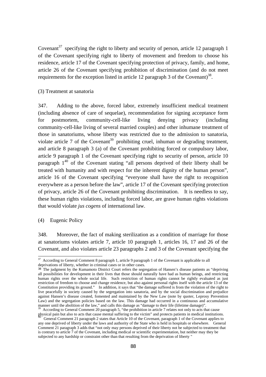Covenant<sup>37</sup> specifying the right to liberty and security of person, article 12 paragraph 1 of the Covenant specifying right to liberty of movement and freedom to choose his residence, article 17 of the Covenant specifying protection of privacy, family, and home, article 26 of the Covenant specifying prohibition of discrimination (and do not meet requirements for the exception listed in article 12 paragraph 3 of the Covenant)<sup>38</sup>.

#### (3) Treatment at sanatoria

347. Adding to the above, forced labor, extremely insufficient medical treatment (including absence of care of sequelae), recommendation for signing acceptance form for postmortem, community-cell-like living denying privacy (including community-cell-like living of several married couples) and other inhumane treatment of those in sanatoriums, whose liberty was restricted due to the admission to sanatoria, violate article 7 of the Covenant<sup>39</sup> prohibiting cruel, inhuman or degrading treatment, and article 8 paragraph 3 (a) of the Covenant prohibiting forced or compulsory labor, article 9 paragraph 1 of the Covenant specifying right to security of person, article 10 paragraph  $1^{40}$  of the Covenant stating "all persons deprived of their liberty shall be treated with humanity and with respect for the inherent dignity of the human person", article 16 of the Covenant specifying "everyone shall have the right to recognition everywhere as a person before the law", article 17 of the Covenant specifying protection of privacy, article 26 of the Covenant prohibiting discrimination. It is needless to say, these human rights violations, including forced labor, are grave human rights violations that would violate *jus cogens* of international law.

#### (4) Eugenic Policy

 $\overline{a}$ 

348. Moreover, the fact of making sterilization as a condition of marriage for those at sanatoriums violates article 7, article 10 paragraph 1, articles 16, 17 and 26 of the Covenant, and also violates article 23 paragraphs 2 and 3 of the Covenant specifying the

 $37$  According to General Comment 8 paragraph 1, article 9 paragraph 1 of the Covenant is applicable to all deprivations of liberty, whether in criminal cases or in other cases.

<sup>&</sup>lt;sup>38</sup> The judgment by the Kumamoto District Court refers the segregation of Hansen's disease patients as "depriving all possibilities for development in their lives that those should naturally have had as human beings, and restricting human rights over the whole social life. Such restriction of human rights cannot be rightly evaluated as just restriction of freedom to choose and change residence, but also against personal rights itself with the article 13 of the Constitution providing its ground." In addition, it says that "the damage suffered is from the violation of the right to live peacefully in society caused by the segregation into sanatoria, and by the social discrimination and prejudice against Hansen's disease created, fomented and maintained by the New Law (note by quoter, Leprosy Prevention Law) and the segregation policies based on the law. This damage had occurred in a continuous and accumulative manner until the abolition of the law," and calls this damage as "damage to their life (lifetime damage)".

According to General Comment 20 paragraph 5, "the prohibition in article 7 relates not only to acts that cause

physical pain but also to acts that cause mental suffering to the victim" and protects patients in medical institutions.<br><sup>40</sup> General Comment 21 paragraph 2 states that Article 10 of the Covenant, paragraph 1 of the Covena any one deprived of liberty under the laws and authority of the State who is held in hospitals or elsewhere. General Comment 21 paragraph 3 adds that "not only may persons deprived of their liberty not be subjected to treatment that is contrary to article 7 of the Covenant, including medical or scientific experimentation, but neither may they be subjected to any hardship or constraint other than that resulting from the deprivation of liberty "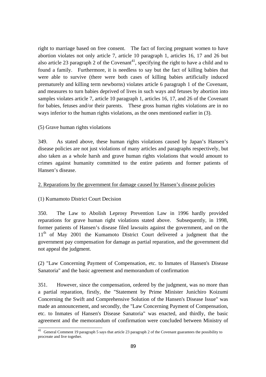right to marriage based on free consent. The fact of forcing pregnant women to have abortion violates not only article 7, article 10 paragraph 1, articles 16, 17 and 26 but also article 23 paragraph 2 of the Covenant<sup>41</sup>, specifying the right to have a child and to found a family. Furthermore, it is needless to say but the fact of killing babies that were able to survive (there were both cases of killing babies artificially induced prematurely and killing term newborns) violates article 6 paragraph 1 of the Covenant, and measures to turn babies deprived of lives in such ways and fetuses by abortion into samples violates article 7, article 10 paragraph 1, articles 16, 17, and 26 of the Covenant for babies, fetuses and/or their parents. These gross human rights violations are in no ways inferior to the human rights violations, as the ones mentioned earlier in (3).

## (5) Grave human rights violations

349. As stated above, these human rights violations caused by Japan's Hansen's disease policies are not just violations of many articles and paragraphs respectively, but also taken as a whole harsh and grave human rights violations that would amount to crimes against humanity committed to the entire patients and former patients of Hansen's disease.

## 2. Reparations by the government for damage caused by Hansen's disease policies

# (1) Kumamoto District Court Decision

350. The Law to Abolish Leprosy Prevention Law in 1996 hardly provided reparations for grave human right violations stated above. Subsequently, in 1998, former patients of Hansen's disease filed lawsuits against the government, and on the  $11<sup>th</sup>$  of May 2001 the Kumamoto District Court delivered a judgment that the government pay compensation for damage as partial reparation, and the government did not appeal the judgment.

(2) "Law Concerning Payment of Compensation, etc. to Inmates of Hansen's Disease Sanatoria" and the basic agreement and memorandum of confirmation

351. However, since the compensation, ordered by the judgment, was no more than a partial reparation, firstly, the "Statement by Prime Minister Junichiro Koizumi Concerning the Swift and Comprehensive Solution of the Hansen's Disease Issue" was made an announcement, and secondly, the "Law Concerning Payment of Compensation, etc. to Inmates of Hansen's Disease Sanatoria" was enacted, and thirdly, the basic agreement and the memorandum of confirmation were concluded between Ministry of

 $\overline{\phantom{a}}$ <sup>41</sup> General Comment 19 paragraph 5 says that article 23 paragraph 2 of the Covenant guarantees the possibility to procreate and live together.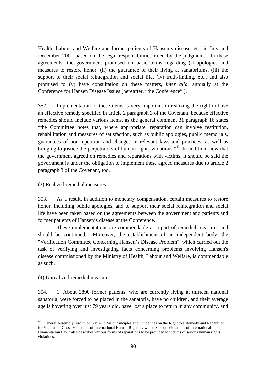Health, Labour and Welfare and former patients of Hansen's disease, etc. in July and December 2001 based on the legal responsibilities ruled by the judgment. In these agreements, the government promised on basic terms regarding (i) apologies and measures to restore honor, (ii) the guarantee of their living at sanatoriums, (iii) the support to their social reintegration and social life, (iv) truth-finding, etc., and also promised to (v) have consultation on these matters, *inter alia*, annually at the Conference for Hansen Disease Issues (hereafter, "the Conference" ).

352. Implementation of these items is very important in realizing the right to have an effective remedy specified in article 2 paragraph 3 of the Covenant, because effective remedies should include various items, as the general comment 31 paragraph 16 states "the Committee notes that, where appropriate, reparation can involve restitution, rehabilitation and measures of satisfaction, such as public apologies, public memorials, guarantees of non-repetition and changes in relevant laws and practices, as well as bringing to justice the perpetrators of human rights violations."<sup>42</sup> In addition, now that the government agreed on remedies and reparations with victims, it should be said the government is under the obligation to implement these agreed measures due to article 2 paragraph 3 of the Covenant, too.

#### (3) Realized remedial measures

353. As a result, in addition to monetary compensation, certain measures to restore honor, including public apologies, and to support their social reintegration and social life have been taken based on the agreements between the government and patients and former patients of Hansen's disease at the Conference.

These implementations are commendable as a part of remedial measures and should be continued. Moreover, the establishment of an independent body, the "Verification Committee Concerning Hansen's Disease Problem", which carried out the task of verifying and investigating facts concerning problems involving Hansen's disease commissioned by the Ministry of Health, Labour and Welfare, is commendable as such.

#### (4) Unrealized remedial measures

 $\overline{1}$ 

354. 1. About 2890 former patients, who are currently living at thirteen national sanatoria, were forced to be placed in the sanatoria, have no children, and their average age is hovering over just 79 years old, have lost a place to return in any community, and

 $42$  General Assembly resolution 60/147 "Basic Principles and Guidelines on the Right to a Remedy and Reparation for Victims of Gross Violations of International Human Rights Law and Serious Violations of International Humanitarian Law" also describes various forms of reparations to be provided to victims of serious human rights violations.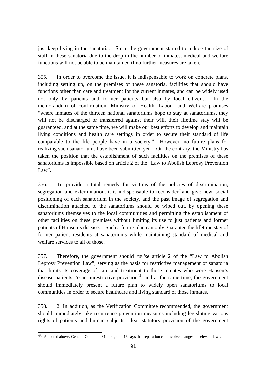just keep living in the sanatoria. Since the government started to reduce the size of staff in these sanatoria due to the drop in the number of inmates, medical and welfare functions will not be able to be maintained if no further measures are taken.

355. In order to overcome the issue, it is indispensable to work on concrete plans, including setting up, on the premises of these sanatoria, facilities that should have functions other than care and treatment for the current inmates, and can be widely used not only by patients and former patients but also by local citizens. In the memorandum of confirmation, Ministry of Health, Labour and Welfare promises "where inmates of the thirteen national sanatoriums hope to stay at sanatoriums, they will not be discharged or transferred against their will, their lifetime stay will be guaranteed, and at the same time, we will make our best efforts to develop and maintain living conditions and health care settings in order to secure their standard of life comparable to the life people have in a society." However, no future plans for realizing such sanatoriums have been submitted yet. On the contrary, the Ministry has taken the position that the establishment of such facilities on the premises of these sanatoriums is impossible based on article 2 of the "Law to Abolish Leprosy Prevention Law".

356. To provide a total remedy for victims of the policies of discrimination, segregation and extermination, it is indispensable to reconsider and give new, social positioning of each sanatorium in the society, and the past image of segregation and discrimination attached to the sanatoriums should be wiped out, by opening these sanatoriums themselves to the local communities and permitting the establishment of other facilities on these premises without limiting its use to just patients and former patients of Hansen's disease. Such a future plan can only guarantee the lifetime stay of former patient residents at sanatoriums while maintaining standard of medical and welfare services to all of those.

357. Therefore, the government should *revise* article 2 of the "Law to Abolish Leprosy Prevention Law", serving as the basis for restrictive management of sanatoria that limits its coverage of care and treatment to those inmates who were Hansen's disease patients, *to* an unrestrictive provision<sup>43</sup>, and at the same time, the government should immediately present a future plan to widely open sanatoriums to local communities in order to secure healthcare and living standard of those inmates.

358. 2. In addition, as the Verification Committee recommended, the government should immediately take recurrence prevention measures including legislating various rights of patients and human subjects, clear statutory provision of the government

 $\overline{a}$ <sup>43</sup> As noted above, General Comment 31 paragraph 16 says that reparation can involve changes in relevant laws.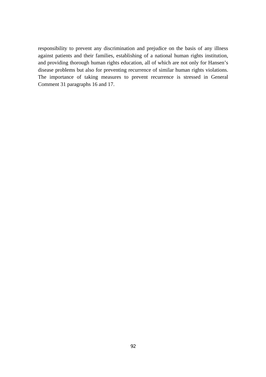responsibility to prevent any discrimination and prejudice on the basis of any illness against patients and their families, establishing of a national human rights institution, and providing thorough human rights education, all of which are not only for Hansen's disease problems but also for preventing recurrence of similar human rights violations. The importance of taking measures to prevent recurrence is stressed in General Comment 31 paragraphs 16 and 17.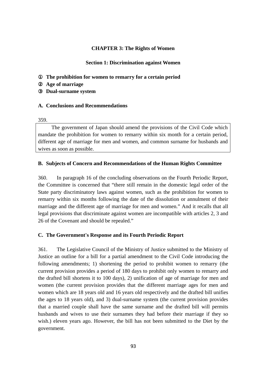## **CHAPTER 3: The Rights of Women**

## **Section 1: Discrimination against Women**

The prohibition for women to remarry for a certain period Age of marriage ③ **Dual-surname system** 

#### **A. Conclusions and Recommendations**

359.

The government of Japan should amend the provisions of the Civil Code which mandate the prohibition for women to remarry within six month for a certain period, different age of marriage for men and women, and common surname for husbands and wives as soon as possible.

## **B. Subjects of Concern and Recommendations of the Human Rights Committee**

360. In paragraph 16 of the concluding observations on the Fourth Periodic Report, the Committee is concerned that "there still remain in the domestic legal order of the State party discriminatory laws against women, such as the prohibition for women to remarry within six months following the date of the dissolution or annulment of their marriage and the different age of marriage for men and women." And it recalls that all legal provisions that discriminate against women are incompatible with articles 2, 3 and 26 of the Covenant and should be repealed."

## **C. The Government's Response and its Fourth Periodic Report**

361. The Legislative Council of the Ministry of Justice submitted to the Ministry of Justice an outline for a bill for a partial amendment to the Civil Code introducing the following amendments; 1) shortening the period to prohibit women to remarry (the current provision provides a period of 180 days to prohibit only women to remarry and the drafted bill shortens it to 100 days), 2) unification of age of marriage for men and women (the current provision provides that the different marriage ages for men and women which are 18 years old and 16 years old respectively and the drafted bill unifies the ages to 18 years old), and 3) dual-surname system (the current provision provides that a married couple shall have the same surname and the drafted bill will permits husbands and wives to use their surnames they had before their marriage if they so wish.) eleven years ago. However, the bill has not been submitted to the Diet by the government.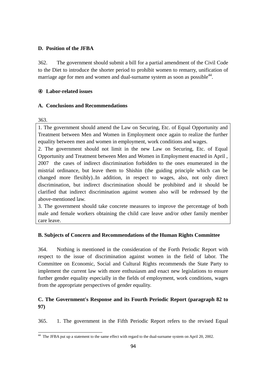## **D. Position of the JFBA**

362. The government should submit a bill for a partial amendment of the Civil Code to the Diet to introduce the shorter period to prohibit women to remarry, unification of marriage age for men and women and dual-surname system as soon as possible<sup>44</sup>.

## Labor-related issues

# **A. Conclusions and Recommendations**

363.

1. The government should amend the Law on Securing, Etc. of Equal Opportunity and Treatment between Men and Women in Employment once again to realize the further equality between men and women in employment, work conditions and wages.

2. The government should not limit in the new Law on Securing, Etc. of Equal Opportunity and Treatment between Men and Women in Employment enacted in April , 2007 the cases of indirect discrimination forbidden to the ones enumerated in the mistrial ordinance, but leave them to Shishin (the guiding principle which can be changed more flexibly)..In addition, in respect to wages, also, not only direct discrimination, but indirect discrimination should be prohibited and it should be clarified that indirect discrimination against women also will be redressed by the above-mentioned law.

3. The government should take concrete measures to improve the percentage of both male and female workers obtaining the child care leave and/or other family member care leave.

# **B. Subjects of Concern and Recommendations of the Human Rights Committee**

364. Nothing is mentioned in the consideration of the Forth Periodic Report with respect to the issue of discrimination against women in the field of labor. The Committee on Economic, Social and Cultural Rights recommends the State Party to implement the current law with more enthusiasm and enact new legislations to ensure further gender equality especially in the fields of employment, work conditions, wages from the appropriate perspectives of gender equality.

# **C. The Government's Response and its Fourth Periodic Report (paragraph 82 to 97)**

365. 1. The government in the Fifth Periodic Report refers to the revised Equal

 $\overline{a}$ <sup>44</sup> The JFBA put up a statement to the same effect with regard to the dual-surname system on April 20, 2002.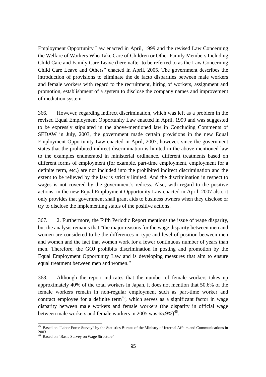Employment Opportunity Law enacted in April, 1999 and the revised Law Concerning the Welfare of Workers Who Take Care of Children or Other Family Members Including Child Care and Family Care Leave (hereinafter to be referred to as the Law Concerning Child Care Leave and Others" enacted in April, 2005. The government describes the introduction of provisions to eliminate the de facto disparities between male workers and female workers with regard to the recruitment, hiring of workers, assignment and promotion, establishment of a system to disclose the company names and improvement of mediation system.

366. However, regarding indirect discrimination, which was left as a problem in the revised Equal Employment Opportunity Law enacted in April, 1999 and was suggested to be expressly stipulated in the above-mentioned law in Concluding Comments of SEDAW in July, 2003, the government made certain provisions in the new Equal Employment Opportunity Law enacted in April, 2007, however, since the government states that the prohibited indirect discrimination is limited in the above-mentioned law to the examples enumerated in ministerial ordinance, different treatments based on different forms of employment (for example, part-time employment, employment for a definite term, etc.) are not included into the prohibited indirect discrimination and the extent to be relieved by the law is strictly limited. And the discrimination in respect to wages is not covered by the government's redress. Also, with regard to the positive actions, in the new Equal Employment Opportunity Law enacted in April, 2007 also, it only provides that government shall grant aids to business owners when they disclose or try to disclose the implementing status of the positive actions.

367. 2. Furthermore, the Fifth Periodic Report mentions the issue of wage disparity, but the analysis remains that "the major reasons for the wage disparity between men and women are considered to be the differences in type and level of position between men and women and the fact that women work for a fewer continuous number of years than men. Therefore, the GOJ prohibits discrimination in posting and promotion by the Equal Employment Opportunity Law and is developing measures that aim to ensure equal treatment between men and women."

368. Although the report indicates that the number of female workers takes up approximately 40% of the total workers in Japan, it does not mention that 50.6% of the female workers remain in non-regular employment such as part-time worker and contract employee for a definite term<sup>45</sup>, which serves as a significant factor in wage disparity between male workers and female workers (the disparity in official wage between male workers and female workers in 2005 was  $65.9\%$ )<sup>46</sup>.

 $\overline{a}$ 

<sup>&</sup>lt;sup>45</sup> Based on "Labor Force Survey" by the Statistics Bureau of the Ministry of Internal Affairs and Communications in 2003

<sup>&</sup>lt;sup>46</sup> Based on "Basic Survey on Wage Structure"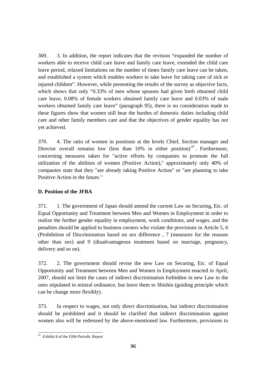369. 3. In addition, the report indicates that the revision "expanded the number of workers able to receive child care leave and family care leave, extended the child care leave period, relaxed limitations on the number of times family care leave can be taken, and established a system which enables workers to take leave for taking care of sick or injured children". However, while presenting the results of the survey as objective facts, which shows that only "0.33% of men whose spouses had given birth obtained child care leave, 0.08% of female workers obtained family care leave and 0.03% of male workers obtained family care leave" (paragraph 95), there is no consideration made to these figures show that women still bear the burden of domestic duties including child care and other family members care and that the objectives of gender equality has not yet achieved.

370. 4. The ratio of women in positions at the levels Chief, Section manager and Director overall remains low (less than  $10\%$  in either position)<sup>47</sup>. Furthermore, concerning measures taken for "active efforts by companies to promote the full utilization of the abilities of women (Positive Action)," approximately only 40% of companies state that they "are already taking Positive Action" or "are planning to take Positive Action in the future."

# **D. Position of the JFBA**

371. 1. The government of Japan should amend the current Law on Securing, Etc. of Equal Opportunity and Treatment between Men and Women in Employment in order to realize the further gender equality in employment, work conditions, and wages, and the penalties should be applied to business owners who violate the provisions in Article 5, 6 (Prohibition of Discrimination based on sex difference , 7 (measures for the reasons other than sex) and 9 (disadvantageous treatment based on marriage, pregnancy, delivery and so on).

372. 2. The government should revise the new Law on Securing, Etc. of Equal Opportunity and Treatment between Men and Women in Employment enacted in April, 2007, should not limit the cases of indirect discrimination forbidden in new Law to the ones stipulated in mistral ordinance, but leave them to Shishin (guiding principle which can be change more flexibly).

373. In respect to wages, not only direct discrimination, but indirect discrimination should be prohibited and it should be clarified that indirect discrimination against women also will be redressed by the above-mentioned law. Furthermore, provisions to

 $\overline{a}$ <sup>47</sup> Exhibit 8 of the Fifth Periodic Report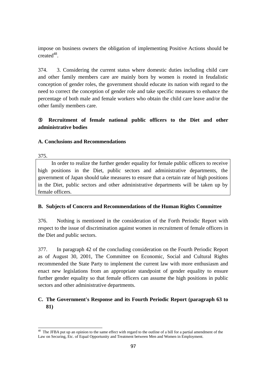impose on business owners the obligation of implementing Positive Actions should be  $\mathrm{created}^{48}$ .

374. 3. Considering the current status where domestic duties including child care and other family members care are mainly born by women is rooted in feudalistic conception of gender roles, the government should educate its nation with regard to the need to correct the conception of gender role and take specific measures to enhance the percentage of both male and female workers who obtain the child care leave and/or the other family members care.

# ⑤ **Recruitment of female national public officers to the Diet and other administrative bodies**

## **A. Conclusions and Recommendations**

375.

In order to realize the further gender equality for female public officers to receive high positions in the Diet, public sectors and administrative departments, the government of Japan should take measures to ensure that a certain rate of high positions in the Diet, public sectors and other administrative departments will be taken up by female officers.

# **B. Subjects of Concern and Recommendations of the Human Rights Committee**

376. Nothing is mentioned in the consideration of the Forth Periodic Report with respect to the issue of discrimination against women in recruitment of female officers in the Diet and public sectors.

377. In paragraph 42 of the concluding consideration on the Fourth Periodic Report as of August 30, 2001, The Committee on Economic, Social and Cultural Rights recommended the State Party to implement the current law with more enthusiasm and enact new legislations from an appropriate standpoint of gender equality to ensure further gender equality so that female officers can assume the high positions in public sectors and other administrative departments.

# **C. The Government's Response and its Fourth Periodic Report (paragraph 63 to 81)**

 $\overline{a}$  $48$  The JFBA put up an opinion to the same effect with regard to the outline of a bill for a partial amendment of the Law on Securing, Etc. of Equal Opportunity and Treatment between Men and Women in Employment.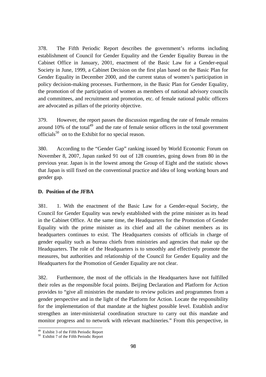378. The Fifth Periodic Report describes the government's reforms including establishment of Council for Gender Equality and the Gender Equality Bureau in the Cabinet Office in January, 2001, enactment of the Basic Law for a Gender-equal Society in June, 1999, a Cabinet Decision on the first plan based on the Basic Plan for Gender Equality in December 2000, and the current status of women's participation in policy decision-making processes. Furthermore, in the Basic Plan for Gender Equality, the promotion of the participation of women as members of national advisory councils and committees, and recruitment and promotion, etc. of female national public officers are advocated as pillars of the priority objective.

379. However, the report passes the discussion regarding the rate of female remains around 10% of the total<sup>49</sup> and the rate of female senior officers in the total government officials<sup>50</sup> on to the Exhibit for no special reason.

380. According to the "Gender Gap" ranking issued by World Economic Forum on November 8, 2007, Japan ranked 91 out of 128 countries, going down from 80 in the previous year. Japan is in the lowest among the Group of Eight and the statistic shows that Japan is still fixed on the conventional practice and idea of long working hours and gender gap.

## **D. Position of the JFBA**

381. 1. With the enactment of the Basic Law for a Gender-equal Society, the Council for Gender Equality was newly established with the prime minister as its head in the Cabinet Office. At the same time, the Headquarters for the Promotion of Gender Equality with the prime minister as its chief and all the cabinet members as its headquarters continues to exist. The Headquarters consists of officials in charge of gender equality such as bureau chiefs from ministries and agencies that make up the Headquarters. The role of the Headquarters is to smoothly and effectively promote the measures, but authorities and relationship of the Council for Gender Equality and the Headquarters for the Promotion of Gender Equality are not clear.

382. Furthermore, the most of the officials in the Headquarters have not fulfilled their roles as the responsible focal points. Beijing Declaration and Platform for Action provides to "give all ministries the mandate to review policies and programmes from a gender perspective and in the light of the Platform for Action. Locate the responsibility for the implementation of that mandate at the highest possible level. Establish and/or strengthen an inter-ministerial coordination structure to carry out this mandate and monitor progress and to network with relevant machineries." From this perspective, in

 $\overline{a}$ 

<sup>&</sup>lt;sup>49</sup> Exhibit 3 of the Fifth Periodic Report  $^{50}$  Exhibit 7 of the Fifth Periodic Report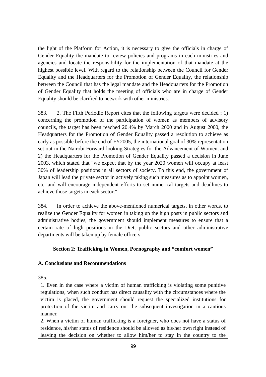the light of the Platform for Action, it is necessary to give the officials in charge of Gender Equality the mandate to review policies and programs in each ministries and agencies and locate the responsibility for the implementation of that mandate at the highest possible level. With regard to the relationship between the Council for Gender Equality and the Headquarters for the Promotion of Gender Equality, the relationship between the Council that has the legal mandate and the Headquarters for the Promotion of Gender Equality that holds the meeting of officials who are in charge of Gender Equality should be clarified to network with other ministries.

383. 2. The Fifth Periodic Report cites that the following targets were decided ; 1) concerning the promotion of the participation of women as members of advisory councils, the target has been reached 20.4% by March 2000 and in August 2000, the Headquarters for the Promotion of Gender Equality passed a resolution to achieve as early as possible before the end of FY2005, the international goal of 30% representation set out in the Nairobi Forward-looking Strategies for the Advancement of Women, and 2) the Headquarters for the Promotion of Gender Equality passed a decision in June 2003, which stated that "we expect that by the year 2020 women will occupy at least 30% of leadership positions in all sectors of society. To this end, the government of Japan will lead the private sector in actively taking such measures as to appoint women, etc. and will encourage independent efforts to set numerical targets and deadlines to achieve those targets in each sector."

384. In order to achieve the above-mentioned numerical targets, in other words, to realize the Gender Equality for women in taking up the high posts in public sectors and administrative bodies, the government should implement measures to ensure that a certain rate of high positions in the Diet, public sectors and other administrative departments will be taken up by female officers.

# **Section 2: Trafficking in Women, Pornography and "comfort women"**

## **A. Conclusions and Recommendations**

385.

1. Even in the case where a victim of human trafficking is violating some punitive regulations, when such conduct has direct causality with the circumstances where the victim is placed, the government should request the specialized institutions for protection of the victim and carry out the subsequent investigation in a cautious manner.

2. When a victim of human trafficking is a foreigner, who does not have a status of residence, his/her status of residence should be allowed as his/her own right instead of leaving the decision on whether to allow him/her to stay in the country to the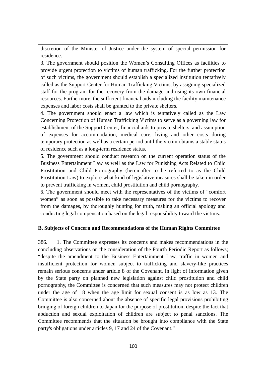discretion of the Minister of Justice under the system of special permission for residence.

3. The government should position the Women's Consulting Offices as facilities to provide urgent protection to victims of human trafficking. For the further protection of such victims, the government should establish a specialized institution tentatively called as the Support Center for Human Trafficking Victims, by assigning specialized staff for the program for the recovery from the damage and using its own financial resources. Furthermore, the sufficient financial aids including the facility maintenance expenses and labor costs shall be granted to the private shelters.

4. The government should enact a law which is tentatively called as the Law Concerning Protection of Human Trafficking Victims to serve as a governing law for establishment of the Support Center, financial aids to private shelters, and assumption of expenses for accommodation, medical care, living and other costs during temporary protection as well as a certain period until the victim obtains a stable status of residence such as a long-term residence status.

5. The government should conduct research on the current operation status of the Business Entertainment Law as well as the Law for Punishing Acts Related to Child Prostitution and Child Pornography (hereinafter to be referred to as the Child Prostitution Law) to explore what kind of legislative measures shall be taken in order to prevent trafficking in women, child prostitution and child pornography.

6. The government should meet with the representatives of the victims of "comfort women" as soon as possible to take necessary measures for the victims to recover from the damages, by thoroughly hunting for truth, making an official apology and conducting legal compensation based on the legal responsibility toward the victims.

# **B. Subjects of Concern and Recommendations of the Human Rights Committee**

386. 1. The Committee expresses its concerns and makes recommendations in the concluding observations on the consideration of the Fourth Periodic Report as follows; "despite the amendment to the Business Entertainment Law, traffic in women and insufficient protection for women subject to trafficking and slavery-like practices remain serious concerns under article 8 of the Covenant. In light of information given by the State party on planned new legislation against child prostitution and child pornography, the Committee is concerned that such measures may not protect children under the age of 18 when the age limit for sexual consent is as low as 13. The Committee is also concerned about the absence of specific legal provisions prohibiting bringing of foreign children to Japan for the purpose of prostitution, despite the fact that abduction and sexual exploitation of children are subject to penal sanctions. The Committee recommends that the situation be brought into compliance with the State party's obligations under articles 9, 17 and 24 of the Covenant."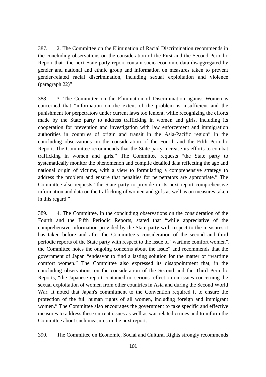387. 2. The Committee on the Elimination of Racial Discrimination recommends in the concluding observations on the consideration of the First and the Second Periodic Report that "the next State party report contain socio-economic data disaggregated by gender and national and ethnic group and information on measures taken to prevent gender-related racial discrimination, including sexual exploitation and violence (paragraph 22)"

388. 3. The Committee on the Elimination of Discrimination against Women is concerned that "information on the extent of the problem is insufficient and the punishment for perpetrators under current laws too lenient, while recognizing the efforts made by the State party to address trafficking in women and girls, including its cooperation for prevention and investigation with law enforcement and immigration authorities in countries of origin and transit in the Asia-Pacific region" in the concluding observations on the consideration of the Fourth and the Fifth Periodic Report. The Committee recommends that the State party increase its efforts to combat trafficking in women and girls." The Committee requests "the State party to systematically monitor the phenomenon and compile detailed data reflecting the age and national origin of victims, with a view to formulating a comprehensive strategy to address the problem and ensure that penalties for perpetrators are appropriate." The Committee also requests "the State party to provide in its next report comprehensive information and data on the trafficking of women and girls as well as on measures taken in this regard."

389. 4. The Committee, in the concluding observations on the consideration of the Fourth and the Fifth Periodic Reports, stated that "while appreciative of the comprehensive information provided by the State party with respect to the measures it has taken before and after the Committee's consideration of the second and third periodic reports of the State party with respect to the issue of "wartime comfort women", the Committee notes the ongoing concerns about the issue" and recommends that the government of Japan "endeavor to find a lasting solution for the matter of "wartime comfort women." The Committee also expressed its disappointment that, in the concluding observations on the consideration of the Second and the Third Periodic Reports, "the Japanese report contained no serious reflection on issues concerning the sexual exploitation of women from other countries in Asia and during the Second World War. It noted that Japan's commitment to the Convention required it to ensure the protection of the full human rights of all women, including foreign and immigrant women." The Committee also encourages the government to take specific and effective measures to address these current issues as well as war-related crimes and to inform the Committee about such measures in the next report.

390. The Committee on Economic, Social and Cultural Rights strongly recommends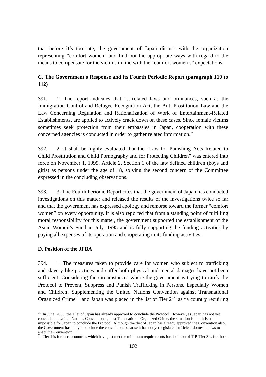that before it's too late, the government of Japan discuss with the organization representing "comfort women" and find out the appropriate ways with regard to the means to compensate for the victims in line with the "comfort women's" expectations.

# **C. The Government's Response and its Fourth Periodic Report (paragraph 110 to 112)**

391. 1. The report indicates that "…related laws and ordinances, such as the Immigration Control and Refugee Recognition Act, the Anti-Prostitution Law and the Law Concerning Regulation and Rationalization of Work of Entertainment-Related Establishments, are applied to actively crack down on these cases. Since female victims sometimes seek protection from their embassies in Japan, cooperation with these concerned agencies is conducted in order to gather related information."

392. 2. It shall be highly evaluated that the "Law for Punishing Acts Related to Child Prostitution and Child Pornography and for Protecting Children" was entered into force on November 1, 1999. Article 2, Section 1 of the law defined children (boys and girls) as persons under the age of 18, solving the second concern of the Committee expressed in the concluding observations.

393. 3. The Fourth Periodic Report cites that the government of Japan has conducted investigations on this matter and released the results of the investigations twice so far and that the government has expressed apology and remorse toward the former "comfort women" on every opportunity. It is also reported that from a standing point of fulfilling moral responsibility for this matter, the government supported the establishment of the Asian Women's Fund in July, 1995 and is fully supporting the funding activities by paying all expenses of its operation and cooperating in its funding activities.

## **D. Position of the JFBA**

394. 1. The measures taken to provide care for women who subject to trafficking and slavery-like practices and suffer both physical and mental damages have not been sufficient. Considering the circumstances where the government is trying to ratify the Protocol to Prevent, Suppress and Punish Trafficking in Persons, Especially Women and Children, Supplementing the United Nations Convention against Transnational Organized Crime<sup>51</sup> and Japan was placed in the list of Tier  $2^{52}$  as "a country requiring

 $\overline{a}$  $51$  In June, 2005, the Diet of Japan has already approved to conclude the Protocol. However, as Japan has not yet conclude the United Nations Convention against Transnational Organized Crime, the situation is that it is still impossible for Japan to conclude the Protocol. Although the diet of Japan has already approved the Convention also, the Government has not yet conclude the convention, because it has not yet legislated sufficient domestic laws to enact the Convention.

 $52$  Tier 1 is for those countries which have just met the minimum requirements for abolition of TIP, Tier 3 is for those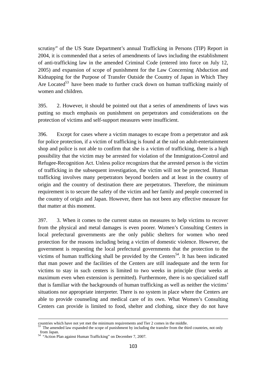scrutiny" of the US State Department's annual Trafficking in Persons (TIP) Report in 2004, it is commended that a series of amendments of laws including the establishment of anti-trafficking law in the amended Criminal Code (entered into force on July 12, 2005) and expansion of scope of punishment for the Law Concerning Abduction and Kidnapping for the Purpose of Transfer Outside the Country of Japan in Which They Are Located<sup>53</sup> have been made to further crack down on human trafficking mainly of women and children.

395. 2. However, it should be pointed out that a series of amendments of laws was putting so much emphasis on punishment on perpetrators and considerations on the protection of victims and self-support measures were insufficient.

396. Except for cases where a victim manages to escape from a perpetrator and ask for police protection, if a victim of trafficking is found at the raid on adult-entertainment shop and police is not able to confirm that she is a victim of trafficking, there is a high possibility that the victim may be arrested for violation of the Immigration-Control and Refugee-Recognition Act. Unless police recognizes that the arrested person is the victim of trafficking in the subsequent investigation, the victim will not be protected. Human trafficking involves many perpetrators beyond borders and at least in the country of origin and the country of destination there are perpetrators. Therefore, the minimum requirement is to secure the safety of the victim and her family and people concerned in the country of origin and Japan. However, there has not been any effective measure for that matter at this moment.

397. 3. When it comes to the current status on measures to help victims to recover from the physical and metal damages is even poorer. Women's Consulting Centers in local prefectural governments are the only public shelters for women who need protection for the reasons including being a victim of domestic violence. However, the government is requesting the local prefectural governments that the protection to the victims of human trafficking shall be provided by the Centers<sup>54</sup>. It has been indicated that man power and the facilities of the Centers are still inadequate and the term for victims to stay in such centers is limited to two weeks in principle (four weeks at maximum even when extension is permitted). Furthermore, there is no specialized staff that is familiar with the backgrounds of human trafficking as well as neither the victims' situations nor appropriate interpreter. There is no system in place where the Centers are able to provide counseling and medical care of its own. What Women's Consulting Centers can provide is limited to food, shelter and clothing, since they do not have

-

countries which have not yet met the minimum requirements and Tier 2 comes in the middle.<br> $53$  The amended law expanded the scope of punishment by including the transfer from the third countries, not only from Japan.

<sup>54 &</sup>quot;Action Plan against Human Trafficking" on December 7, 2007.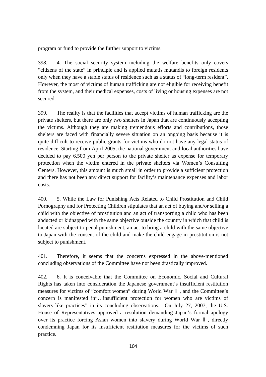program or fund to provide the further support to victims.

398. 4. The social security system including the welfare benefits only covers "citizens of the state" in principle and is applied mutatis mutandis to foreign residents only when they have a stable status of residence such as a status of "long-term resident". However, the most of victims of human trafficking are not eligible for receiving benefit from the system, and their medical expenses, costs of living or housing expenses are not secured.

399. The reality is that the facilities that accept victims of human trafficking are the private shelters, but there are only two shelters in Japan that are continuously accepting the victims. Although they are making tremendous efforts and contributions, those shelters are faced with financially severe situation on an ongoing basis because it is quite difficult to receive public grants for victims who do not have any legal status of residence. Starting from April 2005, the national government and local authorities have decided to pay 6,500 yen per person to the private shelter as expense for temporary protection when the victim entered in the private shelters via Women's Consulting Centers. However, this amount is much small in order to provide a sufficient protection and there has not been any direct support for facility's maintenance expenses and labor costs.

400. 5. While the Law for Punishing Acts Related to Child Prostitution and Child Pornography and for Protecting Children stipulates that an act of buying and/or selling a child with the objective of prostitution and an act of transporting a child who has been abducted or kidnapped with the same objective outside the country in which that child is located are subject to penal punishment, an act to bring a child with the same objective to Japan with the consent of the child and make the child engage in prostitution is not subject to punishment.

401. Therefore, it seems that the concerns expressed in the above-mentioned concluding observations of the Committee have not been drastically improved.

402. 6. It is conceivable that the Committee on Economic, Social and Cultural Rights has taken into consideration the Japanese government's insufficient restitution measures for victims of "comfort women" during World War , and the Committee's concern is manifested in"…insufficient protection for women who are victims of slavery-like practices" in its concluding observations. On July 27, 2007, the U.S. House of Representatives approved a resolution demanding Japan's formal apology over its practice forcing Asian women into slavery during World War , directly condemning Japan for its insufficient restitution measures for the victims of such practice.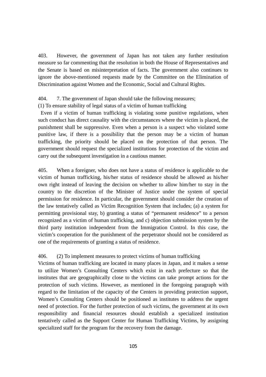403. However, the government of Japan has not taken any further restitution measure so far commenting that the resolution in both the House of Representatives and the Senate is based on misinterpretation of facts. The government also continues to ignore the above-mentioned requests made by the Committee on the Elimination of Discrimination against Women and the Economic, Social and Cultural Rights.

### 404. 7. The government of Japan should take the following measures;

## (1) To ensure stability of legal status of a victim of human trafficking

 Even if a victim of human trafficking is violating some punitive regulations, when such conduct has direct causality with the circumstances where the victim is placed, the punishment shall be suppressive. Even when a person is a suspect who violated some punitive law, if there is a possibility that the person may be a victim of human trafficking, the priority should be placed on the protection of that person. The government should request the specialized institutions for protection of the victim and carry out the subsequent investigation in a cautious manner.

405. When a foreigner, who does not have a status of residence is applicable to the victim of human trafficking, his/her status of residence should be allowed as his/her own right instead of leaving the decision on whether to allow him/her to stay in the country to the discretion of the Minister of Justice under the system of special permission for residence. In particular, the government should consider the creation of the law tentatively called as Victim Recognition System that includes; (a) a system for permitting provisional stay, b) granting a status of "permanent residence" to a person recognized as a victim of human trafficking, and c) objection submission system by the third party institution independent from the Immigration Control. In this case, the victim's cooperation for the punishment of the perpetrator should not be considered as one of the requirements of granting a status of residence.

#### 406. (2) To implement measures to protect victims of human trafficking

Victims of human trafficking are located in many places in Japan, and it makes a sense to utilize Women's Consulting Centers which exist in each prefecture so that the institutes that are geographically close to the victims can take prompt actions for the protection of such victims. However, as mentioned in the foregoing paragraph with regard to the limitation of the capacity of the Centers in providing protection support, Women's Consulting Centers should be positioned as institutes to address the urgent need of protection. For the further protection of such victims, the government at its own responsibility and financial resources should establish a specialized institution tentatively called as the Support Center for Human Trafficking Victims, by assigning specialized staff for the program for the recovery from the damage.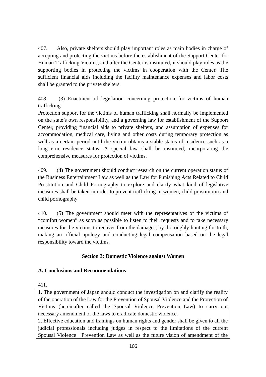407. Also, private shelters should play important roles as main bodies in charge of accepting and protecting the victims before the establishment of the Support Center for Human Trafficking Victims, and after the Center is instituted, it should play roles as the supporting bodies in protecting the victims in cooperation with the Center. The sufficient financial aids including the facility maintenance expenses and labor costs shall be granted to the private shelters.

408. (3) Enactment of legislation concerning protection for victims of human trafficking

Protection support for the victims of human trafficking shall normally be implemented on the state's own responsibility, and a governing law for establishment of the Support Center, providing financial aids to private shelters, and assumption of expenses for accommodation, medical care, living and other costs during temporary protection as well as a certain period until the victim obtains a stable status of residence such as a long-term residence status. A special law shall be instituted, incorporating the comprehensive measures for protection of victims.

409. (4) The government should conduct research on the current operation status of the Business Entertainment Law as well as the Law for Punishing Acts Related to Child Prostitution and Child Pornography to explore and clarify what kind of legislative measures shall be taken in order to prevent trafficking in women, child prostitution and child pornography

410. (5) The government should meet with the representatives of the victims of "comfort women" as soon as possible to listen to their requests and to take necessary measures for the victims to recover from the damages, by thoroughly hunting for truth, making an official apology and conducting legal compensation based on the legal responsibility toward the victims.

# **Section 3: Domestic Violence against Women**

# **A. Conclusions and Recommendations**

411.

1. The government of Japan should conduct the investigation on and clarify the reality of the operation of the Law for the Prevention of Spousal Violence and the Protection of Victims (hereinafter called the Spousal Violence Prevention Law) to carry out necessary amendment of the laws to eradicate domestic violence.

2. Effective education and trainings on human rights and gender shall be given to all the judicial professionals including judges in respect to the limitations of the current Spousal Violence Prevention Law as well as the future vision of amendment of the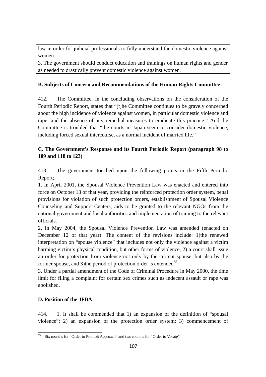law in order for judicial professionals to fully understand the domestic violence against women.

3. The government should conduct education and trainings on human rights and gender as needed to drastically prevent domestic violence against women.

# **B. Subjects of Concern and Recommendations of the Human Rights Committee**

412. The Committee, in the concluding observations on the consideration of the Fourth Periodic Report, states that "[t]he Committee continues to be gravely concerned about the high incidence of violence against women, in particular domestic violence and rape, and the absence of any remedial measures to eradicate this practice." And the Committee is troubled that "the courts in Japan seem to consider domestic violence, including forced sexual intercourse, as a normal incident of married life."

# **C. The Government's Response and its Fourth Periodic Report (paragraph 98 to 109 and 118 to 123)**

413. The government touched upon the following points in the Fifth Periodic Report;

1. In April 2001, the Spousal Violence Prevention Law was enacted and entered into force on October 13 of that year, providing the reinforced protection order system, penal provisions for violation of such protection orders, establishment of Spousal Violence Counseling and Support Centers, aids to be granted to the relevant NGOs from the national government and local authorities and implementation of training to the relevant officials.

2. In May 2004, the Spousal Violence Prevention Law was amended (enacted on December 12 of that year). The content of the revisions include: 1)the renewed interpretation on "spouse violence" that includes not only the violence against a victim harming victim's physical condition, but other forms of violence, 2) a court shall issue an order for protection from violence not only by the current spouse, but also by the former spouse, and 3) the period of protection order is extended<sup>55</sup>.

3. Under a partial amendment of the Code of Criminal Procedure in May 2000, the time limit for filing a complaint for certain sex crimes such as indecent assault or rape was abolished.

# **D. Position of the JFBA**

414. 1. It shall be commended that 1) an expansion of the definition of "spousal violence"; 2) an expansion of the protection order system; 3) commencement of

 $\overline{a}$ <sup>55</sup> Six months for "Order to Prohibit Approach" and two months for "Order to Vacate"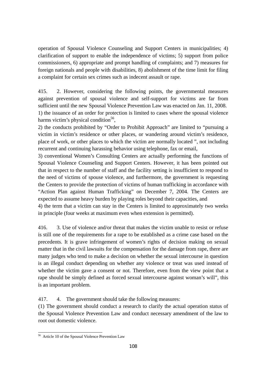operation of Spousal Violence Counseling and Support Centers in municipalities; 4) clarification of support to enable the independence of victims; 5) support from police commissioners, 6) appropriate and prompt handling of complaints; and 7) measures for foreign nationals and people with disabilities, 8) abolishment of the time limit for filing a complaint for certain sex crimes such as indecent assault or rape.

415. 2. However, considering the following points, the governmental measures against prevention of spousal violence and self-support for victims are far from sufficient until the new Spousal Violence Prevention Law was enacted on Jan. 11, 2008. 1) the issuance of an order for protection is limited to cases where the spousal violence harms victim's physical condition<sup>56</sup>.

2) the conducts prohibited by "Order to Prohibit Approach" are limited to "pursuing a victim in victim's residence or other places, or wandering around victim's residence, place of work, or other places to which the victim are normally located ", not including recurrent and continuing harassing behavior using telephone, fax or email,

3) conventional Women's Consulting Centers are actually performing the functions of Spousal Violence Counseling and Support Centers. However, it has been pointed out that in respect to the number of staff and the facility setting is insufficient to respond to the need of victims of spouse violence, and furthermore, the government is requesting the Centers to provide the protection of victims of human trafficking in accordance with "Action Plan against Human Trafficking" on December 7, 2004. The Centers are expected to assume heavy burden by playing roles beyond their capacities, and

4) the term that a victim can stay in the Centers is limited to approximately two weeks in principle (four weeks at maximum even when extension is permitted).

416. 3. Use of violence and/or threat that makes the victim unable to resist or refuse is still one of the requirements for a rape to be established as a crime case based on the precedents. It is grave infringement of women's rights of decision making on sexual matter that in the civil lawsuits for the compensation for the damage from rape, there are many judges who tend to make a decision on whether the sexual intercourse in question is an illegal conduct depending on whether any violence or treat was used instead of whether the victim gave a consent or not. Therefore, even from the view point that a rape should be simply defined as forced sexual intercourse against woman's will", this is an important problem.

417. 4. The government should take the following measures:

(1) The government should conduct a research to clarify the actual operation status of the Spousal Violence Prevention Law and conduct necessary amendment of the law to root out domestic violence.

 $\overline{a}$ <sup>56</sup> Article 10 of the Spousal Violence Prevention Law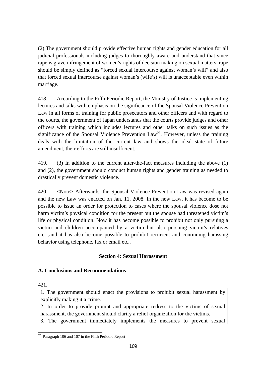(2) The government should provide effective human rights and gender education for all judicial professionals including judges to thoroughly aware and understand that since rape is grave infringement of women's rights of decision making on sexual matters, rape should be simply defined as "forced sexual intercourse against woman's will" and also that forced sexual intercourse against woman's (wife's) will is unacceptable even within marriage.

418. According to the Fifth Periodic Report, the Ministry of Justice is implementing lectures and talks with emphasis on the significance of the Spousal Violence Prevention Law in all forms of training for public prosecutors and other officers and with regard to the courts, the government of Japan understands that the courts provide judges and other officers with training which includes lectures and other talks on such issues as the significance of the Spousal Violence Prevention  $Law<sup>57</sup>$ . However, unless the training deals with the limitation of the current law and shows the ideal state of future amendment, their efforts are still insufficient.

419. (3) In addition to the current after-the-fact measures including the above (1) and (2), the government should conduct human rights and gender training as needed to drastically prevent domestic violence.

420. <Note> Afterwards, the Spousal Violence Prevention Law was revised again and the new Law was enacted on Jan. 11, 2008. In the new Law, it has become to be possible to issue an order for protection to cases where the spousal violence dose not harm victim's physical condition for the present but the spouse had threatened victim's life or physical condition. Now it has become possible to prohibit not only pursuing a victim and children accompanied by a victim but also pursuing victim's relatives etc. ,and it has also become possible to prohibit recurrent and continuing harassing behavior using telephone, fax or email etc..

# **Section 4: Sexual Harassment**

# **A. Conclusions and Recommendations**

421.

1. The government should enact the provisions to prohibit sexual harassment by explicitly making it a crime.

2. In order to provide prompt and appropriate redress to the victims of sexual harassment, the government should clarify a relief organization for the victims.

3. The government immediately implements the measures to prevent sexual

 $\overline{a}$ 57 Paragraph 106 and 107 in the Fifth Periodic Report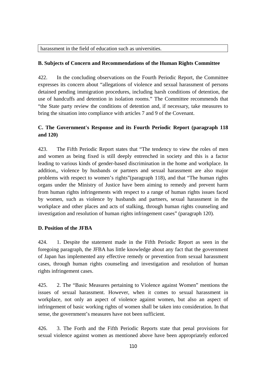harassment in the field of education such as universities.

### **B. Subjects of Concern and Recommendations of the Human Rights Committee**

422. In the concluding observations on the Fourth Periodic Report, the Committee expresses its concern about "allegations of violence and sexual harassment of persons detained pending immigration procedures, including harsh conditions of detention, the use of handcuffs and detention in isolation rooms." The Committee recommends that "the State party review the conditions of detention and, if necessary, take measures to bring the situation into compliance with articles 7 and 9 of the Covenant.

# **C. The Government's Response and its Fourth Periodic Report (paragraph 118 and 120)**

423. The Fifth Periodic Report states that "The tendency to view the roles of men and women as being fixed is still deeply entrenched in society and this is a factor leading to various kinds of gender-based discrimination in the home and workplace. In addition,, violence by husbands or partners and sexual harassment are also major problems with respect to women's rights"(paragraph 118), and that "The human rights organs under the Ministry of Justice have been aiming to remedy and prevent harm from human rights infringements with respect to a range of human rights issues faced by women, such as violence by husbands and partners, sexual harassment in the workplace and other places and acts of stalking, through human rights counseling and investigation and resolution of human rights infringement cases" (paragraph 120).

### **D. Position of the JFBA**

424. 1. Despite the statement made in the Fifth Periodic Report as seen in the foregoing paragraph, the JFBA has little knowledge about any fact that the government of Japan has implemented any effective remedy or prevention from sexual harassment cases, through human rights counseling and investigation and resolution of human rights infringement cases.

425. 2. The "Basic Measures pertaining to Violence against Women" mentions the issues of sexual harassment. However, when it comes to sexual harassment in workplace, not only an aspect of violence against women, but also an aspect of infringement of basic working rights of women shall be taken into consideration. In that sense, the government's measures have not been sufficient.

426. 3. The Forth and the Fifth Periodic Reports state that penal provisions for sexual violence against women as mentioned above have been appropriately enforced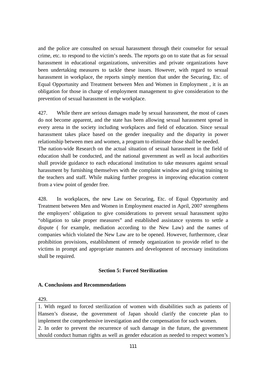and the police are consulted on sexual harassment through their counselor for sexual crime, etc. to respond to the victim's needs. The reports go on to state that as for sexual harassment in educational organizations, universities and private organizations have been undertaking measures to tackle these issues. However, with regard to sexual harassment in workplace, the reports simply mention that under the Securing, Etc. of Equal Opportunity and Treatment between Men and Women in Employment , it is an obligation for those in charge of employment management to give consideration to the prevention of sexual harassment in the workplace.

427. While there are serious damages made by sexual harassment, the most of cases do not become apparent, and the state has been allowing sexual harassment spread in every arena in the society including workplaces and field of education. Since sexual harassment takes place based on the gender inequality and the disparity in power relationship between men and women, a program to eliminate those shall be needed. The nation-wide Research on the actual situation of sexual harassment in the field of education shall be conducted, and the national government as well as local authorities shall provide guidance to each educational institution to take measures against sexual harassment by furnishing themselves with the complaint window and giving training to the teachers and staff. While making further progress in improving education content from a view point of gender free.

428. In workplaces, the new Law on Securing, Etc. of Equal Opportunity and Treatment between Men and Women in Employment enacted in April, 2007 strengthens the employers' obligation to give considerations to prevent sexual harassment up)to "obligation to take proper measures" and established assistance systems to settle a dispute ( for example, mediation according to the New Law) and the names of companies which violated the New Law are to be opened. However, furthermore, clear prohibition provisions, establishment of remedy organization to provide relief to the victims in prompt and appropriate manners and development of necessary institutions shall be required.

# **Section 5: Forced Sterilization**

### **A. Conclusions and Recommendations**

429.

1. With regard to forced sterilization of women with disabilities such as patients of Hansen's disease, the government of Japan should clarify the concrete plan to implement the comprehensive investigation and the compensation for such women. 2. In order to prevent the recurrence of such damage in the future, the government should conduct human rights as well as gender education as needed to respect women's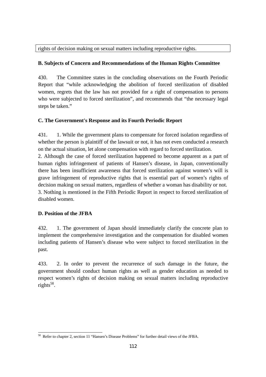rights of decision making on sexual matters including reproductive rights.

# **B. Subjects of Concern and Recommendations of the Human Rights Committee**

430. The Committee states in the concluding observations on the Fourth Periodic Report that "while acknowledging the abolition of forced sterilization of disabled women, regrets that the law has not provided for a right of compensation to persons who were subjected to forced sterilization", and recommends that "the necessary legal steps be taken."

# **C. The Government's Response and its Fourth Periodic Report**

431. 1. While the government plans to compensate for forced isolation regardless of whether the person is plaintiff of the lawsuit or not, it has not even conducted a research on the actual situation, let alone compensation with regard to forced sterilization.

2. Although the case of forced sterilization happened to become apparent as a part of human rights infringement of patients of Hansen's disease, in Japan, conventionally there has been insufficient awareness that forced sterilization against women's will is grave infringement of reproductive rights that is essential part of women's rights of decision making on sexual matters, regardless of whether a woman has disability or not. 3. Nothing is mentioned in the Fifth Periodic Report in respect to forced sterilization of disabled women.

# **D. Position of the JFBA**

432. 1. The government of Japan should immediately clarify the concrete plan to implement the comprehensive investigation and the compensation for disabled women including patients of Hansen's disease who were subject to forced sterilization in the past.

433. 2. In order to prevent the recurrence of such damage in the future, the government should conduct human rights as well as gender education as needed to respect women's rights of decision making on sexual matters including reproductive rights $58$ .

 $\overline{a}$ <sup>58</sup> Refer to chapter 2, section 11 "Hansen's Disease Problems" for further detail views of the JFBA.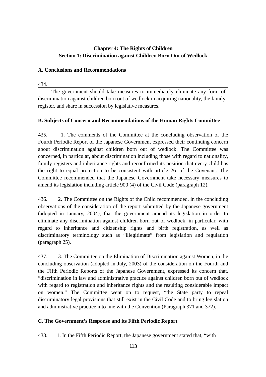# **Chapter 4: The Rights of Children Section 1: Discrimination against Children Born Out of Wedlock**

# **A. Conclusions and Recommendations**

434.

The government should take measures to immediately eliminate any form of discrimination against children born out of wedlock in acquiring nationality, the family register, and share in succession by legislative measures.

# **B. Subjects of Concern and Recommendations of the Human Rights Committee**

435. 1. The comments of the Committee at the concluding observation of the Fourth Periodic Report of the Japanese Government expressed their continuing concern about discrimination against children born out of wedlock. The Committee was concerned, in particular, about discrimination including those with regard to nationality, family registers and inheritance rights and reconfirmed its position that every child has the right to equal protection to be consistent with article 26 of the Covenant. The Committee recommended that the Japanese Government take necessary measures to amend its legislation including article 900 (4) of the Civil Code (paragraph 12).

436. 2. The Committee on the Rights of the Child recommended, in the concluding observations of the consideration of the report submitted by the Japanese government (adopted in January, 2004), that the government amend its legislation in order to eliminate any discrimination against children born out of wedlock, in particular, with regard to inheritance and citizenship rights and birth registration, as well as discriminatory terminology such as "illegitimate" from legislation and regulation (paragraph 25).

437. 3. The Committee on the Elimination of Discrimination against Women, in the concluding observation (adopted in July, 2003) of the consideration on the Fourth and the Fifth Periodic Reports of the Japanese Government, expressed its concern that, "discrimination in law and administrative practice against children born out of wedlock with regard to registration and inheritance rights and the resulting considerable impact on women." The Committee went on to request, "the State party to repeal discriminatory legal provisions that still exist in the Civil Code and to bring legislation and administrative practice into line with the Convention (Paragraph 371 and 372).

# **C. The Government's Response and its Fifth Periodic Report**

438. 1. In the Fifth Periodic Report, the Japanese government stated that, "with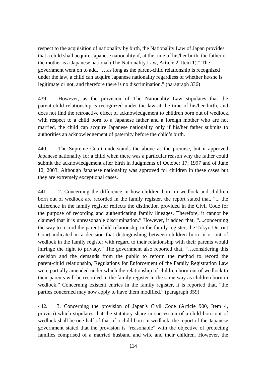respect to the acquisition of nationality by birth, the Nationality Law of Japan provides that a child shall acquire Japanese nationality if, at the time of his/her birth, the father or the mother is a Japanese national (The Nationality Law, Article 2, Item 1)." The government went on to add, "…as long as the parent-child relationship is recognized under the law, a child can acquire Japanese nationality regardless of whether he/she is legitimate or not, and therefore there is no discrimination." (paragraph 336)

439. However, as the provision of The Nationality Law stipulates that the parent-child relationship is recognized under the law at the time of his/her birth, and does not find the retroactive effect of acknowledgement to children born out of wedlock, with respect to a child born to a Japanese father and a foreign mother who are not married, the child can acquire Japanese nationality only if his/her father submits to authorities an acknowledgement of paternity before the child's birth.

440. The Supreme Court understands the above as the premise, but it approved Japanese nationality for a child when there was a particular reason why the father could submit the acknowledgement after birth in Judgments of October 17, 1997 and of June 12, 2003. Although Japanese nationality was approved for children in these cases but they are extremely exceptional cases.

441. 2. Concerning the difference in how children born in wedlock and children born out of wedlock are recorded in the family register, the report stated that, "... the difference in the family register reflects the distinction provided in the Civil Code for the purpose of recording and authenticating family lineages. Therefore, it cannot be claimed that it is unreasonable discrimination." However, it added that, "....concerning the way to record the parent-child relationship in the family register, the Tokyo District Court indicated in a decision that distinguishing between children born in or out of wedlock in the family register with regard to their relationship with their parents would infringe the right to privacy." The government also reported that, "…considering this decision and the demands from the public to reform the method to record the parent-child relationship, Regulations for Enforcement of the Family Registration Law were partially amended under which the relationship of children born out of wedlock to their parents will be recorded in the family register in the same way as children born in wedlock." Concerning existent entries in the family register, it is reported that, "the parties concerned may now apply to have them modified." (paragraph 359)

442. 3. Concerning the provision of Japan's Civil Code (Article 900, Item 4, proviso) which stipulates that the statutory share in succession of a child born out of wedlock shall be one-half of that of a child born in wedlock, the report of the Japanese government stated that the provision is "reasonable" with the objective of protecting families comprised of a married husband and wife and their children. However, the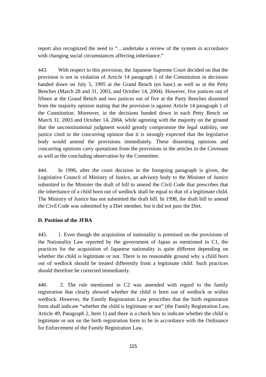report also recognized the need to "…undertake a review of the system in accordance with changing social circumstances affecting inheritance."

443. With respect to this provision, the Japanese Supreme Court decided on that the provision is not in violation of Article 14 paragraph 1 of the Constitution in decisions handed down on July 5, 1995 at the Grand Bench (en banc) as well as at the Petty Benches (March 28 and 31, 2003, and October 14, 2004). However, five justices out of fifteen at the Grand Bench and two justices out of five at the Party Benches dissented from the majority opinion stating that the provision is against Article 14 paragraph 1 of the Constitution. Moreover, in the decisions handed down in each Petty Bench on March 31, 2003 and October 14, 2004, while agreeing with the majority on the ground that the unconstitutional judgment would greatly compromise the legal stability, one justice cited in the concurring opinion that it is strongly expected that the legislative body would amend the provisions immediately. These dissenting opinions and concurring opinions carry quotations from the provisions in the articles in the Covenant as well as the concluding observation by the Committee.

444. In 1996, after the court decision in the foregoing paragraph is given, the Legislative Council of Ministry of Justice, an advisory body to the Minister of Justice submitted to the Minister the draft of bill to amend the Civil Code that prescribes that the inheritance of a child born out of wedlock shall be equal to that of a legitimate child. The Ministry of Justice has not submitted the draft bill. In 1998, the draft bill to amend the Civil Code was submitted by a Diet member, but it did not pass the Diet.

# **D. Position of the JFBA**

445. 1. Even though the acquisition of nationality is premised on the provisions of the Nationality Law reported by the government of Japan as mentioned in C1, the practices for the acquisition of Japanese nationality is quite different depending on whether the child is legitimate or not. There is no reasonable ground why a child born out of wedlock should be treated differently from a legitimate child. Such practices should therefore be corrected immediately.

446. 2. The rule mentioned in C2 was amended with regard to the family registration that clearly showed whether the child is born out of wedlock or within wedlock. However, the Family Registration Law prescribes that the birth registration form shall indicate "whether the child is legitimate or not" (the Family Registration Law, Article 49, Paragraph 2, Item 1) and there is a check box to indicate whether the child is legitimate or not on the birth registration form to be in accordance with the Ordinance for Enforcement of the Family Registration Law.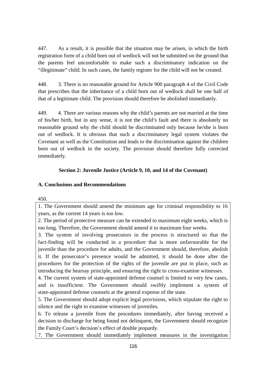447. As a result, it is possible that the situation may be arisen, in which the birth registration form of a child born out of wedlock will not be submitted on the ground that the parents feel uncomfortable to make such a discriminatory indication on the "illegitimate" child. In such cases, the family register for the child will not be created.

448. 3. There is no reasonable ground for Article 900 paragraph 4 of the Civil Code that prescribes that the inheritance of a child born out of wedlock shall be one half of that of a legitimate child. The provision should therefore be abolished immediately.

449. 4. There are various reasons why the child's parents are not married at the time of his/her birth, but in any sense, it is not the child's fault and there is absolutely no reasonable ground why the child should be discriminated only because he/she is born out of wedlock. It is obvious that such a discriminatory legal system violates the Covenant as well as the Constitution and leads to the discrimination against the children born out of wedlock in the society. The provision should therefore fully corrected immediately.

# **Section 2: Juvenile Justice (Article 9, 10, and 14 of the Covenant)**

# **A. Conclusions and Recommendations**

450.

1. The Government should amend the minimum age for criminal responsibility to 16 years, as the current 14 years is too low.

2. The period of protective measure can be extended to maximum eight weeks, which is too long. Therefore, the Government should amend it to maximum four weeks.

3. The system of involving prosecutors in the process is structured so that the fact-finding will be conducted in a procedure that is more unfavourable for the juvenile than the procedure for adults, and the Government should, therefore, abolish it. If the prosecutor's presence would be admitted, it should be done after the procedures for the protection of the rights of the juvenile are put in place, such as introducing the hearsay principle, and ensuring the right to cross-examine witnesses.

4. The current system of state-appointed defense counsel is limited to very few cases, and is insufficient. The Government should swiftly implement a system of state-appointed defense counsels at the general expense of the state.

5. The Government should adopt explicit legal provisions, which stipulate the right to silence and the right to examine witnesses of juveniles.

6. To release a juvenile from the procedures immediately, after having received a decision to discharge for being found not delinquent, the Government should recognize the Family Court's decision's effect of double jeopardy.

7. The Government should immediately implement measures in the investigation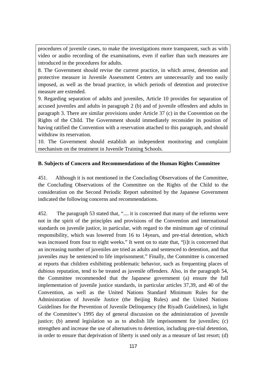procedures of juvenile cases, to make the investigations more transparent, such as with video or audio recording of the examinations, even if earlier than such measures are introduced in the procedures for adults.

8. The Government should revise the current practice, in which arrest, detention and protective measure in Juvenile Assessment Centers are unnecessarily and too easily imposed, as well as the broad practice, in which periods of detention and protective measure are extended.

9. Regarding separation of adults and juveniles, Article 10 provides for separation of accused juveniles and adults in paragraph 2 (b) and of juvenile offenders and adults in paragraph 3. There are similar provisions under Article 37 (c) in the Convention on the Rights of the Child. The Government should immediately reconsider its position of having ratified the Convention with a reservation attached to this paragraph, and should withdraw its reservation.

10. The Government should establish an independent monitoring and complaint mechanism on the treatment in Juvenile Training Schools.

## **B. Subjects of Concern and Recommendations of the Human Rights Committee**

451. Although it is not mentioned in the Concluding Observations of the Committee, the Concluding Observations of the Committee on the Rights of the Child to the consideration on the Second Periodic Report submitted by the Japanese Government indicated the following concerns and recommendations.

452. The paragraph 53 stated that, ".... it is concerned that many of the reforms were not in the spirit of the principles and provisions of the Convention and international standards on juvenile justice, in particular, with regard to the minimum age of criminal responsibility, which was lowered from 16 to 14years, and pre-trial detention, which was increased from four to eight weeks." It went on to state that, "[i]t is concerned that an increasing number of juveniles are tried as adults and sentenced to detention, and that juveniles may be sentenced to life imprisonment." Finally, the Committee is concerned at reports that children exhibiting problematic behavior, such as frequenting places of dubious reputation, tend to be treated as juvenile offenders. Also, in the paragraph 54, the Committee recommended that the Japanese government (a) ensure the full implementation of juvenile justice standards, in particular articles 37,39, and 40 of the Convention, as well as the United Nations Standard Minimum Rules for the Administration of Juvenile Justice (the Beijing Rules) and the United Nations Guidelines for the Prevention of Juvenile Delinquency (the Riyadh Guidelines), in light of the Committee's 1995 day of general discussion on the administration of juvenile justice; (b) amend legislation so as to abolish life imprisonment for juveniles; (c) strengthen and increase the use of alternatives to detention, including pre-trial detention, in order to ensure that deprivation of liberty is used only as a measure of last resort; (d)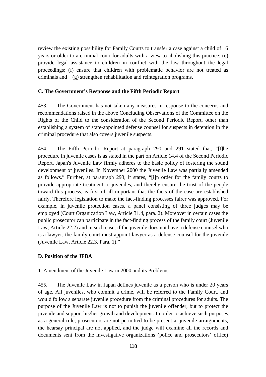review the existing possibility for Family Courts to transfer a case against a child of 16 years or older to a criminal court for adults with a view to abolishing this practice; (e) provide legal assistance to children in conflict with the law throughout the legal proceedings; (f) ensure that children with problematic behavior are not treated as criminals and (g) strengthen rehabilitation and reintegration programs.

### **C. The Government's Response and the Fifth Periodic Report**

453. The Government has not taken any measures in response to the concerns and recommendations raised in the above Concluding Observations of the Committee on the Rights of the Child to the consideration of the Second Periodic Report, other than establishing a system of state-appointed defense counsel for suspects in detention in the criminal procedure that also covers juvenile suspects.

454. The Fifth Periodic Report at paragraph 290 and 291 stated that, "[t]he procedure in juvenile cases is as stated in the part on Article 14.4 of the Second Periodic Report. Japan's Juvenile Law firmly adheres to the basic policy of fostering the sound development of juveniles. In November 2000 the Juvenile Law was partially amended as follows." Further, at paragraph 293, it states, "[i]n order for the family courts to provide appropriate treatment to juveniles, and thereby ensure the trust of the people toward this process, is first of all important that the facts of the case are established fairly. Therefore legislation to make the fact-finding processes fairer was approved. For example, in juvenile protection cases, a panel consisting of three judges may be employed (Court Organization Law, Article 31.4, para. 2). Moreover in certain cases the public prosecutor can participate in the fact-finding process of the family court (Juvenile Law, Article 22.2) and in such case, if the juvenile does not have a defense counsel who is a lawyer, the family court must appoint lawyer as a defense counsel for the juvenile (Juvenile Law, Article 22.3, Para. 1)."

#### **D. Position of the JFBA**

#### 1. Amendment of the Juvenile Law in 2000 and its Problems

455. The Juvenile Law in Japan defines juvenile as a person who is under 20 years of age. All juveniles, who commit a crime, will be referred to the Family Court, and would follow a separate juvenile procedure from the criminal procedures for adults. The purpose of the Juvenile Law is not to punish the juvenile offender, but to protect the juvenile and support his/her growth and development. In order to achieve such purposes, as a general rule, prosecutors are not permitted to be present at juvenile arraignments, the hearsay principal are not applied, and the judge will examine all the records and documents sent from the investigative organizations (police and prosecutors' office)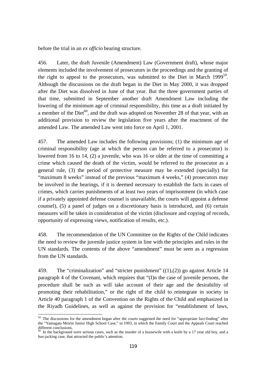before the trial in an *ex officio* hearing structure.

456. Later, the draft Juvenile (Amendment) Law (Government draft), whose major elements included the involvement of prosecutors in the proceedings and the granting of the right to appeal to the prosecutors, was submitted to the Diet in March 1999<sup>59</sup>. Although the discussions on the draft began in the Diet in May 2000, it was dropped after the Diet was dissolved in June of that year. But the three government parties of that time, submitted in September another draft Amendment Law including the lowering of the minimum age of criminal responsibility, this time as a draft initiated by a member of the Diet<sup>60</sup>, and the draft was adopted on November 28 of that year, with an additional provision to review the legislation five years after the enactment of the amended Law. The amended Law went into force on April 1, 2001.

457. The amended Law includes the following provisions; (1) the minimum age of criminal responsibility (age at which the person can be referred to a prosecutor) is lowered from 16 to 14, (2) a juvenile, who was 16 or older at the time of committing a crime which caused the death of the victim, would be referred to the prosecutor as a general rule, (3) the period of protective measure may be extended (specially) for "maximum 8 weeks" instead of the previous "maximum 4 weeks," (4) prosecutors may be involved in the hearings, if it is deemed necessary to establish the facts in cases of crimes, which carries punishments of at least two years of imprisonment (in which case if a privately appointed defense counsel is unavailable, the courts will appoint a defense counsel), (5) a panel of judges on a discretionary basis is introduced, and (6) certain measures will be taken in consideration of the victim (disclosure and copying of records, opportunity of expressing views, notification of results, etc.).

458. The recommendation of the UN Committee on the Rights of the Child indicates the need to review the juvenile justice system in line with the principles and rules in the UN standards. The contents of the above "amendment" must be seen as a regression from the UN standards.

459. The "criminalization" and "stricter punishment" ((1),(2)) go against Article 14 paragraph 4 of the Covenant, which requires that "(I)n the case of juvenile persons, the procedure shall be such as will take account of their age and the desirability of promoting their rehabilitation," or the right of the child to reintegrate in society in Article 40 paragraph 1 of the Convention on the Rights of the Child and emphasized in the Riyadh Guidelines, as well as against the provision for "establishment of laws,

 $\overline{a}$  $59$  The discussions for the amendment began after the courts suggested the need for "appropriate fact-finding" after the "Yamagata Meirin Junior High School Case," in 1993, in which the Family Court and the Appeals Court reached different conclusions.

 $60$  In the background were serious cases, such as the murder of a housewife with a knife by a 17 year old boy, and a bus-jacking case, that attracted the public's attention.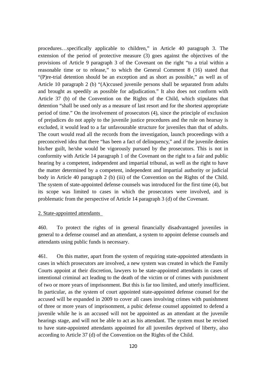procedures…specifically applicable to children," in Article 40 paragraph 3. The extension of the period of protective measure (3) goes against the objectives of the provisions of Article 9 paragraph 3 of the Covenant on the right "to a trial within a reasonable time or to release," to which the General Comment 8 (16) stated that "(P)re-trial detention should be an exception and as short as possible," as well as of Article 10 paragraph 2 (b) "(A)ccused juvenile persons shall be separated from adults and brought as speedily as possible for adjudication." It also does not conform with Article 37 (b) of the Convention on the Rights of the Child, which stipulates that detention "shall be used only as a measure of last resort and for the shortest appropriate period of time." On the involvement of prosecutors (4), since the principle of exclusion of prejudices do not apply to the juvenile justice procedures and the rule on hearsay is excluded, it would lead to a far unfavourable structure for juveniles than that of adults. The court would read all the records from the investigation, launch proceedings with a preconceived idea that there "has been a fact of delinquency," and if the juvenile denies his/her guilt, he/she would be vigorously pursued by the prosecutors. This is not in conformity with Article 14 paragraph 1 of the Covenant on the right to a fair and public hearing by a competent, independent and impartial tribunal, as well as the right to have the matter determined by a competent, independent and impartial authority or judicial body in Article 40 paragraph 2 (b) (iii) of the Convention on the Rights of the Child. The system of state-appointed defense counsels was introduced for the first time (4), but its scope was limited to cases in which the prosecutors were involved, and is problematic from the perspective of Article 14 paragraph 3 (d) of the Covenant.

## 2. State-appointed attendants

460. To protect the rights of in general financially disadvantaged juveniles in general to a defense counsel and an attendant, a system to appoint defense counsels and attendants using public funds is necessary.

461. On this matter, apart from the system of requiring state-appointed attendants in cases in which prosecutors are involved, a new system was created in which the Family Courts appoint at their discretion, lawyers to be state-appointed attendants in cases of intentional criminal act leading to the death of the victim or of crimes with punishment of two or more years of imprisonment. But this is far too limited, and utterly insufficient. In particular, as the system of court appointed state-appointed defense counsel for the accused will be expanded in 2009 to cover all cases involving crimes with punishment of three or more years of imprisonment, a pubic defense counsel appointed to defend a juvenile while he is an accused will not be appointed as an attendant at the juvenile hearings stage, and will not be able to act as his attendant. The system must be revised to have state-appointed attendants appointed for all juveniles deprived of liberty, also according to Article 37 (d) of the Convention on the Rights of the Child.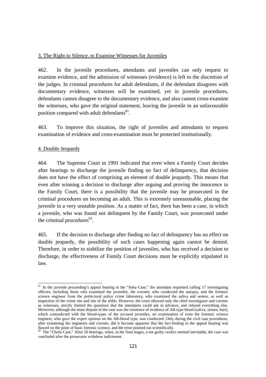### 3. The Right to Silence, to Examine Witnesses for Juveniles

462. In the juvenile procedures, attendants and juveniles can only request to examine evidence, and the admission of witnesses (evidence) is left to the discretion of the judges. In criminal procedures for adult defendants, if the defendant disagrees with documentary evidence, witnesses will be examined, yet in juvenile procedures, defendants cannot disagree to the documentary evidence, and also cannot cross-examine the witnesses, who gave the original statement, leaving the juvenile in an unfavourable position compared with adult defendants<sup>61</sup>.

463. To improve this situation, the right of juveniles and attendants to request examination of evidence and cross-examination must be protected institutionally.

### 4. Double Jeopardy

464. The Supreme Court in 1991 indicated that even when a Family Court decides after hearings to discharge the juvenile finding no fact of delinquency, that decision does not have the effect of comprising an element of double jeopardy. This means that even after winning a decision to discharge after arguing and proving the innocence in the Family Court, there is a possibility that the juvenile may be prosecuted in the criminal procedures on becoming an adult. This is extremely unreasonable, placing the juvenile in a very unstable position. As a matter of fact, there has been a case, in which a juvenile, who was found not delinquent by the Family Court, was prosecuted under the criminal procedures $^{62}$ .

465. If the decision to discharge after finding no fact of delinquency has no effect on double jeopardy, the possibility of such cases happening again cannot be denied. Therefore, in order to stabilize the position of juveniles, who has received a decision to discharge, the effectiveness of Family Court decisions must be explicitly stipulated in law.

 $\overline{a}$  $<sup>61</sup>$  In the juvenile proceeding's appeal hearing in the "Soka Case," the attendant requested calling 17 investigating</sup> officers, including those who examined the juveniles, the coroner, who conducted the autopsy, and the forensic science engineer from the prefectural police crime laboratory, who examined the saliva and semen, as well as inspection of the crime site and site of the alibis. However, the court allowed only the chief investigator and coroner as witnesses, strictly limited the questions that the attendants could ask in advance, and refused everything else. Moreover, although the main dispute in the case was the existence of evidence of AB-type blood (saliva, semen, hair), which contradicted with the blood-types of the accused juveniles, no examination of even the forensic science engineer, who gave the expert opinion on the AB-blood type, was conducted. Only during the civil case procedures, after examining the engineers and coroner, did it become apparent that the fact-finding in the appeal hearing was flawed on the point of basic forensic science, and the error pointed out scientifically.

 $62$  The "Chofu Case." After 26 hearings, when, in the final stages, a not guilty verdict seemed inevitable, the case was concluded after the prosecutor withdrew indictment.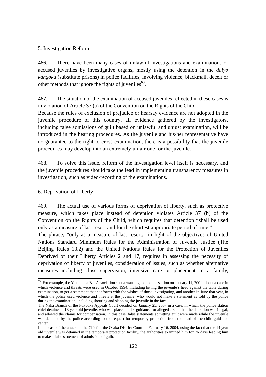## 5. Investigation Reform

466. There have been many cases of unlawful investigations and examinations of accused juveniles by investigative organs, mostly using the detention in the *daiyo kangoku* (substitute prisons) in police facilities, involving violence, blackmail, deceit or other methods that ignore the rights of juveniles<sup>63</sup>.

467. The situation of the examination of accused juveniles reflected in these cases is in violation of Article 37 (a) of the Convention on the Rights of the Child.

Because the rules of exclusion of prejudice or hearsay evidence are not adopted in the juvenile procedure of this country, all evidence gathered by the investigators, including false admissions of guilt based on unlawful and unjust examination, will be introduced in the hearing procedures. As the juvenile and his/her representative have no guarantee to the right to cross-examination, there is a possibility that the juvenile procedures may develop into an extremely unfair one for the juvenile.

468. To solve this issue, reform of the investigation level itself is necessary, and the juvenile procedures should take the lead in implementing transparency measures in investigation, such as video-recording of the examinations.

## 6. Deprivation of Liberty

 $\overline{a}$ 

469. The actual use of various forms of deprivation of liberty, such as protective measure, which takes place instead of detention violates Article 37 (b) of the Convention on the Rights of the Child, which requires that detention "shall be used only as a measure of last resort and for the shortest appropriate period of time."

The phrase, "only as a measure of last resort," in light of the objectives of United Nations Standard Minimum Rules for the Administration of Juvenile Justice (The Beijing Rules 13.2) and the United Nations Rules for the Protection of Juveniles Deprived of their Liberty Articles 2 and 17, requires in assessing the necessity of deprivation of liberty of juveniles, consideration of issues, such as whether alternative measures including close supervision, intensive care or placement in a family,

 $63$  For example, the Yokohama Bar Association sent a warning to a police station on January 11, 2000, about a case in which violence and threats were used in October 1994, including hitting the juvenile's head against the table during examination, to get a statement that conforms with the wishes of those investigating, and another in June that year, in which the police used violence and threats at the juvenile, who would not make a statement as told by the police during the examination, including shouting and slapping the juvenile in the face.

The Naha Branch of the Fukuoka Appeals Court decided on January 25, 2007 in a case, in which the police station chief detained a 13 year old juvenile, who was placed under guidance for alleged arson, that the detention was illegal, and allowed the claims for compensation. In this case, false statements admitting guilt were made while the juvenile was detained by the police according to the request for temporary protection from the head of the child guidance center.

In the case of the attack on the Chief of the Osaka District Court on February 16, 2004, using the fact that the 14 year old juvenile was detained in the temporary protection facility, the authorities examined him for 76 days leading him to make a false statement of admission of guilt.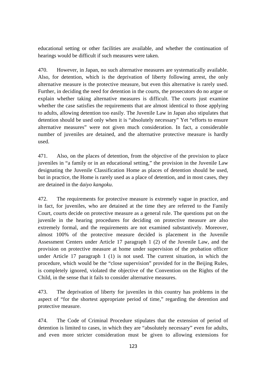educational setting or other facilities are available, and whether the continuation of hearings would be difficult if such measures were taken.

470. However, in Japan, no such alternative measures are systematically available. Also, for detention, which is the deprivation of liberty following arrest, the only alternative measure is the protective measure, but even this alternative is rarely used. Further, in deciding the need for detention in the courts, the prosecutors do no argue or explain whether taking alternative measures is difficult. The courts just examine whether the case satisfies the requirements that are almost identical to those applying to adults, allowing detention too easily. The Juvenile Law in Japan also stipulates that detention should be used only when it is "absolutely necessary" Yet "efforts to ensure alternative measures" were not given much consideration. In fact, a considerable number of juveniles are detained, and the alternative protective measure is hardly used.

471. Also, on the places of detention, from the objective of the provision to place juveniles in "a family or in an educational setting," the provision in the Juvenile Law designating the Juvenile Classification Home as places of detention should be used, but in practice, the Home is rarely used as a place of detention, and in most cases, they are detained in the d*aiyo kangoku*.

472. The requirements for protective measure is extremely vague in practice, and in fact, for juveniles, who are detained at the time they are referred to the Family Court, courts decide on protective measure as a general rule. The questions put on the juvenile in the hearing procedures for deciding on protective measure are also extremely formal, and the requirements are not examined substantively. Moreover, almost 100% of the protective measure decided is placement in the Juvenile Assessment Centers under Article 17 paragraph 1 (2) of the Juvenile Law, and the provision on protective measure at home under supervision of the probation officer under Article 17 paragraph 1 (1) is not used. The current situation, in which the procedure, which would be the "close supervision" provided for in the Beijing Rules, is completely ignored, violated the objective of the Convention on the Rights of the Child, in the sense that it fails to consider alternative measures.

473. The deprivation of liberty for juveniles in this country has problems in the aspect of "for the shortest appropriate period of time," regarding the detention and protective measure.

474. The Code of Criminal Procedure stipulates that the extension of period of detention is limited to cases, in which they are "absolutely necessary" even for adults, and even more stricter consideration must be given to allowing extensions for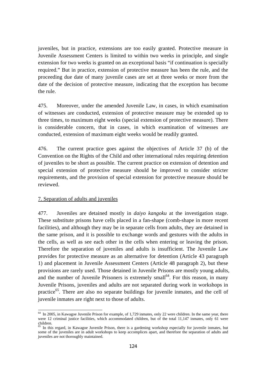juveniles, but in practice, extensions are too easily granted. Protective measure in Juvenile Assessment Centers is limited to within two weeks in principle, and single extension for two weeks is granted on an exceptional basis "if continuation is specially required." But in practice, extension of protective measure has been the rule, and the proceeding due date of many juvenile cases are set at three weeks or more from the date of the decision of protective measure, indicating that the exception has become the rule.

475. Moreover, under the amended Juvenile Law, in cases, in which examination of witnesses are conducted, extension of protective measure may be extended up to three times, to maximum eight weeks (special extension of protective measure). There is considerable concern, that in cases, in which examination of witnesses are conducted, extension of maximum eight weeks would be readily granted.

476. The current practice goes against the objectives of Article 37 (b) of the Convention on the Rights of the Child and other international rules requiring detention of juveniles to be short as possible. The current practice on extension of detention and special extension of protective measure should be improved to consider stricter requirements, and the provision of special extension for protective measure should be reviewed.

### 7. Separation of adults and juveniles

 $\overline{a}$ 

477. Juveniles are detained mostly in *daiyo kangoku* at the investigation stage. These substitute prisons have cells placed in a fan-shape (comb-shape in more recent facilities), and although they may be in separate cells from adults, they are detained in the same prison, and it is possible to exchange words and gestures with the adults in the cells, as well as see each other in the cells when entering or leaving the prison. Therefore the separation of juveniles and adults is insufficient. The Juvenile Law provides for protective measure as an alternative for detention (Article 43 paragraph 1) and placement in Juvenile Assessment Centers (Article 48 paragraph 2), but these provisions are rarely used. Those detained in Juvenile Prisons are mostly young adults, and the number of Juvenile Prisoners is extremely small<sup> $64$ </sup>. For this reason, in many Juvenile Prisons, juveniles and adults are not separated during work in workshops in practice<sup>65</sup>. There are also no separate buildings for juvenile inmates, and the cell of juvenile inmates are right next to those of adults.

<sup>&</sup>lt;sup>64</sup> In 2005, in Kawagoe Juvenile Prison for example, of 1,729 inmates, only 22 were children. In the same year, there were 12 criminal justice facilities, which accommodated children, but of the total 11,147 inmates, only 61 were children.

<sup>&</sup>lt;sup>65</sup> In this regard, in Kawagoe Juvenile Prison, there is a gardening workshop especially for juvenile inmates, but some of the juveniles are in adult workshops to keep accomplices apart, and therefore the separation of adults and juveniles are not thoroughly maintained.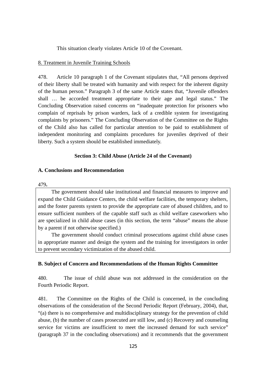This situation clearly violates Article 10 of the Covenant.

#### 8. Treatment in Juvenile Training Schools

478. Article 10 paragraph 1 of the Covenant stipulates that, "All persons deprived of their liberty shall be treated with humanity and with respect for the inherent dignity of the human person." Paragraph 3 of the same Article states that, "Juvenile offenders shall … be accorded treatment appropriate to their age and legal status." The Concluding Observation raised concerns on "inadequate protection for prisoners who complain of reprisals by prison warders, lack of a credible system for investigating complaints by prisoners." The Concluding Observation of the Committee on the Rights of the Child also has called for particular attention to be paid to establishment of independent monitoring and complaints procedures for juveniles deprived of their liberty. Such a system should be established immediately.

#### **Section 3: Child Abuse (Article 24 of the Covenant)**

#### **A. Conclusions and Recommendation**

#### 479**.**

The government should take institutional and financial measures to improve and expand the Child Guidance Centers, the child welfare facilities, the temporary shelters, and the foster parents system to provide the appropriate care of abused children, and to ensure sufficient numbers of the capable staff such as child welfare caseworkers who are specialized in child abuse cases (in this section, the term "abuse" means the abuse by a parent if not otherwise specified.)

The government should conduct criminal prosecutions against child abuse cases in appropriate manner and design the system and the training for investigators in order to prevent secondary victimization of the abused child.

#### **B. Subject of Concern and Recommendations of the Human Rights Committee**

480. The issue of child abuse was not addressed in the consideration on the Fourth Periodic Report.

481. The Committee on the Rights of the Child is concerned, in the concluding observations of the consideration of the Second Periodic Report (February, 2004), that, "(a) there is no comprehensive and multidisciplinary strategy for the prevention of child abuse, (b) the number of cases prosecuted are still low, and (c) Recovery and counseling service for victims are insufficient to meet the increased demand for such service" (paragraph 37 in the concluding observations) and it recommends that the government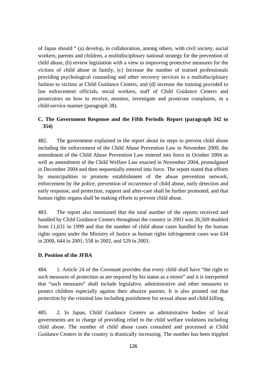of Japan should " (a) develop, in collaboration, among others, with civil society, social workers, parents and children, a multidisciplinary national strategy for the prevention of child abuse, (b) review legislation with a view to improving protective measures for the victims of child abuse in family, (c) Increase the number of trained professionals providing psychological counseling and other recovery services in a multidisciplinary fashion to victims at Child Guidance Centers, and (d) increase the training provided to law enforcement officials, social workers, staff of Child Guidance Centers and prosecutors on how to receive, monitor, investigate and prosecute complaints, in a child-service manner (paragraph 38).

# **C. The Government Response and the Fifth Periodic Report (paragraph 342 to 354)**

482. The government explained in the report about its steps to prevent child abuse including the enforcement of the Child Abuse Prevention Law in November 2000, the amendment of the Child Abuse Prevention Law entered into force in October 2004 as well as amendment of the Child Welfare Law enacted in November 2004, promulgated in December 2004 and then sequentially entered into force. The report stated that efforts by municipalities to promote establishment of the abuse prevention network, enforcement by the police, prevention of occurrence of child abuse, early detection and early response, and protection, support and after-care shall be further promoted, and that human rights organs shall be making efforts to prevent child abuse.

483. The report also mentioned that the total number of the reports received and handled by Child Guidance Centers throughout the country in 2003 was 26,569 doubled from 11,631 in 1999 and that the number of child abuse cases handled by the human rights organs under the Ministry of Justice as human rights infringement cases was 634 in 2000, 644 in 2001, 558 in 2002, and 529 in 2003.

### **D. Position of the JFBA**

484. 1. Article 24 of the Covenant provides that every child shall have "the right to such measures of protection as are required by his status as a minor" and it is interpreted that "such measures" shall include legislative, administrative and other measures to protect children especially against their abusive parents. It is also pointed out that protection by the criminal law including punishment for sexual abuse and child killing.

485. 2. In Japan, Child Guidance Centers as administrative bodies of local governments are in charge of providing relief to the child welfare violations including child abuse. The number of child abuse cases consulted and processed at Child Guidance Centers in the country is drastically increasing. The number has been trippled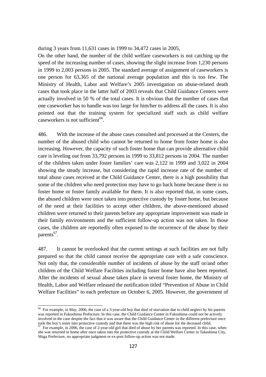during 3 years from 11,631 cases in 1999 to 34,472 cases in 2005,

On the other hand, the number of the child welfare caseworkers is not catching up the speed of the increasing number of cases, showing the slight increase from 1,230 persons in 1999 to 2,003 persons in 2005. The standard average of assignment of caseworkers is one person for 63,365 of the national average population and this is too few. The Ministry of Health, Labor and Welfare's 2005 investigation on abuse-related death cases that took place in the latter half of 2003 reveals that Child Guidance Centers were actually involved in 50 % of the total cases. It is obvious that the number of cases that one caseworker has to handle was too large for him/her to address all the cases. It is also pointed out that the training system for specialized staff such as child welfare caseworkers is not sufficient $^{66}$ .

486. With the increase of the abuse cases consulted and processed at the Centers, the number of the abused child who cannot be returned to home from foster home is also increasing. However, the capacity of such foster home that can provide alternative child care is leveling out from 33,792 persons in 1999 to 33,812 persons in 2004. The number of the children taken under foster families' care was 2,122 in 1999 and 3,022 in 2004 showing the steady increase, but considering the rapid increase rate of the number of total abuse cases received at the Child Guidance Center, there is a high possibility that some of the children who need protection may have to go back home because there is no foster home or foster family available for them. It is also reported that, in some cases, the abused children were once taken into protective custody by foster home, but because of the need at their facilities to accept other children, the above-mentioned abused children were returned to their parents before any appropriate improvement was made in their family environments and the sufficient follow-up action was not taken. In those cases, the children are reportedly often exposed to the recurrence of the abuse by their parents<sup>67</sup>.

487. It cannot be overlooked that the current settings at such facilities are not fully prepared so that the child cannot receive the appropriate care with a safe conscience. Not only that, the considerable number of incidents of abuse by the staff or/and other children of the Child Welfare Facilities including foster home have also been reported. After the incidents of sexual abuse taken place in several foster home, the Ministry of Health, Labor and Welfare released the notification titled "Prevention of Abuse in Child Welfare Facilities" to each prefecture on October 6, 2005. However, the government of

 $\overline{a}$ 

 $66$  For example, in May, 2006, the case of a 3-year-old boy that died of starvation due to child neglect by his parents was reported in Fukushima Prefecture. In this case, the Child Guidance Center in Fukushima could not be actively involved in the case despite the fact that it was aware that the Child Guidance Center in the different prefecture once took the boy's sister into protective custody and that there was the high risk of abuse for the deceas

<sup>&</sup>lt;sup>67</sup> For example, in 2006, the case of 2-year-old girl that died of abuse by her parents was reported. In this case, when she was returned to home after once taken into the protective custody at the Child Welfare Center in Takashima City, Shiga Prefecture, no appropriate judgment or ex-post follow-up action was not made.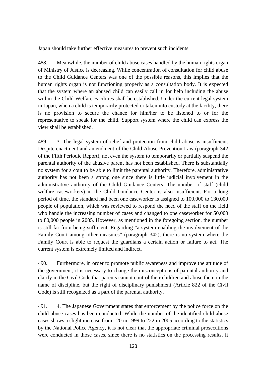Japan should take further effective measures to prevent such incidents.

488. Meanwhile, the number of child abuse cases handled by the human rights organ of Ministry of Justice is decreasing. While concentration of consultation for child abuse to the Child Guidance Centers was one of the possible reasons, this implies that the human rights organ is not functioning properly as a consultation body. It is expected that the system where an abused child can easily call in for help including the abuse within the Child Welfare Facilities shall be established. Under the current legal system in Japan, when a child is temporarily protected or taken into custody at the facility, there is no provision to secure the chance for him/her to be listened to or for the representative to speak for the child. Support system where the child can express the view shall be established.

489. 3. The legal system of relief and protection from child abuse is insufficient. Despite enactment and amendment of the Child Abuse Prevention Law (paragraph 342 of the Fifth Periodic Report), not even the system to temporarily or partially suspend the parental authority of the abusive parent has not been established. There is substantially no system for a cout to be able to limit the parental authority. Therefore, administrative authority has not been a strong one since there is little judicial involvement in the administrative authority of the Child Guidance Centers. The number of staff (child welfare caseworkers) in the Child Guidance Center is also insufficient. For a long period of time, the standard had been one caseworker is assigned to 100,000 to 130,000 people of population, which was reviewed to respond the need of the staff on the field who handle the increasing number of cases and changed to one caseworker for 50,000 to 80,000 people in 2005. However, as mentioned in the foregoing section, the number is still far from being sufficient. Regarding "a system enabling the involvement of the Family Court among other measures" (paragraph 342), there is no system where the Family Court is able to request the guardians a certain action or failure to act. The current system is extremely limited and indirect.

490. Furthermore, in order to promote public awareness and improve the attitude of the government, it is necessary to change the misconceptions of parental authority and clarify in the Civil Code that parents cannot control their children and abuse them in the name of discipline, but the right of disciplinary punishment (Article 822 of the Civil Code) is still recognized as a part of the parental authority.

491. 4. The Japanese Government states that enforcement by the police force on the child abuse cases has been conducted. While the number of the identified child abuse cases shows a slight increase from 120 in 1999 to 222 in 2005 according to the statistics by the National Police Agency, it is not clear that the appropriate criminal prosecutions were conducted in those cases, since there is no statistics on the processing results. It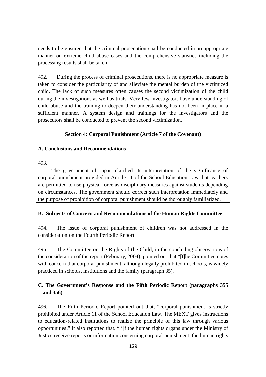needs to be ensured that the criminal prosecution shall be conducted in an appropriate manner on extreme child abuse cases and the comprehensive statistics including the processing results shall be taken.

492. During the process of criminal prosecutions, there is no appropriate measure is taken to consider the particularity of and alleviate the mental burden of the victimized child. The lack of such measures often causes the second victimization of the child during the investigations as well as trials. Very few investigators have understanding of child abuse and the training to deepen their understanding has not been in place in a sufficient manner. A system design and trainings for the investigators and the prosecutors shall be conducted to prevent the second victimization.

# **Section 4: Corporal Punishment (Article 7 of the Covenant)**

## **A. Conclusions and Recommendations**

493.

The government of Japan clarified its interpretation of the significance of corporal punishment provided in Article 11 of the School Education Law that teachers are permitted to use physical force as disciplinary measures against students depending on circumstances. The government should correct such interpretation immediately and the purpose of prohibition of corporal punishment should be thoroughly familiarized.

# **B. Subjects of Concern and Recommendations of the Human Rights Committee**

494. The issue of corporal punishment of children was not addressed in the consideration on the Fourth Periodic Report.

495. The Committee on the Rights of the Child, in the concluding observations of the consideration of the report (February, 2004), pointed out that "[t]he Committee notes with concern that corporal punishment, although legally prohibited in schools, is widely practiced in schools, institutions and the family (paragraph 35).

# **C. The Government's Response and the Fifth Periodic Report (paragraphs 355 and 356)**

496. The Fifth Periodic Report pointed out that, "corporal punishment is strictly prohibited under Article 11 of the School Education Law. The MEXT gives instructions to education-related institutions to realize the principle of this law through various opportunities." It also reported that, "[i]f the human rights organs under the Ministry of Justice receive reports or information concerning corporal punishment, the human rights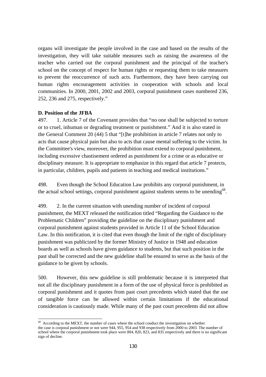organs will investigate the people involved in the case and based on the results of the investigation, they will take suitable measures such as raising the awareness of the teacher who carried out the corporal punishment and the principal of the teacher's school on the concept of respect for human rights or requesting them to take measures to prevent the reoccurrence of such acts. Furthermore, they have been carrying out human rights encouragement activities in cooperation with schools and local communities. In 2000, 2001, 2002 and 2003, corporal punishment cases numbered 236, 252, 236 and 275, respectively."

#### **D. Position of the JFBA**

 $\overline{a}$ 

497. 1. Article 7 of the Covenant provides that "no one shall be subjected to torture or to cruel, inhuman or degrading treatment or punishment." And it is also stated in the General Comment 20 (44) 5 that "[t]he prohibition in article 7 relates not only to acts that cause physical pain but also to acts that cause mental suffering to the victim. In the Committee's view, moreover, the prohibition must extend to corporal punishment, including excessive chastisement ordered as punishment for a crime or as educative or disciplinary measure. It is appropriate to emphasize in this regard that article 7 protects, in particular, children, pupils and patients in teaching and medical institutions."

498. Even though the School Education Law prohibits any corporal punishment, in the actual school settings, corporal punishment against students seems to be unending<sup>68</sup>.

499. 2. In the current situation with unending number of incident of corporal punishment, the MEXT released the notification titled "Regarding the Guidance to the Problematic Children" providing the guideline on the disciplinary punishment and corporal punishment against students provided in Article 11 of the School Education Law. In this notification, it is cited that even though the limit of the right of disciplinary punishment was publicized by the former Ministry of Justice in 1948 and education boards as well as schools have given guidance to students, but that such position in the past shall be corrected and the new guideline shall be ensured to serve as the basis of the guidance to be given by schools.

500. However, this new guideline is still problematic because it is interpreted that not all the disciplinary punishment in a form of the use of physical force is prohibited as corporal punishment and it quotes from past court precedents which stated that the use of tangible force can be allowed within certain limitations if the educational consideration is cautiously made. While many of the past court precedents did not allow

 $68$  According to the MEXT, the number of cases where the school conduct the investigation on whether

the case is corporal punishment or not were 944, 955, 954 and 938 respectively from 2000 to 2003. The number of school where the corporal punishment took place were 804, 820, 823, and 835 respectively and there is no significant sign of decline.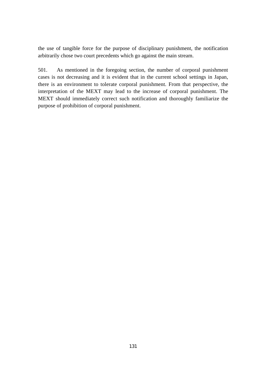the use of tangible force for the purpose of disciplinary punishment, the notification arbitrarily chose two court precedents which go against the main stream.

501. As mentioned in the foregoing section, the number of corporal punishment cases is not decreasing and it is evident that in the current school settings in Japan, there is an environment to tolerate corporal punishment. From that perspective, the interpretation of the MEXT may lead to the increase of corporal punishment. The MEXT should immediately correct such notification and thoroughly familiarize the purpose of prohibition of corporal punishment.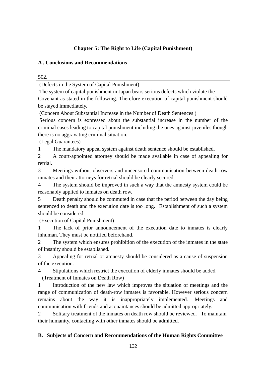# **Chapter 5: The Right to Life (Capital Punishment)**

# **A . Conclusions and Recommendations**

502.

(Defects in the System of Capital Punishment)

 The system of capital punishment in Japan bears serious defects which violate the Covenant as stated in the following. Therefore execution of capital punishment should be stayed immediately.

(Concern About Substantial Increase in the Number of Death Sentences )

 Serious concern is expressed about the substantial increase in the number of the criminal cases leading to capital punishment including the ones against juveniles though there is no aggravating criminal situation.

(Legal Guarantees)

1 The mandatory appeal system against death sentence should be established.

2 A court-appointed attorney should be made available in case of appealing for retrial.

3 Meetings without observers and uncensored communication between death-row inmates and their attorneys for retrial should be clearly secured.

4 The system should be improved in such a way that the amnesty system could be reasonably applied to inmates on death row.

5 Death penalty should be commuted in case that the period between the day being sentenced to death and the execution date is too long. Establishment of such a system should be considered.

(Execution of Capital Punishment)

1 The lack of prior announcement of the execution date to inmates is clearly inhuman. They must be notified beforehand.

2 The system which ensures prohibition of the execution of the inmates in the state of insanity should be established.

3 Appealing for retrial or amnesty should be considered as a cause of suspension of the execution.

4 Stipulations which restrict the execution of elderly inmates should be added.

(Treatment of Inmates on Death Row)

1 Introduction of the new law which improves the situation of meetings and the range of communication of death-row inmates is favorable. However serious concern remains about the way it is inappropriately implemented. Meetings and communication with friends and acquaintances should be admitted appropriately.

2 Solitary treatment of the inmates on death row should be reviewed. To maintain their humanity, contacting with other inmates should be admitted.

# **B. Subjects of Concern and Recommendations of the Human Rights Committee**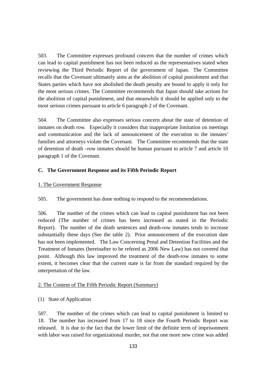503. The Committee expresses profound concern that the number of crimes which can lead to capital punishment has not been reduced as the representatives stated when reviewing the Third Periodic Report of the government of Japan. The Committee recalls that the Covenant ultimately aims at the abolition of capital punishment and that States parties which have not abolished the death penalty are bound to apply it only for the most serious crimes. The Committee recommends that Japan should take actions for the abolition of capital punishment, and that meanwhile it should be applied only to the most serious crimes pursuant to article 6 paragraph 2 of the Covenant.

504. The Committee also expresses serious concern about the state of detention of inmates on death row. Especially it considers that inappropriate limitation on meetings and communication and the lack of announcement of the execution to the inmates' families and attorneys violate the Covenant. The Committee recommends that the state of detention of death –row inmates should be human pursuant to article 7 and article 10 paragraph 1 of the Covenant.

# **C. The Government Response and its Fifth Periodic Report**

# 1. The Government Response

505. The government has done nothing to respond to the recommendations.

506. The number of the crimes which can lead to capital punishment has not been reduced (The number of crimes has been increased as stated in the Periodic Report). The number of the death sentences and death-row inmates tends to increase substantially these days (See the table 2). Prior announcement of the execution date has not been implemented. The Law Concerning Penal and Detention Facilities and the Treatment of Inmates (hereinafter to be refered as 2006 New Law) has not covered that point. Although this law improved the treatment of the death-row inmates to some extent, it becomes clear that the current state is far from the standard required by the interpretation of the law.

# 2. The Content of The Fifth Periodic Report (Summary)

# (1) State of Application

507. The number of the crimes which can lead to capital punishment is limited to 18. The number has increased from 17 to 18 since the Fourth Periodic Report was released. It is due to the fact that the lower limit of the definite term of imprisonment with labor was raised for organizational murder, not that one more new crime was added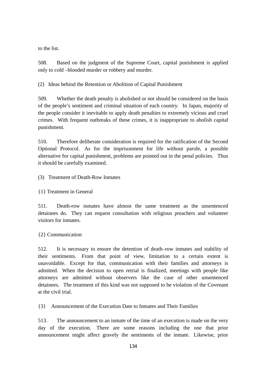to the list.

508. Based on the judgment of the Supreme Court, capital punishment is applied only to cold –blooded murder or robbery and murder.

(2) Ideas behind the Retention or Abolition of Capital Punishment

509. Whether the death penalty is abolished or not should be considered on the basis of the people's sentiment and criminal situation of each country. In Japan, majority of the people consider it inevitable to apply death penalties to extremely vicious and cruel crimes. With frequent outbreaks of these crimes, it is inappropriate to abolish capital punishment.

510. Therefore deliberate consideration is required for the ratification of the Second Optional Protocol. As for the imprisonment for life without parole, a possible alternative for capital punishment, problems are pointed out in the penal policies. Thus it should be carefully examined.

(3) Treatment of Death-Row Inmates

# {1} Treatment in General

511. Death-row inmates have almost the same treatment as the unsentenced detainees do. They can request consultation with religious preachers and volunteer visitors for inmates.

# {2} Communication

512. It is necessary to ensure the detention of death–row inmates and stability of their sentiments. From that point of view, limitation to a certain extent is unavoidable. Except for that, communication with their families and attorneys is admitted. When the decision to open retrial is finalized, meetings with people like attorneys are admitted without observers like the case of other unsentenced detainees. The treatment of this kind was not supposed to be violation of the Covenant at the civil trial.

{3} Announcement of the Execution Date to Inmates and Their Families

513. The announcement to an inmate of the time of an execution is made on the very day of the execution. There are some reasons including the one that prior announcement might affect gravely the sentiments of the inmate. Likewise, prior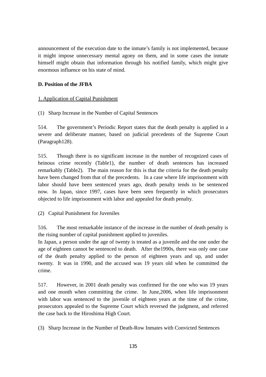announcement of the execution date to the inmate's family is not implemented, because it might impose unnecessary mental agony on them, and in some cases the inmate himself might obtain that information through his notified family, which might give enormous influence on his state of mind.

# **D. Position of the JFBA**

# 1. Application of Capital Punishment

(1) Sharp Increase in the Number of Capital Sentences

514. The government's Periodic Report states that the death penalty is applied in a severe and deliberate manner, based on judicial precedents of the Supreme Court (Paragraph128).

515. Though there is no significant increase in the number of recognized cases of heinous crime recently (Table1), the number of death sentences has increased remarkably (Table2). The main reason for this is that the criteria for the death penalty have been changed from that of the precedents. In a case where life imprisonment with labor should have been sentenced years ago, death penalty tends to be sentenced now. In Japan, since 1997, cases have been seen frequently in which prosecutors objected to life imprisonment with labor and appealed for death penalty.

# (2) Capital Punishment for Juveniles

516. The most remarkable instance of the increase in the number of death penalty is the rising number of capital punishment applied to juveniles.

In Japan, a person under the age of twenty is treated as a juvenile and the one under the age of eighteen cannot be sentenced to death. After the1990s, there was only one case of the death penalty applied to the person of eighteen years and up, and under twenty. It was in 1990, and the accused was 19 years old when he committed the crime.

517. However, in 2001 death penalty was confirmed for the one who was 19 years and one month when committing the crime. In June,2006, when life imprisonment with labor was sentenced to the juvenile of eighteen years at the time of the crime, prosecutors appealed to the Supreme Court which reversed the judgment, and referred the case back to the Hiroshima High Court.

(3) Sharp Increase in the Number of Death-Row Inmates with Convicted Sentences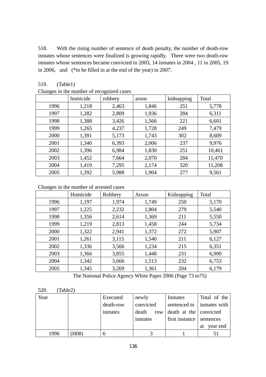518. With the rising number of sentence of death penalty, the number of death-row inmates whose sentences were finalized is growing rapidly. There were two death-row inmates whose sentences became convicted in 2003, 14 inmates in 2004 , 11 in 2005, 19 in 2006, and (\*to be filled in at the end of the year) in 2007.

# 519. (Table1)

| $\sim$ | homicide | $\sim$ games we see so<br>robbery | arson | kidnapping | Total  |
|--------|----------|-----------------------------------|-------|------------|--------|
| 1996   | 1,218    | 2,463                             | 1,846 | 251        | 5,778  |
| 1997   | 1,282    | 2,809                             | 1,936 | 284        | 6,311  |
| 1998   | 1,388    | 3,426                             | 1,566 | 221        | 6,601  |
| 1999   | 1,265    | 4,237                             | 1,728 | 249        | 7,479  |
| 2000   | 1,391    | 5,173                             | 1,743 | 302        | 8,609  |
| 2001   | 1,340    | 6,393                             | 2,006 | 237        | 9,976  |
| 2002   | 1,396    | 6,984                             | 1,830 | 251        | 10,461 |
| 2003   | 1,452    | 7,664                             | 2,070 | 284        | 11,470 |
| 2004   | 1,419    | 7,295                             | 2,174 | 320        | 11,208 |
| 2005   | 1,392    | 5,988                             | 1,904 | 277        | 9,561  |

Changes in the number of recognized cases

Changes in the number of arrested cases

|      | Homicide | Robbery | Arson | Kidnapping | Total |
|------|----------|---------|-------|------------|-------|
| 1996 | 1,197    | 1,974   | 1,749 | 250        | 5,170 |
| 1997 | 1,225    | 2,232   | 1,804 | 279        | 5,540 |
| 1998 | 1,356    | 2,614   | 1,369 | 211        | 5,550 |
| 1999 | 1,219    | 2,813   | 1,458 | 244        | 5,734 |
| 2000 | 1,322    | 2,941   | 1,372 | 272        | 5,907 |
| 2001 | 1,261    | 3,115   | 1,540 | 211        | 6,127 |
| 2002 | 1,336    | 3,566   | 1,234 | 215        | 6,351 |
| 2003 | 1,366    | 3,855   | 1,448 | 231        | 6,900 |
| 2004 | 1,342    | 3,666   | 1,513 | 232        | 6,753 |
| 2005 | 1,345    | 3,269   | 1,361 | 204        | 6,179 |

The National Police Agency White Paper 2006 (Page 73 to75)

| (Table2)<br>520. |      |           |              |                        |                |
|------------------|------|-----------|--------------|------------------------|----------------|
| Year             |      | Executed  | newly        | Inmates                | Total of the   |
|                  |      | death-row | convicted    | sentenced to           | inmates with   |
|                  |      | inmates   | death<br>row | death at the convicted |                |
|                  |      |           | inmates      | first instance         | sentences      |
|                  |      |           |              |                        | year end<br>at |
| 1996             | H08) | 6         |              |                        |                |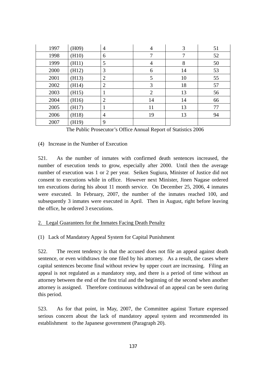| 1997 | (H09) | $\overline{4}$ | $\overline{4}$ | 3  | 51 |
|------|-------|----------------|----------------|----|----|
| 1998 | (H10) | 6              | 7              | 7  | 52 |
| 1999 | (H11) | 5              | $\overline{4}$ | 8  | 50 |
| 2000 | (H12) | 3              | 6              | 14 | 53 |
| 2001 | (H13) | $\overline{2}$ | 5              | 10 | 55 |
| 2002 | (H14) | $\overline{2}$ | 3              | 18 | 57 |
| 2003 | (H15) | 1              | $\overline{2}$ | 13 | 56 |
| 2004 | (H16) | $\overline{2}$ | 14             | 14 | 66 |
| 2005 | (H17) | 1              | 11             | 13 | 77 |
| 2006 | (H18) | $\overline{4}$ | 19             | 13 | 94 |
| 2007 | (H19) | 9              |                |    |    |

The Public Prosecutor's Office Annual Report of Statistics 2006

## (4) Increase in the Number of Execution

521. As the number of inmates with confirmed death sentences increased, the number of execution tends to grow, especially after 2000. Until then the average number of execution was 1 or 2 per year. Seiken Sugiura, Minister of Justice did not consent to executions while in office. However next Minister, Jinen Nagase ordered ten executions during his about 11 month service. On December 25, 2006, 4 inmates were executed. In February, 2007, the number of the inmates reached 100, and subsequently 3 inmates were executed in April. Then in August, right before leaving the office, he ordered 3 executions.

# 2. Legal Guarantees for the Inmates Facing Death Penalty

# (1) Lack of Mandatory Appeal System for Capital Punishment

522. The recent tendency is that the accused does not file an appeal against death sentence, or even withdraws the one filed by his attorney. As a result, the cases where capital sentences become final without review by upper court are increasing. Filing an appeal is not regulated as a mandatory step, and there is a period of time without an attorney between the end of the first trial and the beginning of the second when another attorney is assigned. Therefore continuous withdrawal of an appeal can be seen during this period.

523. As for that point, in May, 2007, the Committee against Torture expressed serious concern about the lack of mandatory appeal system and recommended its establishment to the Japanese government (Paragraph 20).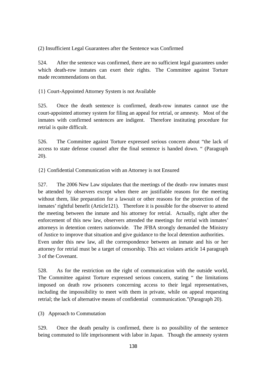(2) Insufficient Legal Guarantees after the Sentence was Confirmed

524. After the sentence was confirmed, there are no sufficient legal guarantees under which death-row inmates can exert their rights. The Committee against Torture made recommendations on that.

{1} Court-Appointed Attorney System is not Available

525. Once the death sentence is confirmed, death-row inmates cannot use the court-appointed attorney system for filing an appeal for retrial, or amnesty. Most of the inmates with confirmed sentences are indigent. Therefore instituting procedure for retrial is quite difficult.

526. The Committee against Torture expressed serious concern about "the lack of access to state defense counsel after the final sentence is handed down. " (Paragraph 20).

{2} Confidential Communication with an Attorney is not Ensured

527. The 2006 New Law stipulates that the meetings of the death- row inmates must be attended by observers except when there are justifiable reasons for the meeting without them, like preparation for a lawsuit or other reasons for the protection of the inmates' rightful benefit (Article121). Therefore it is possible for the observer to attend the meeting between the inmate and his attorney for retrial. Actually, right after the enforcement of this new law, observers attended the meetings for retrial with inmates' attorneys in detention centers nationwide. The JFBA strongly demanded the Ministry of Justice to improve that situation and give guidance to the local detention authorities. Even under this new law, all the correspondence between an inmate and his or her attorney for retrial must be a target of censorship. This act violates article 14 paragraph 3 of the Covenant.

528. As for the restriction on the right of communication with the outside world, The Committee against Torture expressed serious concern, stating " the limitations imposed on death row prisoners concerning access to their legal representatives, including the impossibility to meet with them in private, while on appeal requesting retrial; the lack of alternative means of confidential communication."(Paragraph 20).

(3) Approach to Commutation

529. Once the death penalty is confirmed, there is no possibility of the sentence being commuted to life imprisonment with labor in Japan. Though the amnesty system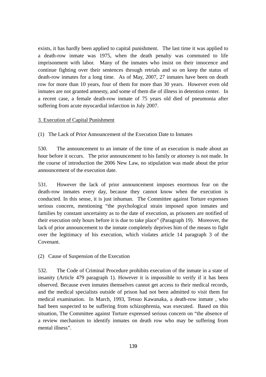exists, it has hardly been applied to capital punishment. The last time it was applied to a death-row inmate was 1975, when the death penalty was commuted to life imprisonment with labor. Many of the inmates who insist on their innocence and continue fighting over their sentences through retrials and so on keep the status of death-row inmates for a long time. As of May, 2007, 27 inmates have been on death row for more than 10 years, four of them for more than 30 years. However even old inmates are not granted amnesty, and some of them die of illness in detention center. In a recent case, a female death-row inmate of 75 years old died of pneumonia after suffering from acute myocardial infarction in July 2007.

## 3. Execution of Capital Punishment

(1) The Lack of Prior Announcement of the Execution Date to Inmates

530. The announcement to an inmate of the time of an execution is made about an hour before it occurs. The prior announcement to his family or attorney is not made. In the course of introduction the 2006 New Law, no stipulation was made about the prior announcement of the execution date.

531. However the lack of prior announcement imposes enormous fear on the death-row inmates every day, because they cannot know when the execution is conducted. In this sense, it is just inhuman. The Committee against Torture expresses serious concern, mentioning "the psychological strain imposed upon inmates and families by constant uncertainty as to the date of execution, as prisoners are notified of their execution only hours before it is due to take place" (Paragraph 19). Moreover, the lack of prior announcement to the inmate completely deprives him of the means to fight over the legitimacy of his execution, which violates article 14 paragraph 3 of the Covenant.

(2) Cause of Suspension of the Execution

532. The Code of Criminal Procedure prohibits execution of the inmate in a state of insanity (Article 479 paragraph 1). However it is impossible to verify if it has been observed. Because even inmates themselves cannot get access to their medical records, and the medical specialists outside of prison had not been admitted to visit them for medical examination. In March, 1993, Tetsuo Kawanaka, a death-row inmate , who had been suspected to be suffering from schizophrenia, was executed. Based on this situation, The Committee against Torture expressed serious concern on "the absence of a review mechanism to identify inmates on death row who may be suffering from mental illness".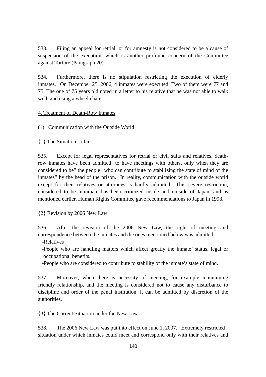533. Filing an appeal for retrial, or for amnesty is not considered to be a cause of suspension of the execution, which is another profound concern of the Committee against Torture (Paragraph 20).

534. Furthermore, there is no stipulation restricting the execution of elderly inmates. On December 25, 2006, 4 inmates were executed. Two of them were 77 and 75. The one of 75 years old noted in a letter to his relative that he was not able to walk well, and using a wheel chair.

### 4. Treatment of Death-Row Inmates

(1) Communication with the Outside World

{1} The Situation so far

535. Except for legal representatives for retrial or civil suits and relatives, deathrow inmates have been admitted to have meetings with others, only when they are considered to be" the people who can contribute to stabilizing the state of mind of the inmates" by the head of the prison. In reality, communication with the outside world except for their relatives or attorneys is hardly admitted. This severe restriction, considered to be inhuman, has been criticized inside and outside of Japan, and as mentioned earlier, Human Rights Committee gave recommendations to Japan in 1998.

{2} Revision by 2006 New Law

536. After the revision of the 2006 New Law, the right of meeting and correspondence between the inmates and the ones mentioned below was admitted.

-Relatives

 -People who are handling matters which affect greatly the inmate' status, legal or occupational benefits.

-People who are considered to contribute to stability of the inmate's state of mind.

537. Moreover, when there is necessity of meeting, for example maintaining friendly relationship, and the meeting is considered not to cause any disturbance to discipline and order of the penal institution, it can be admitted by discretion of the authorities.

{3} The Current Situation under the New Law

538. The 2006 New Law was put into effect on June 1, 2007. Extremely restricted situation under which inmates could meet and correspond only with their relatives and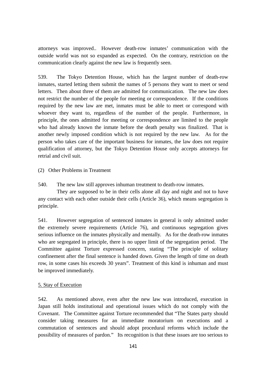attorneys was improved.. However death-row inmates' communication with the outside world was not so expanded as expected. On the contrary, restriction on the communication clearly against the new law is frequently seen.

539. The Tokyo Detention House, which has the largest number of death-row inmates, started letting them submit the names of 5 persons they want to meet or send letters. Then about three of them are admitted for communication. The new law does not restrict the number of the people for meeting or correspondence. If the conditions required by the new law are met, inmates must be able to meet or correspond with whoever they want to, regardless of the number of the people. Furthermore, in principle, the ones admitted for meeting or correspondence are limited to the people who had already known the inmate before the death penalty was finalized. That is another newly imposed condition which is not required by the new law. As for the person who takes care of the important business for inmates, the law does not require qualification of attorney, but the Tokyo Detention House only accepts attorneys for retrial and civil suit.

(2) Other Problems in Treatment

540. The new law still approves inhuman treatment to death-row inmates.

They are supposed to be in their cells alone all day and night and not to have any contact with each other outside their cells (Article 36), which means segregation is principle.

541. However segregation of sentenced inmates in general is only admitted under the extremely severe requirements (Article 76), and continuous segregation gives serious influence on the inmates physically and mentally. As for the death-row inmates who are segregated in principle, there is no upper limit of the segregation period. The Committee against Torture expressed concern, stating "The principle of solitary confinement after the final sentence is handed down. Given the length of time on death row, in some cases his exceeds 30 years". Treatment of this kind is inhuman and must be improved immediately.

### 5. Stay of Execution

542. As mentioned above, even after the new law was introduced, execution in Japan still holds institutional and operational issues which do not comply with the Covenant. The Committee against Torture recommended that "The States party should consider taking measures for an immediate moratorium on executions and a commutation of sentences and should adopt procedural reforms which include the possibility of measures of pardon." Its recognition is that these issues are too serious to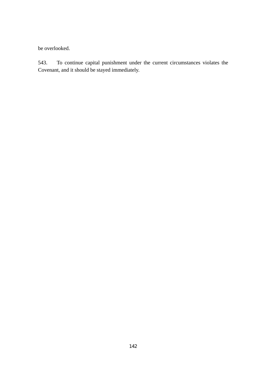be overlooked.

543. To continue capital punishment under the current circumstances violates the Covenant, and it should be stayed immediately.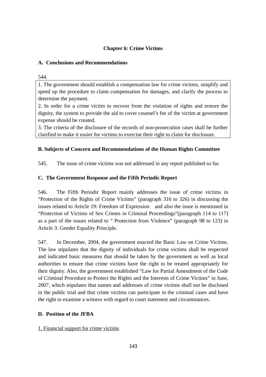## **Chapter 6: Crime Victims**

### **A. Conclusions and Recommendations**

544.

1. The government should establish a compensation law for crime victims, simplify and speed up the procedure to claim compensation for damages, and clarify the process to determine the payment.

2. In order for a crime victim to recover from the violation of rights and restore the dignity, the system to provide the aid to cover counsel's fee of the victim at government expense should be created.

3. The criteria of the disclosure of the records of non-prosecution cases shall be further clarified to make it easier for victims to exercise their right to claim for disclosure.

### **B. Subjects of Concern and Recommendations of the Human Rights Committee**

545. The issue of crime victims was not addressed in any report published so far.

### **C. The Government Response and the Fifth Periodic Report**

546. The Fifth Periodic Report mainly addresses the issue of crime victims in "Protection of the Rights of Crime Victims" (paragraph 316 to 326) in discussing the issues related to Article 19: Freedom of Expression and also the issue is mentioned in "Protection of Victims of Sex Crimes in Criminal Proceedings"(paragraph 114 to 117) as a part of the issues related to " Protection from Violence" (paragraph 98 to 123) in Article 3: Gender Equality Principle.

547. In December, 2004, the government enacted the Basic Law on Crime Victims. The law stipulates that the dignity of individuals for crime victims shall be respected and indicated basic measures that should be taken by the government as well as local authorities to ensure that crime victims have the right to be treated appropriately for their dignity. Also, the government established "Law for Partial Amendment of the Code of Criminal Procedure to Protect the Rights and the Interests of Crime Victims" in June, 2007, which stipulates that names and addresses of crime victims shall not be disclosed in the public trial and that crime victims can participate in the criminal cases and have the right to examine a witness with regard to court statement and circumstances.

### **D. Position of the JFBA**

#### 1. Financial support for crime victims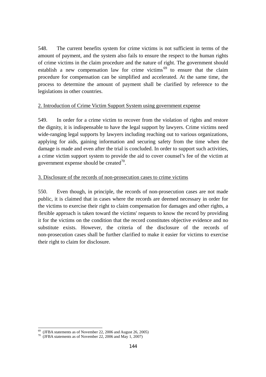548. The current benefits system for crime victims is not sufficient in terms of the amount of payment, and the system also fails to ensure the respect to the human rights of crime victims in the claim procedure and the nature of right. The government should establish a new compensation law for crime victims  $69$  to ensure that the claim procedure for compensation can be simplified and accelerated. At the same time, the process to determine the amount of payment shall be clarified by reference to the legislations in other countries.

### 2. Introduction of Crime Victim Support System using government expense

549. In order for a crime victim to recover from the violation of rights and restore the dignity, it is indispensable to have the legal support by lawyers. Crime victims need wide-ranging legal supports by lawyers including reaching out to various organizations, applying for aids, gaining information and securing safety from the time when the damage is made and even after the trial is concluded. In order to support such activities, a crime victim support system to provide the aid to cover counsel's fee of the victim at government expense should be created $^{70}$ .

### 3. Disclosure of the records of non-prosecution cases to crime victims

550. Even though, in principle, the records of non-prosecution cases are not made public, it is claimed that in cases where the records are deemed necessary in order for the victims to exercise their right to claim compensation for damages and other rights, a flexible approach is taken toward the victims' requests to know the record by providing it for the victims on the condition that the record constitutes objective evidence and no substitute exists. However, the criteria of the disclosure of the records of non-prosecution cases shall be further clarified to make it easier for victims to exercise their right to claim for disclosure.

 $^{69}$  (JFBA statements as of November 22, 2006 and August 26, 2005)

 $\frac{1}{10}$  (JFBA statements as of November 22, 2006 and May 1, 2007)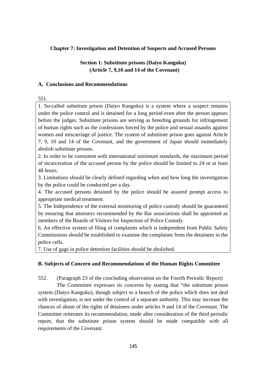### **Chapter 7: Investigation and Detention of Suspects and Accused Persons**

### **Section 1: Substitute prisons (Daiyo Kangoku) (Article 7, 9,10 and 14 of the Covenant)**

#### **A. Conclusions and Recommendations**

#### 551.

1. So-called substitute prison (Daiyo Kangoku) is a system where a suspect remains under the police control and is detained for a long period even after the person appears before the judges. Substitute prisons are serving as breeding grounds for infringement of human rights such as the confessions forced by the police and sexual assaults against women and miscarriage of justice. The system of substitute prison goes against Article 7, 9, 10 and 14 of the Covenant, and the government of Japan should immediately abolish substitute prisons.

2. In order to be consistent with international minimum standards, the maximum period of incarceration of the accused person by the police should be limited to 24 or at least 48 hours.

3. Limitations should be clearly defined regarding when and how long the investigation by the police could be conducted per a day.

4. The accused persons detained by the police should be assured prompt access to appropriate medical treatment.

5. The Independence of the external monitoring of police custody should be guaranteed by ensuring that attorneys recommended by the Bar associations shall be appointed as members of the Boards of Visitors for Inspection of Police Custody.

6. An effective system of filing of complaints which is independent from Public Safety Commissions should be established to examine the complaints from the detainees in the police cells.

7. Use of gags in police detention facilities should be abolished.

#### **B. Subjects of Concern and Recommendations of the Human Rights Committee**

552. (Paragraph 23 of the concluding observation on the Fourth Periodic Report)

The Committee expresses its concerns by stating that "the substitute prison system (Daiyo Kangoku), though subject to a branch of the police which does not deal with investigation, is not under the control of a separate authority. This may increase the chances of abuse of the rights of detainees under articles 9 and 14 of the Covenant. The Committee reiterates its recommendation, made after consideration of the third periodic report, that the substitute prison system should be made compatible with all requirements of the Covenant.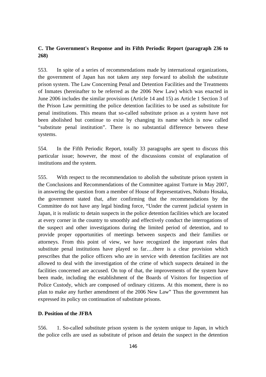## **C. The Government's Response and its Fifth Periodic Report (paragraph 236 to 268)**

553. In spite of a series of recommendations made by international organizations, the government of Japan has not taken any step forward to abolish the substitute prison system. The Law Concerning Penal and Detention Facilities and the Treatments of Inmates (hereinafter to be referred as the 2006 New Law) which was enacted in June 2006 includes the similar provisions (Article 14 and 15) as Article 1 Section 3 of the Prison Law permitting the police detention facilities to be used as substitute for penal institutions. This means that so-called substitute prison as a system have not been abolished but continue to exist by changing its name which is now called "substitute penal institution". There is no substantial difference between these systems.

554. In the Fifth Periodic Report, totally 33 paragraphs are spent to discuss this particular issue; however, the most of the discussions consist of explanation of institutions and the system.

555. With respect to the recommendation to abolish the substitute prison system in the Conclusions and Recommendations of the Committee against Torture in May 2007, in answering the question from a member of House of Representatives, Nobuto Hosaka, the government stated that, after confirming that the recommendations by the Committee do not have any legal binding force, "Under the current judicial system in Japan, it is realistic to detain suspects in the police detention facilities which are located at every corner in the country to smoothly and effectively conduct the interrogations of the suspect and other investigations during the limited period of detention, and to provide proper opportunities of meetings between suspects and their families or attorneys. From this point of view, we have recognized the important roles that substitute penal institutions have played so far….there is a clear provision which prescribes that the police officers who are in service with detention facilities are not allowed to deal with the investigation of the crime of which suspects detained in the facilities concerned are accused. On top of that, the improvements of the system have been made, including the establishment of the Boards of Visitors for Inspection of Police Custody, which are composed of ordinary citizens. At this moment, there is no plan to make any further amendment of the 2006 New Law" Thus the government has expressed its policy on continuation of substitute prisons.

#### **D. Position of the JFBA**

556. 1. So-called substitute prison system is the system unique to Japan, in which the police cells are used as substitute of prison and detain the suspect in the detention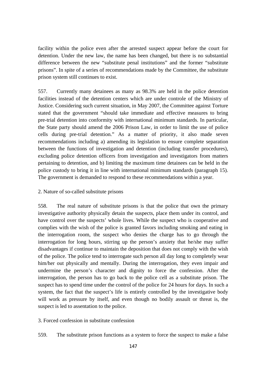facility within the police even after the arrested suspect appear before the court for detention. Under the new law, the name has been changed, but there is no substantial difference between the new "substitute penal institutions" and the former "substitute prisons". In spite of a series of recommendations made by the Committee, the substitute prison system still continues to exist.

557. Currently many detainees as many as 98.3% are held in the police detention facilities instead of the detention centers which are under controle of the Ministry of Justice. Considering such current situation, in May 2007, the Committee against Torture stated that the government "should take immediate and effective measures to bring pre-trial detention into conformity with international minimum standards. In particular, the State party should amend the 2006 Prison Law, in order to limit the use of police cells during pre-trial detention." As a matter of priority, it also made seven recommendations including a) amending its legislation to ensure complete separation between the functions of investigation and detention (including transfer procedures), excluding police detention officers from investigation and investigators from matters pertaining to detention, and b) limiting the maximum time detainees can be held in the police custody to bring it in line with international minimum standards (paragraph 15). The government is demanded to respond to these recommendations within a year.

### 2. Nature of so-called substitute prisons

558. The real nature of substitute prisons is that the police that own the primary investigative authority physically detain the suspects, place them under its control, and have control over the suspects' whole lives. While the suspect who is cooperative and complies with the wish of the police is granted favors including smoking and eating in the interrogation room, the suspect who denies the charge has to go through the interrogation for long hours, stirring up the person's anxiety that he/she may suffer disadvantages if continue to maintain the deposition that does not comply with the wish of the police. The police tend to interrogate such person all day long to completely wear him/her out physically and mentally. During the interrogation, they even impair and undermine the person's character and dignity to force the confession. After the interrogation, the person has to go back to the police cell as a substitute prison. The suspect has to spend time under the control of the police for 24 hours for days. In such a system, the fact that the suspect's life is entirely controlled by the investigative body will work as pressure by itself, and even though no bodily assault or threat is, the suspect is led to assentation to the police.

3. Forced confession in substitute confession

559. The substitute prison functions as a system to force the suspect to make a false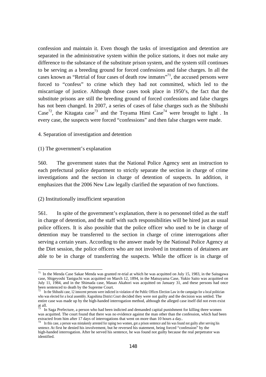confession and maintain it. Even though the tasks of investigation and detention are separated in the administrative system within the police stations, it does not make any difference to the substance of the substitute prison system, and the system still continues to be serving as a breeding ground for forced confessions and false charges. In all the cases known as "Retrial of four cases of death row inmates"<sup>71</sup>, the accused persons were forced to "confess" to crime which they had not committed, which led to the miscarriage of justice. Although those cases took place in 1950's, the fact that the substitute prisons are still the breeding ground of forced confessions and false charges has not been changed. In 2007, a series of cases of false charges such as the Shibushi Case<sup>72</sup>, the Kitagata case<sup>73</sup> and the Toyama Himi Case<sup>74</sup> were brought to light. In every case, the suspects were forced "confessions" and then false charges were made.

#### 4. Separation of investigation and detention

#### (1) The government's explanation

560. The government states that the National Police Agency sent an instruction to each prefectural police department to strictly separate the section in charge of crime investigations and the section in charge of detention of suspects. In addition, it emphasizes that the 2006 New Law legally clarified the separation of two functions.

#### (2) Institutionally insufficient separation

 $\overline{a}$ 

561. In spite of the government's explanation, there is no personnel titled as the staff in charge of detention, and the staff with such responsibilities will be hired just as usual police officers. It is also possible that the police officer who used to be in charge of detention may be transferred to the section in charge of crime interrogations after serving a certain years. According to the answer made by the National Police Agency at the Diet session, the police officers who are not involved in treatments of detainees are able to be in charge of transferring the suspects. While the officer is in charge of

<sup>&</sup>lt;sup>71</sup> In the Menda Case Sakae Menda was granted re-trial at which he was acquitted on July 15, 1983, in the Saitagawa case, Shigeyoshi Taniguchi was acquitted on March 12, 1894, in the Matsuyama Case, Yukio Saito was acquitted on July 11, 1984, and in the Shimada case, Masao Akahori was acquitted on January 31, and these persons had once been sentenced to death by the Supreme Court.

<sup>72</sup> In the Shibushi case, 12 innocent persons were indicted in violation of the Public Offices Election Law in the campaign for a local politician who was elected for a local assembly. Kagoshima District Court decided they were not guilty and the decision was settled. The entire case was made up by the high-handed interrogation method, although the alleged case itself did not even exist at all.

In Saga Prefecture, a person who had been indicted and demanded capital punishment for killing three women was acquitted. The court found that there was no evidence against the man other than the confession, which had been extracted from him after 17 days of interrogations that went on more than 10 hours a day..<br><sup>74</sup> In this case, a person was mistakenly arrested for raping two women, got a prison sentence and his was found not guilty after

sentence. At first he denied his involvement, but he reversed his statement, being forced "confession" by the high-handed interrogation. After he served his sentence, he was found not guilty because the real perpetrator was identified.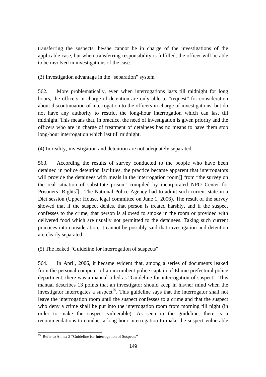transferring the suspects, he/she cannot be in charge of the investigations of the applicable case, but when transferring responsibility is fulfilled, the officer will be able to be involved in investigations of the case.

(3) Investigation advantage in the "separation" system

562. More problematically, even when interrogations lasts till midnight for long hours, the officers in charge of detention are only able to "request" for consideration about discontinuation of interrogation to the officers in charge of investigations, but do not have any authority to restrict the long-hour interrogation which can last till midnight. This means that, in practice, the need of investigation is given priority and the officers who are in charge of treatment of detainees has no means to have them stop long-hour interrogation which last till midnight.

(4) In reality, investigation and detention are not adequately separated.

563. According the results of survey conducted to the people who have been detained in police detention facilities, the practice became apparent that interrogators will provide the detainees with meals in the interrogation room from "the survey on the real situation of substitute prison" compiled by incorporated NPO Center for Prisoners' Rights . The National Police Agency had to admit such current state in a Diet session (Upper House, legal committee on June 1, 2006). The result of the survey showed that if the suspect denies, that person is treated harshly, and if the suspect confesses to the crime, that person is allowed to smoke in the room or provided with delivered food which are usually not permitted to the detainees. Taking such current practices into consideration, it cannot be possibly said that investigation and detention are clearly separated.

(5) The leaked "Guideline for interrogation of suspects"

564. In April, 2006, it became evident that, among a series of documents leaked from the personal computer of an incumbent police captain of Ehime prefectural police department, there was a manual titled as "Guideline for interrogation of suspect". This manual describes 13 points that an investigator should keep in his/her mind when the investigator interrogates a suspect<sup>75</sup>. This guideline says that the interrogator shall not leave the interrogation room until the suspect confesses to a crime and that the suspect who deny a crime shall be put into the interrogation room from morning till night (in order to make the suspect vulnerable). As seen in the guideline, there is a recommendations to conduct a long-hour interrogation to make the suspect vulnerable

 $\overline{a}$  $75$  Refer to Annex 2 "Guideline for Interrogation of Suspects"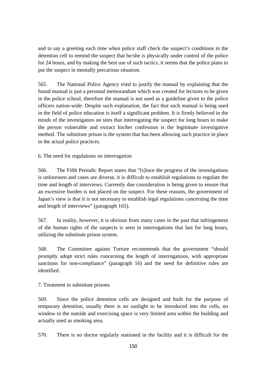and to say a greeting each time when police staff check the suspect's conditions in the detention cell to remind the suspect that he/she is physically under control of the police for 24 hours, and by making the best use of such tactics, it seems that the police plans to put the suspect in mentally precarious situation.

565. The National Police Agency tried to justify the manual by explaining that the found manual is just a personal memorandum which was created for lectures to be given in the police school, therefore the manual is not used as a guideline given to the police officers nation-wide. Despite such explanation, the fact that such manual is being used in the field of police education is itself a significant problem. It is firmly believed in the minds of the investigators on sites that interrogating the suspect for long hours to make the person vulnerable and extract his/her confession is the legitimate investigative method. The substitute prison is the system that has been allowing such practice in place in the actual police practices.

6. The need for regulations on interrogation

566. The Fifth Periodic Report states that "[s]ince the progress of the investigations is unforeseen and cases are diverse, it is difficult to establish regulations to regulate the time and length of interviews. Currently due consideration is being given to ensure that an excessive burden is not placed on the suspect. For these reasons, the government of Japan's view is that it is not necessary to establish legal regulations concerning the time and length of interviews" (paragraph 165).

567. In reality, however, it is obvious from many cases in the past that infringement of the human rights of the suspects is seen in interrogations that last for long hours, utilizing the substitute prison system.

568. The Committee against Torture recommends that the government "should promptly adopt strict rules concerning the length of interrogations, with appropriate sanctions for non-compliance" (paragraph 16) and the need for definitive rules are identified.

7. Treatment in substitute prisons

569. Since the police detention cells are designed and built for the purpose of temporary detention, usually there is no sunlight to be introduced into the cells, no window to the outside and exercising space is very limited area within the building and actually used as smoking area.

570. There is no doctor regularly stationed in the facility and it is difficult for the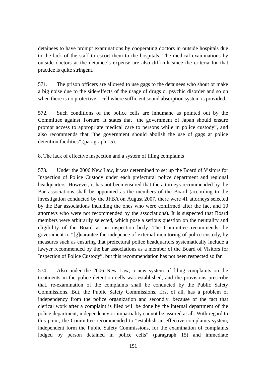detainees to have prompt examinations by cooperating doctors in outside hospitals due to the lack of the staff to escort them to the hospitals. The medical examinations by outside doctors at the detainee's expense are also difficult since the criteria for that practice is quite stringent.

571. The prison officers are allowed to use gags to the detainees who shout or make a big noise due to the side-effects of the usage of drugs or psychic disorder and so on when there is no protective cell where sufficient sound absorption system is provided.

572. Such conditions of the police cells are inhumane as pointed out by the Committee against Torture. It states that "the government of Japan should ensure prompt access to appropriate medical care to persons while in police custody", and also recommends that "the government should abolish the use of gags at police detention facilities" (paragraph 15).

8. The lack of effective inspection and a system of filing complaints

573. Under the 2006 New Law, it was determined to set up the Board of Visitors for Inspection of Police Custody under each prefectural police department and regional headquarters. However, it has not been ensured that the attorneys recommended by the Bar associations shall be appointed as the members of the Board (according to the investigation conducted by the JFBA on August 2007, there were 41 attorneys selected by the Bar associations including the ones who were confirmed after the fact and 10 attorneys who were not recommended by the associations). It is suspected that Board members were arbitrarily selected, which pose a serious question on the neutrality and eligibility of the Board as an inspection body. The Committee recommends the government to "[g]uarantee the indepence of external monitoring of police custody, by measures such as ensuring that prefectural police headquarters systematically include a lawyer recommended by the bar associations as a member of the Board of Visitors for Inspection of Police Custody", but this recommendation has not been respected so far.

574. Also under the 2006 New Law, a new system of filing complaints on the treatments in the police detention cells was established, and the provisions prescribe that, re-examination of the complaints shall be conducted by the Public Safety Commissions. But, the Public Safety Commissions, first of all, has a problem of independency from the police organization and secondly, because of the fact that clerical work after a complaint is filed will be done by the internal department of the police department, independency or impartiality cannot be assured at all. With regard to this point, the Committee recommended to "establish an effective complaints system, independent form the Public Safety Commissions, for the examination of complaints lodged by person detained in police cells" (paragraph 15) and immediate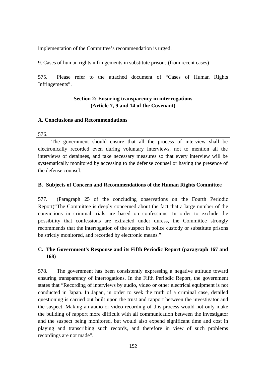implementation of the Committee's recommendation is urged.

9. Cases of human rights infringements in substitute prisons (from recent cases)

575. Please refer to the attached document of "Cases of Human Rights Infringements".

## **Section 2: Ensuring transparency in interrogations (Article 7, 9 and 14 of the Covenant)**

### **A. Conclusions and Recommendations**

576.

The government should ensure that all the process of interview shall be electronically recorded even during voluntary interviews, not to mention all the interviews of detainees, and take necessary measures so that every interview will be systematically monitored by accessing to the defense counsel or having the presence of the defense counsel.

### **B. Subjects of Concern and Recommendations of the Human Rights Committee**

577. (Paragraph 25 of the concluding observations on the Fourth Periodic Report)"The Committee is deeply concerned about the fact that a large number of the convictions in criminal trials are based on confessions. In order to exclude the possibility that confessions are extracted under duress, the Committee strongly recommends that the interrogation of the suspect in police custody or substitute prisons be strictly monitored, and recorded by electronic means."

# **C. The Government's Response and its Fifth Periodic Report (paragraph 167 and 168)**

578. The government has been consistently expressing a negative attitude toward ensuring transparency of interrogations. In the Fifth Periodic Report, the government states that "Recording of interviews by audio, video or other electrical equipment is not conducted in Japan. In Japan, in order to seek the truth of a criminal case, detailed questioning is carried out built upon the trust and rapport between the investigator and the suspect. Making an audio or video recording of this process would not only make the building of rapport more difficult with all communication between the investigator and the suspect being monitored, but would also expend significant time and cost in playing and transcribing such records, and therefore in view of such problems recordings are not made".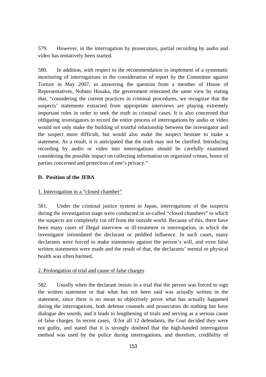579. However, in the interrogation by prosecutors, partial recording by audio and video has tentatively been started.

580. In addition, with respect to the recommendation to implement of a systematic monitoring of interrogations in the consideration of report by the Committee against Torture in May 2007, in answering the question from a member of House of Representatives, Nobuto Hosaka, the government reiterated the same view by stating that, "considering the current practices in criminal procedures, we recognize that the suspects' statements extracted from appropriate interviews are playing extremely important roles in order to seek the truth in criminal cases. It is also concerned that obligating investigators to record the entire process of interrogations by audio or video would not only make the building of trustful relationship between the investigator and the suspect more difficult, but would also make the suspect hesitate to make a statement. As a result, it is anticipated that the truth may not be clarified. Introducing recording by audio or video into interrogations should be carefully examined considering the possible impact on collecting information on organized crimes, honor of parties concerned and protection of one's privacy."

### **D. Position of the JFBA**

## 1. Interrogation in a "closed chamber"

581. Under the criminal justice system in Japan, interrogations of the suspects during the investigation stage were conducted in so-called "closed chambers" in which the suspects are completely cut off from the outside world. Because of this, there have been many cases of illegal interview or ill-treatment in interrogation, in which the investigator intimidated the declarant or peddled influence. In such cases, many declarants were forced to make statements against the person's will, and even false written statements were made and the result of that, the declarants' mental or physical health was often harmed.

### 2. Prolongation of trial and cause of false charges

582. Usually when the declarant insists in a trial that the person was forced to sign the written statement or that what has not been said was actually written in the statement, since there is no mean to objectively prove what has actually happened during the interrogations, both defense counsels and prosecutors do nothing but have dialogue des sourds, and it leads to lengthening of trials and serving as a serious cause of false charges. In recent cases, for all 12 defendants, the Court decided they were not guilty, and stated that it is strongly doubted that the high-handed interrogation method was used by the police during interrogations, and therefore, credibility of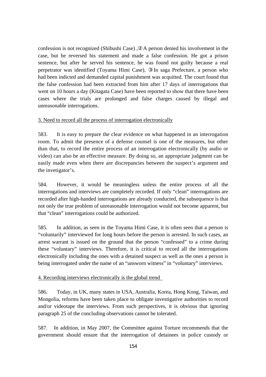confession is not recognized (Shibushi Case) , A person denied his involvement in the case, but he reversed his statement and made a false confession. He got a prison sentence, but after he served his sentence, he was found not guilty because a real perpetrator was identified (Toyama Himi Case), In saga Prefecture, a person who had been indicted and demanded capital punishment was acquitted. The court found that the false confession had been extracted from him after 17 days of interrogations that went on 10 hours a day (Kitagata Case) have been reported to show that there have been cases where the trials are prolonged and false charges caused by illegal and unreasonable interrogations.

#### 3. Need to record all the process of interrogation electronically

583. It is easy to prepare the clear evidence on what happened in an interrogation room. To admit the presence of a defense counsel is one of the measures, but other than that, to record the entire process of an interrogation electronically (by audio or video) can also be an effective measure. By doing so, an appropriate judgment can be easily made even when there are discrepancies between the suspect's argument and the invetigator's.

584. However, it would be meaningless unless the entire process of all the interrogations and interviews are completely recorded. If only "clean" interrogations are recorded after high-handed interrogations are already conducted, the subsequence is that not only the true problem of unreasonable interrogation would not become apparent, but that "clean" interrogations could be authorized.

585. In addition, as seen in the Toyama Himi Case, it is often seen that a person is "voluntarily" interviewed for long hours before the person is arrested. In such cases, an arrest warrant is issued on the ground that the person "confessed" to a crime during these "voluntary" interviews. Therefore, it is critical to record all the interrogations electronically including the ones with a detained suspect as well as the ones a person is being interrogated under the name of an "unsworn witness" in "voluntary" interviews.

#### 4. Recording interviews electronically is the global trend

586. Today, in UK, many states in USA, Australia, Korea, Hong Kong, Taiwan, and Mongolia, reforms have been taken place to obligate investigative authorities to record and/or videotape the interviews. From such perspectives, it is obvious that ignoring paragraph 25 of the concluding observations cannot be tolerated.

587. In addition, in May 2007, the Committee against Torture recommends that the government should ensure that the interrogation of detainees in police custody or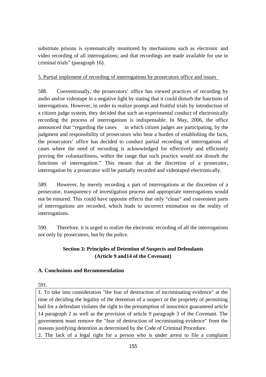substitute prisons is systematically monitored by mechanisms such as electronic and video recording of all interrogations; and that recordings are made available for use in criminal trials" (paragraph 16).

## 5. Partial implement of recording of interrogations by prosecutors office and issues

588. Conventionally, the prosecutors' office has viewed practices of recording by audio and/or videotape in a negative light by stating that it could disturb the functions of interrogations. However, in order to realize prompt and fruitful trials by introduction of a citizen judge system, they decided that such an experimental conduct of electronically recording the process of interrogations is indispensable. In May, 2006, the office announced that "regarding the cases in which citizen judges are participating, by the judgment and responsibility of prosecutors who bear a burden of establishing the facts, the prosecutors' office has decided to conduct partial recording of interrogations of cases where the need of recording is acknowledged for effectively and efficiently proving the voluntariliness, within the range that such practice would not disturb the functions of interrogation." This means that at the discretion of a prosecutor, interrogation by a prosecutor will be partially recorded and videotaped electronically.

589. However, by merely recording a part of interrogations at the discretion of a prosecutor, transparency of investigation process and appropriate interrogations would not be ensured. This could have opposite effects that only "clean" and convenient parts of interrogations are recorded, which leads to incorrect estimation on the reality of interrogations.

590. Therefore, it is urged to realize the electronic recording of all the interrogations not only by prosecutors, but by the police.

# **Section 3: Principles of Detention of Suspects and Defendants (Article 9 and14 of the Covenant)**

# **A. Conclusions and Recommendation**

591.

1. To take into consideration "the fear of destruction of incriminating evidence" at the time of deciding the legality of the detention of a suspect or the propriety of permitting bail for a defendant violates the right to the presumption of innocence guaranteed article 14 paragraph 2 as well as the provision of article 9 paragraph 3 of the Covenant. The government must remove the "fear of destruction of incriminating evidence" from the reasons justifying detention as determined by the Code of Criminal Procedure.

2. The lack of a legal right for a person who is under arrest to file a complaint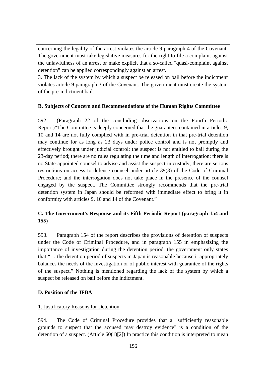concerning the legality of the arrest violates the article 9 paragraph 4 of the Covenant. The government must take legislative measures for the right to file a complaint against the unlawfulness of an arrest or make explicit that a so-called "quasi-complaint against detention" can be applied correspondingly against an arrest.

3. The lack of the system by which a suspect be released on bail before the indictment violates article 9 paragraph 3 of the Covenant. The government must create the system of the pre-indictment bail.

#### **B. Subjects of Concern and Recommendations of the Human Rights Committee**

592. (Paragraph 22 of the concluding observations on the Fourth Periodic Report)"The Committee is deeply concerned that the guarantees contained in articles 9, 10 and 14 are not fully complied with in pre-trial detention in that pre-trial detention may continue for as long as 23 days under police control and is not promptly and effectively brought under judicial control; the suspect is not entitled to bail during the 23-day period; there are no rules regulating the time and length of interrogation; there is no State-appointed counsel to advise and assist the suspect in custody; there are serious restrictions on access to defense counsel under article 39(3) of the Code of Criminal Procedure; and the interrogation does not take place in the presence of the counsel engaged by the suspect. The Committee strongly recommends that the pre-trial detention system in Japan should be reformed with immediate effect to bring it in conformity with articles 9, 10 and 14 of the Covenant."

# **C. The Government's Response and its Fifth Periodic Report (paragraph 154 and 155)**

593. Paragraph 154 of the report describes the provisions of detention of suspects under the Code of Criminal Procedure, and in paragraph 155 in emphasizing the importance of investigation during the detention period, the government only states that "… the detention period of suspects in Japan is reasonable because it appropriately balances the needs of the investigation or of public interest with guarantee of the rights of the suspect." Nothing is mentioned regarding the lack of the system by which a suspect be released on bail before the indictment.

#### **D. Position of the JFBA**

#### 1. Justificatory Reasons for Detention

594. The Code of Criminal Procedure provides that a "sufficiently reasonable grounds to suspect that the accused may destroy evidence" is a condition of the detention of a suspect. (Article  $60(1)[2]$ ) In practice this condition is interpreted to mean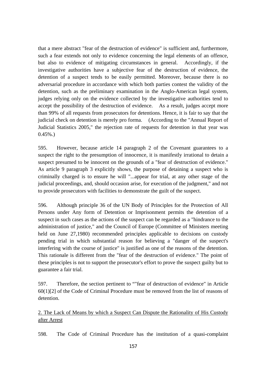that a mere abstract "fear of the destruction of evidence" is sufficient and, furthermore, such a fear extends not only to evidence concerning the legal elements of an offence, but also to evidence of mitigating circumstances in general. Accordingly, if the investigative authorities have a subjective fear of the destruction of evidence, the detention of a suspect tends to be easily permitted. Moreover, because there is no adversarial procedure in accordance with which both parties contest the validity of the detention, such as the preliminary examination in the Anglo-American legal system, judges relying only on the evidence collected by the investigative authorities tend to accept the possibility of the destruction of evidence. As a result, judges accept more than 99% of all requests from prosecutors for detentions. Hence, it is fair to say that the judicial check on detention is merely pro forma. (According to the "Annual Report of Judicial Statistics 2005," the rejection rate of requests for detention in that year was  $0.45\%$ .

595. However, because article 14 paragraph 2 of the Covenant guarantees to a suspect the right to the presumption of innocence, it is manifestly irrational to detain a suspect presumed to be innocent on the grounds of a "fear of destruction of evidence." As article 9 paragraph 3 explicitly shows, the purpose of detaining a suspect who is criminally charged is to ensure he will "...appear for trial, at any other stage of the judicial proceedings, and, should occasion arise, for execution of the judgment," and not to provide prosecutors with facilities to demonstrate the guilt of the suspect.

596. Although principle 36 of the UN Body of Principles for the Protection of All Persons under Any form of Detention or Imprisonment permits the detention of a suspect in such cases as the actions of the suspect can be regarded as a "hindrance to the administration of justice," and the Council of Europe (Committee of Ministers meeting held on June 27,1980) recommended principles applicable to decisions on custody pending trial in which substantial reason for believing a "danger of the suspect's interfering with the course of justice" is justified as one of the reasons of the detention. This rationale is different from the "fear of the destruction of evidence." The point of these principles is not to support the prosecutor's effort to prove the suspect guilty but to guarantee a fair trial.

597. Therefore, the section pertinent to ""fear of destruction of evidence" in Article 60(1)[2] of the Code of Criminal Procedure must be removed from the list of reasons of detention.

2. The Lack of Means by which a Suspect Can Dispute the Rationality of His Custody after Arrest

598. The Code of Criminal Procedure has the institution of a quasi-complaint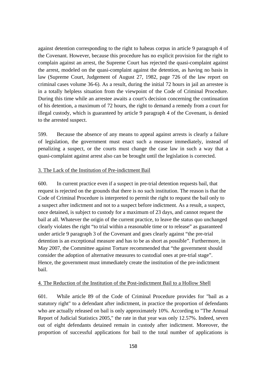against detention corresponding to the right to habeas corpus in article 9 paragraph 4 of the Covenant. However, because this procedure has no explicit provision for the right to complain against an arrest, the Supreme Court has rejected the quasi-complaint against the arrest, modeled on the quasi-complaint against the detention, as having no basis in law (Supreme Court, Judgement of August 27, 1982, page 726 of the law report on criminal cases volume 36-6). As a result, during the initial 72 hours in jail an arrestee is in a totally helpless situation from the viewpoint of the Code of Criminal Procedure. During this time while an arrestee awaits a court's decision concerning the continuation of his detention, a maximum of 72 hours, the right to demand a remedy from a court for illegal custody, which is guaranteed by article 9 paragraph 4 of the Covenant, is denied to the arrested suspect.

599. Because the absence of any means to appeal against arrests is clearly a failure of legislation, the government must enact such a measure immediately, instead of penalizing a suspect, or the courts must change the case law in such a way that a quasi-complaint against arrest also can be brought until the legislation is corrected.

#### 3. The Lack of the Institution of Pre-indictment Bail

600. In current practice even if a suspect in pre-trial detention requests bail, that request is rejected on the grounds that there is no such institution. The reason is that the Code of Criminal Procedure is interpreted to permit the right to request the bail only to a suspect after indictment and not to a suspect before indictment. As a result, a suspect, once detained, is subject to custody for a maximum of 23 days, and cannot request the bail at all. Whatever the origin of the current practice, to leave the status quo unchanged clearly violates the right "to trial within a reasonable time or to release" as guaranteed under article 9 paragraph 3 of the Covenant and goes clearly against "the pre-trial detention is an exceptional measure and has to be as short as possible". Furthermore, in May 2007, the Committee against Torture recommended that "the government should consider the adoption of alternative measures to custodial ones at pre-trial stage". Hence, the government must immediately create the institution of the pre-indictment bail.

#### 4. The Reduction of the Institution of the Post-indictment Bail to a Hollow Shell

601. While article 89 of the Code of Criminal Procedure provides for "bail as a statutory right" to a defendant after indictment, in practice the proportion of defendants who are actually released on bail is only approximately 10%. According to "The Annual Report of Judicial Statistics 2005," the rate in that year was only 12.57%. Indeed, seven out of eight defendants detained remain in custody after indictment. Moreover, the proportion of successful applications for bail to the total number of applications is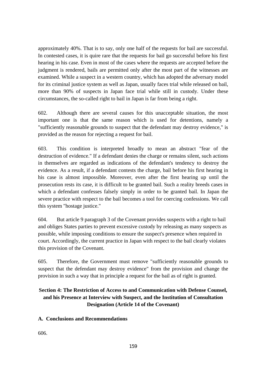approximately 40%. That is to say, only one half of the requests for bail are successful. In contested cases, it is quire rare that the requests for bail go successful before his first hearing in his case. Even in most of the cases where the requests are accepted before the judgment is rendered, bails are permitted only after the most part of the witnesses are examined. While a suspect in a western country, which has adopted the adversary model for its criminal justice system as well as Japan, usually faces trial while released on bail, more than 90% of suspects in Japan face trial while still in custody. Under these circumstances, the so-called right to bail in Japan is far from being a right.

602. Although there are several causes for this unacceptable situation, the most important one is that the same reason which is used for detentions, namely a "sufficiently reasonable grounds to suspect that the defendant may destroy evidence," is provided as the reason for rejecting a request for bail.

603. This condition is interpreted broadly to mean an abstract "fear of the destruction of evidence." If a defendant denies the charge or remains silent, such actions in themselves are regarded as indications of the defendant's tendency to destroy the evidence. As a result, if a defendant contests the charge, bail before his first hearing in his case is almost impossible. Moreover, even after the first hearing up until the prosecution rests its case, it is difficult to be granted bail. Such a reality breeds cases in which a defendant confesses falsely simply in order to be granted bail. In Japan the severe practice with respect to the bail becomes a tool for coercing confessions. We call this system "hostage justice."

604. But article 9 paragraph 3 of the Covenant provides suspects with a right to bail and obliges States parties to prevent excessive custody by releasing as many suspects as possible, while imposing conditions to ensure the suspect's presence when required in court. Accordingly, the current practice in Japan with respect to the bail clearly violates this provision of the Covenant.

605. Therefore, the Government must remove "sufficiently reasonable grounds to suspect that the defendant may destroy evidence" from the provision and change the provision in such a way that in principle a request for the bail as of right is granted.

# **Section 4: The Restriction of Access to and Communication with Defense Counsel, and his Presence at Interview with Suspect, and the Institution of Consultation Designation (Article 14 of the Covenant)**

### **A. Conclusions and Recommendations**

606.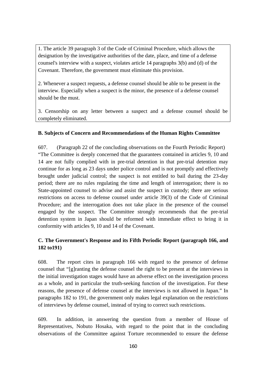1. The article 39 paragraph 3 of the Code of Criminal Procedure, which allows the designation by the investigative authorities of the date, place, and time of a defense counsel's interview with a suspect, violates article 14 paragraphs 3(b) and (d) of the Covenant. Therefore, the government must eliminate this provision.

2. Whenever a suspect requests, a defense counsel should be able to be present in the interview. Especially when a suspect is the minor, the presence of a defense counsel should be the must.

3. Censorship on any letter between a suspect and a defense counsel should be completely eliminated.

#### **B. Subjects of Concern and Recommendations of the Human Rights Committee**

607. (Paragraph 22 of the concluding observations on the Fourth Periodic Report) "The Committee is deeply concerned that the guarantees contained in articles 9, 10 and 14 are not fully complied with in pre-trial detention in that pre-trial detention may continue for as long as 23 days under police control and is not promptly and effectively brought under judicial control; the suspect is not entitled to bail during the 23-day period; there are no rules regulating the time and length of interrogation; there is no State-appointed counsel to advise and assist the suspect in custody; there are serious restrictions on access to defense counsel under article 39(3) of the Code of Criminal Procedure; and the interrogation does not take place in the presence of the counsel engaged by the suspect. The Committee strongly recommends that the pre-trial detention system in Japan should be reformed with immediate effect to bring it in conformity with articles 9, 10 and 14 of the Covenant.

### **C. The Government's Response and its Fifth Periodic Report (paragraph 166, and 182 to191)**

608. The report cites in paragraph 166 with regard to the presence of defense counsel that "[g]ranting the defense counsel the right to be present at the interviews in the initial investigation stages would have an adverse effect on the investigation process as a whole, and in particular the truth-seeking function of the investigation. For these reasons, the presence of defense counsel at the interviews is not allowed in Japan." In paragraphs 182 to 191, the government only makes legal explanation on the restrictions of interviews by defense counsel, instead of trying to correct such restrictions.

609. In addition, in answering the question from a member of House of Representatives, Nobuto Hosaka, with regard to the point that in the concluding observations of the Committee against Torture recommended to ensure the defense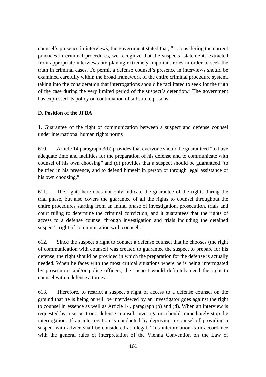counsel's presence in interviews, the government stated that, "…considering the current practices in criminal procedures, we recognize that the suspects' statements extracted from appropriate interviews are playing extremely important roles in order to seek the truth in criminal cases. To permit a defense counsel's presence in interviews should be examined carefully within the broad framework of the entire criminal procedure system, taking into the consideration that interrogations should be facilitated to seek for the truth of the case during the very limited period of the suspect's detention." The government has expressed its policy on continuation of substitute prisons.

### **D. Position of the JFBA**

1. Guarantee of the right of communication between a suspect and defense counsel under international human rights norms

610. Article 14 paragraph 3(b) provides that everyone should be guaranteed "to have adequate time and facilities for the preparation of his defense and to communicate with counsel of his own choosing" and (d) provides that a suspect should be guaranteed "to be tried in his presence, and to defend himself in person or through legal assistance of his own choosing."

611. The rights here does not only indicate the guarantee of the rights during the trial phase, but also covers the guarantee of all the rights to counsel throughout the entire procedures starting from an initial phase of investigation, prosecution, trials and court ruling to determine the criminal conviction, and it guarantees that the rights of access to a defense counsel through investigation and trials including the detained suspect's right of communication with counsel.

612. Since the suspect's right to contact a defense counsel that he chooses (the right of communication with counsel) was created to guarantee the suspect to prepare for his defense, the right should be provided in which the preparation for the defense is actually needed. When he faces with the most critical situations where he is being interrogated by prosecutors and/or police officers, the suspect would definitely need the right to counsel with a defense attorney.

613. Therefore, to restrict a suspect's right of access to a defense counsel on the ground that he is being or will be interviewed by an investigator goes against the right to counsel in essence as well as Article 14, paragraph (b) and (d). When an interview is requested by a suspect or a defense counsel, investigators should immediately stop the interrogation. If an interrogation is conducted by depriving a counsel of providing a suspect with advice shall be considered as illegal. This interpretation is in accordance with the general rules of interpretation of the Vienna Convention on the Law of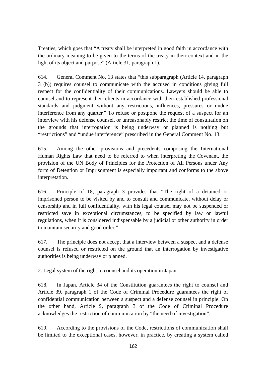Treaties, which goes that "A treaty shall be interpreted in good faith in accordance with the ordinary meaning to be given to the terms of the treaty in their context and in the light of its object and purpose" (Article 31, paragraph 1).

614. General Comment No. 13 states that "this subparagraph (Article 14, paragraph 3 (b)) requires counsel to communicate with the accused in conditions giving full respect for the confidentiality of their communications. Lawyers should be able to counsel and to represent their clients in accordance with their established professional standards and judgment without any restrictions, influences, pressures or undue interference from any quarter." To refuse or postpone the request of a suspect for an interview with his defense counsel, or unreasonably restrict the time of consultation on the grounds that interrogation is being underway or planned is nothing but "restrictions" and "undue interference" prescribed in the General Comment No. 13.

615. Among the other provisions and precedents composing the International Human Rights Law that need to be referred to when interpreting the Covenant, the provision of the UN Body of Principles for the Protection of All Persons under Any form of Detention or Imprisonment is especially important and conforms to the above interpretation.

616. Principle of 18, paragraph 3 provides that "The right of a detained or imprisoned person to be visited by and to consult and communicate, without delay or censorship and in full confidentiality, with his legal counsel may not be suspended or restricted save in exceptional circumstances, to be specified by law or lawful regulations, when it is considered indispensable by a judicial or other authority in order to maintain security and good order.".

617. The principle does not accept that a interview between a suspect and a defense counsel is refused or restricted on the ground that an interrogation by investigative authorities is being underway or planned.

### 2. Legal system of the right to counsel and its operation in Japan

618. In Japan, Article 34 of the Constitution guarantees the right to counsel and Article 39, paragraph 1 of the Code of Criminal Procedure guarantees the right of confidential communication between a suspect and a defense counsel in principle. On the other hand, Article 9, paragraph 3 of the Code of Criminal Procedure acknowledges the restriction of communication by "the need of investigation".

619. According to the provisions of the Code, restrictions of communication shall be limited to the exceptional cases, however, in practice, by creating a system called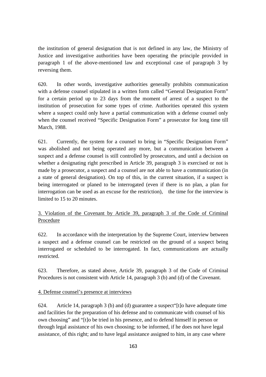the institution of general designation that is not defined in any law, the Ministry of Justice and investigative authorities have been operating the principle provided in paragraph 1 of the above-mentioned law and exceptional case of paragraph 3 by reversing them.

620. In other words, investigative authorities generally prohibits communication with a defense counsel stipulated in a written form called "General Designation Form" for a certain period up to 23 days from the moment of arrest of a suspect to the institution of prosecution for some types of crime. Authorities operated this system where a suspect could only have a partial communication with a defense counsel only when the counsel received "Specific Designation Form" a prosecutor for long time till March, 1988.

621. Currently, the system for a counsel to bring in "Specific Designation Form" was abolished and not being operated any more, but a communication between a suspect and a defense counsel is still controlled by prosecutors, and until a decision on whether a designating right prescribed in Article 39, paragraph 3 is exercised or not is made by a prosecutor, a suspect and a counsel are not able to have a communication (in a state of general designation). On top of this, in the current situation, if a suspect is being interrogated or planed to be interrogated (even if there is no plan, a plan for interrogation can be used as an excuse for the restriction), the time for the interview is limited to 15 to 20 minutes.

# 3. Violation of the Covenant by Article 39, paragraph 3 of the Code of Criminal Procedure

622. In accordance with the interpretation by the Supreme Court, interview between a suspect and a defense counsel can be restricted on the ground of a suspect being interrogated or scheduled to be interrogated. In fact, communications are actually restricted.

623. Therefore, as stated above, Article 39, paragraph 3 of the Code of Criminal Procedures is not consistent with Article 14, paragraph 3 (b) and (d) of the Covenant.

### 4. Defense counsel's presence at interviews

624. Article 14, paragraph 3 (b) and (d) guarantee a suspect [t] o have adequate time and facilities for the preparation of his defense and to communicate with counsel of his own choosing" and "[t]o be tried in his presence, and to defend himself in person or through legal assistance of his own choosing; to be informed, if he does not have legal assistance, of this right; and to have legal assistance assigned to him, in any case where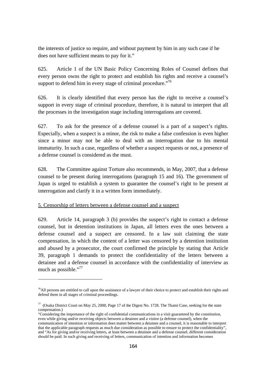the interests of justice so require, and without payment by him in any such case if he does not have sufficient means to pay for it."

625. Article 1 of the UN Basic Policy Concerning Roles of Counsel defines that every person owns the right to protect and establish his rights and receive a counsel's support to defend him in every stage of criminal procedure."<sup>76</sup>

626. It is clearly identified that every person has the right to receive a counsel's support in every stage of criminal procedure, therefore, it is natural to interpret that all the processes in the investigation stage including interrogations are covered.

627. To ask for the presence of a defense counsel is a part of a suspect's rights. Especially, when a suspect is a minor, the risk to make a false confession is even higher since a minor may not be able to deal with an interrogation due to his mental immaturity. In such a case, regardless of whether a suspect requests or not, a presence of a defense counsel is considered as the must.

628. The Committee against Torture also recommends, in May, 2007, that a defense counsel to be present during interrogations (paragraph 15 and 16). The government of Japan is urged to establish a system to guarantee the counsel's right to be present at interrogation and clarify it in a written form immediately.

#### 5. Censorship of letters between a defense counsel and a suspect

 $\overline{a}$ 

629. Article 14, paragraph 3 (b) provides the suspect's right to contact a defense counsel, but in detention institutions in Japan, all letters even the ones between a defense counsel and a suspect are censored. In a law suit claiming the state compensation, in which the content of a letter was censored by a detention institution and abused by a prosecutor, the court confirmed the principle by stating that Article 39, paragraph 1 demands to protect the confidentiality of the letters between a detainee and a defense counsel in accordance with the confidentiality of interview as much as possible."<sup>77</sup>

 $<sup>76</sup>$ All persons are entitled to call upon the assistance of a lawyer of their choice to protect and establish their rights and</sup> defend them in all stages of criminal proceedings.

<sup>77 (</sup>Osaka District Court on May 25, 2000, Page 17 of the Digest No. 1728. The Tkami Case, seeking for the state compensation.)

<sup>&</sup>quot;Considering the importance of the right of confidential communications in a visit guaranteed by the constitution, even while giving and/or receiving objects between a detainee and a visitor (a defense counsel), when the communication of intention or information does matter between a detainee and a counsel, it is reasonable to interpret that the applicable paragraph requests as much due consideration as possible to ensure to protect the confidentiality", and "As for giving and/or receiving letters, at least between a detainee and a defense counsel, different consideration should be paid. In such giving and receiving of letters, communication of intention and information becomes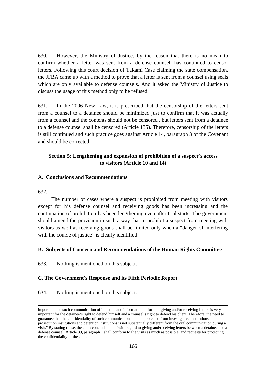630. However, the Ministry of Justice, by the reason that there is no mean to confirm whether a letter was sent from a defense counsel, has continued to censor letters. Following this court decision of Takami Case claiming the state compensation, the JFBA came up with a method to prove that a letter is sent from a counsel using seals which are only available to defense counsels. And it asked the Ministry of Justice to discuss the usage of this method only to be refused.

631. In the 2006 New Law, it is prescribed that the censorship of the letters sent from a counsel to a detainee should be minimized just to confirm that it was actually from a counsel and the contents should not be censored , but letters sent from a detainee to a defense counsel shall be censored (Article 135). Therefore, censorship of the letters is still continued and such practice goes against Article 14, paragraph 3 of the Covenant and should be corrected.

## **Section 5: Lengthening and expansion of prohibition of a suspect's access to visitors (Article 10 and 14)**

#### **A. Conclusions and Recommendations**

#### 632.

1

The number of cases where a suspect is prohibited from meeting with visitors except for his defense counsel and receiving goods has been increasing and the continuation of prohibition has been lengthening even after trial starts. The government should amend the provision in such a way that to prohibit a suspect from meeting with visitors as well as receiving goods shall be limited only when a "danger of interfering with the course of justice" is clearly identified.

#### **B. Subjects of Concern and Recommendations of the Human Rights Committee**

633. Nothing is mentioned on this subject.

#### **C. The Government's Response and its Fifth Periodic Report**

634. Nothing is mentioned on this subject.

important, and such communication of intention and information in form of giving and/or receiving letters is very important for the detainee's right to defend himself and a counsel's right to defend his client. Therefore, the need to guarantee that the confidentiality of such communication shall be protected from investigative institutions, prosecution institutions and detention institutions is not substantially different from the oral communication during a visit." By stating those, the court concluded that "with regard to giving and/receiving letters between a detainee and a defense counsel, Article 39, paragraph 1 shall conform to the visits as much as possible, and requests for protecting the confidentiality of the content."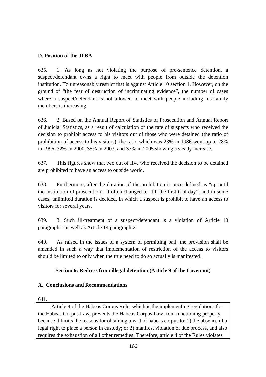## **D. Position of the JFBA**

635. 1. As long as not violating the purpose of pre-sentence detention, a suspect/defendant owns a right to meet with people from outside the detention institution. To unreasonably restrict that is against Article 10 section 1. However, on the ground of "the fear of destruction of incriminating evidence", the number of cases where a suspect/defendant is not allowed to meet with people including his family members is increasing.

636. 2. Based on the Annual Report of Statistics of Prosecution and Annual Report of Judicial Statistics, as a result of calculation of the rate of suspects who received the decision to prohibit access to his visitors out of those who were detained (the ratio of prohibition of access to his visitors), the ratio which was 23% in 1986 went up to 28% in 1996, 32% in 2000, 35% in 2003, and 37% in 2005 showing a steady increase.

637. This figures show that two out of five who received the decision to be detained are prohibited to have an access to outside world.

638. Furthermore, after the duration of the prohibition is once defined as "up until the institution of prosecution", it often changed to "till the first trial day", and in some cases, unlimited duration is decided, in which a suspect is prohibit to have an access to visitors for several years.

639. 3. Such ill-treatment of a suspect/defendant is a violation of Article 10 paragraph 1 as well as Article 14 paragraph 2.

640. As raised in the issues of a system of permitting bail, the provision shall be amended in such a way that implementation of restriction of the access to visitors should be limited to only when the true need to do so actually is manifested.

### **Section 6: Redress from illegal detention (Article 9 of the Covenant)**

### **A. Conclusions and Recommendations**

641.

Article 4 of the Habeas Corpus Rule, which is the implementing regulations for the Habeas Corpus Law, prevents the Habeas Corpus Law from functioning properly because it limits the reasons for obtaining a writ of habeas corpus to: 1) the absence of a legal right to place a person in custody; or 2) manifest violation of due process, and also requires the exhaustion of all other remedies. Therefore, article 4 of the Rules violates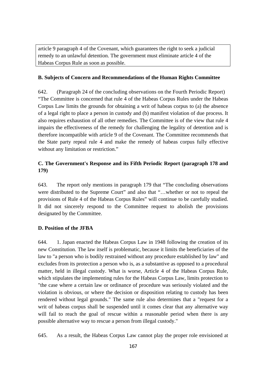article 9 paragraph 4 of the Covenant, which guarantees the right to seek a judicial remedy to an unlawful detention. The government must eliminate article 4 of the Habeas Corpus Rule as soon as possible.

#### **B. Subjects of Concern and Recommendations of the Human Rights Committee**

642. (Paragraph 24 of the concluding observations on the Fourth Periodic Report) "The Committee is concerned that rule 4 of the Habeas Corpus Rules under the Habeas Corpus Law limits the grounds for obtaining a writ of habeas corpus to (a) the absence of a legal right to place a person in custody and (b) manifest violation of due process. It also requires exhaustion of all other remedies. The Committee is of the view that rule 4 impairs the effectiveness of the remedy for challenging the legality of detention and is therefore incompatible with article 9 of the Covenant. The Committee recommends that the State party repeal rule 4 and make the remedy of habeas corpus fully effective without any limitation or restriction."

# **C. The Government's Response and its Fifth Periodic Report (paragraph 178 and 179)**

643. The report only mentions in paragraph 179 that "The concluding observations were distributed to the Supreme Court" and also that "…whether or not to repeal the provisions of Rule 4 of the Habeas Corpus Rules" will continue to be carefully studied. It did not sincerely respond to the Committee request to abolish the provisions designated by the Committee.

### **D. Position of the JFBA**

644. 1. Japan enacted the Habeas Corpus Law in 1948 following the creation of its new Constitution. The law itself is problematic, because it limits the beneficiaries of the law to "a person who is bodily restrained without any procedure established by law" and excludes from its protection a person who is, as a substantive as opposed to a procedural matter, held in illegal custody. What is worse, Article 4 of the Habeas Corpus Rule, which stipulates the implementing rules for the Habeas Corpus Law, limits protection to "the case where a certain law or ordinance of procedure was seriously violated and the violation is obvious, or where the decision or disposition relating to custody has been rendered without legal grounds." The same rule also determines that a "request for a writ of habeas corpus shall be suspended until it comes clear that any alternative way will fail to reach the goal of rescue within a reasonable period when there is any possible alternative way to rescue a person from illegal custody."

645. As a result, the Habeas Corpus Law cannot play the proper role envisioned at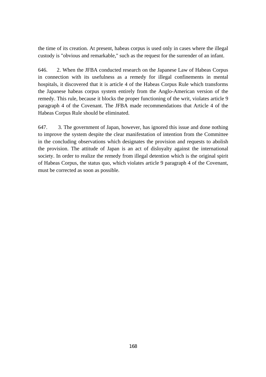the time of its creation. At present, habeas corpus is used only in cases where the illegal custody is "obvious and remarkable," such as the request for the surrender of an infant.

646. 2. When the JFBA conducted research on the Japanese Law of Habeas Corpus in connection with its usefulness as a remedy for illegal confinements in mental hospitals, it discovered that it is article 4 of the Habeas Corpus Rule which transforms the Japanese habeas corpus system entirely from the Anglo-American version of the remedy. This rule, because it blocks the proper functioning of the writ, violates article 9 paragraph 4 of the Covenant. The JFBA made recommendations that Article 4 of the Habeas Corpus Rule should be eliminated.

647. 3. The government of Japan, however, has ignored this issue and done nothing to improve the system despite the clear manifestation of intention from the Committee in the concluding observations which designates the provision and requests to abolish the provision. The attitude of Japan is an act of disloyalty against the international society. In order to realize the remedy from illegal detention which is the original spirit of Habeas Corpus, the status quo, which violates article 9 paragraph 4 of the Covenant, must be corrected as soon as possible.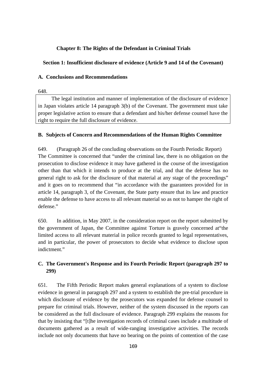## **Chapter 8: The Rights of the Defendant in Criminal Trials**

### **Section 1: Insufficient disclosure of evidence (Article 9 and 14 of the Covenant)**

## **A. Conclusions and Recommendations**

648.

The legal institution and manner of implementation of the disclosure of evidence in Japan violates article 14 paragraph 3(b) of the Covenant. The government must take proper legislative action to ensure that a defendant and his/her defense counsel have the right to require the full disclosure of evidence.

### **B. Subjects of Concern and Recommendations of the Human Rights Committee**

649. (Paragraph 26 of the concluding observations on the Fourth Periodic Report) The Committee is concerned that "under the criminal law, there is no obligation on the prosecution to disclose evidence it may have gathered in the course of the investigation other than that which it intends to produce at the trial, and that the defense has no general right to ask for the disclosure of that material at any stage of the proceedings" and it goes on to recommend that "in accordance with the guarantees provided for in article 14, paragraph 3, of the Covenant, the State party ensure that its law and practice enable the defense to have access to all relevant material so as not to hamper the right of defense."

650. In addition, in May 2007, in the consideration report on the report submitted by the government of Japan, the Committee against Torture is gravely concerned at"the limited access to all relevant material in police records granted to legal representatives, and in particular, the power of prosecutors to decide what evidence to disclose upon indictment."

# **C. The Government's Response and its Fourth Periodic Report (paragraph 297 to 299)**

651. The Fifth Periodic Report makes general explanations of a system to disclose evidence in general in paragraph 297 and a system to establish the pre-trial procedure in which disclosure of evidence by the prosecutors was expanded for defense counsel to prepare for criminal trials. However, neither of the system discussed in the reports can be considered as the full disclosure of evidence. Paragraph 299 explains the reasons for that by insisting that "[t]he investigation records of criminal cases include a multitude of documents gathered as a result of wide-ranging investigative activities. The records include not only documents that have no bearing on the points of contention of the case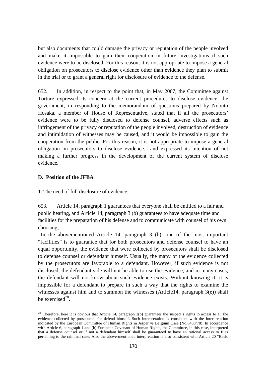but also documents that could damage the privacy or reputation of the people involved and make it impossible to gain their cooperation in future investigations if such evidence were to be disclosed. For this reason, it is not appropriate to impose a general obligation on prosecutors to disclose evidence other than evidence they plan to submit in the trial or to grant a general right for disclosure of evidence to the defense.

652. In addition, in respect to the point that, in May 2007, the Committee against Torture expressed its concern at the current procedures to disclose evidence, the government, in responding to the memorandum of questions prepared by Nobuto Hosaka, a member of House of Representative, stated that if all the prosecutors' evidence were to be fully disclosed to defense counsel, adverse effects such as infringement of the privacy or reputation of the people involved, destruction of evidence and intimidation of witnesses may be caused, and it would be impossible to gain the cooperation from the public. For this reason, it is not appropriate to impose a general obligation on prosecutors to disclose evidence." and expressed its intention of not making a further progress in the development of the current system of disclose evidence.

#### **D. Position of the JFBA**

 $\overline{a}$ 

#### 1. The need of full disclosure of evidence

653. Article 14, paragraph 1 guarantees that everyone shall be entitled to a fair and public hearing, and Article 14, paragraph 3 (b) guarantees to have adequate time and facilities for the preparation of his defense and to communicate with counsel of his own choosing;

 In the abovementioned Article 14, paragraph 3 (b), one of the most important "facilities" is to guarantee that for both prosecutors and defense counsel to have an equal opportunity, the evidence that were collected by prosecutors shall be disclosed to defense counsel or defendant himself. Usually, the many of the evidence collected by the prosecutors are favorable to a defendant. However, if such evidence is not disclosed, the defendant side will not be able to use the evidence, and in many cases, the defendant will not know about such evidence exists. Without knowing it, it is impossible for a defendant to prepare in such a way that the rights to examine the witnesses against him and to summon the witnesses (Article14, paragraph 3(e)) shall be exercised78.

<sup>&</sup>lt;sup>78</sup> Therefore, here it is obvious that Article 14, paragraph 3(b) guarantees the suspect's rights to access to all the evidence collected by prosecutors for defend himself. Such interpretation is consistent with the interpretation indicated by the European Committee of Human Rights in Jesper vs Belgium Case (No.8403/78). In accordance with Article 6, paragraph 1 and (b) European Covenant of Human Rights, the Committee, in this case, interpreted that a defense counsel or if not a defendant himself shall be guaranteed to have an rational access to files pertaining to the criminal case. Also the above-mentioned interpretation is also consistent with Article 20 "Basic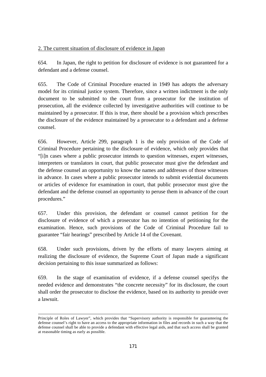### 2. The current situation of disclosure of evidence in Japan

654. In Japan, the right to petition for disclosure of evidence is not guaranteed for a defendant and a defense counsel.

655. The Code of Criminal Procedure enacted in 1949 has adopts the adversary model for its criminal justice system. Therefore, since a written indictment is the only document to be submitted to the court from a prosecutor for the institution of prosecution, all the evidence collected by investigative authorities will continue to be maintained by a prosecutor. If this is true, there should be a provision which prescribes the disclosure of the evidence maintained by a prosecutor to a defendant and a defense counsel.

656. However, Article 299, paragraph 1 is the only provision of the Code of Criminal Procedure pertaining to the disclosure of evidence, which only provides that "[i]n cases where a public prosecutor intends to question witnesses, expert witnesses, interpreters or translators in court, that public prosecutor must give the defendant and the defense counsel an opportunity to know the names and addresses of those witnesses in advance. In cases where a public prosecutor intends to submit evidential documents or articles of evidence for examination in court, that public prosecutor must give the defendant and the defense counsel an opportunity to peruse them in advance of the court procedures."

657. Under this provision, the defendant or counsel cannot petition for the disclosure of evidence of which a prosecutor has no intention of petitioning for the examination. Hence, such provisions of the Code of Criminal Procedure fail to guarantee "fair hearings" prescribed by Article 14 of the Covenant.

658. Under such provisions, driven by the efforts of many lawyers aiming at realizing the disclosure of evidence, the Supreme Court of Japan made a significant decision pertaining to this issue summarized as follows:

659. In the stage of examination of evidence, if a defense counsel specifys the needed evidence and demonstrates "the concrete necessity" for its disclosure, the court shall order the prosecutor to disclose the evidence, based on its authority to preside over a lawsuit.

-

Principle of Roles of Lawyer", which provides that "Supervisory authority is responsible for guaranteeing the defense counsel's right to have an access to the appropriate information in files and records in such a way that the defense counsel shall be able to provide a defendant with effective legal aids, and that such access shall be granted at reasonable timing as early as possible.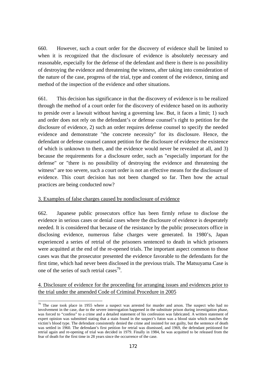660. However, such a court order for the discovery of evidence shall be limited to when it is recognized that the disclosure of evidence is absolutely necessary and reasonable, especially for the defense of the defendant and there is there is no possibility of destroying the evidence and threatening the witness, after taking into consideration of the nature of the case, progress of the trial, type and content of the evidence, timing and method of the inspection of the evidence and other situations.

661. This decision has significance in that the discovery of evidence is to be realized through the method of a court order for the discovery of evidence based on its authority to preside over a lawsuit without having a governing law. But, it faces a limit; 1) such and order does not rely on the defendant's or defense counsel's right to petition for the disclosure of evidence, 2) such an order requires defense counsel to specify the needed evidence and demonstrate "the concrete necessity" for its disclosure. Hence, the defendant or defense counsel cannot petition for the disclosure of evidence the existence of which is unknown to them, and the evidence would never be revealed at all, and 3) because the requirements for a disclosure order, such as "especially important for the defense" or "there is no possibility of destroying the evidence and threatening the witness" are too severe, such a court order is not an effective means for the disclosure of evidence. This court decision has not been changed so far. Then how the actual practices are being conducted now?

### 3. Examples of false charges caused by nondisclosure of evidence

 $\overline{a}$ 

662. Japanese public prosecutors office has been firmly refuse to disclose the evidence in serious cases or denial cases where the disclosure of evidence is desperately needed. It is considered that because of the resistance by the public prosecutors office in disclosing evidence, numerous false charges were generated. In 1980's, Japan experienced a series of retrial of the prisoners sentenced to death in which prisoners were acquitted at the end of the re-opened trials. The important aspect common to those cases was that the prosecutor presented the evidence favorable to the defendants for the first time, which had never been disclosed in the previous trials. The Matsuyama Case is one of the series of such retrial cases<sup>79</sup>.

## 4. Disclosure of evidence for the proceeding for arranging issues and evidences prior to the trial under the amended Code of Criminal Procedure in 2005

 $79$  The case took place in 1955 where a suspect was arrested for murder and arson. The suspect who had no involvement in the case, due to the severe interrogation happened in the substitute prison during investigation phase, was forced to "confess" to a crime and a detailed statement of his confession was fabricated. A written statement of expert opinion was submitted stating that a stain found in the suspect's futon was a blood stain which matches the victim's blood type. The defendant consistently denied the crime and insisted for not guilty, but the sentence of death was settled in 1960. The defendant's first petition for retrial was dismissed, and 1969, the defendant petitioned for retrial again and re-opening of trial was decided in 1979. Finally in 1984, he was acquitted to be released from the fear of death for the first time in 28 years since the occurrence of the case.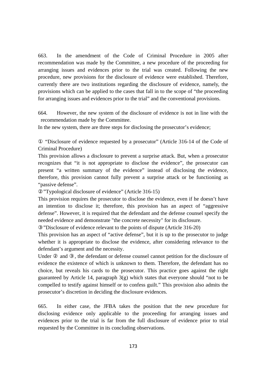663. In the amendment of the Code of Criminal Procedure in 2005 after recommendation was made by the Committee, a new procedure of the proceeding for arranging issues and evidences prior to the trial was created. Following the new procedure, new provisions for the disclosure of evidence were established. Therefore, currently there are two institutions regarding the disclosure of evidence, namely, the provisions which can be applied to the cases that fall in to the scope of "the proceeding for arranging issues and evidences prior to the trial" and the conventional provisions.

664. However, the new system of the disclosure of evidence is not in line with the recommendation made by the Committee.

In the new system, there are three steps for disclosing the prosecutor's evidence;

 "Disclosure of evidence requested by a prosecutor" (Article 316-14 of the Code of Criminal Procedure)

This provision allows a disclosure to prevent a surprise attack. But, when a prosecutor recognizes that "it is not appropriate to disclose the evidence", the prosecutor can present "a written summary of the evidence" instead of disclosing the evidence, therefore, this provision cannot fully prevent a surprise attack or be functioning as "passive defense".

"Typological disclosure of evidence" (Article 316-15)

This provision requires the prosecutor to disclose the evidence, even if he doesn't have an intention to disclose it; therefore, this provision has an aspect of "aggressive defense". However, it is required that the defendant and the defense counsel specify the needed evidence and demonstrate "the concrete necessity" for its disclosure.

"Disclosure of evidence relevant to the points of dispute (Article 316-20)

This provision has an aspect of "active defense", but it is up to the prosecutor to judge whether it is appropriate to disclose the evidence, after considering relevance to the defendant's argument and the necessity.

Under and , the defendant or defense counsel cannot petition for the disclosure of evidence the existence of which is unknown to them. Therefore, the defendant has no choice, but reveals his cards to the prosecutor. This practice goes against the right guaranteed by Article 14, paragraph  $3(g)$  which states that everyone should "not to be compelled to testify against himself or to confess guilt." This provision also admits the prosecutor's discretion in deciding the disclosure evidences.

665. In either case, the JFBA takes the position that the new procedure for disclosing evidence only applicable to the proceeding for arranging issues and evidences prior to the trial is far from the full disclosure of evidence prior to trial requested by the Committee in its concluding observations.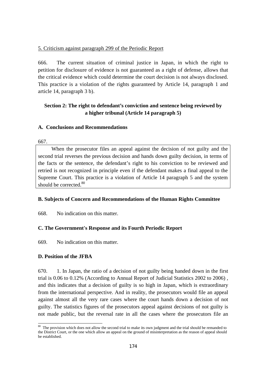### 5. Criticism against paragraph 299 of the Periodic Report

666. The current situation of criminal justice in Japan, in which the right to petition for disclosure of evidence is not guaranteed as a right of defense, allows that the critical evidence which could determine the court decision is not always disclosed. This practice is a violation of the rights guaranteed by Article 14, paragraph 1 and article 14, paragraph 3 b).

## **Section 2: The right to defendant's conviction and sentence being reviewed by a higher tribunal (Article 14 paragraph 5)**

### **A. Conclusions and Recommendations**

667.

When the prosecutor files an appeal against the decision of not guilty and the second trial reverses the previous decision and hands down guilty decision, in terms of the facts or the sentence, the defendant's right to his conviction to be reviewed and retried is not recognized in principle even if the defendant makes a final appeal to the Supreme Court. This practice is a violation of Article 14 paragraph 5 and the system should be corrected.<sup>80</sup>

#### **B. Subjects of Concern and Recommendations of the Human Rights Committee**

668. No indication on this matter.

### **C. The Government's Response and its Fourth Periodic Report**

669. No indication on this matter.

#### **D. Position of the JFBA**

670. 1. In Japan, the ratio of a decision of not guilty being handed down in the first trial is 0.06 to 0.12% (According to Annual Report of Judicial Statistics 2002 to 2006) , and this indicates that a decision of guilty is so high in Japan, which is extraordinary from the international perspective. And in reality, the prosecutors would file an appeal against almost all the very rare cases where the court hands down a decision of not guilty. The statistics figures of the prosecutors appeal against decisions of not guilty is not made public, but the reversal rate in all the cases where the prosecutors file an

 $\overline{a}$  $80$  The provision which does not allow the second trial to make its own judgment and the trial should be remanded to the District Court, or the one which allow an appeal on the ground of misinterpretation as the reason of appeal should be established.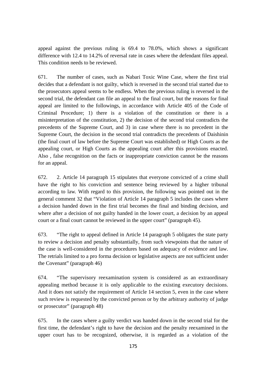appeal against the previous ruling is 69.4 to 78.0%, which shows a significant difference with 12.4 to 14.2% of reversal rate in cases where the defendant files appeal. This condition needs to be reviewed.

671. The number of cases, such as Nabari Toxic Wine Case, where the first trial decides that a defendant is not guilty, which is reversed in the second trial started due to the prosecutors appeal seems to be endless. When the previous ruling is reversed in the second trial, the defendant can file an appeal to the final court, but the reasons for final appeal are limited to the followings, in accordance with Article 405 of the Code of Criminal Procedure; 1) there is a violation of the constitution or there is a misinterpretation of the constitution, 2) the decision of the second trial contradicts the precedents of the Supreme Court, and 3) in case where there is no precedent in the Supreme Court, the decision in the second trial contradicts the precedents of Daishinin (the final court of law before the Supreme Court was established) or High Courts as the appealing court, or High Courts as the appealing court after this provisions enacted. Also , false recognition on the facts or inappropriate conviction cannot be the reasons for an appeal.

672. 2. Article 14 paragraph 15 stipulates that everyone convicted of a crime shall have the right to his conviction and sentence being reviewed by a higher tribunal according to law. With regard to this provision, the following was pointed out in the general comment 32 that "Violation of Article 14 paragraph 5 includes the cases where a decision handed down in the first trial becomes the final and binding decision, and where after a decision of not guilty handed in the lower court, a decision by an appeal court or a final court cannot be reviewed in the upper court" (paragraph 45).

673. "The right to appeal defined in Article 14 paragraph 5 obligates the state party to review a decision and penalty substantially, from such viewpoints that the nature of the case is well-considered in the procedures based on adequacy of evidence and law. The retrials limited to a pro forma decision or legislative aspects are not sufficient under the Covenant" (paragraph 46)

674. "The supervisory reexamination system is considered as an extraordinary appealing method because it is only applicable to the existing executory decisions. And it does not satisfy the requirement of Article 14 section 5, even in the case where such review is requested by the convicted person or by the arbitrary authority of judge or prosecutor" (paragraph 48)

675. In the cases where a guilty verdict was handed down in the second trial for the first time, the defendant's right to have the decision and the penalty reexamined in the upper court has to be recognized, otherwise, it is regarded as a violation of the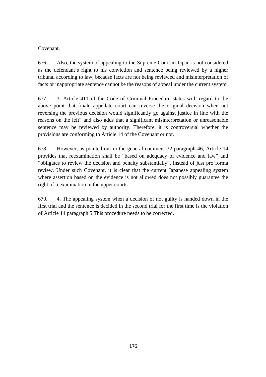### Covenant.

676. Also, the system of appealing to the Supreme Court in Japan is not considered as the defendant's right to his conviction and sentence being reviewed by a higher tribunal according to law, because facts are not being reviewed and misinterpretation of facts or inappropriate sentence cannot be the reasons of appeal under the current system.

677. 3. Article 411 of the Code of Criminal Procedure states with regard to the above point that finale appellate court can reverse the original decision when not reversing the previous decision would significantly go against justice in line with the reasons on the left" and also adds that a significant misinterpretation or unreasonable sentence may be reviewed by authority. Therefore, it is controversial whether the provisions are conforming to Article 14 of the Covenant or not.

678. However, as pointed out in the general comment 32 paragraph 46, Article 14 provides that reexamination shall be "based on adequacy of evidence and law" and "obligates to review the decision and penalty substantially", instead of just pro forma review. Under such Covenant, it is clear that the current Japanese appealing system where assertion based on the evidence is not allowed does not possibly guarantee the right of reexamination in the upper courts.

679. 4. The appealing system when a decision of not guilty is handed down in the first trial and the sentence is decided in the second trial for the first time is the violation of Article 14 paragraph 5.This procedure needs to be corrected.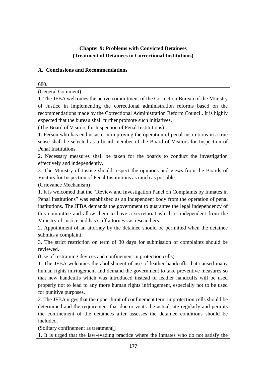# **Chapter 9: Problems with Convicted Detainees (Treatment of Detainees in Correctional Institutions)**

## **A. Conclusions and Recommendations**

680.

(General Comment)

1. The JFBA welcomes the active commitment of the Correction Bureau of the Ministry of Justice in implementing the correctional administration reforms based on the recommendations made by the Correctional Administration Reform Council. It is highly expected that the bureau shall further promote such initiatives.

(The Board of Visitors for Inspection of Penal Institutions)

1. Person who has enthusiasm in improving the operation of penal institutions in a true sense shall be selected as a board member of the Board of Visitors for Inspection of Penal Institutions.

2. Necessary measures shall be taken for the boards to conduct the investigation effectively and independently.

3. The Ministry of Justice should respect the opinions and views from the Boards of Visitors for Inspection of Penal Institutions as much as possible.

(Grievance Mechanism)

1. It is welcomed that the "Review and Investigation Panel on Complaints by Inmates in Penal Institutions" was established as an independent body from the operation of penal institutions. The JFBA demands the government to guarantee the legal independency of this committee and allow them to have a secretariat which is independent from the Ministry of Justice and has staff attorneys as researchers.

2. Appointment of an attorney by the detainee should be permitted when the detainee submits a complaint.

3. The strict restriction on term of 30 days for submission of complaints should be reviewed.

(Use of restraining devices and confinement in protection cells)

1. The JFBA welcomes the abolishment of use of leather handcuffs that caused many human rights infringement and demand the government to take preventive measures so that new handcuffs which was introduced instead of leather handcuffs will be used properly not to lead to any more human rights infringement, especially not to be used for punitive purposes.

2. The JFBA urges that the upper limit of confinement term in protection cells should be determined and the requirement that doctor visits the actual site regularly and permits the confinement of the detainees after assesses the detainee conditions should be included.

(Solitary confinement as treatment

1. It is urged that the law-evading practice where the inmates who do not satisfy the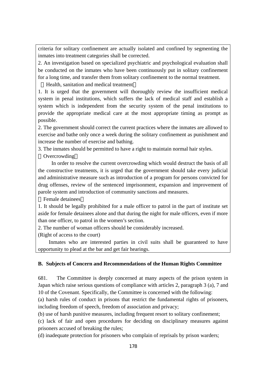criteria for solitary confinement are actually isolated and confined by segmenting the inmates into treatment categories shall be corrected.

2. An investigation based on specialized psychiatric and psychological evaluation shall be conducted on the inmates who have been continuously put in solitary confinement for a long time, and transfer them from solitary confinement to the normal treatment.

Health, sanitation and medical treatment

1. It is urged that the government will thoroughly review the insufficient medical system in penal institutions, which suffers the lack of medical staff and establish a system which is independent from the security system of the penal institutions to provide the appropriate medical care at the most appropriate timing as prompt as possible.

2. The government should correct the current practices where the inmates are allowed to exercise and bathe only once a week during the solitary confinement as punishment and increase the number of exercise and bathing.

3. The inmates should be permitted to have a right to maintain normal hair styles. **Overcrowding** 

In order to resolve the current overcrowding which would destruct the basis of all the constructive treatments, it is urged that the government should take every judicial and administrative measure such as introduction of a program for persons convicted for drug offenses, review of the sentenced imprisonment, expansion and improvement of parole system and introduction of community sanctions and measures.

Female detainees

1. It should be legally prohibited for a male officer to patrol in the part of institute set aside for female detainees alone and that during the night for male officers, even if more than one officer, to patrol in the women's section.

2. The number of woman officers should be considerably increased.

(Right of access to the court)

Inmates who are interested parties in civil suits shall be guaranteed to have opportunity to plead at the bar and get fair hearings.

#### **B. Subjects of Concern and Recommendations of the Human Rights Committee**

681. The Committee is deeply concerned at many aspects of the prison system in Japan which raise serious questions of compliance with articles 2, paragraph 3 (a), 7 and 10 of the Covenant. Specifically, the Committee is concerned with the following:

(a) harsh rules of conduct in prisons that restrict the fundamental rights of prisoners, including freedom of speech, freedom of association and privacy;

(b) use of harsh punitive measures, including frequent resort to solitary confinement;

(c) lack of fair and open procedures for deciding on disciplinary measures against prisoners accused of breaking the rules;

(d) inadequate protection for prisoners who complain of reprisals by prison warders;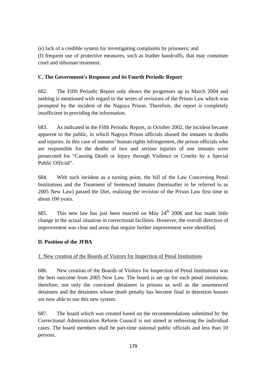(e) lack of a credible system for investigating complaints by prisoners; and

(f) frequent use of protective measures, such as leather handcuffs, that may constitute cruel and inhuman treatment.

# **C. The Government's Response and its Fourth Periodic Report**

682. The Fifth Periodic Report only shows the progresses up to March 2004 and nothing is mentioned with regard to the series of revisions of the Prison Law which was prompted by the incident of the Nagoya Prison. Therefore, the report is completely insufficient in providing the information.

683. As indicated in the Fifth Periodic Report, in October 2002, the incident became apparent to the public, in which Nagoya Prison officials abused the inmates to deaths and injuries. In this case of inmates' human rights infringement, the prison officials who are responsible for the deaths of two and serious injuries of one inmates were prosecuted for "Causing Death or Injury through Violence or Cruelty by a Special Public Official".

684. With such incident as a turning point, the bill of the Law Concerning Penal Institutions and the Treatment of Sentenced Inmates (hereinafter to be referred to as 2005 New Law) passed the Diet, realizing the revision of the Prison Law first time in about 100 years.

685. This new law has just been enacted on May  $24<sup>th</sup>$  2006 and has made little change in the actual situation in correctional facilities. However, the overall direction of improvement was clear and areas that require further improvement were identified.

# **D. Position of the JFBA**

# 1. New creation of the Boards of Visitors for Inspection of Penal Institutions

686. New creation of the Boards of Visitors for Inspection of Penal Institutions was the best outcome from 2005 New Law. The board is set up for each penal institution; therefore, not only the convicted detainees in prisons as well as the unsentenced detainees and the detainees whose death penalty has become final in detention houses are now able to use this new system.

687. The board which was created based on the recommendations submitted by the Correctional Administration Reform Council is not aimed at redressing the individual cases. The board members shall be part-time national public officials and less than 10 persons.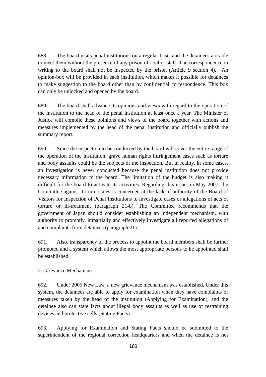688. The board visits penal institutions on a regular basis and the detainees are able to meet them without the presence of any prison official or staff. The correspondence in writing to the board shall not be inspected by the prison (Article 9 section 4). An opinion-box will be provided in each institution, which makes it possible for detainees to make suggestion to the board other than by confidential correspondence. This box can only be unlocked and opened by the board.

689. The board shall advance its opinions and views with regard to the operation of the institution to the head of the penal institution at least once a year. The Minister of Justice will compile these opinions and views of the board together with actions and measures implemented by the head of the penal institution and officially publish the summary report.

690. Since the inspection to be conducted by the board will cover the entire range of the operation of the institution, grave human rights infringement cases such as torture and body assaults could be the subjects of the inspection. But in reality, in some cases, an investigation is never conducted because the penal institution does not provide necessary information to the board. The limitation of the budget is also making it difficult for the board to activate its activities. Regarding this issue, in May 2007, the Committee against Torture states is concerned at the lack of authority of the Board of Visitors for Inspection of Penal Institutions to investigate cases or allegations of acts of torture or ill-treatment (paragraph 21-b). The Committee recommends that the government of Japan should consider establishing an independent mechanism, with authority to promptly, impartially and effectively investigate all reported allegations of and complaints from detainees (paragraph 21).

691. Also, transparency of the process to appoint the board members shall be further promoted and a system which allows the most appropriate persons to be appointed shall be established.

### 2. Grievance Mechanism

692. Under 2005 New Law, a new grievance mechanism was established. Under this system, the detainees are able to apply for examination when they have complaints of measures taken by the head of the institution (Applying for Examination), and the detainee also can state facts about illegal body assaults as well as use of restraining devices and protective cells (Stating Facts).

693. Applying for Examination and Stating Facts should be submitted to the superintendent of the regional correction headquarters and when the detainee is not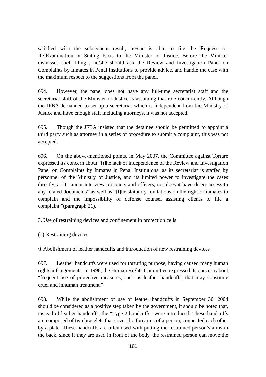satisfied with the subsequent result, he/she is able to file the Request for Re-Examination or Stating Facts to the Minister of Justice. Before the Minister dismisses such filing , he/she should ask the Review and Investigation Panel on Complaints by Inmates in Penal Institutions to provide advice, and handle the case with the maximum respect to the suggestions from the panel.

694. However, the panel does not have any full-time secretariat staff and the secretarial staff of the Minister of Justice is assuming that role concurrently. Although the JFBA demanded to set up a secretariat which is independent from the Ministry of Justice and have enough staff including attorneys, it was not accepted.

695. Though the JFBA insisted that the detainee should be permitted to appoint a third party such as attorney in a series of procedure to submit a complaint, this was not accepted.

696. On the above-mentioned points, in May 2007, the Committee against Torture expressed its concern about "[t]he lack of independence of the Review and Investigation Panel on Complaints by Inmates in Penal Institutions, as its secretariat is staffed by personnel of the Ministry of Justice, and its limited power to investigate the cases directly, as it cannot interview prisoners and officers, nor does it have direct access to any related documents" as well as "[t]he statutory limitations on the right of inmates to complain and the impossibility of defense counsel assisting clients to file a complaint "(paragraph 21).

### 3. Use of restraining devices and confinement in protection cells

### (1) Restraining devices

Abolishment of leather handcuffs and introduction of new restraining devices

697. Leather handcuffs were used for torturing purpose, having caused many human rights infringements. In 1998, the Human Rights Committee expressed its concern about "frequent use of protective measures, such as leather handcuffs, that may constitute cruel and inhuman treatment."

698. While the abolishment of use of leather handcuffs in September 30, 2004 should be considered as a positive step taken by the government, it should be noted that, instead of leather handcuffs, the "Type 2 handcuffs" were introduced. These handcuffs are composed of two bracelets that cover the forearms of a person, connected each other by a plate. These handcuffs are often used with putting the restrained person's arms in the back, since if they are used in front of the body, the restrained person can move the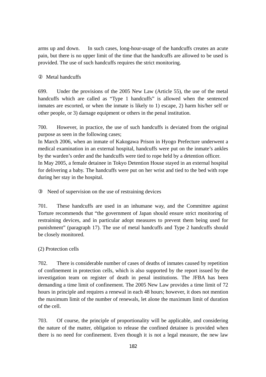arms up and down. In such cases, long-hour-usage of the handcuffs creates an acute pain, but there is no upper limit of the time that the handcuffs are allowed to be used is provided. The use of such handcuffs requires the strict monitoring.

## Metal handcuffs

699. Under the provisions of the 2005 New Law (Article 55), the use of the metal handcuffs which are called as "Type 1 handcuffs" is allowed when the sentenced inmates are escorted, or when the inmate is likely to 1) escape, 2) harm his/her self or other people, or 3) damage equipment or others in the penal institution.

700. However, in practice, the use of such handcuffs is deviated from the original purpose as seen in the following cases;

In March 2006, when an inmate of Kakogawa Prison in Hyogo Prefecture underwent a medical examination in an external hospital, handcuffs were put on the inmate's ankles by the warden's order and the handcuffs were tied to rope held by a detention officer. In May 2005, a female detainee in Tokyo Detention House stayed in an external hospital for delivering a baby. The handcuffs were put on her wrist and tied to the bed with rope during her stay in the hospital.

Need of supervision on the use of restraining devices

701. These handcuffs are used in an inhumane way, and the Committee against Torture recommends that "the government of Japan should ensure strict monitoring of restraining devices, and in particular adopt measures to prevent them being used for punishment" (paragraph 17). The use of metal handcuffs and Type 2 handcuffs should be closely monitored.

# (2) Protection cells

702. There is considerable number of cases of deaths of inmates caused by repetition of confinement in protection cells, which is also supported by the report issued by the investigation team on register of death in penal institutions. The JFBA has been demanding a time limit of confinement. The 2005 New Law provides a time limit of 72 hours in principle and requires a renewal in each 48 hours; however, it does not mention the maximum limit of the number of renewals, let alone the maximum limit of duration of the cell.

703. Of course, the principle of proportionality will be applicable, and considering the nature of the matter, obligation to release the confined detainee is provided when there is no need for confinement. Even though it is not a legal measure, the new law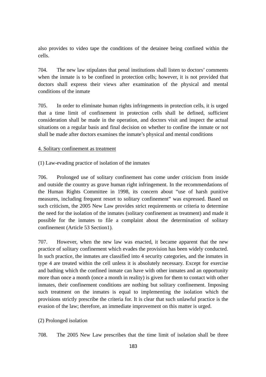also provides to video tape the conditions of the detainee being confined within the cells.

704. The new law stipulates that penal institutions shall listen to doctors' comments when the inmate is to be confined in protection cells; however, it is not provided that doctors shall express their views after examination of the physical and mental conditions of the inmate

705. In order to eliminate human rights infringements in protection cells, it is urged that a time limit of confinement in protection cells shall be defined, sufficient consideration shall be made in the operation, and doctors visit and inspect the actual situations on a regular basis and final decision on whether to confine the inmate or not shall be made after doctors examines the inmate's physical and mental conditions

#### 4. Solitary confinement as treatment

(1) Law-evading practice of isolation of the inmates

706. Prolonged use of solitary confinement has come under criticism from inside and outside the country as grave human right infringement. In the recommendations of the Human Rights Committee in 1998, its concern about "use of harsh punitive measures, including frequent resort to solitary confinement" was expressed. Based on such criticism, the 2005 New Law provides strict requirements or criteria to determine the need for the isolation of the inmates (solitary confinement as treatment) and made it possible for the inmates to file a complaint about the determination of solitary confinement (Article 53 Section1).

707. However, when the new law was enacted, it became apparent that the new practice of solitary confinement which evades the provision has been widely conducted. In such practice, the inmates are classified into 4 security categories, and the inmates in type 4 are treated within the cell unless it is absolutely necessary. Except for exercise and bathing which the confined inmate can have with other inmates and an opportunity more than once a month (once a month in reality) is given for them to contact with other inmates, their confinement conditions are nothing but solitary confinement. Imposing such treatment on the inmates is equal to implementing the isolation which the provisions strictly prescribe the criteria for. It is clear that such unlawful practice is the evasion of the law; therefore, an immediate improvement on this matter is urged.

(2) Prolonged isolation

708. The 2005 New Law prescribes that the time limit of isolation shall be three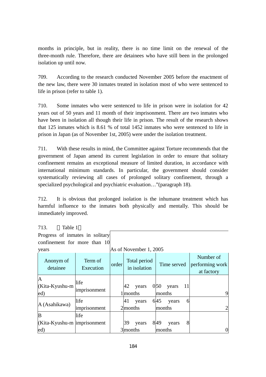months in principle, but in reality, there is no time limit on the renewal of the three-month rule. Therefore, there are detainees who have still been in the prolonged isolation up until now.

709. According to the research conducted November 2005 before the enactment of the new law, there were 30 inmates treated in isolation most of who were sentenced to life in prison (refer to table 1).

710. Some inmates who were sentenced to life in prison were in isolation for 42 years out of 50 years and 11 month of their imprisonment. There are two inmates who have been in isolation all though their life in prison. The result of the research shows that 125 inmates which is 8.61 % of total 1452 inmates who were sentenced to life in prison in Japan (as of November 1st, 2005) were under the isolation treatment.

711. With these results in mind, the Committee against Torture recommends that the government of Japan amend its current legislation in order to ensure that solitary confinement remains an exceptional measure of limited duration, in accordance with international minimum standards. In particular, the government should consider systematically reviewing all cases of prolonged solitary confinement, through a specialized psychological and psychiatric evaluation…"(paragraph 18).

712. It is obvious that prolonged isolation is the inhumane treatment which has harmful influence to the inmates both physically and mentally. This should be immediately improved.

| 713.<br>Table 1                      |                      |                        |                              |                              |                                            |  |  |
|--------------------------------------|----------------------|------------------------|------------------------------|------------------------------|--------------------------------------------|--|--|
| Progress of inmates in solitary      |                      |                        |                              |                              |                                            |  |  |
| confinement for more than 10         |                      |                        |                              |                              |                                            |  |  |
| years                                |                      | As of November 1, 2005 |                              |                              |                                            |  |  |
| Anonym of<br>detainee                | Term of<br>Execution | order                  | Total period<br>in isolation | Time served                  | Number of<br>performing work<br>at factory |  |  |
| A<br>$(Kita-Kyushu-m)$<br>ed)        | life<br>imprisonment |                        | 42<br>years<br>1 months      | 050<br>11<br>years<br>months |                                            |  |  |
| A (Asahikawa)                        | life<br>imprisonment |                        | 41<br>years<br>2 months      | 645<br>6<br>years<br>months  |                                            |  |  |
| B                                    | life                 |                        |                              |                              |                                            |  |  |
| $(Kita-Kyushu-m$ imprisonment<br>ed) |                      |                        | 39<br>years<br>3 months      | 8<br>849<br>years<br>lmonths |                                            |  |  |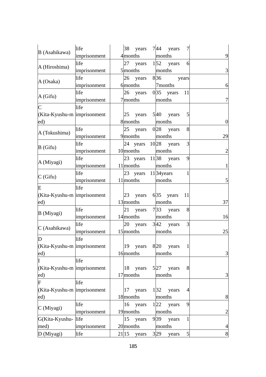| B (Asahikawa)                 | life         | 38<br>years                     | 744<br>years                    | $\overline{7}$ |                |
|-------------------------------|--------------|---------------------------------|---------------------------------|----------------|----------------|
|                               | imprisonment | $4$ months                      | months                          |                | 9              |
| A (Hiroshima)                 | life         |                                 | 27 years $1\overline{52}$ years | 6              |                |
|                               | imprisonment | $5$ months                      | months                          |                | 3              |
| A (Osaka)                     | life         | 26<br>years                     | 836                             | years          |                |
|                               | imprisonment | 6 <sub>months</sub>             | 7months                         |                | 6              |
| A(Gifu)                       | life         | 26 years                        | $035$ years                     | 11             |                |
|                               | imprisonment | 7 months                        | months                          |                | 7              |
| $\mathsf C$                   | life         |                                 |                                 |                |                |
| (Kita-Kyushu-m  imprisonment  |              | 25<br>years                     | 540<br>years                    | 5              |                |
| ed)                           |              | 8 months                        | months                          |                | $\overline{0}$ |
|                               | life         | 25                              | years $0 28$ years              | 8              |                |
| A (Tokushima)                 | imprisonment | 9 months                        | months                          |                | 29             |
|                               | life         |                                 | 24 years $10 28$ years          | 3              |                |
| $B$ (Gifu)                    | imprisonment | 10 months                       | months                          |                | $\overline{2}$ |
| A (Miyagi)                    | life         | 23 years 11 38                  | years                           | 9              |                |
|                               | imprisonment | $11$ months                     | months                          |                |                |
|                               | life         | 23 years 11 <sup>34</sup> years |                                 | 1              |                |
| C(Gifu)                       | imprisonment | $11$ months                     | months                          |                | 5              |
| E                             | life         |                                 |                                 |                |                |
| (Kita-Kyushu-m  imprisonment  |              | 23<br>years                     | $635$ years                     | 11             |                |
| ed)                           |              | 13 months                       | months                          |                | 37             |
|                               | life         | 21<br>years                     | $7 33$ years                    | 8              |                |
| B (Miyagi)                    | imprisonment | 14 months                       | months                          |                | 16             |
|                               | life         |                                 | 20 years $3 42$ years           | 3              |                |
| C (Asahikawa)                 | imprisonment | 15 months                       | months                          |                | 25             |
| D                             | life         |                                 |                                 |                |                |
| (Kita-Kyushu-m imprisonment   |              | 19 years                        | 8 <sup>20</sup> years           |                |                |
| $\left( ed\right)$            |              | 16 months                       | months                          |                | $\overline{3}$ |
| I                             | life         |                                 |                                 |                |                |
| (Kita-Kyushu-m   imprisonment |              | 18<br>years                     | 527<br>years                    | 8              |                |
| ed)                           |              | $17$ months                     | months                          |                | 3              |
| F                             | life         |                                 |                                 |                |                |
| (Kita-Kyushu-m imprisonment   |              | years<br>17                     | 132<br>years                    | 4              |                |
| ed)                           |              | 18 months                       | months                          |                | 8              |
| C (Miyagi)                    | life         | 16<br>years                     | 1 22<br>years                   | 9              |                |
|                               | imprisonment | 19 months                       | months                          |                | $\overline{2}$ |
| G(Kita-Kyushu-                | life         | 15<br>years                     | 939<br>years                    | 1              |                |
| med)                          | imprisonment | 20 months                       | months                          |                | $\overline{4}$ |
| D (Miyagi)                    | life         | 21 15<br>years                  | 3 29<br>years                   | 5              | $8\,$          |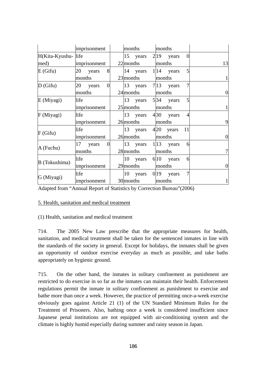|                     | imprisonment                  | months      |  | months                |                |                |
|---------------------|-------------------------------|-------------|--|-----------------------|----------------|----------------|
| H(Kita-Kyushu- life |                               | 15 years    |  | $2 19$ years          | $\Omega$       |                |
| med)                | imprisonment                  | $22$ months |  | months                |                | 13             |
| E(Gifu)             | 8<br>20<br>years              |             |  | 14 years $1/14$ years | 5              |                |
|                     | months                        | 23 months   |  | months                |                |                |
| $D$ (Gifu)          | 20<br>$\overline{0}$<br>years | 13 years    |  | $7 13$ years          | 7              |                |
|                     | months                        | 24 months   |  | months                |                | 0              |
| E (Miyagi)          | life                          | 13 years    |  | 5 34 years            | 5              |                |
|                     | imprisonment                  | $25$ months |  | months                |                |                |
| F (Miyagi)          | life                          | 13<br>years |  | 430<br>years          | $\overline{4}$ |                |
|                     | imprisonment                  | 26 months   |  | months                |                | 9              |
| F(Gifu)             | life                          | 13<br>years |  | 420 years             | 11             |                |
|                     | imprisonment                  | 26 months   |  | months                |                | $\overline{0}$ |
| A (Fuchu)           | 17<br>$\theta$<br>years       | 13 years    |  | $1 13$ years          | 6              |                |
|                     | months                        | 28 months   |  | months                |                |                |
| B (Tokushima)       | life                          | 10 years    |  | $6 10$ years          | 6              |                |
|                     | imprisonment                  | 29 months   |  | months                |                | 0              |
| G (Miyagi)          | life                          | 10 years    |  | $019$ years           | 7              |                |
|                     | imprisonment                  | 30 months   |  | months                |                |                |

Adapted from "Annual Report of Statistics by Correction Bureau"(2006)

### 5. Health, sanitation and medical treatment

#### (1) Health, sanitation and medical treatment

714. The 2005 New Law prescribe that the appropriate measures for health, sanitation, and medical treatment shall be taken for the sentenced inmates in line with the standards of the society in general. Except for holidays, the inmates shall be given an opportunity of outdoor exercise everyday as much as possible, and take baths appropriately on hygienic ground.

715. On the other hand, the inmates in solitary confinement as punishment are restricted to do exercise in so far as the inmates can maintain their health. Enforcement regulations permit the inmate in solitary confinement as punishment to exercise and bathe more than once a week. However, the practice of permitting once-a-week exercise obviously goes against Article 21 (1) of the UN Standard Minimum Rules for the Treatment of Prisoners. Also, bathing once a week is considered insufficient since Japanese penal institutions are not equipped with air-conditioning system and the climate is highly humid especially during summer and rainy season in Japan.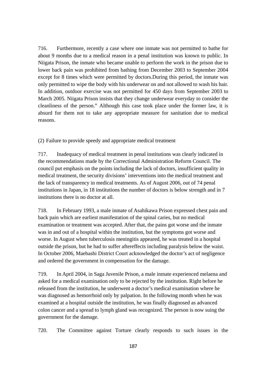716. Furthermore, recently a case where one inmate was not permitted to bathe for about 9 months due to a medical reason in a penal institution was known to public. In Niigata Prison, the inmate who became unable to perform the work in the prison due to lower back pain was prohibited from bathing from December 2003 to September 2004 except for 8 times which were permitted by doctors.During this period, the inmate was only permitted to wipe the body with his underwear on and not allowed to wash his hair. In addition, outdoor exercise was not permitted for 450 days from September 2003 to March 2005. Niigata Prison insists that they change underwear everyday to consider the cleanliness of the person." Although this case took place under the former law, it is absurd for them not to take any appropriate measure for sanitation due to medical reasons.

(2) Failure to provide speedy and appropriate medical treatment

717. Inadequacy of medical treatment in penal institutions was clearly indicated in the recommendations made by the Correctional Administration Reform Council. The council put emphasis on the points including the lack of doctors, insufficient quality in medical treatment, the security divisions' interventions into the medical treatment and the lack of transparency in medical treatments. As of August 2006, out of 74 penal institutions in Japan, in 18 institutions the number of doctors is below strength and in 7 institutions there is no doctor at all.

718. In February 1993, a male inmate of Asahikawa Prison expressed chest pain and back pain which are earliest manifestation of the spinal caries, but no medical examination or treatment was accepted. After that, the pains got worse and the inmate was in and out of a hospital within the institution, but the symptoms got worse and worse. In August when tuberculosis meningitis appeared, he was treated in a hospital outside the prison, but he had to suffer aftereffects including paralysis below the waist. In October 2006, Maebashi District Court acknowledged the doctor's act of negligence and ordered the government in compensation for the damage.

719. In April 2004, in Saga Juvenile Prison, a male inmate experienced melaena and asked for a medical examination only to be rejected by the institution. Right before he released from the institution, he underwent a doctor's medical examination where he was diagnosed as hemorrhoid only by palpation. In the following month when he was examined at a hospital outside the institution, he was finally diagnosed as advanced colon cancer and a spread to lymph gland was recognized. The person is now suing the government for the damage.

720. The Committee against Torture clearly responds to such issues in the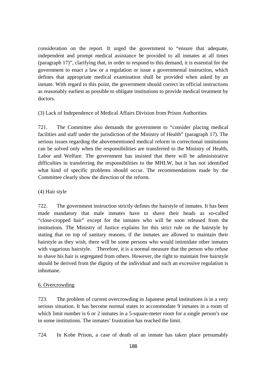consideration on the report. It urged the government to "ensure that adequate, independent and prompt medical assistance be provided to all inmates at all times (paragraph 17)", clarifying that, in order to respond to this demand, it is essential for the government to enact a law or a regulation or issue a governmental instruction, which defines that appropriate medical examination shall be provided when asked by an inmate. With regard to this point, the government should correct its official instructions as reasonably earliest as possible to obligate institutions to provide medical treatment by doctors.

(3) Lack of Independence of Medical Affairs Division from Prison Authorities

721. The Committee also demands the government to "consider placing medical facilities and staff under the jurisdiction of the Ministry of Health" (paragraph 17). The serious issues regarding the abovementioned medical reform in correctional institutions can be solved only when the responsibilities are transferred to the Ministry of Health, Labor and Welfare. The government has insisted that there will be administrative difficulties in transferring the responsibilities to the MHLW, but it has not identified what kind of specific problems should occur. The recommendations made by the Committee clearly show the direction of the reform.

(4) Hair style

722. The government instruction strictly defines the hairstyle of inmates. It has been made mandatory that male inmates have to shave their heads as so-called "close-cropped hair" except for the inmates who will be soon released from the institutions. The Ministry of Justice explains for this strict rule on the hairstyle by stating that on top of sanitary reasons, if the inmates are allowed to maintain their hairstyle as they wish, there will be some persons who would intimidate other inmates with vagarious hairstyle. Therefore, it is a normal measure that the person who refuse to shave his hair is segregated from others. However, the right to maintain free hairstyle should be derived from the dignity of the individual and such an excessive regulation is inhumane.

### 6. Overcrowding

723. The problem of current overcrowding in Japanese penal institutions is in a very serious situation. It has become normal states to accommodate 9 inmates in a room of which limit number is 6 or 2 inmates in a 5-square-meter room for a single person's use in some institutions. The inmates' frustration has reached the limit.

724. In Kobe Prison, a case of death of an inmate has taken place presumably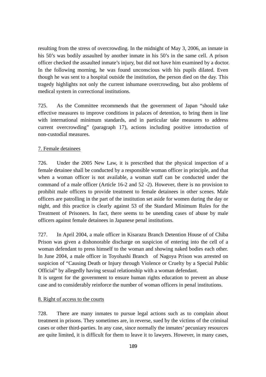resulting from the stress of overcrowding. In the midnight of May 3, 2006, an inmate in his 50's was bodily assaulted by another inmate in his 50's in the same cell. A prison officer checked the assaulted inmate's injury, but did not have him examined by a doctor. In the following morning, he was found unconscious with his pupils dilated. Even though he was sent to a hospital outside the institution, the person died on the day. This tragedy highlights not only the current inhumane overcrowding, but also problems of medical system in correctional institutions.

725. As the Committee recommends that the government of Japan "should take effective measures to improve conditions in palaces of detention, to bring them in line with international minimum standards, and in particular take measures to address current overcrowding" (paragraph 17), actions including positive introduction of non-custodial measures.

#### 7. Female detainees

726. Under the 2005 New Law, it is prescribed that the physical inspection of a female detainee shall be conducted by a responsible woman officer in principle, and that when a woman officer is not available, a woman staff can be conducted under the command of a male officer (Article 16-2 and 52 -2). However, there is no provision to prohibit male officers to provide treatment to female detainees in other scenes. Male officers are patrolling in the part of the institution set aside for women during the day or night, and this practice is clearly against 53 of the Standard Minimum Rules for the Treatment of Prisoners. In fact, there seems to be unending cases of abuse by male officers against female detainees in Japanese penal institutions.

727. In April 2004, a male officer in Kisarazu Branch Detention House of of Chiba Prison was given a dishonorable discharge on suspicion of entering into the cell of a woman defendant to press himself to the woman and showing naked bodies each other. In June 2004, a male officer in Toyohashi Branch of Nagoya Prison was arrested on suspicion of "Causing Death or Injury through Violence or Cruelty by a Special Public Official" by allegedly having sexual relationship with a woman defendant.

It is urgent for the government to ensure human rights education to prevent an abuse case and to considerably reinforce the number of woman officers in penal institutions.

#### 8. Right of access to the courts

728. There are many inmates to pursue legal actions such as to complain about treatment in prisons. They sometimes are, in reverse, sued by the victims of the criminal cases or other third-parties. In any case, since normally the inmates' pecuniary resources are quite limited, it is difficult for them to leave it to lawyers. However, in many cases,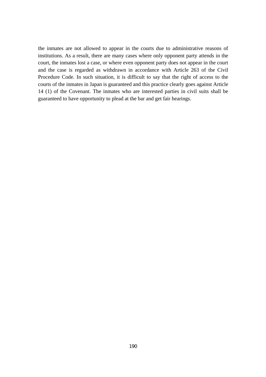the inmates are not allowed to appear in the courts due to administrative reasons of institutions. As a result, there are many cases where only opponent party attends in the court, the inmates lost a case, or where even opponent party does not appear in the court and the case is regarded as withdrawn in accordance with Article 263 of the Civil Procedure Code. In such situation, it is difficult to say that the right of access to the courts of the inmates in Japan is guaranteed and this practice clearly goes against Article 14 (1) of the Covenant. The inmates who are interested parties in civil suits shall be guaranteed to have opportunity to plead at the bar and get fair hearings.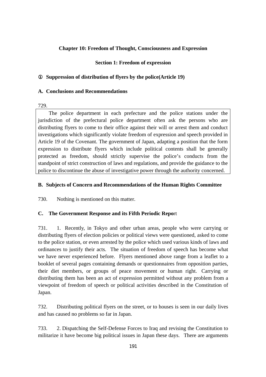### **Chapter 10: Freedom of Thought, Consciousness and Expression**

### **Section 1: Freedom of expression**

### Suppression of distribution of flyers by the police(Article 19)

### **A. Conclusions and Recommendations**

### 729.

The police department in each prefecture and the police stations under the jurisdiction of the prefectural police department often ask the persons who are distributing flyers to come to their office against their will or arrest them and conduct investigations which significantly violate freedom of expression and speech provided in Article 19 of the Covenant. The government of Japan, adapting a position that the form expression to distribute flyers which include political contents shall be generally protected as freedom, should strictly supervise the police's conducts from the standpoint of strict construction of laws and regulations, and provide the guidance to the police to discontinue the abuse of investigative power through the authority concerned.

### **B. Subjects of Concern and Recommendations of the Human Rights Committee**

730. Nothing is mentioned on this matter.

### **C. The Government Response and its Fifth Periodic Repo**rt

731. 1. Recently, in Tokyo and other urban areas, people who were carrying or distributing flyers of election policies or political views were questioned, asked to come to the police station, or even arrested by the police which used various kinds of laws and ordinances to justify their acts. The situation of freedom of speech has become what we have never experienced before. Flyers mentioned above range from a leaflet to a booklet of several pages containing demands or questionnaires from opposition parties, their diet members, or groups of peace movement or human right. Carrying or distributing them has been an act of expression permitted without any problem from a viewpoint of freedom of speech or political activities described in the Constitution of Japan.

732. Distributing political flyers on the street, or to houses is seen in our daily lives and has caused no problems so far in Japan.

733. 2. Dispatching the Self-Defense Forces to Iraq and revising the Constitution to militarize it have become big political issues in Japan these days. There are arguments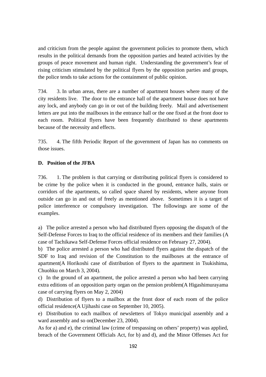and criticism from the people against the government policies to promote them, which results in the political demands from the opposition parties and heated activities by the groups of peace movement and human right. Understanding the government's fear of rising criticism stimulated by the political flyers by the opposition parties and groups, the police tends to take actions for the containment of public opinion.

734. 3. In urban areas, there are a number of apartment houses where many of the city residents live. The door to the entrance hall of the apartment house does not have any lock, and anybody can go in or out of the building freely. Mail and advertisement letters are put into the mailboxes in the entrance hall or the one fixed at the front door to each room. Political flyers have been frequently distributed to these apartments because of the necessity and effects.

735. 4. The fifth Periodic Report of the government of Japan has no comments on those issues.

### **D. Position of the JFBA**

736. 1. The problem is that carrying or distributing political flyers is considered to be crime by the police when it is conducted in the ground, entrance halls, stairs or corridors of the apartments, so called space shared by residents, where anyone from outside can go in and out of freely as mentioned above. Sometimes it is a target of police interference or compulsory investigation. The followings are some of the examples.

a) The police arrested a person who had distributed flyers opposing the dispatch of the Self-Defense Forces to Iraq to the official residence of its members and their families (A case of Tachikawa Self-Defense Forces official residence on February 27, 2004).

b) The police arrested a person who had distributed flyers against the dispatch of the SDF to Iraq and revision of the Constitution to the mailboxes at the entrance of apartment(A Horikoshi case of distribution of flyers to the apartment in Tsukishima, Chuohku on March 3, 2004).

c) In the ground of an apartment, the police arrested a person who had been carrying extra editions of an opposition party organ on the pension problem(A Higashimurayama case of carrying flyers on May 2, 2004)

d) Distribution of flyers to a mailbox at the front door of each room of the police official residence(A Ujihashi case on September 10, 2005).

e) Distribution to each mailbox of newsletters of Tokyo municipal assembly and a ward assembly and so on(December 23, 2004).

As for a) and e), the criminal law (crime of trespassing on others' property) was applied, breach of the Government Officials Act, for b) and d), and the Minor Offenses Act for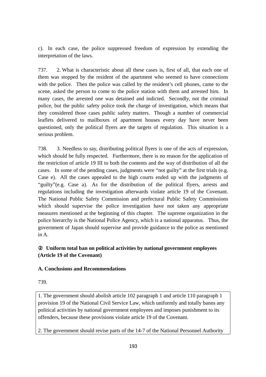c). In each case, the police suppressed freedom of expression by extending the interpretation of the laws.

737. 2. What is characteristic about all these cases is, first of all, that each one of them was stopped by the resident of the apartment who seemed to have connections with the police. Then the police was called by the resident's cell phones, came to the scene, asked the person to come to the police station with them and arrested him. In many cases, the arrested one was detained and indicted. Secondly, not the criminal police, but the public safety police took the charge of investigation, which means that they considered those cases public safety matters. Though a number of commercial leaflets delivered to mailboxes of apartment houses every day have never been questioned, only the political flyers are the targets of regulation. This situation is a serious problem.

738. 3. Needless to say, distributing political flyers is one of the acts of expression, which should be fully respected. Furthermore, there is no reason for the application of the restriction of article 19 III to both the contents and the way of distribution of all the cases. In some of the pending cases, judgments were "not guilty" at the first trials (e.g. Case e). All the cases appealed to the high courts ended up with the judgments of "guilty"(e.g. Case a). As for the distribution of the political flyers, arrests and regulations including the investigation afterwards violate article 19 of the Covenant. The National Public Safety Commission and prefectural Public Safety Commissions which should supervise the police investigation have not taken any appropriate measures mentioned at the beginning of this chapter. The supreme organization in the police hierarchy is the National Police Agency, which is a national apparatus. Thus, the government of Japan should supervise and provide guidance to the police as mentioned in A.

# Uniform total ban on political activities by national government employees **(Article 19 of the Covenant)**

### **A. Conclusions and Recommendations**

739.

1. The government should abolish article 102 paragraph 1 and article 110 paragraph 1 provision 19 of the National Civil Service Law, which uniformly and totally banns any political activities by national government employees and imposes punishment to its offenders, because these provisions violate article 19 of the Covenant.

2. The government should revise parts of the 14-7 of the National Personnel Authority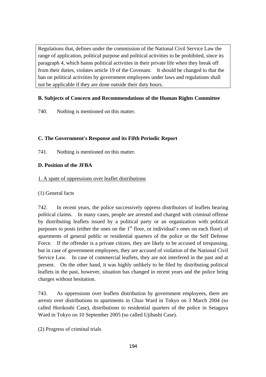Regulations that, defines under the commission of the National Civil Service Law the range of application, political purpose and political activities to be prohibited, since its paragraph 4, which banns political activities in their private life when they break off from their duties, violates article 19 of the Covenant. It should be changed to that the ban on political activities by government employees under laws and regulations shall not be applicable if they are done outside their duty hours.

## **B. Subjects of Concern and Recommendations of the Human Rights Committee**

740. Nothing is mentioned on this matter.

## **C. The Government's Response and its Fifth Periodic Report**

741. Nothing is mentioned on this matter.

## **D. Position of the JFBA**

### 1. A spate of oppressions over leaflet distributions

### (1) General facts

742. In recent years, the police successively oppress distributors of leaflets bearing political claims. In many cases, people are arrested and charged with criminal offense by distributing leaflets issued by a political party or an organization with political purposes to posts (either the ones on the  $1<sup>st</sup>$  floor, or individual's ones on each floor) of apartments of general public or residential quarters of the police or the Self Defense Force. If the offender is a private citizen, they are likely to be accused of trespassing, but in case of government employees, they are accused of violation of the National Civil Service Law. In case of commercial leaflets, they are not interfered in the past and at present. On the other hand, it was highly unlikely to be filed by distributing political leaflets in the past, however, situation has changed in recent years and the police bring charges without hesitation.

743. As oppressions over leaflets distribution by government employees, there are arrests over distributions to apartments in Chuo Ward in Tokyo on 3 March 2004 (so called Horikoshi Case), distributions to residential quarters of the police in Setagaya Ward in Tokyo on 10 September 2005 (so called Ujibashi Case).

(2) Progress of criminal trials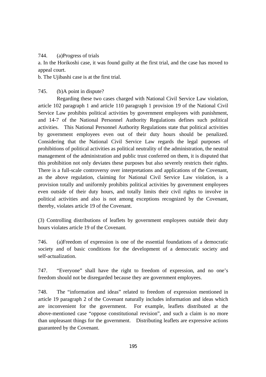### 744. (a)Progress of trials

a. In the Horikoshi case, it was found guilty at the first trial, and the case has moved to appeal court.

b. The Ujibashi case is at the first trial.

### 745. (b)A point in dispute?

Regarding these two cases charged with National Civil Service Law violation, article 102 paragraph 1 and article 110 paragraph 1 provision 19 of the National Civil Service Law prohibits political activities by government employees with punishment, and 14-7 of the National Personnel Authority Regulations defines such political activities. This National Personnel Authority Regulations state that political activities by government employees even out of their duty hours should be penalized. Considering that the National Civil Service Law regards the legal purposes of prohibitions of political activities as political neutrality of the administration, the neutral management of the administration and public trust conferred on them, it is disputed that this prohibition not only deviates these purposes but also severely restricts their rights. There is a full-scale controversy over interpretations and applications of the Covenant, as the above regulation, claiming for National Civil Service Law violation, is a provision totally and uniformly prohibits political activities by government employees even outside of their duty hours, and totally limits their civil rights to involve in political activities and also is not among exceptions recognized by the Covenant, thereby, violates article 19 of the Covenant.

(3) Controlling distributions of leaflets by government employees outside their duty hours violates article 19 of the Covenant.

746. (a)Freedom of expression is one of the essential foundations of a democratic society and of basic conditions for the development of a democratic society and self-actualization.

747. "Everyone" shall have the right to freedom of expression, and no one's freedom should not be disregarded because they are government employees.

748. The "information and ideas" related to freedom of expression mentioned in article 19 paragraph 2 of the Covenant naturally includes information and ideas which are inconvenient for the government. For example, leaflets distributed at the above-mentioned case "oppose constitutional revision", and such a claim is no more than unpleasant things for the government. Distributing leaflets are expressive actions guaranteed by the Covenant.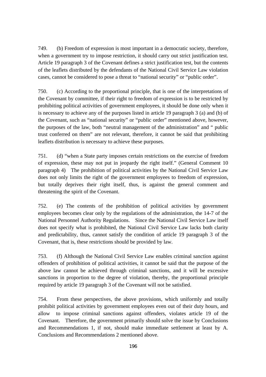749. (b) Freedom of expression is most important in a democratic society, therefore, when a government try to impose restriction, it should carry out strict justification test. Article 19 paragraph 3 of the Covenant defines a strict justification test, but the contents of the leaflets distributed by the defendants of the National Civil Service Law violation cases, cannot be considered to pose a threat to "national security" or "public order".

750. (c) According to the proportional principle, that is one of the interpretations of the Covenant by committee, if their right to freedom of expression is to be restricted by prohibiting political activities of government employees, it should be done only when it is necessary to achieve any of the purposes listed in article 19 paragraph 3 (a) and (b) of the Covenant, such as "national security" or "public order" mentioned above, however, the purposes of the law, both "neutral management of the administration" and " public trust conferred on them" are not relevant, therefore, it cannot be said that prohibiting leaflets distribution is necessary to achieve these purposes.

751. (d) "when a State party imposes certain restrictions on the exercise of freedom of expression, these may not put in jeopardy the right itself." (General Comment 10 paragraph 4) The prohibition of political activities by the National Civil Service Law does not only limits the right of the government employees to freedom of expression, but totally deprives their right itself, thus, is against the general comment and threatening the spirit of the Covenant.

752. (e) The contents of the prohibition of political activities by government employees becomes clear only by the regulations of the administration, the 14-7 of the National Personnel Authority Regulations. Since the National Civil Service Law itself does not specify what is prohibited, the National Civil Service Law lacks both clarity and predictability, thus, cannot satisfy the condition of article 19 paragraph 3 of the Covenant, that is, these restrictions should be provided by law.

753. (f) Although the National Civil Service Law enables criminal sanction against offenders of prohibition of political activities, it cannot be said that the purpose of the above law cannot be achieved through criminal sanctions, and it will be excessive sanctions in proportion to the degree of violation, thereby, the proportional principle required by article 19 paragraph 3 of the Covenant will not be satisfied.

754. From these perspectives, the above provisions, which uniformly and totally prohibit political activities by government employees even out of their duty hours, and allow to impose criminal sanctions against offenders, violates article 19 of the Covenant. Therefore, the government primarily should solve the issue by Conclusions and Recommendations 1, if not, should make immediate settlement at least by A. Conclusions and Recommendations 2 mentioned above.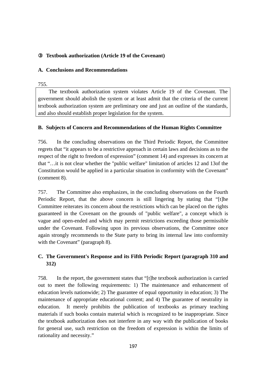## ③ **Textbook authorization (Article 19 of the Covenant)**

### **A. Conclusions and Recommendations**

#### 755.

The textbook authorization system violates Article 19 of the Covenant. The government should abolish the system or at least admit that the criteria of the current textbook authorization system are preliminary one and just an outline of the standards, and also should establish proper legislation for the system.

### **B. Subjects of Concern and Recommendations of the Human Rights Committee**

756. In the concluding observations on the Third Periodic Report, the Committee regrets that "it appears to be a restrictive approach in certain laws and decisions as to the respect of the right to freedom of expression" (comment 14) and expresses its concern at that "…it is not clear whether the "public welfare" limitation of articles 12 and 13of the Constitution would be applied in a particular situation in conformity with the Covenant" (comment 8).

757. The Committee also emphasizes, in the concluding observations on the Fourth Periodic Report, that the above concern is still lingering by stating that "[t]he Committee reiterates its concern about the restrictions which can be placed on the rights guaranteed in the Covenant on the grounds of "public welfare", a concept which is vague and open-ended and which may permit restrictions exceeding those permissible under the Covenant. Following upon its previous observations, the Committee once again strongly recommends to the State party to bring its internal law into conformity with the Covenant" (paragraph 8).

# **C. The Government's Response and its Fifth Periodic Report (paragraph 310 and 312)**

758. In the report, the government states that "[t]he textbook authorization is carried out to meet the following requirements: 1) The maintenance and enhancement of education levels nationwide; 2) The guarantee of equal opportunity in education; 3) The maintenance of appropriate educational content; and 4) The guarantee of neutrality in education. It merely prohibits the publication of textbooks as primary teaching materials if such books contain material which is recognized to be inappropriate. Since the textbook authorization does not interfere in any way with the publication of books for general use, such restriction on the freedom of expression is within the limits of rationality and necessity."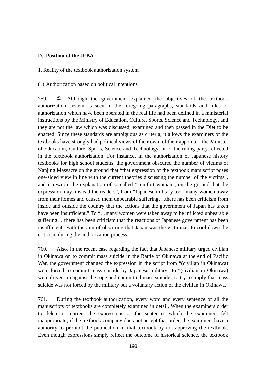#### **D. Position of the JFBA**

#### 1. Reality of the textbook authorization system

#### (1) Authorization based on political intentions

759. Although the government explained the objectives of the textbook authorization system as seen in the foregoing paragraphs, standards and rules of authorization which have been operated in the real life had been defined in a ministerial instructions by the Ministry of Education, Culture, Sports, Science and Technology, and they are not the law which was discussed, examined and then passed in the Diet to be enacted. Since these standards are ambiguous as criteria, it allows the examiners of the textbooks have strongly had political views of their own, of their appointer, the Minister of Education, Culture, Sports, Science and Technology, or of the ruling party reflected in the textbook authorization. For instance, in the authorization of Japanese history textbooks for high school students, the government obscured the number of victims of Nanjing Massacre on the ground that "that expression of the textbook manuscript poses one-sided view in line with the current theories discussing the number of the victims", and it rewrote the explanation of so-called "comfort woman", on the ground that the expression may mislead the readers", from "Japanese military took many women away from their homes and caused them unbearable suffering….there has been criticism from inside and outside the country that the actions that the government of Japan has taken have been insufficient." To "...many women were taken away to be inflicted unbearable suffering… there has been criticism that the reactions of Japanese government has been insufficient" with the aim of obscuring that Japan was the victimizer to cool down the criticism during the authorization process.

760. Also, in the recent case regarding the fact that Japanese military urged civilian in Okinawa on to commit mass suicide in the Battle of Okinawa at the end of Pacific War, the government changed the expression in the script from "(civilian in Okinawa) were forced to commit mass suicide by Japanese military" to "(civilian in Okinawa) were driven up against the rope and committed mass suicide" to try to imply that mass suicide was not forced by the military but a voluntary action of the civilian in Okinawa.

761. During the textbook authorization, every word and every sentence of all the manuscripts of textbooks are completely examined in detail. When the examiners order to delete or correct the expressions or the sentences which the examiners felt inappropriate, if the textbook company does not accept that order, the examiners have a authority to prohibit the publication of that textbook by not approving the textbook. Even though expressions simply reflect the outcome of historical science, the textbook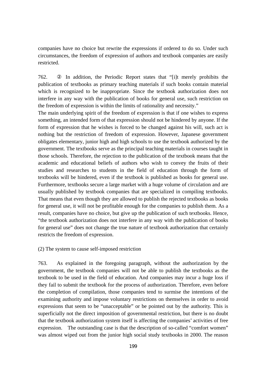companies have no choice but rewrite the expressions if ordered to do so. Under such circumstances, the freedom of expression of authors and textbook companies are easily restricted.

762. In addition, the Periodic Report states that "[i]t merely prohibits the publication of textbooks as primary teaching materials if such books contain material which is recognized to be inappropriate. Since the textbook authorization does not interfere in any way with the publication of books for general use, such restriction on the freedom of expression is within the limits of rationality and necessity."

The main underlying spirit of the freedom of expression is that if one wishes to express something, an intended form of that expression should not be hindered by anyone. If the form of expression that he wishes is forced to be changed against his will, such act is nothing but the restriction of freedom of expression. However, Japanese government obligates elementary, junior high and high schools to use the textbook authorized by the government. The textbooks serve as the principal teaching materials in courses taught in those schools. Therefore, the rejection to the publication of the textbook means that the academic and educational beliefs of authors who wish to convey the fruits of their studies and researches to students in the field of education through the form of textbooks will be hindered, even if the textbook is published as books for general use. Furthermore, textbooks secure a large market with a huge volume of circulation and are usually published by textbook companies that are specialized in compiling textbooks. That means that even though they are allowed to publish the rejected textbooks as books for general use, it will not be profitable enough for the companies to publish them. As a result, companies have no choice, but give up the publication of such textbooks. Hence, "the textbook authorization does not interfere in any way with the publication of books for general use" does not change the true nature of textbook authorization that certainly restricts the freedom of expression.

#### (2) The system to cause self-imposed restriction

763. As explained in the foregoing paragraph, without the authorization by the government, the textbook companies will not be able to publish the textbooks as the textbook to be used in the field of education. And companies may incur a huge loss if they fail to submit the textbook for the process of authorization. Therefore, even before the completion of compilation, those companies tend to surmise the intentions of the examining authority and impose voluntary restrictions on themselves in order to avoid expressions that seem to be "unacceptable" or be pointed out by the authority. This is superficially not the direct imposition of governmental restriction, but there is no doubt that the textbook authorization system itself is affecting the companies' activities of free expression. The outstanding case is that the description of so-called "comfort women" was almost wiped out from the junior high social study textbooks in 2000. The reason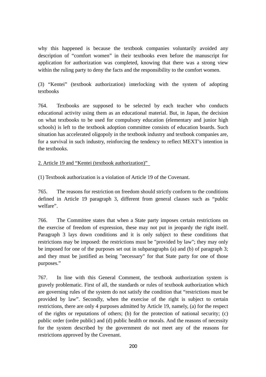why this happened is because the textbook companies voluntarily avoided any description of "comfort women" in their textbooks even before the manuscript for application for authorization was completed, knowing that there was a strong view within the ruling party to deny the facts and the responsibility to the comfort women.

(3) "Kentei" (textbook authorization) interlocking with the system of adopting textbooks

764. Textbooks are supposed to be selected by each teacher who conducts educational activity using them as an educational material. But, in Japan, the decision on what textbooks to be used for compulsory education (elementary and junior high schools) is left to the textbook adoption committee consists of education boards. Such situation has accelerated oligopoly in the textbook industry and textbook companies are, for a survival in such industry, reinforcing the tendency to reflect MEXT's intention in the textbooks.

2. Article 19 and "Kentei (textbook authorization)"

(1) Textbook authorization is a violation of Article 19 of the Covenant.

765. The reasons for restriction on freedom should strictly conform to the conditions defined in Article 19 paragraph 3, different from general clauses such as "public welfare".

766. The Committee states that when a State party imposes certain restrictions on the exercise of freedom of expression, these may not put in jeopardy the right itself. Paragraph 3 lays down conditions and it is only subject to these conditions that restrictions may be imposed: the restrictions must be "provided by law"; they may only be imposed for one of the purposes set out in subparagraphs (a) and (b) of paragraph 3; and they must be justified as being "necessary" for that State party for one of those purposes."

767. In line with this General Comment, the textbook authorization system is gravely problematic. First of all, the standards or rules of textbook authorization which are governing rules of the system do not satisfy the condition that "restrictions must be provided by law". Secondly, when the exercise of the right is subject to certain restrictions, there are only 4 purposes admitted by Article 19, namely, (a) for the respect of the rights or reputations of others; (b) for the protection of national security; (c) public order (ordre public) and (d) public health or morals. And the reasons of necessity for the system described by the government do not meet any of the reasons for restrictions approved by the Covenant.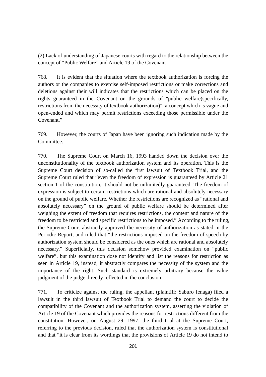(2) Lack of understanding of Japanese courts with regard to the relationship between the concept of "Public Welfare" and Article 19 of the Covenant

768. It is evident that the situation where the textbook authorization is forcing the authors or the companies to exercise self-imposed restrictions or make corrections and deletions against their will indicates that the restrictions which can be placed on the rights guaranteed in the Covenant on the grounds of "public welfare(specifically, restrictions from the necessity of textbook authorization)", a concept which is vague and open-ended and which may permit restrictions exceeding those permissible under the Covenant."

769. However, the courts of Japan have been ignoring such indication made by the Committee.

770. The Supreme Court on March 16, 1993 handed down the decision over the unconstitutionality of the textbook authorization system and its operation. This is the Supreme Court decision of so-called the first lawsuit of Textbook Trial, and the Supreme Court ruled that "even the freedom of expression is guaranteed by Article 21 section 1 of the constitution, it should not be unlimitedly guaranteed. The freedom of expression is subject to certain restrictions which are rational and absolutely necessary on the ground of public welfare. Whether the restrictions are recognized as "rational and absolutely necessary" on the ground of public welfare should be determined after weighing the extent of freedom that requires restrictions, the content and nature of the freedom to be restricted and specific restrictions to be imposed." According to the ruling, the Supreme Court abstractly approved the necessity of authorization as stated in the Periodic Report, and ruled that "the restrictions imposed on the freedom of speech by authorization system should be considered as the ones which are rational and absolutely necessary." Superficially, this decision somehow provided examination on "public welfare", but this examination dose not identify and list the reasons for restriction as seen in Article 19, instead, it abstractly compares the necessity of the system and the importance of the right. Such standard is extremely arbitrary because the value judgment of the judge directly reflected in the conclusion.

771. To criticize against the ruling, the appellant (plaintiff: Saburo Ienaga) filed a lawsuit in the third lawsuit of Textbook Trial to demand the court to decide the compatibility of the Covenant and the authorization system, asserting the violation of Article 19 of the Covenant which provides the reasons for restrictions different from the constitution. However, on August 29, 1997, the third trial at the Supreme Court, referring to the previous decision, ruled that the authorization system is constitutional and that "it is clear from its wordings that the provisions of Article 19 do not intend to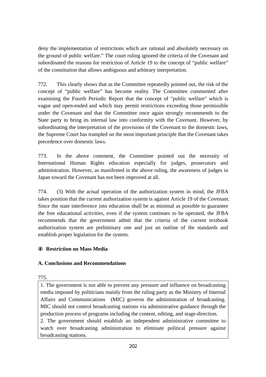deny the implementation of restrictions which are rational and absolutely necessary on the ground of public welfare." The court ruling ignored the criteria of the Covenant and subordinated the reasons for restriction of Article 19 to the concept of "public welfare" of the constitution that allows ambiguous and arbitrary interpretation.

772. This clearly shows that as the Committee repeatedly pointed out, the risk of the concept of "public welfare" has become reality. The Committee commented after examining the Fourth Periodic Report that the concept of "public welfare" which is vague and open-ended and which may permit restrictions exceeding those permissible under the Covenant and that the Committee once again strongly recommends to the State party to bring its internal law into conformity with the Covenant. However, by subordinating the interpretation of the provisions of the Covenant to the domestic laws, the Supreme Court has trampled on the most important principle that the Covenant takes precedence over domestic laws.

773. In the above comment, the Committee pointed out the necessity of International Human Rights education especially for judges, prosecutors and administration. However, as manifested in the above ruling, the awareness of judges in Japan toward the Covenant has not been improved at all.

774. (3) With the actual operation of the authorization system in mind, the JFBA takes position that the current authorization system is against Article 19 of the Covenant. Since the state interference into education shall be as minimal as possible to guarantee the free educational activities, even if the system continues to be operated, the JFBA recommends that the government admit that the criteria of the current textbook authorization system are preliminary one and just an outline of the standards and establish proper legislation for the system.

# ④ **Restriction on Mass Media**

# **A. Conclusions and Recommendations**

775.

1. The government is not able to prevent any pressure and influence on broadcasting media imposed by politicians mainly from the ruling party as the Ministry of Internal Affairs and Communications (MIC) governs the administration of broadcasting. MIC should not control broadcasting stations via administrative guidance through the production process of programs including the content, editing, and stage-direction. 2. The government should establish an independent administrative committee to watch over broadcasting administration to eliminate political pressure against broadcasting stations.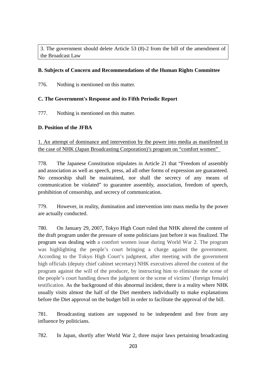3. The government should delete Article 53 (8)-2 from the bill of the amendment of the Broadcast Law

## **B. Subjects of Concern and Recommendations of the Human Rights Committee**

776. Nothing is mentioned on this matter.

### **C. The Government's Response and its Fifth Periodic Report**

777. Nothing is mentioned on this matter.

## **D. Position of the JFBA**

1. An attempt of dominance and intervention by the power into media as manifested in the case of NHK (Japan Broadcasting Corporation)'s program on "comfort women"

778. The Japanese Constitution stipulates in Article 21 that "Freedom of assembly and association as well as speech, press, ad all other forms of expression are guaranteed. No censorship shall be maintained, nor shall the secrecy of any means of communication be violated" to guarantee assembly, association, freedom of speech, prohibition of censorship, and secrecy of communication.

779. However, in reality, domination and intervention into mass media by the power are actually conducted.

780. On January 29, 2007, Tokyo High Court ruled that NHK altered the content of the draft program under the pressure of some politicians just before it was finalized. The program was dealing with a comfort women issue during World War 2. The program was highlighting the people's court bringing a charge against the government. According to the Tokyo High Court's judgment, after meeting with the government high officials (deputy chief cabinet secretary) NHK executives altered the content of the program against the will of the producer, by instructing him to eliminate the scene of the people's court handing down the judgment or the scene of victims' (foreign female) testification. As the background of this abnormal incident, there is a reality where NHK usually visits almost the half of the Diet members individually to make explanations before the Diet approval on the budget bill in order to facilitate the approval of the bill.

781. Broadcasting stations are supposed to be independent and free from any influence by politicians.

782. In Japan, shortly after World War 2, three major laws pertaining broadcasting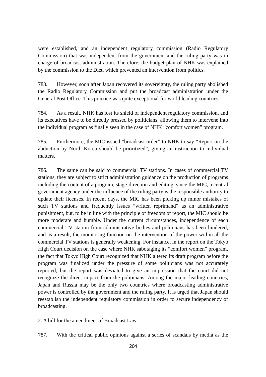were established, and an independent regulatory commission (Radio Regulatory Commission) that was independent from the government and the ruling party was in charge of broadcast administration. Therefore, the budget plan of NHK was explained by the commission to the Diet, which prevented an intervention from politics.

783. However, soon after Japan recovered its sovereignty, the ruling party abolished the Radio Regulatory Commission and put the broadcast administration under the General Post Office. This practice was quite exceptional for world leading countries.

784. As a result, NHK has lost its shield of independent regulatory commission, and its executives have to be directly pressed by politicians, allowing them to intervene into the individual program as finally seen in the case of NHK "comfort women" program.

785. Furthermore, the MIC issued "broadcast order" to NHK to say "Report on the abduction by North Korea should be prioritized", giving an instruction to individual matters.

786. The same can be said to commercial TV stations. In cases of commercial TV stations, they are subject to strict administration guidance on the production of programs including the content of a program, stage-direction and editing, since the MIC, a central government agency under the influence of the ruling party is the responsible authority to update their licenses. In recent days, the MIC has been picking up minor mistakes of such TV stations and frequently issues "written reprimand" as an administrative punishment, but, to be in line with the principle of freedom of report, the MIC should be more moderate and humble. Under the current circumstances, independence of each commercial TV station from administrative bodies and politicians has been hindered, and as a result, the monitoring function on the intervention of the power within all the commercial TV stations is generally weakening. For instance, in the report on the Tokyo High Court decision on the case where NHK sabotaging its "comfort women" program, the fact that Tokyo High Court recognized that NHK altered its draft program before the program was finalized under the pressure of some politicians was not accurately reported, but the report was deviated to give an impression that the court did not recognize the direct impact from the politicians. Among the major leading countries, Japan and Russia may be the only two countries where broadcasting administrative power is controlled by the government and the ruling party. It is urged that Japan should reestablish the independent regulatory commission in order to secure independency of broadcasting.

#### 2. A bill for the amendment of Broadcast Law

787. With the critical public opinions against a series of scandals by media as the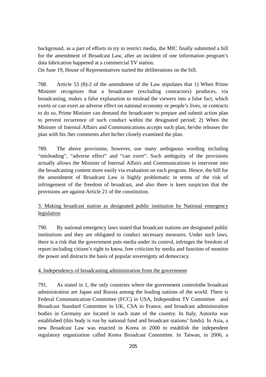background, as a part of efforts to try to restrict media, the MIC finally submitted a bill for the amendment of Broadcast Law, after an incident of one information program's data fabrication happened at a commercial TV station.

On June 19, House of Representatives started the deliberations on the bill.

788. Article 53 (8)-2 of the amendment of the Law stipulates that 1) When Prime Minister recognizes that a broadcaster (excluding contractors) produces, via broadcasting, makes a false explanation to mislead the viewers into a false fact, which exerts or can exert an adverse effect on national economy or people's lives, or contracts to do so, Prime Minister can demand the broadcaster to prepare and submit action plan to prevent recurrence of such conduct within the designated period; 2) When the Minister of Internal Affairs and Communications accepts such plan, he/she releases the plan with his /her comments after he/her closely examined the plan.

789. The above provisions, however, use many ambiguous wording including "misleading", "adverse effect" and "can exert". Such ambiguity of the provisions actually allows the Minister of Internal Affairs and Communications to intervene into the broadcasting content more easily via evaluation on each program. Hence, the bill for the amendment of Broadcast Law is highly problematic in terms of the risk of infringement of the freedom of broadcast, and also there is keen suspicion that the provisions are against Article 21 of the constitution.

# 3. Making broadcast station as designated public institution by National emergency legislation

790. By national emergency laws stated that broadcast stations are designated public institutions and they are obligated to conduct necessary measures. Under such laws, there is a risk that the government puts media under its control, infringes the freedom of report including citizen's right to know, free criticism by media and function of monitor the power and distracts the basis of popular sovereignty ad democracy.

### 4. Independency of broadcasting administration from the government

791. As stated in 1, the only countries where the government controlsthe broadcast administration are Japan and Russia among the leading nations of the world. There is Federal Communication Committee (FCC) in USA, Independent TV Committee and Broadcast Standard Committee in UK, CSA in France, and broadcast administration bodies in Germany are located in each state of the country. In Italy, Autorita was established (this body is run by national fund and broadcast stations' funds). In Asia, a new Broadcast Law was enacted in Korea in 2000 to establish the independent regulatory organization called Korea Broadcast Committee. In Taiwan, in 2006, a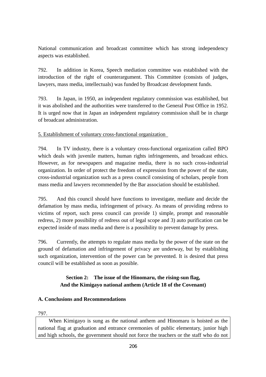National communication and broadcast committee which has strong independency aspects was established.

792. In addition in Korea, Speech mediation committee was established with the introduction of the right of counterargument. This Committee (consists of judges, lawyers, mass media, intellectuals) was funded by Broadcast development funds.

793. In Japan, in 1950, an independent regulatory commission was established, but it was abolished and the authorities were transferred to the General Post Office in 1952. It is urged now that in Japan an independent regulatory commission shall be in charge of broadcast administration.

## 5. Establishment of voluntary cross-functional organization

794. In TV industry, there is a voluntary cross-functional organization called BPO which deals with juvenile matters, human rights infringements, and broadcast ethics. However, as for newspapers and magazine media, there is no such cross-industrial organization. In order of protect the freedom of expression from the power of the state, cross-industrial organization such as a press council consisting of scholars, people from mass media and lawyers recommended by the Bar association should be established.

795. And this council should have functions to investigate, mediate and decide the defamation by mass media, infringement of privacy. As means of providing redress to victims of report, such press council can provide 1) simple, prompt and reasonable redress, 2) more possibility of redress out of legal scope and 3) auto purification can be expected inside of mass media and there is a possibility to prevent damage by press.

796. Currently, the attempts to regulate mass media by the power of the state on the ground of defamation and infringement of privacy are underway, but by establishing such organization, intervention of the power can be prevented. It is desired that press council will be established as soon as possible.

# **Section 2: The issue of the Hinomaru, the rising-sun flag, And the Kimigayo national anthem (Article 18 of the Covenant)**

# **A. Conclusions and Recommendations**

#### 797.

When Kimigayo is sung as the national anthem and Hinomaru is hoisted as the national flag at graduation and entrance ceremonies of public elementary, junior high and high schools, the government should not force the teachers or the staff who do not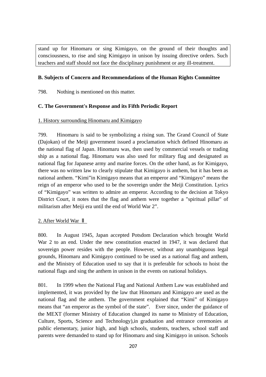stand up for Hinomaru or sing Kimigayo, on the ground of their thoughts and consciousness, to rise and sing Kimigayo in unison by issuing directive orders. Such teachers and staff should not face the disciplinary punishment or any ill-treatment.

### **B. Subjects of Concern and Recommendations of the Human Rights Committee**

798. Nothing is mentioned on this matter.

### **C. The Government's Response and its Fifth Periodic Report**

### 1. History surrounding Hinomaru and Kimigayo

799. Hinomaru is said to be symbolizing a rising sun. The Grand Council of State (Dajokan) of the Meiji government issued a proclamation which defined Hinomaru as the national flag of Japan. Hinomaru was, then used by commercial vessels or trading ship as a national flag. Hinomaru was also used for military flag and designated as national flag for Japanese army and marine forces. On the other hand, as for Kimigayo, there was no written law to clearly stipulate that Kimigayo is anthem, but it has been as national anthem. "Kimi"in Kimigayo means that an emperor and "Kimigayo" means the reign of an emperor who used to be the sovereign under the Meiji Constitution. Lyrics of "Kimigayo" was written to admire an emperor. According to the decision at Tokyo District Court, it notes that the flag and anthem were together a "spiritual pillar" of militarism after Meiji era until the end of World War 2".

### 2. After World War

800. In August 1945, Japan accepted Potsdom Declaration which brought World War 2 to an end. Under the new constitution enacted in 1947, it was declared that sovereign power resides with the people. However, without any unambiguous legal grounds, Hinomaru and Kimigayo continued to be used as a national flag and anthem, and the Ministry of Education used to say that it is preferable for schools to hoist the national flags and sing the anthem in unison in the events on national holidays.

801. In 1999 when the National Flag and National Anthem Law was established and implemented, it was provided by the law that Hinomaru and Kimigayo are used as the national flag and the anthem. The government explained that "Kimi" of Kimigayo means that "an emperor as the symbol of the state". Ever since, under the guidance of the MEXT (former Ministry of Education changed its name to Ministry of Education, Culture, Sports, Science and Technology),in graduation and entrance ceremonies at public elementary, junior high, and high schools, students, teachers, school staff and parents were demanded to stand up for Hinomaru and sing Kimigayo in unison. Schools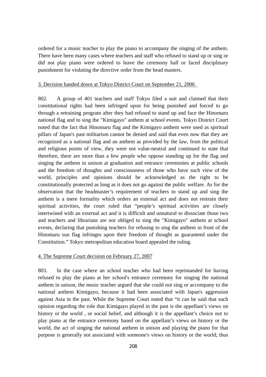ordered for a music teacher to play the piano to accompany the singing of the anthem. There have been many cases where teachers and staff who refused to stand up or sing or did not play piano were ordered to leave the ceremony hall or faced disciplinary punishment for violating the directive order from the head masters.

#### 3. Decision handed down at Tokyo District Court on September 21, 2006

802. A group of 401 teachers and staff Tokyo filed a suit and claimed that their constitutional rights had been infringed upon for being punished and forced to go through a retraining program after they had refused to stand up and face the Hinomaru national flag and to sing the "Kimigayo" anthem at school events. Tokyo District Court noted that the fact that Hinomaru flag and the Kimigayo anthem were used as spiritual pillars of Japan's past militarism cannot be denied and said that even now that they are recognized as a national flag and an anthem as provided by the law, from the political and religious points of view, they were not value-neutral and continued to state that therefore, there are more than a few people who oppose standing up for the flag and singing the anthem in unison at graduation and entrance ceremonies at public schools and the freedom of thoughts and consciousness of those who have such view of the world, principles and opinions should be acknowledged as the right to be constitutionally protected as long as it does not go against the public welfare. As for the observation that the headmaster's requirement of teachers to stand up and sing the anthem is a mere formality which orders an external act and does not restrain their spiritual activities, the court ruled that "people's spiritual activities are closely intertwined with an external act and it is difficult and unnatural to dissociate those two and teachers and librarians are not obliged to sing the "Kimigayo" anthem at school events, declaring that punishing teachers for refusing to sing the anthem in front of the Hinomaru sun flag infringes upon their freedom of thought as guaranteed under the Constitution." Tokyo metropolitan education board appealed the ruling.

#### 4. The Supreme Court decision on February 27, 2007

803. In the case where an school teacher who had been reprimanded for having refused to play the piano at her school's entrance ceremony for singing the national anthem in unison, the music teacher argued that she could not sing or accompany to the national anthem Kimigayo, because it had been associated with Japan's aggression against Asia in the past. While the Supreme Court noted that "it can be said that such opinion regarding the role that Kimigayo played in the past is the appellant's views on history or the world , or social belief, and although it is the appellant's choice not to play piano at the entrance ceremony based on the appellant's views on history or the world, the act of singing the national anthem in unison and playing the piano for that purpose is generally not associated with someone's views on history or the world; thus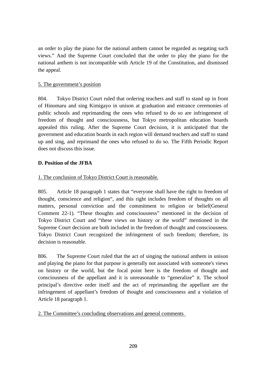an order to play the piano for the national anthem cannot be regarded as negating such views." And the Supreme Court concluded that the order to play the piano for the national anthem is not incompatible with Article 19 of the Constitution, and dismissed the appeal.

## 5. The government's position

804. Tokyo District Court ruled that ordering teachers and staff to stand up in front of Hinomaru and sing Kimigayo in unison at graduation and entrance ceremonies of public schools and reprimanding the ones who refused to do so are infringement of freedom of thought and consciousness, but Tokyo metropolitan education boards appealed this ruling. After the Supreme Court decision, it is anticipated that the government and education boards in each region will demand teachers and staff to stand up and sing, and reprimand the ones who refused to do so. The Fifth Periodic Report does not discuss this issue.

## **D. Position of the JFBA**

## 1. The conclusion of Tokyo District Court is reasonable.

805. Article 18 paragraph 1 states that "everyone shall have the right to freedom of thought, conscience and religion", and this right includes freedom of thoughts on all matters, personal conviction and the commitment to religion or belief(General Comment 22-1). "These thoughts and consciousness" mentioned in the decision of Tokyo District Court and "these views on history or the world" mentioned in the Supreme Court decision are both included in the freedom of thought and consciousness. Tokyo District Court recognized the infringement of such freedom; therefore, its decision is reasonable.

806. The Supreme Court ruled that the act of singing the national anthem in unison and playing the piano for that purpose is generally not associated with someone's views on history or the world, but the focal point here is the freedom of thought and consciousness of the appellant and it is unreasonable to "generalize" it. The school principal's directive order itself and the act of reprimanding the appellant are the infringement of appellant's freedom of thought and consciousness and a violation of Article 18 paragraph 1.

2. The Committee's concluding observations and general comments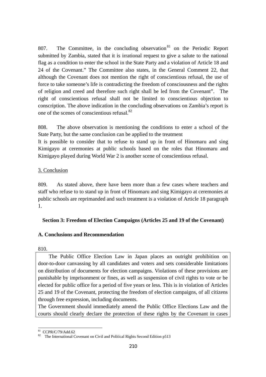807. The Committee, in the concluding observation  $81$  on the Periodic Report submitted by Zambia, stated that it is irrational request to give a salute to the national flag as a condition to enter the school in the State Party and a violation of Article 18 and 24 of the Covenant." The Committee also states, in the General Comment 22, that although the Covenant does not mention the right of conscientious refusal, the use of force to take someone's life is contradicting the freedom of consciousness and the rights of religion and creed and therefore such right shall be led from the Covenant". The right of conscientious refusal shall not be limited to conscientious objection to conscription. The above indication in the concluding observations on Zambia's report is one of the scenes of conscientious refusal.82

808. The above observation is mentioning the conditions to enter a school of the State Party, but the same conclusion can be applied to the treatment

It is possible to consider that to refuse to stand up in front of Hinomaru and sing Kimigayo at ceremonies at public schools based on the roles that Hinomaru and Kimigayo played during World War 2 is another scene of conscientious refusal.

### 3. Conclusion

809. As stated above, there have been more than a few cases where teachers and staff who refuse to to stand up in front of Hinomaru and sing Kimigayo at ceremonies at public schools are reprimanded and such treatment is a violation of Article 18 paragraph 1.

# **Section 3: Freedom of Election Campaigns (Articles 25 and 19 of the Covenant)**

# **A. Conclusions and Recommendation**

### 810.

The Public Office Election Law in Japan places an outright prohibition on door-to-door canvassing by all candidates and voters and sets considerable limitations on distribution of documents for election campaigns. Violations of these provisions are punishable by imprisonment or fines, as well as suspension of civil rights to vote or be elected for public office for a period of five years or less. This is in violation of Articles 25 and 19 of the Covenant, protecting the freedom of election campaigns, of all citizens through free expression, including documents.

The Government should immediately amend the Public Office Elections Law and the courts should clearly declare the protection of these rights by the Covenant in cases

<sup>81</sup> CCPR/C/79/Add.62

<sup>82</sup> The International Covenant on Civil and Political Rights Second Edition p513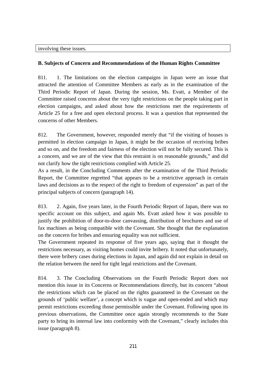### involving these issues.

### **B. Subjects of Concern and Recommendations of the Human Rights Committee**

811. 1. The limitations on the election campaigns in Japan were an issue that attracted the attention of Committee Members as early as in the examination of the Third Periodic Report of Japan. During the session, Ms. Evatt, a Member of the Committee raised concerns about the very tight restrictions on the people taking part in election campaigns, and asked about how the restrictions met the requirements of Article 25 for a free and open electoral process. It was a question that represented the concerns of other Members.

812. The Government, however, responded merely that "if the visiting of houses is permitted in election campaign in Japan, it might be the occasion of receiving bribes and so on, and the freedom and fairness of the election will not be fully secured. This is a concern, and we are of the view that this restraint is on reasonable grounds," and did not clarify how the tight restrictions complied with Article 25.

As a result, in the Concluding Comments after the examination of the Third Periodic Report, the Committee regretted "that appears to be a restrictive approach in certain laws and decisions as to the respect of the right to freedom of expression" as part of the principal subjects of concern (paragraph 14).

813. 2. Again, five years later, in the Fourth Periodic Report of Japan, there was no specific account on this subject, and again Ms. Evatt asked how it was possible to justify the prohibition of door-to-door canvassing, distribution of brochures and use of fax machines as being compatible with the Covenant. She thought that the explanation on the concern for bribes and ensuring equality was not sufficient.

The Government repeated its response of five years ago, saying that it thought the restrictions necessary, as visiting homes could invite bribery. It noted that unfortunately, there were bribery cases during elections in Japan, and again did not explain in detail on the relation between the need for tight legal restrictions and the Covenant.

814. 3. The Concluding Observations on the Fourth Periodic Report does not mention this issue in its Concerns or Recommendations directly, but its concern "about the restrictions which can be placed on the rights guaranteed in the Covenant on the grounds of 'public welfare', a concept which is vague and open-ended and which may permit restrictions exceeding those permissible under the Covenant. Following upon its previous observations, the Committee once again strongly recommends to the State party to bring its internal law into conformity with the Covenant," clearly includes this issue (paragraph 8).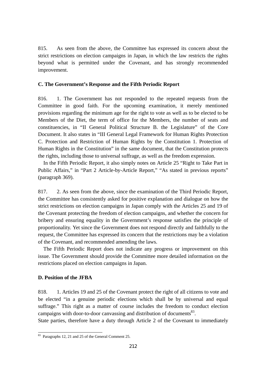815. As seen from the above, the Committee has expressed its concern about the strict restrictions on election campaigns in Japan, in which the law restricts the rights beyond what is permitted under the Covenant, and has strongly recommended improvement.

#### **C. The Government's Response and the Fifth Periodic Report**

816. 1. The Government has not responded to the repeated requests from the Committee in good faith. For the upcoming examination, it merely mentioned provisions regarding the minimum age for the right to vote as well as to be elected to be Members of the Diet, the term of office for the Members, the number of seats and constituencies, in "II General Political Structure B. the Legislature" of the Core Document. It also states in "III General Legal Framework for Human Rights Protection C. Protection and Restriction of Human Rights by the Constitution 1. Protection of Human Rights in the Constitution" in the same document, that the Constitution protects the rights, including those to universal suffrage, as well as the freedom expression.

In the Fifth Periodic Report, it also simply notes on Article 25 "Right to Take Part in Public Affairs," in "Part 2 Article-by-Article Report," "As stated in previous reports" (paragraph 369).

817. 2. As seen from the above, since the examination of the Third Periodic Report, the Committee has consistently asked for positive explanation and dialogue on how the strict restrictions on election campaigns in Japan comply with the Articles 25 and 19 of the Covenant protecting the freedom of election campaigns, and whether the concern for bribery and ensuring equality in the Government's response satisfies the principle of proportionality. Yet since the Government does not respond directly and faithfully to the request, the Committee has expressed its concern that the restrictions may be a violation of the Covenant, and recommended amending the laws.

The Fifth Periodic Report does not indicate any progress or improvement on this issue. The Government should provide the Committee more detailed information on the restrictions placed on election campaigns in Japan.

#### **D. Position of the JFBA**

 $\overline{a}$ 

818. 1. Articles 19 and 25 of the Covenant protect the right of all citizens to vote and be elected "in a genuine periodic elections which shall be by universal and equal suffrage." This right as a matter of course includes the freedom to conduct election campaigns with door-to-door canvassing and distribution of documents<sup>83</sup>.

State parties, therefore have a duty through Article 2 of the Covenant to immediately

<sup>&</sup>lt;sup>83</sup> Paragraphs 12, 21 and 25 of the General Comment 25.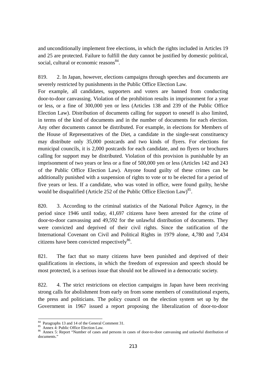and unconditionally implement free elections, in which the rights included in Articles 19 and 25 are protected. Failure to fulfill the duty cannot be justified by domestic political, social, cultural or economic reasons<sup>84</sup>.

819. 2. In Japan, however, elections campaigns through speeches and documents are severely restricted by punishments in the Public Office Election Law.

For example, all candidates, supporters and voters are banned from conducting door-to-door canvassing. Violation of the prohibition results in imprisonment for a year or less, or a fine of 300,000 yen or less (Articles 138 and 239 of the Public Office Election Law). Distribution of documents calling for support to oneself is also limited, in terms of the kind of documents and in the number of documents for each election. Any other documents cannot be distributed. For example, in elections for Members of the House of Representatives of the Diet, a candidate in the single-seat constituency may distribute only 35,000 postcards and two kinds of flyers. For elections for municipal councils, it is 2,000 postcards for each candidate, and no flyers or brochures calling for support may be distributed. Violation of this provision is punishable by an imprisonment of two years or less or a fine of 500,000 yen or less (Articles 142 and 243 of the Public Office Election Law). Anyone found guilty of these crimes can be additionally punished with a suspension of rights to vote or to be elected for a period of five years or less. If a candidate, who was voted in office, were found guilty, he/she would be disqualified (Article 252 of the Public Office Election Law)<sup>85</sup>.

820. 3. According to the criminal statistics of the National Police Agency, in the period since 1946 until today, 41,697 citizens have been arrested for the crime of door-to-door canvassing and 49,592 for the unlawful distribution of documents. They were convicted and deprived of their civil rights. Since the ratification of the International Covenant on Civil and Political Rights in 1979 alone, 4,780 and 7,434 citizens have been convicted respectively $86$ .

821. The fact that so many citizens have been punished and deprived of their qualifications in elections, in which the freedom of expression and speech should be most protected, is a serious issue that should not be allowed in a democratic society.

822. 4. The strict restrictions on election campaigns in Japan have been receiving strong calls for abolishment from early on from some members of constitutional experts, the press and politicians. The policy council on the election system set up by the Government in 1967 issued a report proposing the liberalization of door-to-door

<sup>&</sup>lt;sup>84</sup> Paragraphs 13 and 14 of the General Comment 31.

 $\frac{85}{6}$  Annex 4: Public Office Election Law.<br> $\frac{85}{6}$  Annex 5: Report "Number of cases and persons in cases of door-to-door canvassing and unlawful distribution of documents."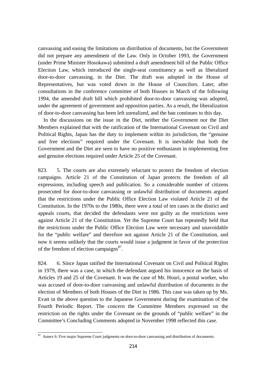canvassing and easing the limitations on distribution of documents, but the Government did not prepare any amendment of the Law. Only in October 1993, the Government (under Prime Minister Hosokawa) submitted a draft amendment bill of the Public Office Election Law, which introduced the single-seat constituency as well as liberalized door-to-door canvassing, in the Diet. The draft was adopted in the House of Representatives, but was voted down in the House of Councilors. Later, after consultations in the conference committee of both Houses in March of the following 1994, the amended draft bill which prohibited door-to-door canvassing was adopted, under the agreement of government and opposition parties. As a result, the liberalization of door-to-door canvassing has been left unrealized, and the ban continues to this day.

In the discussions on the issue in the Diet, neither the Government nor the Diet Members explained that with the ratification of the International Covenant on Civil and Political Rights, Japan has the duty to implement within its jurisdiction, the "genuine and free elections" required under the Covenant. It is inevitable that both the Government and the Diet are seen to have no positive enthusiasm in implementing free and genuine elections required under Article 25 of the Covenant.

823. 5. The courts are also extremely reluctant to protect the freedom of election campaigns. Article 21 of the Constitution of Japan protects the freedom of all expressions, including speech and publication. So a considerable number of citizens prosecuted for door-to-door canvassing or unlawful distribution of documents argued that the restrictions under the Public Office Election Law violated Article 21 of the Constitution. In the 1970s to the 1980s, there were a total of ten cases in the district and appeals courts, that decided the defendants were not guilty as the restrictions were against Article 21 of the Constitution. Yet the Supreme Court has repeatedly held that the restrictions under the Public Office Election Law were necessary and unavoidable for the "public welfare" and therefore not against Article 21 of the Constitution, and now it seems unlikely that the courts would issue a judgment in favor of the protection of the freedom of election campaigns<sup>87</sup>.

824. 6. Since Japan ratified the International Covenant on Civil and Political Rights in 1979, there was a case, in which the defendant argued his innocence on the basis of Articles 19 and 25 of the Covenant. It was the case of Mr. Houri, a postal worker, who was accused of door-to-door canvassing and unlawful distribution of documents in the election of Members of both Houses of the Diet in 1986. This case was taken up by Ms. Evatt in the above question to the Japanese Government during the examination of the Fourth Periodic Report. The concern the Committee Members expressed on the restriction on the rights under the Covenant on the grounds of "public welfare" in the Committee's Concluding Comments adopted in November 1998 reflected this case.

 $87$  Annex 6: Five major Supreme Court judgments on door-to-door canvassing and distribution of documents.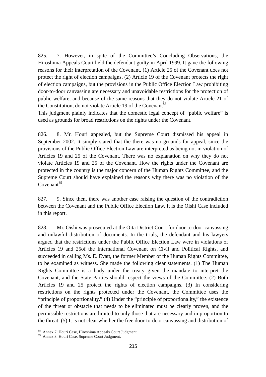825. 7. However, in spite of the Committee's Concluding Observations, the Hiroshima Appeals Court held the defendant guilty in April 1999. It gave the following reasons for their interpretation of the Covenant. (1) Article 25 of the Covenant does not protect the right of election campaigns, (2) Article 19 of the Covenant protects the right of election campaigns, but the provisions in the Public Office Election Law prohibiting door-to-door canvassing are necessary and unavoidable restrictions for the protection of public welfare, and because of the same reasons that they do not violate Article 21 of the Constitution, do not violate Article 19 of the Covenant<sup>88</sup>.

This judgment plainly indicates that the domestic legal concept of "public welfare" is used as grounds for broad restrictions on the rights under the Covenant.

826. 8. Mr. Houri appealed, but the Supreme Court dismissed his appeal in September 2002. It simply stated that the there was no grounds for appeal, since the provisions of the Public Office Election Law are interpreted as being not in violation of Articles 19 and 25 of the Covenant. There was no explanation on why they do not violate Articles 19 and 25 of the Covenant. How the rights under the Covenant are protected in the country is the major concern of the Human Rights Committee, and the Supreme Court should have explained the reasons why there was no violation of the  $Covenant<sup>89</sup>$ 

827. 9. Since then, there was another case raising the question of the contradiction between the Covenant and the Public Office Election Law. It is the Oishi Case included in this report.

828. Mr. Oishi was prosecuted at the Oita District Court for door-to-door canvassing and unlawful distribution of documents. In the trials, the defendant and his lawyers argued that the restrictions under the Public Office Election Law were in violations of Articles 19 and 25of the International Covenant on Civil and Political Rights, and succeeded in calling Ms. E. Evatt, the former Member of the Human Rights Committee, to be examined as witness. She made the following clear statements. (1) The Human Rights Committee is a body under the treaty given the mandate to interpret the Covenant, and the State Parties should respect the views of the Committee. (2) Both Articles 19 and 25 protect the rights of election campaigns. (3) In considering restrictions on the rights protected under the Covenant, the Committee uses the "principle of proportionality." (4) Under the "principle of proportionality," the existence of the threat or obstacle that needs to be eliminated must be clearly proven, and the permissible restrictions are limited to only those that are necessary and in proportion to the threat. (5) It is not clear whether the free door-to-door canvassing and distribution of

<sup>&</sup>lt;sup>88</sup> Annex 7: Houri Case, Hiroshima Appeals Court Judgment.<br><sup>89</sup> Annex 8: Houri Case, Supreme Court Judgment.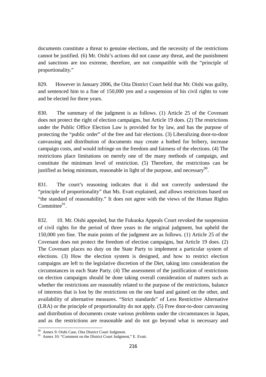documents constitute a threat to genuine elections, and the necessity of the restrictions cannot be justified. (6) Mr. Oishi's actions did not cause any threat, and the punishment and sanctions are too extreme, therefore, are not compatible with the "principle of proportionality."

829. However in January 2006, the Oita District Court held that Mr. Oishi was guilty, and sentenced him to a fine of 150,000 yen and a suspension of his civil rights to vote and be elected for three years.

830. The summary of the judgment is as follows. (1) Article 25 of the Covenant does not protect the right of election campaigns, but Article 19 does. (2) The restrictions under the Public Office Election Law is provided for by law, and has the purpose of protecting the "public order" of the free and fair elections. (3) Liberalizing door-to-door canvassing and distribution of documents may create a hotbed for bribery, increase campaign costs, and would infringe on the freedom and fairness of the elections. (4) The restrictions place limitations on merely one of the many methods of campaign, and constitute the minimum level of restriction. (5) Therefore, the restrictions can be justified as being minimum, reasonable in light of the purpose, and necessary<sup>90</sup>.

831. The court's reasoning indicates that it did not correctly understand the "principle of proportionality" that Ms. Evatt explained, and allows restrictions based on "the standard of reasonability." It does not agree with the views of the Human Rights Committee $91$ .

832. 10. Mr. Oishi appealed, but the Fukuoka Appeals Court revoked the suspension of civil rights for the period of three years in the original judgment, but upheld the 150,000 yen fine. The main points of the judgment are as follows. (1) Article 25 of the Covenant does not protect the freedom of election campaigns, but Article 19 does. (2) The Covenant places no duty on the State Party to implement a particular system of elections. (3) How the election system is designed, and how to restrict election campaigns are left to the legislative discretion of the Diet, taking into consideration the circumstances in each State Party. (4) The assessment of the justification of restrictions on election campaigns should be done taking overall consideration of matters such as whether the restrictions are reasonably related to the purpose of the restrictions, balance of interests that is lost by the restrictions on the one hand and gained on the other, and availability of alternative measures. "Strict standards" of Less Restrictive Alternative (LRA) or the principle of proportionality do not apply. (5) Free door-to-door canvassing and distribution of documents create various problems under the circumstances in Japan, and as the restrictions are reasonable and do not go beyond what is necessary and

<sup>&</sup>lt;sup>90</sup> Annex 9: Oishi Case, Oita District Court Judgment.<br><sup>91</sup> Annex 10: "Comment on the District Court Judgment," E. Evatt.